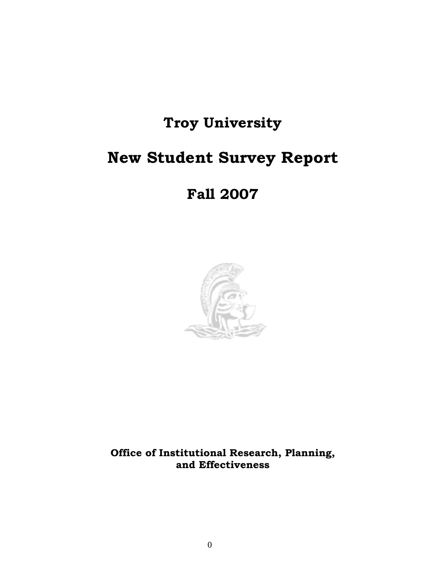# **Troy University**

# **New Student Survey Report**

# **Fall 2007**



**Office of Institutional Research, Planning, and Effectiveness**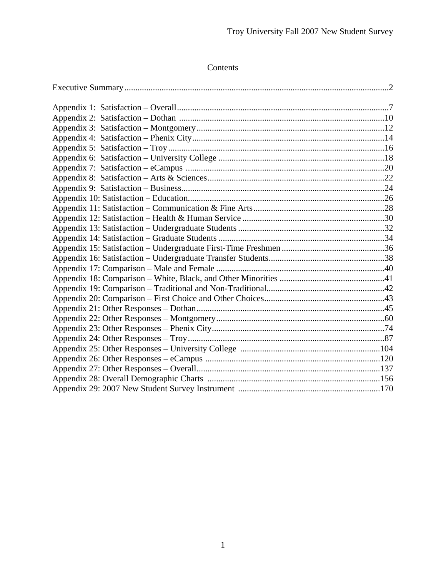# Contents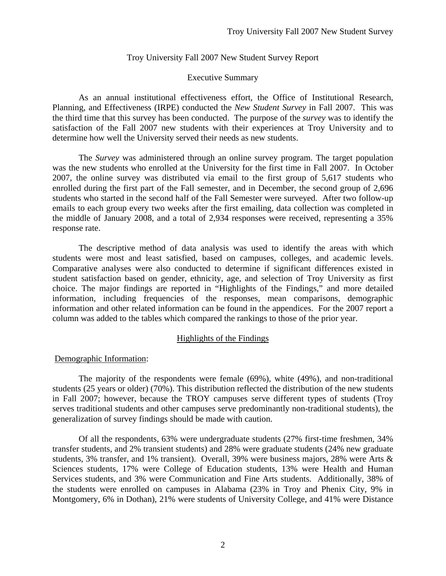#### Executive Summary

 As an annual institutional effectiveness effort, the Office of Institutional Research, Planning, and Effectiveness (IRPE) conducted the *New Student Survey* in Fall 2007. This was the third time that this survey has been conducted. The purpose of the *survey* was to identify the satisfaction of the Fall 2007 new students with their experiences at Troy University and to determine how well the University served their needs as new students.

The *Survey* was administered through an online survey program. The target population was the new students who enrolled at the University for the first time in Fall 2007. In October 2007, the online survey was distributed via email to the first group of 5,617 students who enrolled during the first part of the Fall semester, and in December, the second group of 2,696 students who started in the second half of the Fall Semester were surveyed. After two follow-up emails to each group every two weeks after the first emailing, data collection was completed in the middle of January 2008, and a total of 2,934 responses were received, representing a 35% response rate.

The descriptive method of data analysis was used to identify the areas with which students were most and least satisfied, based on campuses, colleges, and academic levels. Comparative analyses were also conducted to determine if significant differences existed in student satisfaction based on gender, ethnicity, age, and selection of Troy University as first choice. The major findings are reported in "Highlights of the Findings," and more detailed information, including frequencies of the responses, mean comparisons, demographic information and other related information can be found in the appendices. For the 2007 report a column was added to the tables which compared the rankings to those of the prior year.

#### Highlights of the Findings

#### Demographic Information:

 The majority of the respondents were female (69%), white (49%), and non-traditional students (25 years or older) (70%). This distribution reflected the distribution of the new students in Fall 2007; however, because the TROY campuses serve different types of students (Troy serves traditional students and other campuses serve predominantly non-traditional students), the generalization of survey findings should be made with caution.

 Of all the respondents, 63% were undergraduate students (27% first-time freshmen, 34% transfer students, and 2% transient students) and 28% were graduate students (24% new graduate students, 3% transfer, and 1% transient). Overall, 39% were business majors, 28% were Arts & Sciences students, 17% were College of Education students, 13% were Health and Human Services students, and 3% were Communication and Fine Arts students. Additionally, 38% of the students were enrolled on campuses in Alabama (23% in Troy and Phenix City, 9% in Montgomery, 6% in Dothan), 21% were students of University College, and 41% were Distance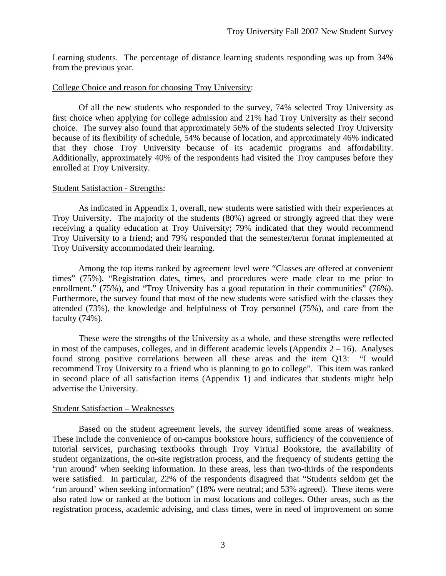Learning students. The percentage of distance learning students responding was up from 34% from the previous year.

#### College Choice and reason for choosing Troy University:

 Of all the new students who responded to the survey, 74% selected Troy University as first choice when applying for college admission and 21% had Troy University as their second choice. The survey also found that approximately 56% of the students selected Troy University because of its flexibility of schedule, 54% because of location, and approximately 46% indicated that they chose Troy University because of its academic programs and affordability. Additionally, approximately 40% of the respondents had visited the Troy campuses before they enrolled at Troy University.

#### Student Satisfaction - Strengths:

As indicated in Appendix 1, overall, new students were satisfied with their experiences at Troy University. The majority of the students (80%) agreed or strongly agreed that they were receiving a quality education at Troy University; 79% indicated that they would recommend Troy University to a friend; and 79% responded that the semester/term format implemented at Troy University accommodated their learning.

Among the top items ranked by agreement level were "Classes are offered at convenient times" (75%), "Registration dates, times, and procedures were made clear to me prior to enrollment." (75%), and "Troy University has a good reputation in their communities" (76%). Furthermore, the survey found that most of the new students were satisfied with the classes they attended (73%), the knowledge and helpfulness of Troy personnel (75%), and care from the faculty (74%).

These were the strengths of the University as a whole, and these strengths were reflected in most of the campuses, colleges, and in different academic levels (Appendix  $2 - 16$ ). Analyses found strong positive correlations between all these areas and the item Q13: "I would recommend Troy University to a friend who is planning to go to college". This item was ranked in second place of all satisfaction items (Appendix 1) and indicates that students might help advertise the University.

#### Student Satisfaction – Weaknesses

 Based on the student agreement levels, the survey identified some areas of weakness. These include the convenience of on-campus bookstore hours, sufficiency of the convenience of tutorial services, purchasing textbooks through Troy Virtual Bookstore, the availability of student organizations, the on-site registration process, and the frequency of students getting the 'run around' when seeking information. In these areas, less than two-thirds of the respondents were satisfied. In particular, 22% of the respondents disagreed that "Students seldom get the 'run around' when seeking information" (18% were neutral; and 53% agreed). These items were also rated low or ranked at the bottom in most locations and colleges. Other areas, such as the registration process, academic advising, and class times, were in need of improvement on some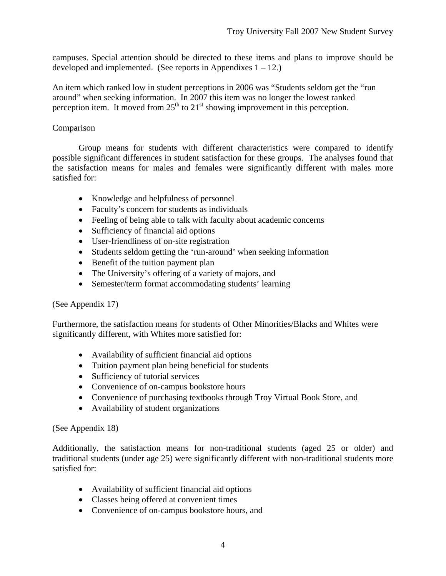campuses. Special attention should be directed to these items and plans to improve should be developed and implemented. (See reports in Appendixes  $1 - 12$ .)

An item which ranked low in student perceptions in 2006 was "Students seldom get the "run around" when seeking information. In 2007 this item was no longer the lowest ranked perception item. It moved from  $25<sup>th</sup>$  to  $21<sup>st</sup>$  showing improvement in this perception.

#### **Comparison**

Group means for students with different characteristics were compared to identify possible significant differences in student satisfaction for these groups. The analyses found that the satisfaction means for males and females were significantly different with males more satisfied for:

- Knowledge and helpfulness of personnel
- Faculty's concern for students as individuals
- Feeling of being able to talk with faculty about academic concerns
- Sufficiency of financial aid options
- User-friendliness of on-site registration
- Students seldom getting the 'run-around' when seeking information
- Benefit of the tuition payment plan
- The University's offering of a variety of majors, and
- Semester/term format accommodating students' learning

(See Appendix 17)

Furthermore, the satisfaction means for students of Other Minorities/Blacks and Whites were significantly different, with Whites more satisfied for:

- Availability of sufficient financial aid options
- Tuition payment plan being beneficial for students
- Sufficiency of tutorial services
- Convenience of on-campus bookstore hours
- Convenience of purchasing textbooks through Troy Virtual Book Store, and
- Availability of student organizations

#### (See Appendix 18)

Additionally, the satisfaction means for non-traditional students (aged 25 or older) and traditional students (under age 25) were significantly different with non-traditional students more satisfied for:

- Availability of sufficient financial aid options
- Classes being offered at convenient times
- Convenience of on-campus bookstore hours, and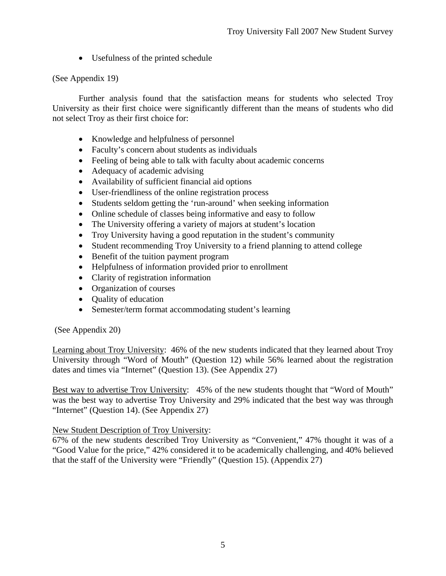• Usefulness of the printed schedule

## (See Appendix 19)

Further analysis found that the satisfaction means for students who selected Troy University as their first choice were significantly different than the means of students who did not select Troy as their first choice for:

- Knowledge and helpfulness of personnel
- Faculty's concern about students as individuals
- Feeling of being able to talk with faculty about academic concerns
- Adequacy of academic advising
- Availability of sufficient financial aid options
- User-friendliness of the online registration process
- Students seldom getting the 'run-around' when seeking information
- Online schedule of classes being informative and easy to follow
- The University offering a variety of majors at student's location
- Troy University having a good reputation in the student's community
- Student recommending Troy University to a friend planning to attend college
- Benefit of the tuition payment program
- Helpfulness of information provided prior to enrollment
- Clarity of registration information
- Organization of courses
- Ouality of education
- Semester/term format accommodating student's learning

#### (See Appendix 20)

Learning about Troy University: 46% of the new students indicated that they learned about Troy University through "Word of Mouth" (Question 12) while 56% learned about the registration dates and times via "Internet" (Question 13). (See Appendix 27)

Best way to advertise Troy University: 45% of the new students thought that "Word of Mouth" was the best way to advertise Troy University and 29% indicated that the best way was through "Internet" (Question 14). (See Appendix 27)

#### New Student Description of Troy University:

67% of the new students described Troy University as "Convenient," 47% thought it was of a "Good Value for the price," 42% considered it to be academically challenging, and 40% believed that the staff of the University were "Friendly" (Question 15). (Appendix 27)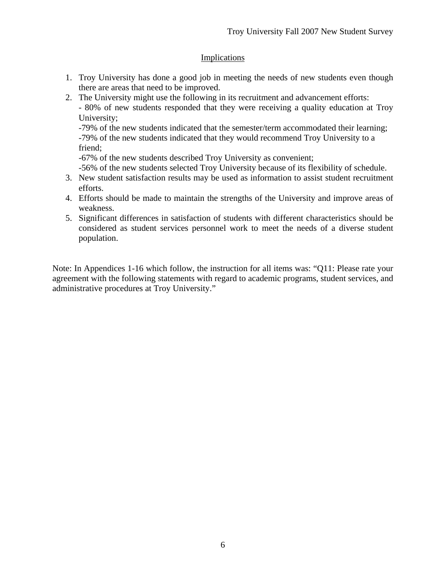### Implications

- 1. Troy University has done a good job in meeting the needs of new students even though there are areas that need to be improved.
- 2. The University might use the following in its recruitment and advancement efforts: - 80% of new students responded that they were receiving a quality education at Troy University;

 -79% of the new students indicated that the semester/term accommodated their learning; -79% of the new students indicated that they would recommend Troy University to a friend;

-67% of the new students described Troy University as convenient;

- -56% of the new students selected Troy University because of its flexibility of schedule.
- 3. New student satisfaction results may be used as information to assist student recruitment efforts.
- 4. Efforts should be made to maintain the strengths of the University and improve areas of weakness.
- 5. Significant differences in satisfaction of students with different characteristics should be considered as student services personnel work to meet the needs of a diverse student population.

Note: In Appendices 1-16 which follow, the instruction for all items was: "Q11: Please rate your agreement with the following statements with regard to academic programs, student services, and administrative procedures at Troy University."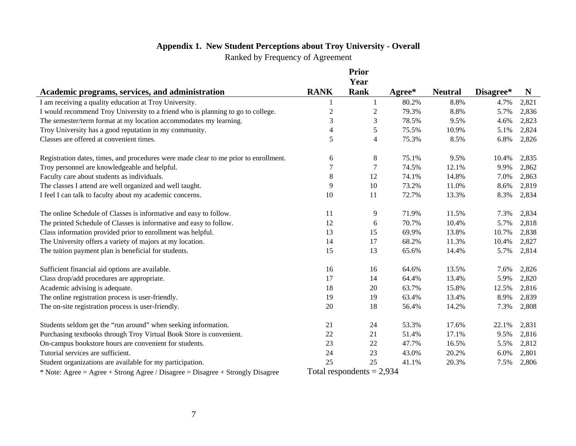#### **Appendix 1. New Student Perceptions about Troy University - Overall**

Ranked by Frequency of Agreement

|                                                                                      |                          | <b>Prior</b>                |        |                |           |       |
|--------------------------------------------------------------------------------------|--------------------------|-----------------------------|--------|----------------|-----------|-------|
|                                                                                      |                          | Year                        |        |                |           |       |
| Academic programs, services, and administration                                      | <b>RANK</b>              | <b>Rank</b>                 | Agree* | <b>Neutral</b> | Disagree* | N     |
| I am receiving a quality education at Troy University.                               | 1                        | $\mathbf{1}$                | 80.2%  | 8.8%           | 4.7%      | 2,821 |
| I would recommend Troy University to a friend who is planning to go to college.      | $\overline{c}$           | $\overline{c}$              | 79.3%  | 8.8%           | 5.7%      | 2,836 |
| The semester/term format at my location accommodates my learning.                    | 3                        | 3                           | 78.5%  | 9.5%           | 4.6%      | 2,823 |
| Troy University has a good reputation in my community.                               | $\overline{\mathcal{A}}$ | 5                           | 75.5%  | 10.9%          | 5.1%      | 2,824 |
| Classes are offered at convenient times.                                             | 5                        | 4                           | 75.3%  | 8.5%           | 6.8%      | 2,826 |
| Registration dates, times, and procedures were made clear to me prior to enrollment. | 6                        | 8                           | 75.1%  | 9.5%           | 10.4%     | 2,835 |
| Troy personnel are knowledgeable and helpful.                                        | $\boldsymbol{7}$         | 7                           | 74.5%  | 12.1%          | 9.9%      | 2,862 |
| Faculty care about students as individuals.                                          | 8                        | 12                          | 74.1%  | 14.8%          | 7.0%      | 2,863 |
| The classes I attend are well organized and well taught.                             | 9                        | 10                          | 73.2%  | 11.0%          | 8.6%      | 2,819 |
| I feel I can talk to faculty about my academic concerns.                             | 10                       | 11                          | 72.7%  | 13.3%          | 8.3%      | 2,834 |
| The online Schedule of Classes is informative and easy to follow.                    | 11                       | 9                           | 71.9%  | 11.5%          | 7.3%      | 2,834 |
| The printed Schedule of Classes is informative and easy to follow.                   | 12                       | 6                           | 70.7%  | 10.4%          | 5.7%      | 2,818 |
| Class information provided prior to enrollment was helpful.                          | 13                       | 15                          | 69.9%  | 13.8%          | 10.7%     | 2,838 |
| The University offers a variety of majors at my location.                            | 14                       | 17                          | 68.2%  | 11.3%          | 10.4%     | 2,827 |
| The tuition payment plan is beneficial for students.                                 | 15                       | 13                          | 65.6%  | 14.4%          | 5.7%      | 2,814 |
| Sufficient financial aid options are available.                                      | 16                       | 16                          | 64.6%  | 13.5%          | 7.6%      | 2,826 |
| Class drop/add procedures are appropriate.                                           | 17                       | 14                          | 64.4%  | 13.4%          | 5.9%      | 2,820 |
| Academic advising is adequate.                                                       | 18                       | 20                          | 63.7%  | 15.8%          | 12.5%     | 2,816 |
| The online registration process is user-friendly.                                    | 19                       | 19                          | 63.4%  | 13.4%          | 8.9%      | 2,839 |
| The on-site registration process is user-friendly.                                   | 20                       | 18                          | 56.4%  | 14.2%          | 7.3%      | 2,808 |
| Students seldom get the "run around" when seeking information.                       | 21                       | 24                          | 53.3%  | 17.6%          | 22.1%     | 2,831 |
| Purchasing textbooks through Troy Virtual Book Store is convenient.                  | 22                       | 21                          | 51.4%  | 17.1%          | 9.5%      | 2,816 |
| On-campus bookstore hours are convenient for students.                               | 23                       | 22                          | 47.7%  | 16.5%          | 5.5%      | 2,812 |
| Tutorial services are sufficient.                                                    | 24                       | 23                          | 43.0%  | 20.2%          | 6.0%      | 2,801 |
| Student organizations are available for my participation.                            | 25                       | 25                          | 41.1%  | 20.3%          | 7.5%      | 2,806 |
| * Note: Agree = Agree + Strong Agree / Disagree = Disagree + Strongly Disagree       |                          | Total respondents $= 2,934$ |        |                |           |       |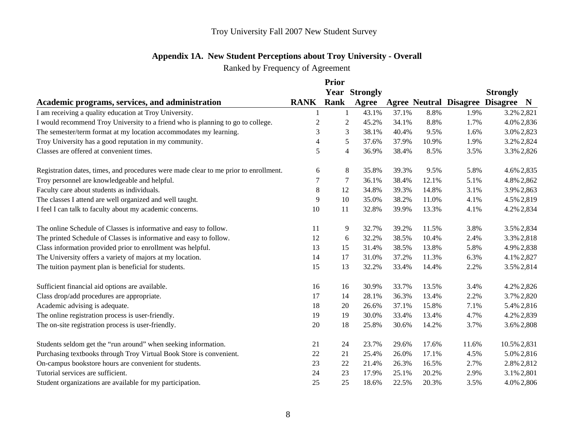# **Appendix 1A. New Student Perceptions about Troy University - Overall**

Ranked by Frequency of Agreement

|                                                                                      |                          | <b>Prior</b>     |                 |       |       |                                        |                 |
|--------------------------------------------------------------------------------------|--------------------------|------------------|-----------------|-------|-------|----------------------------------------|-----------------|
|                                                                                      |                          | Year             | <b>Strongly</b> |       |       |                                        | <b>Strongly</b> |
| Academic programs, services, and administration                                      | <b>RANK</b>              | Rank             | Agree           |       |       | <b>Agree Neutral Disagree Disagree</b> | $\mathbf N$     |
| I am receiving a quality education at Troy University.                               |                          | $\mathbf{1}$     | 43.1%           | 37.1% | 8.8%  | 1.9%                                   | 3.2% 2,821      |
| I would recommend Troy University to a friend who is planning to go to college.      | $\overline{c}$           | $\boldsymbol{2}$ | 45.2%           | 34.1% | 8.8%  | 1.7%                                   | 4.0% 2,836      |
| The semester/term format at my location accommodates my learning.                    | 3                        | 3                | 38.1%           | 40.4% | 9.5%  | 1.6%                                   | 3.0% 2,823      |
| Troy University has a good reputation in my community.                               | $\overline{\mathcal{L}}$ | 5                | 37.6%           | 37.9% | 10.9% | 1.9%                                   | 3.2% 2,824      |
| Classes are offered at convenient times.                                             | 5                        | 4                | 36.9%           | 38.4% | 8.5%  | 3.5%                                   | 3.3% 2,826      |
| Registration dates, times, and procedures were made clear to me prior to enrollment. | 6                        | $8\,$            | 35.8%           | 39.3% | 9.5%  | 5.8%                                   | 4.6% 2,835      |
| Troy personnel are knowledgeable and helpful.                                        | 7                        | $\tau$           | 36.1%           | 38.4% | 12.1% | 5.1%                                   | 4.8% 2,862      |
| Faculty care about students as individuals.                                          | $\,8\,$                  | 12               | 34.8%           | 39.3% | 14.8% | 3.1%                                   | 3.9% 2,863      |
| The classes I attend are well organized and well taught.                             | 9                        | 10               | 35.0%           | 38.2% | 11.0% | 4.1%                                   | 4.5% 2,819      |
| I feel I can talk to faculty about my academic concerns.                             | 10                       | 11               | 32.8%           | 39.9% | 13.3% | 4.1%                                   | 4.2% 2,834      |
| The online Schedule of Classes is informative and easy to follow.                    | 11                       | 9                | 32.7%           | 39.2% | 11.5% | 3.8%                                   | 3.5% 2,834      |
| The printed Schedule of Classes is informative and easy to follow.                   | 12                       | $6\,$            | 32.2%           | 38.5% | 10.4% | 2.4%                                   | 3.3% 2,818      |
| Class information provided prior to enrollment was helpful.                          | 13                       | 15               | 31.4%           | 38.5% | 13.8% | 5.8%                                   | 4.9% 2,838      |
| The University offers a variety of majors at my location.                            | 14                       | 17               | 31.0%           | 37.2% | 11.3% | 6.3%                                   | 4.1% 2,827      |
| The tuition payment plan is beneficial for students.                                 | 15                       | 13               | 32.2%           | 33.4% | 14.4% | 2.2%                                   | 3.5% 2,814      |
| Sufficient financial aid options are available.                                      | 16                       | 16               | 30.9%           | 33.7% | 13.5% | 3.4%                                   | 4.2% 2,826      |
| Class drop/add procedures are appropriate.                                           | 17                       | 14               | 28.1%           | 36.3% | 13.4% | 2.2%                                   | 3.7% 2,820      |
| Academic advising is adequate.                                                       | 18                       | 20               | 26.6%           | 37.1% | 15.8% | 7.1%                                   | 5.4% 2,816      |
| The online registration process is user-friendly.                                    | 19                       | 19               | 30.0%           | 33.4% | 13.4% | 4.7%                                   | 4.2% 2,839      |
| The on-site registration process is user-friendly.                                   | 20                       | 18               | 25.8%           | 30.6% | 14.2% | 3.7%                                   | 3.6% 2,808      |
| Students seldom get the "run around" when seeking information.                       | 21                       | 24               | 23.7%           | 29.6% | 17.6% | 11.6%                                  | 10.5% 2,831     |
| Purchasing textbooks through Troy Virtual Book Store is convenient.                  | 22                       | 21               | 25.4%           | 26.0% | 17.1% | 4.5%                                   | 5.0% 2,816      |
| On-campus bookstore hours are convenient for students.                               | 23                       | 22               | 21.4%           | 26.3% | 16.5% | 2.7%                                   | 2.8% 2,812      |
| Tutorial services are sufficient.                                                    | 24                       | 23               | 17.9%           | 25.1% | 20.2% | 2.9%                                   | 3.1% 2,801      |
| Student organizations are available for my participation.                            | 25                       | 25               | 18.6%           | 22.5% | 20.3% | 3.5%                                   | 4.0% 2,806      |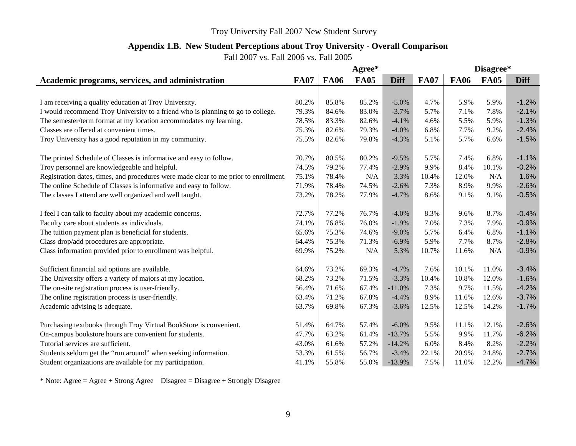#### **Appendix 1.B. New Student Perceptions about Troy University - Overall Comparison**

Fall 2007 vs. Fall 2006 vs. Fall 2005

|                                                                                      |             | Agree*      |             |             |             |             | Disagree*   |             |  |  |
|--------------------------------------------------------------------------------------|-------------|-------------|-------------|-------------|-------------|-------------|-------------|-------------|--|--|
| Academic programs, services, and administration                                      | <b>FA07</b> | <b>FA06</b> | <b>FA05</b> | <b>Diff</b> | <b>FA07</b> | <b>FA06</b> | <b>FA05</b> | <b>Diff</b> |  |  |
|                                                                                      |             |             |             |             |             |             |             |             |  |  |
| I am receiving a quality education at Troy University.                               | 80.2%       | 85.8%       | 85.2%       | $-5.0%$     | 4.7%        | 5.9%        | 5.9%        | $-1.2%$     |  |  |
| I would recommend Troy University to a friend who is planning to go to college.      | 79.3%       | 84.6%       | 83.0%       | $-3.7%$     | 5.7%        | 7.1%        | 7.8%        | $-2.1%$     |  |  |
| The semester/term format at my location accommodates my learning.                    | 78.5%       | 83.3%       | 82.6%       | $-4.1%$     | 4.6%        | 5.5%        | 5.9%        | $-1.3%$     |  |  |
| Classes are offered at convenient times.                                             | 75.3%       | 82.6%       | 79.3%       | $-4.0%$     | 6.8%        | 7.7%        | 9.2%        | $-2.4%$     |  |  |
| Troy University has a good reputation in my community.                               | 75.5%       | 82.6%       | 79.8%       | $-4.3%$     | 5.1%        | 5.7%        | 6.6%        | $-1.5%$     |  |  |
| The printed Schedule of Classes is informative and easy to follow.                   | 70.7%       | 80.5%       | 80.2%       | $-9.5%$     | 5.7%        | 7.4%        | 6.8%        | $-1.1%$     |  |  |
| Troy personnel are knowledgeable and helpful.                                        | 74.5%       | 79.2%       | 77.4%       | $-2.9%$     | 9.9%        | 8.4%        | 10.1%       | $-0.2%$     |  |  |
| Registration dates, times, and procedures were made clear to me prior to enrollment. | 75.1%       | 78.4%       | N/A         | 3.3%        | 10.4%       | 12.0%       | N/A         | 1.6%        |  |  |
| The online Schedule of Classes is informative and easy to follow.                    | 71.9%       | 78.4%       | 74.5%       | $-2.6%$     | 7.3%        | 8.9%        | 9.9%        | $-2.6%$     |  |  |
| The classes I attend are well organized and well taught.                             | 73.2%       | 78.2%       | 77.9%       | $-4.7%$     | 8.6%        | 9.1%        | 9.1%        | $-0.5%$     |  |  |
| I feel I can talk to faculty about my academic concerns.                             | 72.7%       | 77.2%       | 76.7%       | $-4.0%$     | 8.3%        | 9.6%        | 8.7%        | $-0.4%$     |  |  |
| Faculty care about students as individuals.                                          | 74.1%       | 76.8%       | 76.0%       | $-1.9%$     | 7.0%        | 7.3%        | 7.9%        | $-0.9%$     |  |  |
| The tuition payment plan is beneficial for students.                                 | 65.6%       | 75.3%       | 74.6%       | $-9.0%$     | 5.7%        | 6.4%        | 6.8%        | $-1.1%$     |  |  |
| Class drop/add procedures are appropriate.                                           | 64.4%       | 75.3%       | 71.3%       | $-6.9%$     | 5.9%        | 7.7%        | 8.7%        | $-2.8%$     |  |  |
| Class information provided prior to enrollment was helpful.                          | 69.9%       | 75.2%       | N/A         | 5.3%        | 10.7%       | 11.6%       | N/A         | $-0.9%$     |  |  |
| Sufficient financial aid options are available.                                      | 64.6%       | 73.2%       | 69.3%       | $-4.7%$     | 7.6%        | 10.1%       | 11.0%       | $-3.4%$     |  |  |
| The University offers a variety of majors at my location.                            | 68.2%       | 73.2%       | 71.5%       | $-3.3%$     | 10.4%       | 10.8%       | 12.0%       | $-1.6%$     |  |  |
| The on-site registration process is user-friendly.                                   | 56.4%       | 71.6%       | 67.4%       | $-11.0%$    | 7.3%        | 9.7%        | 11.5%       | $-4.2%$     |  |  |
| The online registration process is user-friendly.                                    | 63.4%       | 71.2%       | 67.8%       | $-4.4%$     | 8.9%        | 11.6%       | 12.6%       | $-3.7%$     |  |  |
| Academic advising is adequate.                                                       | 63.7%       | 69.8%       | 67.3%       | $-3.6%$     | 12.5%       | 12.5%       | 14.2%       | $-1.7%$     |  |  |
| Purchasing textbooks through Troy Virtual BookStore is convenient.                   | 51.4%       | 64.7%       | 57.4%       | $-6.0\%$    | 9.5%        | 11.1%       | 12.1%       | $-2.6%$     |  |  |
| On-campus bookstore hours are convenient for students.                               | 47.7%       | 63.2%       | 61.4%       | $-13.7%$    | 5.5%        | 9.9%        | 11.7%       | $-6.2%$     |  |  |
| Tutorial services are sufficient.                                                    | 43.0%       | 61.6%       | 57.2%       | $-14.2%$    | 6.0%        | 8.4%        | 8.2%        | $-2.2%$     |  |  |
| Students seldom get the "run around" when seeking information.                       | 53.3%       | 61.5%       | 56.7%       | $-3.4%$     | 22.1%       | 20.9%       | 24.8%       | $-2.7%$     |  |  |
| Student organizations are available for my participation.                            | 41.1%       | 55.8%       | 55.0%       | $-13.9%$    | 7.5%        | 11.0%       | 12.2%       | $-4.7%$     |  |  |

\* Note: Agree = Agree + Strong Agree Disagree = Disagree + Strongly Disagree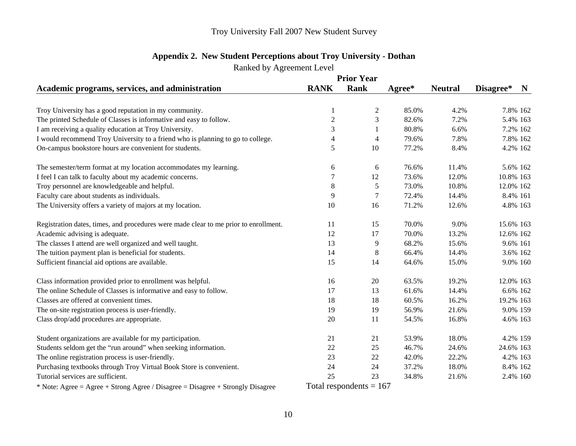# **Appendix 2. New Student Perceptions about Troy University - Dothan**

Ranked by Agreement Level

|                                                                                                                                |                | <b>Prior Year</b>          |        |                |           |             |
|--------------------------------------------------------------------------------------------------------------------------------|----------------|----------------------------|--------|----------------|-----------|-------------|
| Academic programs, services, and administration                                                                                | <b>RANK</b>    | Rank                       | Agree* | <b>Neutral</b> | Disagree* | $\mathbf N$ |
|                                                                                                                                |                |                            |        |                |           |             |
| Troy University has a good reputation in my community.                                                                         |                | 2                          | 85.0%  | 4.2%           | 7.8% 162  |             |
| The printed Schedule of Classes is informative and easy to follow.                                                             | $\overline{c}$ | 3                          | 82.6%  | 7.2%           | 5.4% 163  |             |
| I am receiving a quality education at Troy University.                                                                         | 3              |                            | 80.8%  | 6.6%           | 7.2% 162  |             |
| I would recommend Troy University to a friend who is planning to go to college.                                                | 4              | 4                          | 79.6%  | 7.8%           | 7.8% 162  |             |
| On-campus bookstore hours are convenient for students.                                                                         | 5              | 10                         | 77.2%  | 8.4%           | 4.2% 162  |             |
| The semester/term format at my location accommodates my learning.                                                              | 6              | 6                          | 76.6%  | 11.4%          | 5.6% 162  |             |
| I feel I can talk to faculty about my academic concerns.                                                                       |                | 12                         | 73.6%  | 12.0%          | 10.8% 163 |             |
| Troy personnel are knowledgeable and helpful.                                                                                  | 8              | 5                          | 73.0%  | 10.8%          | 12.0% 162 |             |
| Faculty care about students as individuals.                                                                                    | 9              | $\tau$                     | 72.4%  | 14.4%          | 8.4% 161  |             |
| The University offers a variety of majors at my location.                                                                      | 10             | 16                         | 71.2%  | 12.6%          | 4.8% 163  |             |
| Registration dates, times, and procedures were made clear to me prior to enrollment.                                           | 11             | 15                         | 70.0%  | 9.0%           | 15.6% 163 |             |
| Academic advising is adequate.                                                                                                 | 12             | 17                         | 70.0%  | 13.2%          | 12.6% 162 |             |
| The classes I attend are well organized and well taught.                                                                       | 13             | 9                          | 68.2%  | 15.6%          | 9.6% 161  |             |
| The tuition payment plan is beneficial for students.                                                                           | 14             | 8                          | 66.4%  | 14.4%          | 3.6% 162  |             |
| Sufficient financial aid options are available.                                                                                | 15             | 14                         | 64.6%  | 15.0%          | 9.0% 160  |             |
| Class information provided prior to enrollment was helpful.                                                                    | 16             | 20                         | 63.5%  | 19.2%          | 12.0% 163 |             |
| The online Schedule of Classes is informative and easy to follow.                                                              | 17             | 13                         | 61.6%  | 14.4%          | 6.6% 162  |             |
| Classes are offered at convenient times.                                                                                       | 18             | 18                         | 60.5%  | 16.2%          | 19.2% 163 |             |
| The on-site registration process is user-friendly.                                                                             | 19             | 19                         | 56.9%  | 21.6%          | 9.0% 159  |             |
| Class drop/add procedures are appropriate.                                                                                     | 20             | 11                         | 54.5%  | 16.8%          | 4.6% 163  |             |
| Student organizations are available for my participation.                                                                      | 21             | 21                         | 53.9%  | 18.0%          | 4.2% 159  |             |
| Students seldom get the "run around" when seeking information.                                                                 | 22             | 25                         | 46.7%  | 24.6%          | 24.6% 163 |             |
| The online registration process is user-friendly.                                                                              | 23             | 22                         | 42.0%  | 22.2%          | 4.2% 163  |             |
| Purchasing textbooks through Troy Virtual Book Store is convenient.                                                            | 24             | 24                         | 37.2%  | 18.0%          | 8.4% 162  |             |
| Tutorial services are sufficient.                                                                                              | 25             | 23                         | 34.8%  | 21.6%          | 2.4% 160  |             |
| $\lambda$ and $\lambda$ and $\lambda$ $\Omega$ and $\lambda$ and $\Omega$ $\mathbb{R}^3$ and $\mathbb{R}^3$ and $\mathbb{R}^4$ |                | $Total$ recognation $-167$ |        |                |           |             |

\* Note: Agree = Agree + Strong Agree / Disagree = Disagree + Strongly Disagree Total respondents = 167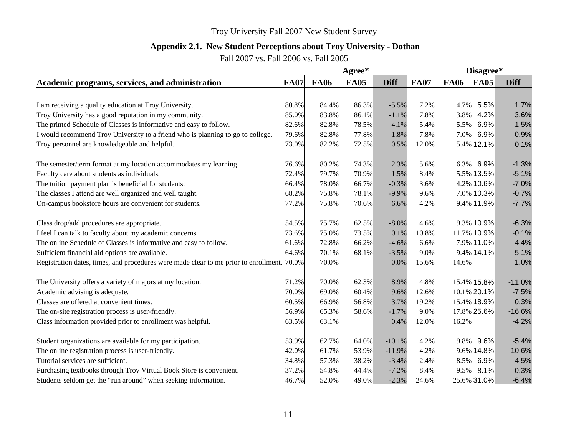# **Appendix 2.1. New Student Perceptions about Troy University - Dothan**

|                                                                                            |             |             | Agree*      | Disagree*   |             |                            |             |
|--------------------------------------------------------------------------------------------|-------------|-------------|-------------|-------------|-------------|----------------------------|-------------|
| Academic programs, services, and administration                                            | <b>FA07</b> | <b>FA06</b> | <b>FA05</b> | <b>Diff</b> | <b>FA07</b> | <b>FA05</b><br><b>FA06</b> | <b>Diff</b> |
|                                                                                            |             |             |             |             |             |                            |             |
| I am receiving a quality education at Troy University.                                     | 80.8%       | 84.4%       | 86.3%       | $-5.5%$     | 7.2%        | 4.7% 5.5%                  | 1.7%        |
| Troy University has a good reputation in my community.                                     | 85.0%       | 83.8%       | 86.1%       | $-1.1%$     | 7.8%        | 4.2%<br>3.8%               | 3.6%        |
| The printed Schedule of Classes is informative and easy to follow.                         | 82.6%       | 82.8%       | 78.5%       | 4.1%        | 5.4%        | 6.9%<br>5.5%               | $-1.5%$     |
| I would recommend Troy University to a friend who is planning to go to college.            | 79.6%       | 82.8%       | 77.8%       | 1.8%        | 7.8%        | 6.9%<br>7.0%               | 0.9%        |
| Troy personnel are knowledgeable and helpful.                                              | 73.0%       | 82.2%       | 72.5%       | 0.5%        | 12.0%       | 5.4% 12.1%                 | $-0.1%$     |
| The semester/term format at my location accommodates my learning.                          | 76.6%       | 80.2%       | 74.3%       | 2.3%        | 5.6%        | 6.3% 6.9%                  | $-1.3%$     |
| Faculty care about students as individuals.                                                | 72.4%       | 79.7%       | 70.9%       | 1.5%        | 8.4%        | 5.5% 13.5%                 | $-5.1%$     |
| The tuition payment plan is beneficial for students.                                       | 66.4%       | 78.0%       | 66.7%       | $-0.3%$     | 3.6%        | 4.2% 10.6%                 | $-7.0%$     |
| The classes I attend are well organized and well taught.                                   | 68.2%       | 75.8%       | 78.1%       | $-9.9%$     | 9.6%        | 7.0% 10.3%                 | $-0.7%$     |
| On-campus bookstore hours are convenient for students.                                     | 77.2%       | 75.8%       | 70.6%       | 6.6%        | 4.2%        | 9.4% 11.9%                 | $-7.7%$     |
| Class drop/add procedures are appropriate.                                                 | 54.5%       | 75.7%       | 62.5%       | $-8.0\%$    | 4.6%        | 9.3% 10.9%                 | $-6.3%$     |
| I feel I can talk to faculty about my academic concerns.                                   | 73.6%       | 75.0%       | 73.5%       | 0.1%        | 10.8%       | 11.7% 10.9%                | $-0.1%$     |
| The online Schedule of Classes is informative and easy to follow.                          | 61.6%       | 72.8%       | 66.2%       | $-4.6%$     | 6.6%        | 7.9% 11.0%                 | $-4.4%$     |
| Sufficient financial aid options are available.                                            | 64.6%       | 70.1%       | 68.1%       | $-3.5%$     | 9.0%        | 9.4% 14.1%                 | $-5.1%$     |
| Registration dates, times, and procedures were made clear to me prior to enrollment. 70.0% |             | 70.0%       |             | 0.0%        | 15.6%       | 14.6%                      | 1.0%        |
| The University offers a variety of majors at my location.                                  | 71.2%       | 70.0%       | 62.3%       | 8.9%        | 4.8%        | 15.4% 15.8%                | $-11.0%$    |
| Academic advising is adequate.                                                             | 70.0%       | 69.0%       | 60.4%       | 9.6%        | 12.6%       | 10.1% 20.1%                | $-7.5%$     |
| Classes are offered at convenient times.                                                   | 60.5%       | 66.9%       | 56.8%       | 3.7%        | 19.2%       | 15.4% 18.9%                | 0.3%        |
| The on-site registration process is user-friendly.                                         | 56.9%       | 65.3%       | 58.6%       | $-1.7%$     | 9.0%        | 17.8% 25.6%                | $-16.6%$    |
| Class information provided prior to enrollment was helpful.                                | 63.5%       | 63.1%       |             | 0.4%        | 12.0%       | 16.2%                      | $-4.2%$     |
| Student organizations are available for my participation.                                  | 53.9%       | 62.7%       | 64.0%       | $-10.1%$    | 4.2%        | 9.8% 9.6%                  | $-5.4%$     |
| The online registration process is user-friendly.                                          | 42.0%       | 61.7%       | 53.9%       | $-11.9%$    | 4.2%        | 9.6% 14.8%                 | $-10.6%$    |
| Tutorial services are sufficient.                                                          | 34.8%       | 57.3%       | 38.2%       | $-3.4%$     | 2.4%        | 8.5% 6.9%                  | $-4.5%$     |
| Purchasing textbooks through Troy Virtual Book Store is convenient.                        | 37.2%       | 54.8%       | 44.4%       | $-7.2%$     | 8.4%        | 9.5% 8.1%                  | 0.3%        |
| Students seldom get the "run around" when seeking information.                             | 46.7%       | 52.0%       | 49.0%       | $-2.3%$     | 24.6%       | 25.6% 31.0%                | $-6.4%$     |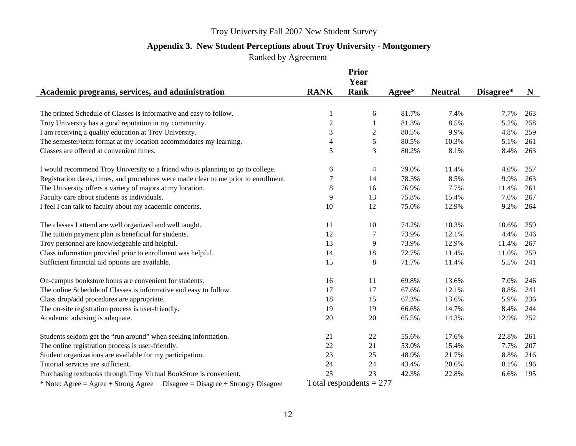# **Appendix 3. New Student Perceptions about Troy University - Montgomery**

Ranked by Agreement

|                                                                                      |                | <b>Prior</b>              |        |                |           |     |
|--------------------------------------------------------------------------------------|----------------|---------------------------|--------|----------------|-----------|-----|
|                                                                                      |                | Year                      |        |                |           |     |
| Academic programs, services, and administration                                      | <b>RANK</b>    | <b>Rank</b>               | Agree* | <b>Neutral</b> | Disagree* | N   |
| The printed Schedule of Classes is informative and easy to follow.                   | -1             | 6                         | 81.7%  | 7.4%           | 7.7%      | 263 |
| Troy University has a good reputation in my community.                               | $\overline{c}$ | 1                         | 81.3%  | 8.5%           | 5.2%      | 258 |
| I am receiving a quality education at Troy University.                               | 3              | $\boldsymbol{2}$          | 80.5%  | 9.9%           | 4.8%      | 259 |
|                                                                                      |                |                           | 80.5%  | 10.3%          |           | 261 |
| The semester/term format at my location accommodates my learning.                    | $\overline{4}$ | 5                         |        |                | 5.1%      |     |
| Classes are offered at convenient times.                                             | 5              | 3                         | 80.2%  | 8.1%           | 8.4%      | 263 |
| I would recommend Troy University to a friend who is planning to go to college.      | 6              | $\overline{\mathcal{A}}$  | 79.0%  | 11.4%          | 4.0%      | 257 |
| Registration dates, times, and procedures were made clear to me prior to enrollment. | $\overline{7}$ | 14                        | 78.3%  | 8.5%           | 9.9%      | 263 |
| The University offers a variety of majors at my location.                            | $\,8\,$        | 16                        | 76.9%  | 7.7%           | 11.4%     | 261 |
| Faculty care about students as individuals.                                          | 9              | 13                        | 75.8%  | 15.4%          | 7.0%      | 267 |
| I feel I can talk to faculty about my academic concerns.                             | 10             | 12                        | 75.0%  | 12.9%          | 9.2%      | 264 |
| The classes I attend are well organized and well taught.                             | 11             | 10                        | 74.2%  | 10.3%          | 10.6%     | 259 |
| The tuition payment plan is beneficial for students.                                 | 12             | 7                         | 73.9%  | 12.1%          | 4.4%      | 246 |
| Troy personnel are knowledgeable and helpful.                                        | 13             | 9                         | 73.9%  | 12.9%          | 11.4%     | 267 |
| Class information provided prior to enrollment was helpful.                          | 14             | 18                        | 72.7%  | 11.4%          | 11.0%     | 259 |
| Sufficient financial aid options are available.                                      | 15             | 8                         | 71.7%  | 11.4%          | 5.5%      | 241 |
| On-campus bookstore hours are convenient for students.                               | 16             | 11                        | 69.8%  | 13.6%          | 7.0%      | 246 |
| The online Schedule of Classes is informative and easy to follow.                    | 17             | 17                        | 67.6%  | 12.1%          | 8.8%      | 241 |
| Class drop/add procedures are appropriate.                                           | 18             | 15                        | 67.3%  | 13.6%          | 5.9%      | 236 |
| The on-site registration process is user-friendly.                                   | 19             | 19                        | 66.6%  | 14.7%          | 8.4%      | 244 |
|                                                                                      | 20             |                           | 65.5%  | 14.3%          | 12.9%     |     |
| Academic advising is adequate.                                                       |                | $20\,$                    |        |                |           | 252 |
| Students seldom get the "run around" when seeking information.                       | 21             | 22                        | 55.6%  | 17.6%          | 22.8%     | 261 |
| The online registration process is user-friendly.                                    | 22             | 21                        | 53.0%  | 15.4%          | 7.7%      | 207 |
| Student organizations are available for my participation.                            | 23             | 25                        | 48.9%  | 21.7%          | 8.8%      | 216 |
| Tutorial services are sufficient.                                                    | 24             | 24                        | 43.4%  | 20.6%          | 8.1%      | 196 |
| Purchasing textbooks through Troy Virtual BookStore is convenient.                   | 25             | 23                        | 42.3%  | 22.8%          | 6.6%      | 195 |
| * Note: Agree = Agree + Strong Agree Disagree = Disagree + Strongly Disagree         |                | Total respondents $= 277$ |        |                |           |     |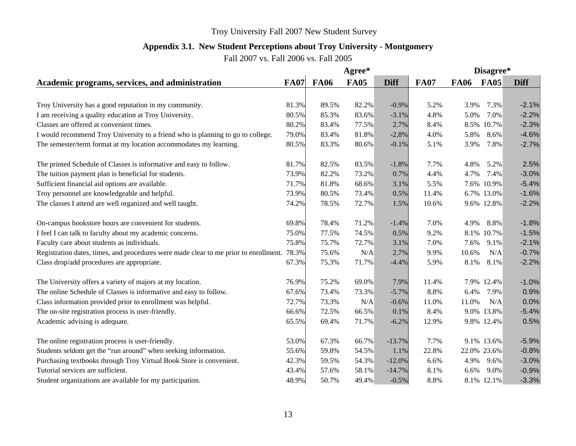# **Appendix 3.1. New Student Perceptions about Troy University - Montgomery**

|                                                                                            |             |             | Agree*      |             |             | Disagree*   |             |             |  |
|--------------------------------------------------------------------------------------------|-------------|-------------|-------------|-------------|-------------|-------------|-------------|-------------|--|
| Academic programs, services, and administration                                            | <b>FA07</b> | <b>FA06</b> | <b>FA05</b> | <b>Diff</b> | <b>FA07</b> | <b>FA06</b> | <b>FA05</b> | <b>Diff</b> |  |
|                                                                                            |             |             |             |             |             |             |             |             |  |
| Troy University has a good reputation in my community.                                     | 81.3%       | 89.5%       | 82.2%       | $-0.9%$     | 5.2%        | 3.9%        | 7.3%        | $-2.1%$     |  |
| I am receiving a quality education at Troy University.                                     | 80.5%       | 85.3%       | 83.6%       | $-3.1%$     | 4.8%        | 5.0%        | 7.0%        | $-2.2%$     |  |
| Classes are offered at convenient times.                                                   | 80.2%       | 83.4%       | 77.5%       | 2.7%        | 8.4%        | 8.5%        | 10.7%       | $-2.3%$     |  |
| I would recommend Troy University to a friend who is planning to go to college.            | 79.0%       | 83.4%       | 81.8%       | $-2.8%$     | 4.0%        | 5.8%        | 8.6%        | $-4.6%$     |  |
| The semester/term format at my location accommodates my learning.                          | 80.5%       | 83.3%       | 80.6%       | $-0.1%$     | 5.1%        | 3.9%        | 7.8%        | $-2.7%$     |  |
| The printed Schedule of Classes is informative and easy to follow.                         | 81.7%       | 82.5%       | 83.5%       | $-1.8%$     | 7.7%        | 4.8%        | 5.2%        | 2.5%        |  |
| The tuition payment plan is beneficial for students.                                       | 73.9%       | 82.2%       | 73.2%       | 0.7%        | 4.4%        | 4.7%        | 7.4%        | $-3.0%$     |  |
| Sufficient financial aid options are available.                                            | 71.7%       | 81.8%       | 68.6%       | 3.1%        | 5.5%        | 7.6%        | 10.9%       | $-5.4%$     |  |
| Troy personnel are knowledgeable and helpful.                                              | 73.9%       | 80.5%       | 73.4%       | 0.5%        | 11.4%       |             | 6.7% 13.0%  | $-1.6%$     |  |
| The classes I attend are well organized and well taught.                                   | 74.2%       | 78.5%       | 72.7%       | 1.5%        | 10.6%       |             | 9.6% 12.8%  | $-2.2%$     |  |
| On-campus bookstore hours are convenient for students.                                     | 69.8%       | 78.4%       | 71.2%       | $-1.4%$     | 7.0%        | 4.9%        | 8.8%        | $-1.8%$     |  |
| I feel I can talk to faculty about my academic concerns.                                   | 75.0%       | 77.5%       | 74.5%       | 0.5%        | 9.2%        |             | 8.1% 10.7%  | $-1.5%$     |  |
| Faculty care about students as individuals.                                                | 75.8%       | 75.7%       | 72.7%       | 3.1%        | 7.0%        | 7.6%        | 9.1%        | $-2.1%$     |  |
| Registration dates, times, and procedures were made clear to me prior to enrollment. 78.3% |             | 75.6%       | N/A         | 2.7%        | 9.9%        | 10.6%       | N/A         | $-0.7%$     |  |
| Class drop/add procedures are appropriate.                                                 | 67.3%       | 75.3%       | 71.7%       | $-4.4%$     | 5.9%        | 8.1%        | 8.1%        | $-2.2%$     |  |
| The University offers a variety of majors at my location.                                  | 76.9%       | 75.2%       | 69.0%       | 7.9%        | 11.4%       |             | 7.9% 12.4%  | $-1.0%$     |  |
| The online Schedule of Classes is informative and easy to follow.                          | 67.6%       | 73.4%       | 73.3%       | $-5.7%$     | 8.8%        | 6.4%        | 7.9%        | 0.9%        |  |
| Class information provided prior to enrollment was helpful.                                | 72.7%       | 73.3%       | N/A         | $-0.6%$     | 11.0%       | 11.0%       | N/A         | 0.0%        |  |
| The on-site registration process is user-friendly.                                         | 66.6%       | 72.5%       | 66.5%       | 0.1%        | 8.4%        |             | 9.0% 13.8%  | $-5.4%$     |  |
| Academic advising is adequate.                                                             | 65.5%       | 69.4%       | 71.7%       | $-6.2%$     | 12.9%       |             | 9.8% 12.4%  | 0.5%        |  |
| The online registration process is user-friendly.                                          | 53.0%       | 67.3%       | 66.7%       | $-13.7%$    | 7.7%        |             | 9.1% 13.6%  | $-5.9%$     |  |
| Students seldom get the "run around" when seeking information.                             | 55.6%       | 59.8%       | 54.5%       | 1.1%        | 22.8%       | 22.0%       | 23.6%       | $-0.8%$     |  |
| Purchasing textbooks through Troy Virtual Book Store is convenient.                        | 42.3%       | 59.5%       | 54.3%       | $-12.0%$    | 6.6%        | 4.9%        | 9.6%        | $-3.0%$     |  |
| Tutorial services are sufficient.                                                          | 43.4%       | 57.6%       | 58.1%       | $-14.7%$    | 8.1%        | 6.6%        | 9.0%        | $-0.9%$     |  |
| Student organizations are available for my participation.                                  | 48.9%       | 50.7%       | 49.4%       | $-0.5%$     | 8.8%        |             | 8.1% 12.1%  | $-3.3%$     |  |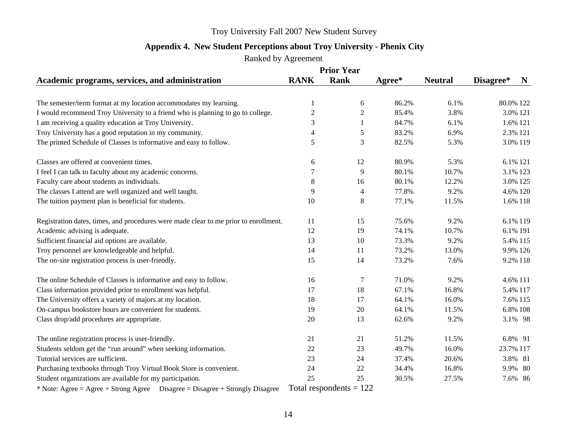#### **Appendix 4. New Student Perceptions about Troy University - Phenix City**

Ranked by Agreement

|                                                                                      |                  | <b>Prior Year</b> |        |                |                          |  |
|--------------------------------------------------------------------------------------|------------------|-------------------|--------|----------------|--------------------------|--|
| Academic programs, services, and administration                                      | <b>RANK</b>      | Rank              | Agree* | <b>Neutral</b> | Disagree*<br>$\mathbf N$ |  |
| The semester/term format at my location accommodates my learning.                    | 1                | 6                 | 86.2%  | 6.1%           | 80.0% 122                |  |
| I would recommend Troy University to a friend who is planning to go to college.      | $\boldsymbol{2}$ | $\mathfrak 2$     | 85.4%  | 3.8%           | 3.0% 121                 |  |
| I am receiving a quality education at Troy University.                               | 3                | 1                 | 84.7%  | 6.1%           | 1.6% 121                 |  |
| Troy University has a good reputation in my community.                               | 4                | 5                 | 83.2%  | 6.9%           | 2.3% 121                 |  |
| The printed Schedule of Classes is informative and easy to follow.                   | 5                | $\mathfrak{Z}$    | 82.5%  | 5.3%           | 3.0% 119                 |  |
| Classes are offered at convenient times.                                             | 6                | 12                | 80.9%  | 5.3%           | 6.1% 121                 |  |
| I feel I can talk to faculty about my academic concerns.                             | 7                | 9                 | 80.1%  | 10.7%          | 3.1% 123                 |  |
| Faculty care about students as individuals.                                          | $8\,$            | 16                | 80.1%  | 12.2%          | 3.0% 125                 |  |
| The classes I attend are well organized and well taught.                             | 9                | 4                 | 77.8%  | 9.2%           | 4.6% 120                 |  |
| The tuition payment plan is beneficial for students.                                 | 10               | 8                 | 77.1%  | 11.5%          | 1.6% 118                 |  |
| Registration dates, times, and procedures were made clear to me prior to enrollment. | 11               | 15                | 75.6%  | 9.2%           | 6.1% 119                 |  |
| Academic advising is adequate.                                                       | 12               | 19                | 74.1%  | 10.7%          | 6.1% 191                 |  |
| Sufficient financial aid options are available.                                      | 13               | 10                | 73.3%  | 9.2%           | 5.4% 115                 |  |
| Troy personnel are knowledgeable and helpful.                                        | 14               | 11                | 73.2%  | 13.0%          | 9.9% 126                 |  |
| The on-site registration process is user-friendly.                                   | 15               | 14                | 73.2%  | 7.6%           | 9.2% 118                 |  |
| The online Schedule of Classes is informative and easy to follow.                    | 16               | 7                 | 71.0%  | 9.2%           | 4.6% 111                 |  |
| Class information provided prior to enrollment was helpful.                          | 17               | 18                | 67.1%  | 16.8%          | 5.4% 117                 |  |
| The University offers a variety of majors at my location.                            | 18               | 17                | 64.1%  | 16.0%          | 7.6% 115                 |  |
| On-campus bookstore hours are convenient for students.                               | 19               | 20                | 64.1%  | 11.5%          | 6.8% 108                 |  |
| Class drop/add procedures are appropriate.                                           | 20               | 13                | 62.6%  | 9.2%           | 3.1% 98                  |  |
| The online registration process is user-friendly.                                    | 21               | 21                | 51.2%  | 11.5%          | 6.8% 91                  |  |
| Students seldom get the "run around" when seeking information.                       | 22               | 23                | 49.7%  | 16.0%          | 23.7% 117                |  |
| Tutorial services are sufficient.                                                    | 23               | 24                | 37.4%  | 20.6%          | 3.8% 81                  |  |
| Purchasing textbooks through Troy Virtual Book Store is convenient.                  | 24               | 22                | 34.4%  | 16.8%          | 9.9% 80                  |  |
| Student organizations are available for my participation.                            | 25               | 25                | 30.5%  | 27.5%          | 7.6% 86                  |  |
|                                                                                      | $\sim$ 1         |                   |        |                |                          |  |

\* Note: Agree = Agree + Strong Agree Disagree = Disagree + Strongly Disagree Total respondents =  $122$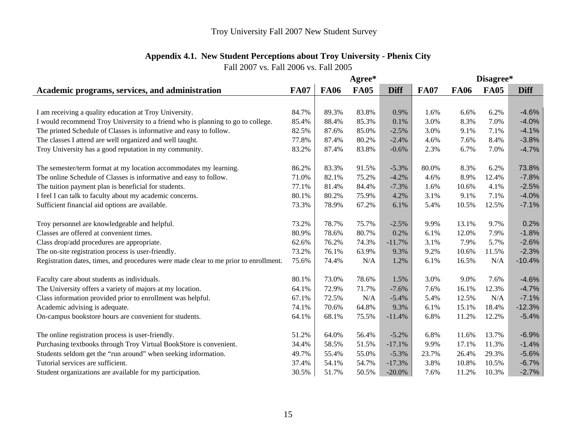# **Appendix 4.1. New Student Perceptions about Troy University - Phenix City**

|                                                                                      |             | Agree*      |             |             |             |             | Disagree*   |             |  |  |
|--------------------------------------------------------------------------------------|-------------|-------------|-------------|-------------|-------------|-------------|-------------|-------------|--|--|
| Academic programs, services, and administration                                      | <b>FA07</b> | <b>FA06</b> | <b>FA05</b> | <b>Diff</b> | <b>FA07</b> | <b>FA06</b> | <b>FA05</b> | <b>Diff</b> |  |  |
|                                                                                      |             |             |             |             |             |             |             |             |  |  |
| I am receiving a quality education at Troy University.                               | 84.7%       | 89.3%       | 83.8%       | 0.9%        | 1.6%        | 6.6%        | 6.2%        | $-4.6%$     |  |  |
| I would recommend Troy University to a friend who is planning to go to college.      | 85.4%       | 88.4%       | 85.3%       | 0.1%        | 3.0%        | 8.3%        | 7.0%        | $-4.0%$     |  |  |
| The printed Schedule of Classes is informative and easy to follow.                   | 82.5%       | 87.6%       | 85.0%       | $-2.5%$     | 3.0%        | 9.1%        | 7.1%        | $-4.1%$     |  |  |
| The classes I attend are well organized and well taught.                             | 77.8%       | 87.4%       | 80.2%       | $-2.4%$     | 4.6%        | 7.6%        | 8.4%        | $-3.8%$     |  |  |
| Troy University has a good reputation in my community.                               | 83.2%       | 87.4%       | 83.8%       | $-0.6%$     | 2.3%        | 6.7%        | 7.0%        | $-4.7%$     |  |  |
| The semester/term format at my location accommodates my learning.                    | 86.2%       | 83.3%       | 91.5%       | $-5.3%$     | 80.0%       | 8.3%        | 6.2%        | 73.8%       |  |  |
| The online Schedule of Classes is informative and easy to follow.                    | 71.0%       | 82.1%       | 75.2%       | $-4.2%$     | 4.6%        | 8.9%        | 12.4%       | $-7.8%$     |  |  |
| The tuition payment plan is beneficial for students.                                 | 77.1%       | 81.4%       | 84.4%       | $-7.3%$     | 1.6%        | 10.6%       | 4.1%        | $-2.5%$     |  |  |
| I feel I can talk to faculty about my academic concerns.                             | 80.1%       | 80.2%       | 75.9%       | 4.2%        | 3.1%        | 9.1%        | 7.1%        | $-4.0%$     |  |  |
| Sufficient financial aid options are available.                                      | 73.3%       | 78.9%       | 67.2%       | 6.1%        | 5.4%        | 10.5%       | 12.5%       | $-7.1%$     |  |  |
| Troy personnel are knowledgeable and helpful.                                        | 73.2%       | 78.7%       | 75.7%       | $-2.5%$     | 9.9%        | 13.1%       | 9.7%        | 0.2%        |  |  |
| Classes are offered at convenient times.                                             | 80.9%       | 78.6%       | 80.7%       | 0.2%        | 6.1%        | 12.0%       | 7.9%        | $-1.8%$     |  |  |
| Class drop/add procedures are appropriate.                                           | 62.6%       | 76.2%       | 74.3%       | $-11.7%$    | 3.1%        | 7.9%        | 5.7%        | $-2.6%$     |  |  |
| The on-site registration process is user-friendly.                                   | 73.2%       | 76.1%       | 63.9%       | 9.3%        | 9.2%        | 10.6%       | 11.5%       | $-2.3%$     |  |  |
| Registration dates, times, and procedures were made clear to me prior to enrollment. | 75.6%       | 74.4%       | N/A         | 1.2%        | 6.1%        | 16.5%       | N/A         | $-10.4%$    |  |  |
| Faculty care about students as individuals.                                          | 80.1%       | 73.0%       | 78.6%       | 1.5%        | 3.0%        | 9.0%        | 7.6%        | $-4.6%$     |  |  |
| The University offers a variety of majors at my location.                            | 64.1%       | 72.9%       | 71.7%       | $-7.6%$     | 7.6%        | 16.1%       | 12.3%       | $-4.7%$     |  |  |
| Class information provided prior to enrollment was helpful.                          | 67.1%       | 72.5%       | N/A         | $-5.4%$     | 5.4%        | 12.5%       | N/A         | $-7.1%$     |  |  |
| Academic advising is adequate.                                                       | 74.1%       | 70.6%       | 64.8%       | 9.3%        | 6.1%        | 15.1%       | 18.4%       | $-12.3%$    |  |  |
| On-campus bookstore hours are convenient for students.                               | 64.1%       | 68.1%       | 75.5%       | $-11.4%$    | 6.8%        | 11.2%       | 12.2%       | $-5.4%$     |  |  |
| The online registration process is user-friendly.                                    | 51.2%       | 64.0%       | 56.4%       | $-5.2%$     | 6.8%        | 11.6%       | 13.7%       | $-6.9%$     |  |  |
| Purchasing textbooks through Troy Virtual BookStore is convenient.                   | 34.4%       | 58.5%       | 51.5%       | $-17.1%$    | 9.9%        | 17.1%       | 11.3%       | $-1.4%$     |  |  |
| Students seldom get the "run around" when seeking information.                       | 49.7%       | 55.4%       | 55.0%       | $-5.3%$     | 23.7%       | 26.4%       | 29.3%       | $-5.6%$     |  |  |
| Tutorial services are sufficient.                                                    | 37.4%       | 54.1%       | 54.7%       | $-17.3%$    | 3.8%        | 10.8%       | 10.5%       | $-6.7%$     |  |  |
| Student organizations are available for my participation.                            | 30.5%       | 51.7%       | 50.5%       | $-20.0\%$   | 7.6%        | 11.2%       | 10.3%       | $-2.7%$     |  |  |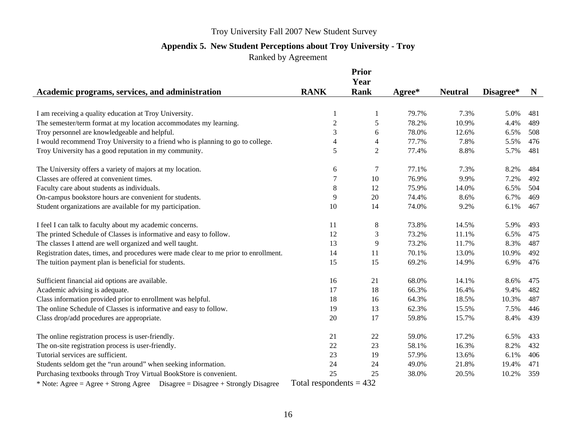#### **Appendix 5. New Student Perceptions about Troy University - Troy**

Ranked by Agreement

|                                                                                      |                           | Prior          |        |                |           |     |
|--------------------------------------------------------------------------------------|---------------------------|----------------|--------|----------------|-----------|-----|
|                                                                                      |                           | Year           |        |                |           |     |
| Academic programs, services, and administration                                      | <b>RANK</b>               | <b>Rank</b>    | Agree* | <b>Neutral</b> | Disagree* | N   |
| I am receiving a quality education at Troy University.                               |                           | -1             | 79.7%  | 7.3%           | 5.0%      | 481 |
| The semester/term format at my location accommodates my learning.                    | $\overline{c}$            | $\sqrt{5}$     | 78.2%  | 10.9%          | 4.4%      | 489 |
|                                                                                      | 3                         |                |        |                |           |     |
| Troy personnel are knowledgeable and helpful.                                        |                           | 6              | 78.0%  | 12.6%          | 6.5%      | 508 |
| I would recommend Troy University to a friend who is planning to go to college.      | 4                         | 4              | 77.7%  | 7.8%           | 5.5%      | 476 |
| Troy University has a good reputation in my community.                               | 5                         | $\overline{2}$ | 77.4%  | 8.8%           | 5.7%      | 481 |
| The University offers a variety of majors at my location.                            | 6                         | $\tau$         | 77.1%  | 7.3%           | 8.2%      | 484 |
| Classes are offered at convenient times.                                             | $\boldsymbol{7}$          | 10             | 76.9%  | 9.9%           | 7.2%      | 492 |
| Faculty care about students as individuals.                                          | $\,8\,$                   | 12             | 75.9%  | 14.0%          | 6.5%      | 504 |
| On-campus bookstore hours are convenient for students.                               | 9                         | 20             | 74.4%  | 8.6%           | 6.7%      | 469 |
| Student organizations are available for my participation.                            | 10                        | 14             | 74.0%  | 9.2%           | 6.1%      | 467 |
| I feel I can talk to faculty about my academic concerns.                             | 11                        | $8\,$          | 73.8%  | 14.5%          | 5.9%      | 493 |
| The printed Schedule of Classes is informative and easy to follow.                   | 12                        | $\mathfrak{Z}$ | 73.2%  | 11.1%          | 6.5%      | 475 |
| The classes I attend are well organized and well taught.                             | 13                        | 9              | 73.2%  | 11.7%          | 8.3%      | 487 |
| Registration dates, times, and procedures were made clear to me prior to enrollment. | 14                        | 11             | 70.1%  | 13.0%          | 10.9%     | 492 |
| The tuition payment plan is beneficial for students.                                 | 15                        | 15             | 69.2%  | 14.9%          | 6.9%      | 476 |
| Sufficient financial aid options are available.                                      | 16                        | 21             | 68.0%  | 14.1%          | 8.6%      | 475 |
| Academic advising is adequate.                                                       | 17                        | 18             | 66.3%  | 16.4%          | 9.4%      | 482 |
|                                                                                      | 18                        | 16             | 64.3%  | 18.5%          |           | 487 |
| Class information provided prior to enrollment was helpful.                          |                           |                |        |                | 10.3%     |     |
| The online Schedule of Classes is informative and easy to follow.                    | 19                        | 13             | 62.3%  | 15.5%          | 7.5%      | 446 |
| Class drop/add procedures are appropriate.                                           | 20                        | 17             | 59.8%  | 15.7%          | 8.4%      | 439 |
| The online registration process is user-friendly.                                    | 21                        | 22             | 59.0%  | 17.2%          | 6.5%      | 433 |
| The on-site registration process is user-friendly.                                   | 22                        | 23             | 58.1%  | 16.3%          | 8.2%      | 432 |
| Tutorial services are sufficient.                                                    | 23                        | 19             | 57.9%  | 13.6%          | 6.1%      | 406 |
| Students seldom get the "run around" when seeking information.                       | 24                        | 24             | 49.0%  | 21.8%          | 19.4%     | 471 |
| Purchasing textbooks through Troy Virtual BookStore is convenient.                   | 25                        | 25             | 38.0%  | 20.5%          | 10.2%     | 359 |
| * Note: Agree = Agree + Strong Agree Disagree = Disagree + Strongly Disagree         | Total respondents $= 432$ |                |        |                |           |     |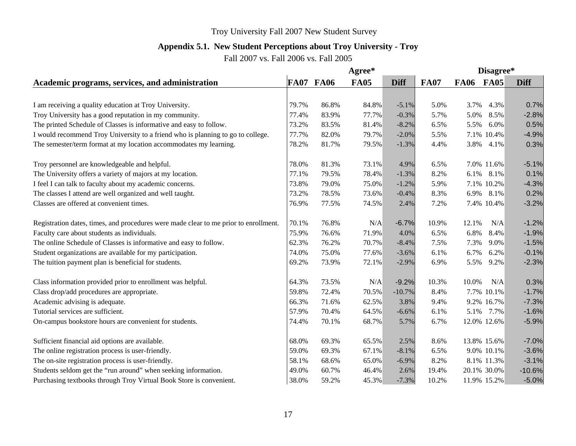# **Appendix 5.1. New Student Perceptions about Troy University - Troy**

|                                                                                      |       |                  | Agree*      | Disagree*   |             |             |             |             |
|--------------------------------------------------------------------------------------|-------|------------------|-------------|-------------|-------------|-------------|-------------|-------------|
| Academic programs, services, and administration                                      |       | <b>FA07 FA06</b> | <b>FA05</b> | <b>Diff</b> | <b>FA07</b> | <b>FA06</b> | <b>FA05</b> | <b>Diff</b> |
|                                                                                      |       |                  |             |             |             |             |             |             |
| I am receiving a quality education at Troy University.                               | 79.7% | 86.8%            | 84.8%       | $-5.1%$     | 5.0%        | 3.7%        | 4.3%        | 0.7%        |
| Troy University has a good reputation in my community.                               | 77.4% | 83.9%            | 77.7%       | $-0.3%$     | 5.7%        | 5.0%        | 8.5%        | $-2.8%$     |
| The printed Schedule of Classes is informative and easy to follow.                   | 73.2% | 83.5%            | 81.4%       | $-8.2%$     | 6.5%        | 5.5%        | 6.0%        | 0.5%        |
| I would recommend Troy University to a friend who is planning to go to college.      | 77.7% | 82.0%            | 79.7%       | $-2.0%$     | 5.5%        | 7.1%        | 10.4%       | $-4.9%$     |
| The semester/term format at my location accommodates my learning.                    | 78.2% | 81.7%            | 79.5%       | $-1.3%$     | 4.4%        | 3.8%        | 4.1%        | 0.3%        |
| Troy personnel are knowledgeable and helpful.                                        | 78.0% | 81.3%            | 73.1%       | 4.9%        | 6.5%        |             | 7.0% 11.6%  | $-5.1%$     |
| The University offers a variety of majors at my location.                            | 77.1% | 79.5%            | 78.4%       | $-1.3%$     | 8.2%        | 6.1%        | 8.1%        | 0.1%        |
| I feel I can talk to faculty about my academic concerns.                             | 73.8% | 79.0%            | 75.0%       | $-1.2%$     | 5.9%        |             | 7.1% 10.2%  | $-4.3%$     |
| The classes I attend are well organized and well taught.                             | 73.2% | 78.5%            | 73.6%       | $-0.4%$     | 8.3%        | 6.9%        | 8.1%        | 0.2%        |
| Classes are offered at convenient times.                                             | 76.9% | 77.5%            | 74.5%       | 2.4%        | 7.2%        |             | 7.4% 10.4%  | $-3.2%$     |
| Registration dates, times, and procedures were made clear to me prior to enrollment. | 70.1% | 76.8%            | N/A         | $-6.7%$     | 10.9%       | 12.1%       | N/A         | $-1.2%$     |
| Faculty care about students as individuals.                                          | 75.9% | 76.6%            | 71.9%       | 4.0%        | 6.5%        | 6.8%        | 8.4%        | $-1.9%$     |
| The online Schedule of Classes is informative and easy to follow.                    | 62.3% | 76.2%            | 70.7%       | $-8.4%$     | 7.5%        | 7.3%        | 9.0%        | $-1.5%$     |
| Student organizations are available for my participation.                            | 74.0% | 75.0%            | 77.6%       | $-3.6%$     | 6.1%        | 6.7%        | 6.2%        | $-0.1%$     |
| The tuition payment plan is beneficial for students.                                 | 69.2% | 73.9%            | 72.1%       | $-2.9%$     | 6.9%        | 5.5%        | 9.2%        | $-2.3%$     |
| Class information provided prior to enrollment was helpful.                          | 64.3% | 73.5%            | N/A         | $-9.2%$     | 10.3%       | 10.0%       | N/A         | 0.3%        |
| Class drop/add procedures are appropriate.                                           | 59.8% | 72.4%            | 70.5%       | $-10.7%$    | 8.4%        |             | 7.7% 10.1%  | $-1.7%$     |
| Academic advising is adequate.                                                       | 66.3% | 71.6%            | 62.5%       | 3.8%        | 9.4%        |             | 9.2% 16.7%  | $-7.3%$     |
| Tutorial services are sufficient.                                                    | 57.9% | 70.4%            | 64.5%       | $-6.6%$     | 6.1%        | 5.1%        | 7.7%        | $-1.6%$     |
| On-campus bookstore hours are convenient for students.                               | 74.4% | 70.1%            | 68.7%       | 5.7%        | 6.7%        |             | 12.0% 12.6% | $-5.9%$     |
| Sufficient financial aid options are available.                                      | 68.0% | 69.3%            | 65.5%       | 2.5%        | 8.6%        |             | 13.8% 15.6% | $-7.0%$     |
| The online registration process is user-friendly.                                    | 59.0% | 69.3%            | 67.1%       | $-8.1%$     | 6.5%        |             | 9.0% 10.1%  | $-3.6%$     |
| The on-site registration process is user-friendly.                                   | 58.1% | 68.6%            | 65.0%       | $-6.9%$     | 8.2%        |             | 8.1% 11.3%  | $-3.1%$     |
| Students seldom get the "run around" when seeking information.                       | 49.0% | 60.7%            | 46.4%       | 2.6%        | 19.4%       |             | 20.1% 30.0% | $-10.6%$    |
| Purchasing textbooks through Troy Virtual Book Store is convenient.                  | 38.0% | 59.2%            | 45.3%       | $-7.3%$     | 10.2%       |             | 11.9% 15.2% | $-5.0%$     |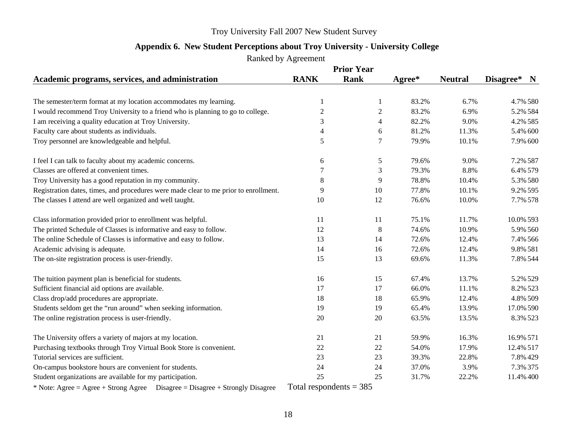### **Appendix 6. New Student Perceptions about Troy University - University College**

Ranked by Agreement

|                                                                                      |                | <b>Prior Year</b> |        |                |             |
|--------------------------------------------------------------------------------------|----------------|-------------------|--------|----------------|-------------|
| Academic programs, services, and administration                                      | <b>RANK</b>    | Rank              | Agree* | <b>Neutral</b> | Disagree* N |
| The semester/term format at my location accommodates my learning.                    | $\mathbf{1}$   | 1                 | 83.2%  | 6.7%           | 4.7% 580    |
| I would recommend Troy University to a friend who is planning to go to college.      | $\overline{c}$ | $\overline{2}$    | 83.2%  | 6.9%           | 5.2% 584    |
| I am receiving a quality education at Troy University.                               | 3              | $\overline{4}$    | 82.2%  | 9.0%           | 4.2% 585    |
| Faculty care about students as individuals.                                          | 4              | 6                 | 81.2%  | 11.3%          | 5.4% 600    |
| Troy personnel are knowledgeable and helpful.                                        | 5              | $\tau$            | 79.9%  | 10.1%          | 7.9% 600    |
| I feel I can talk to faculty about my academic concerns.                             | 6              | $\sqrt{5}$        | 79.6%  | 9.0%           | 7.2% 587    |
| Classes are offered at convenient times.                                             | 7              | 3                 | 79.3%  | 8.8%           | 6.4% 579    |
| Troy University has a good reputation in my community.                               | 8              | 9                 | 78.8%  | 10.4%          | 5.3% 580    |
| Registration dates, times, and procedures were made clear to me prior to enrollment. | 9              | 10                | 77.8%  | 10.1%          | 9.2% 595    |
| The classes I attend are well organized and well taught.                             | 10             | 12                | 76.6%  | 10.0%          | 7.7% 578    |
| Class information provided prior to enrollment was helpful.                          | 11             | 11                | 75.1%  | 11.7%          | 10.0% 593   |
| The printed Schedule of Classes is informative and easy to follow.                   | 12             | 8                 | 74.6%  | 10.9%          | 5.9% 560    |
| The online Schedule of Classes is informative and easy to follow.                    | 13             | 14                | 72.6%  | 12.4%          | 7.4% 566    |
| Academic advising is adequate.                                                       | 14             | 16                | 72.6%  | 12.4%          | 9.8% 581    |
| The on-site registration process is user-friendly.                                   | 15             | 13                | 69.6%  | 11.3%          | 7.8% 544    |
| The tuition payment plan is beneficial for students.                                 | 16             | 15                | 67.4%  | 13.7%          | 5.2% 529    |
| Sufficient financial aid options are available.                                      | 17             | 17                | 66.0%  | 11.1%          | 8.2% 523    |
| Class drop/add procedures are appropriate.                                           | 18             | 18                | 65.9%  | 12.4%          | 4.8% 509    |
| Students seldom get the "run around" when seeking information.                       | 19             | 19                | 65.4%  | 13.9%          | 17.0% 590   |
| The online registration process is user-friendly.                                    | 20             | 20                | 63.5%  | 13.5%          | 8.3% 523    |
| The University offers a variety of majors at my location.                            | 21             | 21                | 59.9%  | 16.3%          | 16.9% 571   |
| Purchasing textbooks through Troy Virtual Book Store is convenient.                  | 22             | 22                | 54.0%  | 17.9%          | 12.4% 517   |
| Tutorial services are sufficient.                                                    | 23             | 23                | 39.3%  | 22.8%          | 7.8% 429    |
| On-campus bookstore hours are convenient for students.                               | 24             | 24                | 37.0%  | 3.9%           | 7.3% 375    |
| Student organizations are available for my participation.                            | 25             | 25                | 31.7%  | 22.2%          | 11.4% 400   |
|                                                                                      |                | $\Omega$          |        |                |             |

\* Note: Agree = Agree + Strong Agree Disagree = Disagree + Strongly Disagree Total respondents =  $385$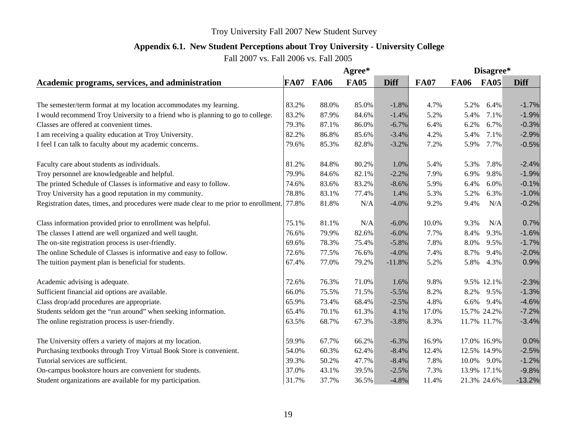# **Appendix 6.1. New Student Perceptions about Troy University - University College**

|                                                                                            |             |             | Agree*      |             |             | Disagree*   |             |             |
|--------------------------------------------------------------------------------------------|-------------|-------------|-------------|-------------|-------------|-------------|-------------|-------------|
| Academic programs, services, and administration                                            | <b>FA07</b> | <b>FA06</b> | <b>FA05</b> | <b>Diff</b> | <b>FA07</b> | <b>FA06</b> | <b>FA05</b> | <b>Diff</b> |
|                                                                                            |             |             |             |             |             |             |             |             |
| The semester/term format at my location accommodates my learning.                          | 83.2%       | 88.0%       | 85.0%       | $-1.8%$     | 4.7%        | 5.2%        | 6.4%        | $-1.7%$     |
| I would recommend Troy University to a friend who is planning to go to college.            | 83.2%       | 87.9%       | 84.6%       | $-1.4%$     | 5.2%        | 5.4%        | 7.1%        | $-1.9%$     |
| Classes are offered at convenient times.                                                   | 79.3%       | 87.1%       | 86.0%       | $-6.7\%$    | 6.4%        | 6.2%        | 6.7%        | $-0.3%$     |
| I am receiving a quality education at Troy University.                                     | 82.2%       | 86.8%       | 85.6%       | $-3.4%$     | 4.2%        | 5.4%        | 7.1%        | $-2.9%$     |
| I feel I can talk to faculty about my academic concerns.                                   | 79.6%       | 85.3%       | 82.8%       | $-3.2%$     | 7.2%        | 5.9%        | 7.7%        | $-0.5%$     |
| Faculty care about students as individuals.                                                | 81.2%       | 84.8%       | 80.2%       | 1.0%        | 5.4%        | 5.3%        | 7.8%        | $-2.4%$     |
| Troy personnel are knowledgeable and helpful.                                              | 79.9%       | 84.6%       | 82.1%       | $-2.2%$     | 7.9%        | 6.9%        | 9.8%        | $-1.9%$     |
| The printed Schedule of Classes is informative and easy to follow.                         | 74.6%       | 83.6%       | 83.2%       | $-8.6%$     | 5.9%        | 6.4%        | 6.0%        | $-0.1%$     |
| Troy University has a good reputation in my community.                                     | 78.8%       | 83.1%       | 77.4%       | 1.4%        | 5.3%        | 5.2%        | 6.3%        | $-1.0%$     |
| Registration dates, times, and procedures were made clear to me prior to enrollment. 77.8% |             | 81.8%       | N/A         | $-4.0%$     | 9.2%        | 9.4%        | N/A         | $-0.2%$     |
| Class information provided prior to enrollment was helpful.                                | 75.1%       | 81.1%       | N/A         | $-6.0\%$    | 10.0%       | 9.3%        | N/A         | 0.7%        |
| The classes I attend are well organized and well taught.                                   | 76.6%       | 79.9%       | 82.6%       | $-6.0%$     | 7.7%        | 8.4%        | 9.3%        | $-1.6%$     |
| The on-site registration process is user-friendly.                                         | 69.6%       | 78.3%       | 75.4%       | $-5.8%$     | 7.8%        | 8.0%        | 9.5%        | $-1.7%$     |
| The online Schedule of Classes is informative and easy to follow.                          | 72.6%       | 77.5%       | 76.6%       | $-4.0%$     | 7.4%        | 8.7%        | 9.4%        | $-2.0%$     |
| The tuition payment plan is beneficial for students.                                       | 67.4%       | 77.0%       | 79.2%       | $-11.8%$    | 5.2%        | 5.8%        | 4.3%        | 0.9%        |
| Academic advising is adequate.                                                             | 72.6%       | 76.3%       | 71.0%       | 1.6%        | 9.8%        |             | 9.5% 12.1%  | $-2.3%$     |
| Sufficient financial aid options are available.                                            | 66.0%       | 75.5%       | 71.5%       | $-5.5%$     | 8.2%        | 8.2%        | 9.5%        | $-1.3%$     |
| Class drop/add procedures are appropriate.                                                 | 65.9%       | 73.4%       | 68.4%       | $-2.5%$     | 4.8%        | 6.6%        | 9.4%        | $-4.6%$     |
| Students seldom get the "run around" when seeking information.                             | 65.4%       | 70.1%       | 61.3%       | 4.1%        | 17.0%       |             | 15.7% 24.2% | $-7.2%$     |
| The online registration process is user-friendly.                                          | 63.5%       | 68.7%       | 67.3%       | $-3.8%$     | 8.3%        |             | 11.7% 11.7% | $-3.4%$     |
| The University offers a variety of majors at my location.                                  | 59.9%       | 67.7%       | 66.2%       | $-6.3%$     | 16.9%       |             | 17.0% 16.9% | 0.0%        |
| Purchasing textbooks through Troy Virtual Book Store is convenient.                        | 54.0%       | 60.3%       | 62.4%       | $-8.4%$     | 12.4%       |             | 12.5% 14.9% | $-2.5%$     |
| Tutorial services are sufficient.                                                          | 39.3%       | 50.2%       | 47.7%       | $-8.4%$     | 7.8%        | 10.0%       | 9.0%        | $-1.2%$     |
| On-campus bookstore hours are convenient for students.                                     | 37.0%       | 43.1%       | 39.5%       | $-2.5%$     | 7.3%        |             | 13.9% 17.1% | $-9.8%$     |
| Student organizations are available for my participation.                                  | 31.7%       | 37.7%       | 36.5%       | $-4.8%$     | 11.4%       |             | 21.3% 24.6% | $-13.2%$    |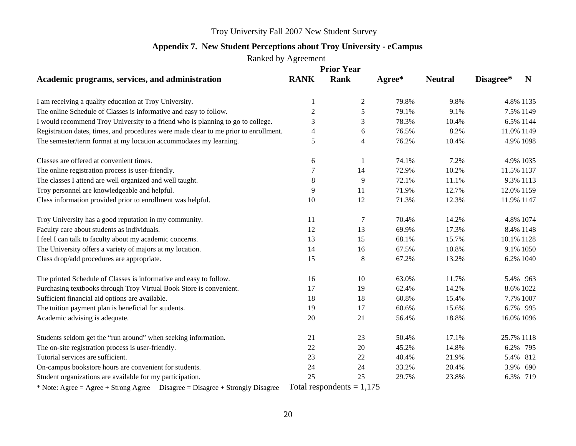#### **Appendix 7. New Student Perceptions about Troy University - eCampus**

Ranked by Agreement

|                                                                                      |                | <b>Prior Year</b> |        |                |                |  |  |
|--------------------------------------------------------------------------------------|----------------|-------------------|--------|----------------|----------------|--|--|
| Academic programs, services, and administration                                      | <b>RANK</b>    | <b>Rank</b>       | Agree* | <b>Neutral</b> | Disagree*<br>N |  |  |
|                                                                                      |                |                   |        |                |                |  |  |
| I am receiving a quality education at Troy University.                               | -1             | $\overline{c}$    | 79.8%  | 9.8%           | 4.8% 1135      |  |  |
| The online Schedule of Classes is informative and easy to follow.                    | $\mathfrak{2}$ | 5                 | 79.1%  | 9.1%           | 7.5% 1149      |  |  |
| I would recommend Troy University to a friend who is planning to go to college.      | 3              | 3                 | 78.3%  | 10.4%          | 6.5% 1144      |  |  |
| Registration dates, times, and procedures were made clear to me prior to enrollment. | $\overline{4}$ | 6                 | 76.5%  | 8.2%           | 11.0% 1149     |  |  |
| The semester/term format at my location accommodates my learning.                    | 5              | 4                 | 76.2%  | 10.4%          | 4.9% 1098      |  |  |
| Classes are offered at convenient times.                                             | 6              | 1                 | 74.1%  | 7.2%           | 4.9% 1035      |  |  |
| The online registration process is user-friendly.                                    | 7              | 14                | 72.9%  | 10.2%          | 11.5% 1137     |  |  |
| The classes I attend are well organized and well taught.                             | $\,8\,$        | 9                 | 72.1%  | 11.1%          | 9.3% 1113      |  |  |
| Troy personnel are knowledgeable and helpful.                                        | 9              | 11                | 71.9%  | 12.7%          | 12.0% 1159     |  |  |
| Class information provided prior to enrollment was helpful.                          | 10             | 12                | 71.3%  | 12.3%          | 11.9% 1147     |  |  |
| Troy University has a good reputation in my community.                               | 11             | 7                 | 70.4%  | 14.2%          | 4.8% 1074      |  |  |
| Faculty care about students as individuals.                                          | 12             | 13                | 69.9%  | 17.3%          | 8.4% 1148      |  |  |
| I feel I can talk to faculty about my academic concerns.                             | 13             | 15                | 68.1%  | 15.7%          | 10.1% 1128     |  |  |
| The University offers a variety of majors at my location.                            | 14             | 16                | 67.5%  | 10.8%          | 9.1% 1050      |  |  |
| Class drop/add procedures are appropriate.                                           | 15             | 8                 | 67.2%  | 13.2%          | 6.2% 1040      |  |  |
| The printed Schedule of Classes is informative and easy to follow.                   | 16             | 10                | 63.0%  | 11.7%          | 5.4% 963       |  |  |
| Purchasing textbooks through Troy Virtual Book Store is convenient.                  | 17             | 19                | 62.4%  | 14.2%          | 8.6% 1022      |  |  |
| Sufficient financial aid options are available.                                      | 18             | 18                | 60.8%  | 15.4%          | 7.7% 1007      |  |  |
| The tuition payment plan is beneficial for students.                                 | 19             | 17                | 60.6%  | 15.6%          | 6.7% 995       |  |  |
| Academic advising is adequate.                                                       | 20             | 21                | 56.4%  | 18.8%          | 16.0% 1096     |  |  |
| Students seldom get the "run around" when seeking information.                       | 21             | 23                | 50.4%  | 17.1%          | 25.7% 1118     |  |  |
| The on-site registration process is user-friendly.                                   | 22             | 20                | 45.2%  | 14.8%          | 6.2% 795       |  |  |
| Tutorial services are sufficient.                                                    | 23             | 22                | 40.4%  | 21.9%          | 5.4% 812       |  |  |
| On-campus bookstore hours are convenient for students.                               | 24             | 24                | 33.2%  | 20.4%          | 3.9% 690       |  |  |
| Student organizations are available for my participation.                            | 25             | 25                | 29.7%  | 23.8%          | 6.3% 719       |  |  |

\* Note: Agree = Agree + Strong Agree Disagree = Disagree + Strongly Disagree Total respondents =  $1,175$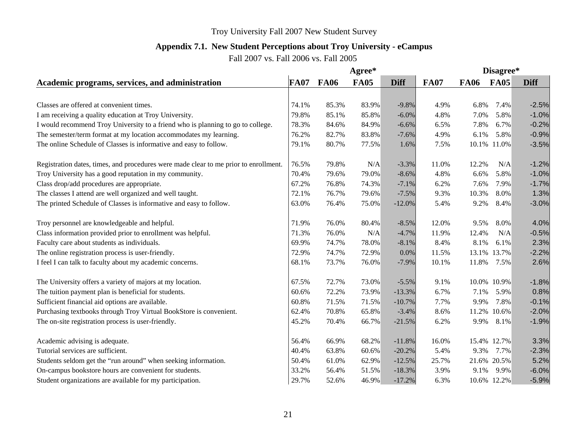# **Appendix 7.1. New Student Perceptions about Troy University - eCampus**

|                                                                                      |             |             | Agree*      |             | Disagree*   |             |             |             |
|--------------------------------------------------------------------------------------|-------------|-------------|-------------|-------------|-------------|-------------|-------------|-------------|
| Academic programs, services, and administration                                      | <b>FA07</b> | <b>FA06</b> | <b>FA05</b> | <b>Diff</b> | <b>FA07</b> | <b>FA06</b> | <b>FA05</b> | <b>Diff</b> |
|                                                                                      |             |             |             |             |             |             |             |             |
| Classes are offered at convenient times.                                             | 74.1%       | 85.3%       | 83.9%       | $-9.8%$     | 4.9%        | 6.8%        | 7.4%        | $-2.5%$     |
| I am receiving a quality education at Troy University.                               | 79.8%       | 85.1%       | 85.8%       | $-6.0\%$    | 4.8%        | 7.0%        | 5.8%        | $-1.0%$     |
| I would recommend Troy University to a friend who is planning to go to college.      | 78.3%       | 84.6%       | 84.9%       | $-6.6%$     | 6.5%        | 7.8%        | 6.7%        | $-0.2%$     |
| The semester/term format at my location accommodates my learning.                    | 76.2%       | 82.7%       | 83.8%       | $-7.6%$     | 4.9%        | 6.1%        | 5.8%        | $-0.9%$     |
| The online Schedule of Classes is informative and easy to follow.                    | 79.1%       | 80.7%       | 77.5%       | 1.6%        | 7.5%        | 10.1%       | 11.0%       | $-3.5%$     |
| Registration dates, times, and procedures were made clear to me prior to enrollment. | 76.5%       | 79.8%       | N/A         | $-3.3%$     | 11.0%       | 12.2%       | N/A         | $-1.2%$     |
| Troy University has a good reputation in my community.                               | 70.4%       | 79.6%       | 79.0%       | $-8.6%$     | 4.8%        | 6.6%        | 5.8%        | $-1.0%$     |
| Class drop/add procedures are appropriate.                                           | 67.2%       | 76.8%       | 74.3%       | $-7.1%$     | 6.2%        | 7.6%        | 7.9%        | $-1.7%$     |
| The classes I attend are well organized and well taught.                             | 72.1%       | 76.7%       | 79.6%       | $-7.5%$     | 9.3%        | 10.3%       | 8.0%        | 1.3%        |
| The printed Schedule of Classes is informative and easy to follow.                   | 63.0%       | 76.4%       | 75.0%       | $-12.0%$    | 5.4%        | 9.2%        | 8.4%        | $-3.0%$     |
| Troy personnel are knowledgeable and helpful.                                        | 71.9%       | 76.0%       | 80.4%       | $-8.5%$     | 12.0%       | 9.5%        | 8.0%        | 4.0%        |
| Class information provided prior to enrollment was helpful.                          | 71.3%       | 76.0%       | N/A         | $-4.7%$     | 11.9%       | 12.4%       | N/A         | $-0.5%$     |
| Faculty care about students as individuals.                                          | 69.9%       | 74.7%       | 78.0%       | $-8.1%$     | 8.4%        | 8.1%        | 6.1%        | 2.3%        |
| The online registration process is user-friendly.                                    | 72.9%       | 74.7%       | 72.9%       | 0.0%        | 11.5%       | 13.1%       | 13.7%       | $-2.2%$     |
| I feel I can talk to faculty about my academic concerns.                             | 68.1%       | 73.7%       | 76.0%       | $-7.9%$     | 10.1%       | 11.8%       | 7.5%        | 2.6%        |
| The University offers a variety of majors at my location.                            | 67.5%       | 72.7%       | 73.0%       | $-5.5%$     | 9.1%        | 10.0%       | 10.9%       | $-1.8%$     |
| The tuition payment plan is beneficial for students.                                 | 60.6%       | 72.2%       | 73.9%       | $-13.3%$    | 6.7%        | 7.1%        | 5.9%        | 0.8%        |
| Sufficient financial aid options are available.                                      | 60.8%       | 71.5%       | 71.5%       | $-10.7%$    | 7.7%        | 9.9%        | 7.8%        | $-0.1%$     |
| Purchasing textbooks through Troy Virtual BookStore is convenient.                   | 62.4%       | 70.8%       | 65.8%       | $-3.4%$     | 8.6%        | 11.2%       | 10.6%       | $-2.0%$     |
| The on-site registration process is user-friendly.                                   | 45.2%       | 70.4%       | 66.7%       | $-21.5%$    | 6.2%        | 9.9%        | 8.1%        | $-1.9%$     |
| Academic advising is adequate.                                                       | 56.4%       | 66.9%       | 68.2%       | $-11.8%$    | 16.0%       |             | 15.4% 12.7% | 3.3%        |
| Tutorial services are sufficient.                                                    | 40.4%       | 63.8%       | 60.6%       | $-20.2%$    | 5.4%        | 9.3%        | 7.7%        | $-2.3%$     |
| Students seldom get the "run around" when seeking information.                       | 50.4%       | 61.0%       | 62.9%       | $-12.5%$    | 25.7%       |             | 21.6% 20.5% | 5.2%        |
| On-campus bookstore hours are convenient for students.                               | 33.2%       | 56.4%       | 51.5%       | $-18.3%$    | 3.9%        | 9.1%        | 9.9%        | $-6.0%$     |
| Student organizations are available for my participation.                            | 29.7%       | 52.6%       | 46.9%       | $-17.2%$    | 6.3%        |             | 10.6% 12.2% | $-5.9%$     |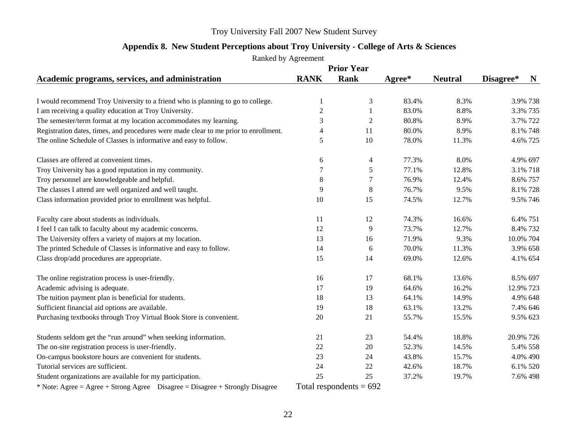# **Appendix 8. New Student Perceptions about Troy University - College of Arts & Sciences**

Ranked by Agreement

|                                                                                      |                | <b>Prior Year</b>         |        |                |                |
|--------------------------------------------------------------------------------------|----------------|---------------------------|--------|----------------|----------------|
| Academic programs, services, and administration                                      | <b>RANK</b>    | <b>Rank</b>               | Agree* | <b>Neutral</b> | Disagree*<br>N |
|                                                                                      |                |                           |        |                |                |
| I would recommend Troy University to a friend who is planning to go to college.      | 1              | 3                         | 83.4%  | 8.3%           | 3.9% 738       |
| I am receiving a quality education at Troy University.                               | $\overline{2}$ | $\mathbf{1}$              | 83.0%  | 8.8%           | 3.3% 735       |
| The semester/term format at my location accommodates my learning.                    | 3              | $\overline{2}$            | 80.8%  | 8.9%           | 3.7% 722       |
| Registration dates, times, and procedures were made clear to me prior to enrollment. | 4              | 11                        | 80.0%  | 8.9%           | 8.1% 748       |
| The online Schedule of Classes is informative and easy to follow.                    | 5              | 10                        | 78.0%  | 11.3%          | 4.6% 725       |
| Classes are offered at convenient times.                                             | 6              | $\overline{\mathcal{L}}$  | 77.3%  | 8.0%           | 4.9% 697       |
| Troy University has a good reputation in my community.                               | 7              | 5                         | 77.1%  | 12.8%          | 3.1% 718       |
| Troy personnel are knowledgeable and helpful.                                        | 8              | 7                         | 76.9%  | 12.4%          | 8.6% 757       |
| The classes I attend are well organized and well taught.                             | 9              | 8                         | 76.7%  | 9.5%           | 8.1% 728       |
| Class information provided prior to enrollment was helpful.                          | 10             | 15                        | 74.5%  | 12.7%          | 9.5% 746       |
| Faculty care about students as individuals.                                          | 11             | 12                        | 74.3%  | 16.6%          | 6.4% 751       |
| I feel I can talk to faculty about my academic concerns.                             | 12             | 9                         | 73.7%  | 12.7%          | 8.4% 732       |
| The University offers a variety of majors at my location.                            | 13             | 16                        | 71.9%  | 9.3%           | 10.0% 704      |
| The printed Schedule of Classes is informative and easy to follow.                   | 14             | 6                         | 70.0%  | 11.3%          | 3.9% 658       |
| Class drop/add procedures are appropriate.                                           | 15             | 14                        | 69.0%  | 12.6%          | 4.1% 654       |
| The online registration process is user-friendly.                                    | 16             | 17                        | 68.1%  | 13.6%          | 8.5% 697       |
| Academic advising is adequate.                                                       | 17             | 19                        | 64.6%  | 16.2%          | 12.9% 723      |
| The tuition payment plan is beneficial for students.                                 | 18             | 13                        | 64.1%  | 14.9%          | 4.9% 648       |
| Sufficient financial aid options are available.                                      | 19             | 18                        | 63.1%  | 13.2%          | 7.4% 646       |
| Purchasing textbooks through Troy Virtual Book Store is convenient.                  | 20             | 21                        | 55.7%  | 15.5%          | 9.5% 623       |
| Students seldom get the "run around" when seeking information.                       | 21             | 23                        | 54.4%  | 18.8%          | 20.9% 726      |
| The on-site registration process is user-friendly.                                   | $22\,$         | 20                        | 52.3%  | 14.5%          | 5.4% 558       |
| On-campus bookstore hours are convenient for students.                               | 23             | 24                        | 43.8%  | 15.7%          | 4.0% 490       |
| Tutorial services are sufficient.                                                    | 24             | 22                        | 42.6%  | 18.7%          | 6.1% 520       |
| Student organizations are available for my participation.                            | 25             | 25                        | 37.2%  | 19.7%          | 7.6% 498       |
| * Note: Agree = Agree + Strong Agree Disagree = Disagree + Strongly Disagree         |                | Total respondents $= 692$ |        |                |                |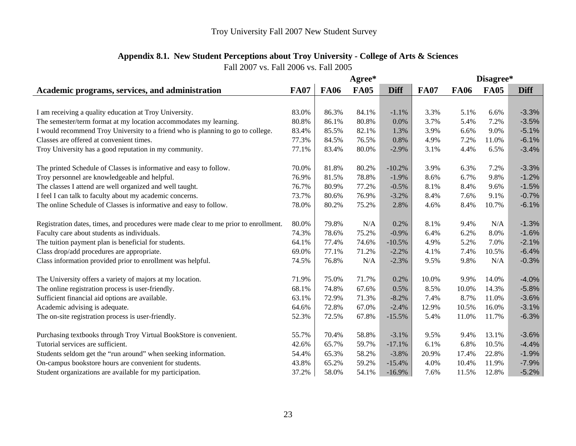# **Appendix 8.1. New Student Perceptions about Troy University - College of Arts & Sciences**

|                                                                                      |             |             | Agree*      |             |             |             | Disagree*   |             |
|--------------------------------------------------------------------------------------|-------------|-------------|-------------|-------------|-------------|-------------|-------------|-------------|
| Academic programs, services, and administration                                      | <b>FA07</b> | <b>FA06</b> | <b>FA05</b> | <b>Diff</b> | <b>FA07</b> | <b>FA06</b> | <b>FA05</b> | <b>Diff</b> |
|                                                                                      |             |             |             |             |             |             |             |             |
| I am receiving a quality education at Troy University.                               | 83.0%       | 86.3%       | 84.1%       | $-1.1%$     | 3.3%        | 5.1%        | 6.6%        | $-3.3%$     |
| The semester/term format at my location accommodates my learning.                    | 80.8%       | 86.1%       | 80.8%       | 0.0%        | 3.7%        | 5.4%        | 7.2%        | $-3.5%$     |
| I would recommend Troy University to a friend who is planning to go to college.      | 83.4%       | 85.5%       | 82.1%       | 1.3%        | 3.9%        | 6.6%        | 9.0%        | $-5.1%$     |
| Classes are offered at convenient times.                                             | 77.3%       | 84.5%       | 76.5%       | 0.8%        | 4.9%        | 7.2%        | 11.0%       | $-6.1%$     |
| Troy University has a good reputation in my community.                               | 77.1%       | 83.4%       | 80.0%       | $-2.9%$     | 3.1%        | 4.4%        | 6.5%        | $-3.4%$     |
| The printed Schedule of Classes is informative and easy to follow.                   | 70.0%       | 81.8%       | 80.2%       | $-10.2%$    | 3.9%        | 6.3%        | 7.2%        | $-3.3%$     |
| Troy personnel are knowledgeable and helpful.                                        | 76.9%       | 81.5%       | 78.8%       | $-1.9%$     | 8.6%        | 6.7%        | 9.8%        | $-1.2%$     |
| The classes I attend are well organized and well taught.                             | 76.7%       | 80.9%       | 77.2%       | $-0.5%$     | 8.1%        | 8.4%        | 9.6%        | $-1.5%$     |
| I feel I can talk to faculty about my academic concerns.                             | 73.7%       | 80.6%       | 76.9%       | $-3.2%$     | 8.4%        | 7.6%        | 9.1%        | $-0.7%$     |
| The online Schedule of Classes is informative and easy to follow.                    | 78.0%       | 80.2%       | 75.2%       | 2.8%        | 4.6%        | 8.4%        | 10.7%       | $-6.1%$     |
| Registration dates, times, and procedures were made clear to me prior to enrollment. | 80.0%       | 79.8%       | N/A         | 0.2%        | 8.1%        | 9.4%        | N/A         | $-1.3%$     |
| Faculty care about students as individuals.                                          | 74.3%       | 78.6%       | 75.2%       | $-0.9%$     | 6.4%        | 6.2%        | 8.0%        | $-1.6%$     |
| The tuition payment plan is beneficial for students.                                 | 64.1%       | 77.4%       | 74.6%       | $-10.5%$    | 4.9%        | 5.2%        | 7.0%        | $-2.1%$     |
| Class drop/add procedures are appropriate.                                           | 69.0%       | 77.1%       | 71.2%       | $-2.2%$     | 4.1%        | 7.4%        | 10.5%       | $-6.4%$     |
| Class information provided prior to enrollment was helpful.                          | 74.5%       | 76.8%       | N/A         | $-2.3%$     | 9.5%        | 9.8%        | N/A         | $-0.3%$     |
| The University offers a variety of majors at my location.                            | 71.9%       | 75.0%       | 71.7%       | 0.2%        | 10.0%       | 9.9%        | 14.0%       | $-4.0%$     |
| The online registration process is user-friendly.                                    | 68.1%       | 74.8%       | 67.6%       | 0.5%        | 8.5%        | 10.0%       | 14.3%       | $-5.8%$     |
| Sufficient financial aid options are available.                                      | 63.1%       | 72.9%       | 71.3%       | $-8.2%$     | 7.4%        | 8.7%        | 11.0%       | $-3.6%$     |
| Academic advising is adequate.                                                       | 64.6%       | 72.8%       | 67.0%       | $-2.4%$     | 12.9%       | 10.5%       | 16.0%       | $-3.1%$     |
| The on-site registration process is user-friendly.                                   | 52.3%       | 72.5%       | 67.8%       | $-15.5%$    | 5.4%        | 11.0%       | 11.7%       | $-6.3%$     |
| Purchasing textbooks through Troy Virtual BookStore is convenient.                   | 55.7%       | 70.4%       | 58.8%       | $-3.1%$     | 9.5%        | 9.4%        | 13.1%       | $-3.6%$     |
| Tutorial services are sufficient.                                                    | 42.6%       | 65.7%       | 59.7%       | $-17.1%$    | 6.1%        | 6.8%        | 10.5%       | $-4.4%$     |
| Students seldom get the "run around" when seeking information.                       | 54.4%       | 65.3%       | 58.2%       | $-3.8%$     | 20.9%       | 17.4%       | 22.8%       | $-1.9%$     |
| On-campus bookstore hours are convenient for students.                               | 43.8%       | 65.2%       | 59.2%       | $-15.4%$    | 4.0%        | 10.4%       | 11.9%       | $-7.9%$     |
| Student organizations are available for my participation.                            | 37.2%       | 58.0%       | 54.1%       | $-16.9%$    | 7.6%        | 11.5%       | 12.8%       | $-5.2%$     |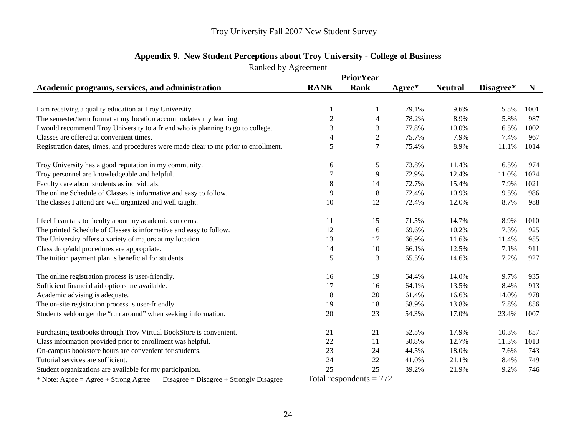|  |  | Appendix 9. New Student Perceptions about Troy University - College of Business |
|--|--|---------------------------------------------------------------------------------|
|  |  |                                                                                 |

Ranked by Agreement

|                                                                                      |                | <b>PriorYear</b>          |        |                |           |      |
|--------------------------------------------------------------------------------------|----------------|---------------------------|--------|----------------|-----------|------|
| Academic programs, services, and administration                                      | <b>RANK</b>    | Rank                      | Agree* | <b>Neutral</b> | Disagree* | N    |
|                                                                                      |                |                           |        |                |           |      |
| I am receiving a quality education at Troy University.                               |                |                           | 79.1%  | 9.6%           | 5.5%      | 1001 |
| The semester/term format at my location accommodates my learning.                    | $\overline{c}$ | 4                         | 78.2%  | 8.9%           | 5.8%      | 987  |
| I would recommend Troy University to a friend who is planning to go to college.      | 3              | 3                         | 77.8%  | 10.0%          | 6.5%      | 1002 |
| Classes are offered at convenient times.                                             | $\overline{4}$ | $\overline{2}$            | 75.7%  | 7.9%           | 7.4%      | 967  |
| Registration dates, times, and procedures were made clear to me prior to enrollment. | 5              | $\tau$                    | 75.4%  | 8.9%           | 11.1%     | 1014 |
| Troy University has a good reputation in my community.                               | 6              | 5                         | 73.8%  | 11.4%          | 6.5%      | 974  |
| Troy personnel are knowledgeable and helpful.                                        | $\tau$         | $\overline{9}$            | 72.9%  | 12.4%          | 11.0%     | 1024 |
| Faculty care about students as individuals.                                          | $8\,$          | 14                        | 72.7%  | 15.4%          | 7.9%      | 1021 |
| The online Schedule of Classes is informative and easy to follow.                    | 9              | 8                         | 72.4%  | 10.9%          | 9.5%      | 986  |
| The classes I attend are well organized and well taught.                             | 10             | 12                        | 72.4%  | 12.0%          | 8.7%      | 988  |
| I feel I can talk to faculty about my academic concerns.                             | 11             | 15                        | 71.5%  | 14.7%          | 8.9%      | 1010 |
| The printed Schedule of Classes is informative and easy to follow.                   | 12             | 6                         | 69.6%  | 10.2%          | 7.3%      | 925  |
| The University offers a variety of majors at my location.                            | 13             | 17                        | 66.9%  | 11.6%          | 11.4%     | 955  |
| Class drop/add procedures are appropriate.                                           | 14             | 10                        | 66.1%  | 12.5%          | 7.1%      | 911  |
| The tuition payment plan is beneficial for students.                                 | 15             | 13                        | 65.5%  | 14.6%          | 7.2%      | 927  |
| The online registration process is user-friendly.                                    | 16             | 19                        | 64.4%  | 14.0%          | 9.7%      | 935  |
| Sufficient financial aid options are available.                                      | 17             | 16                        | 64.1%  | 13.5%          | 8.4%      | 913  |
| Academic advising is adequate.                                                       | 18             | 20                        | 61.4%  | 16.6%          | 14.0%     | 978  |
| The on-site registration process is user-friendly.                                   | 19             | 18                        | 58.9%  | 13.8%          | 7.8%      | 856  |
| Students seldom get the "run around" when seeking information.                       | 20             | 23                        | 54.3%  | 17.0%          | 23.4%     | 1007 |
| Purchasing textbooks through Troy Virtual BookStore is convenient.                   | 21             | 21                        | 52.5%  | 17.9%          | 10.3%     | 857  |
| Class information provided prior to enrollment was helpful.                          | $22\,$         | 11                        | 50.8%  | 12.7%          | 11.3%     | 1013 |
| On-campus bookstore hours are convenient for students.                               | 23             | 24                        | 44.5%  | 18.0%          | 7.6%      | 743  |
| Tutorial services are sufficient.                                                    | 24             | 22                        | 41.0%  | 21.1%          | 8.4%      | 749  |
| Student organizations are available for my participation.                            | 25             | 25                        | 39.2%  | 21.9%          | 9.2%      | 746  |
| * Note: Agree = $Agree + Strong$ Agree<br>$Disagree = Disagree + Strongly Disagree$  |                | Total respondents $= 772$ |        |                |           |      |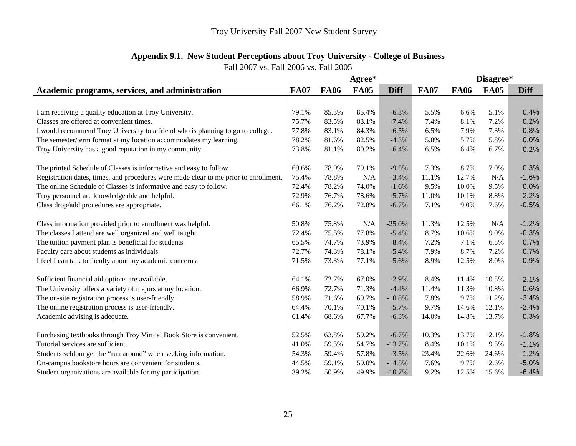# **Appendix 9.1. New Student Perceptions about Troy University - College of Business**

|                                                                                      |             |             | Agree*      |             |             | Disagree*   |             |             |  |
|--------------------------------------------------------------------------------------|-------------|-------------|-------------|-------------|-------------|-------------|-------------|-------------|--|
| Academic programs, services, and administration                                      | <b>FA07</b> | <b>FA06</b> | <b>FA05</b> | <b>Diff</b> | <b>FA07</b> | <b>FA06</b> | <b>FA05</b> | <b>Diff</b> |  |
|                                                                                      |             |             |             |             |             |             |             |             |  |
| I am receiving a quality education at Troy University.                               | 79.1%       | 85.3%       | 85.4%       | $-6.3%$     | 5.5%        | 6.6%        | 5.1%        | 0.4%        |  |
| Classes are offered at convenient times.                                             | 75.7%       | 83.5%       | 83.1%       | $-7.4%$     | 7.4%        | 8.1%        | 7.2%        | 0.2%        |  |
| I would recommend Troy University to a friend who is planning to go to college.      | 77.8%       | 83.1%       | 84.3%       | $-6.5%$     | 6.5%        | 7.9%        | 7.3%        | $-0.8%$     |  |
| The semester/term format at my location accommodates my learning.                    | 78.2%       | 81.6%       | 82.5%       | $-4.3%$     | 5.8%        | 5.7%        | 5.8%        | 0.0%        |  |
| Troy University has a good reputation in my community.                               | 73.8%       | 81.1%       | 80.2%       | $-6.4%$     | 6.5%        | 6.4%        | 6.7%        | $-0.2%$     |  |
| The printed Schedule of Classes is informative and easy to follow.                   | 69.6%       | 78.9%       | 79.1%       | $-9.5%$     | 7.3%        | 8.7%        | 7.0%        | 0.3%        |  |
| Registration dates, times, and procedures were made clear to me prior to enrollment. | 75.4%       | 78.8%       | N/A         | $-3.4%$     | 11.1%       | 12.7%       | N/A         | $-1.6%$     |  |
| The online Schedule of Classes is informative and easy to follow.                    | 72.4%       | 78.2%       | 74.0%       | $-1.6%$     | 9.5%        | 10.0%       | 9.5%        | 0.0%        |  |
| Troy personnel are knowledgeable and helpful.                                        | 72.9%       | 76.7%       | 78.6%       | $-5.7%$     | 11.0%       | 10.1%       | 8.8%        | 2.2%        |  |
| Class drop/add procedures are appropriate.                                           | 66.1%       | 76.2%       | 72.8%       | $-6.7%$     | 7.1%        | 9.0%        | 7.6%        | $-0.5%$     |  |
| Class information provided prior to enrollment was helpful.                          | 50.8%       | 75.8%       | N/A         | $-25.0%$    | 11.3%       | 12.5%       | N/A         | $-1.2%$     |  |
| The classes I attend are well organized and well taught.                             | 72.4%       | 75.5%       | 77.8%       | $-5.4%$     | 8.7%        | 10.6%       | 9.0%        | $-0.3%$     |  |
| The tuition payment plan is beneficial for students.                                 | 65.5%       | 74.7%       | 73.9%       | $-8.4%$     | 7.2%        | 7.1%        | 6.5%        | 0.7%        |  |
| Faculty care about students as individuals.                                          | 72.7%       | 74.3%       | 78.1%       | $-5.4%$     | 7.9%        | 8.7%        | 7.2%        | 0.7%        |  |
| I feel I can talk to faculty about my academic concerns.                             | 71.5%       | 73.3%       | 77.1%       | $-5.6%$     | 8.9%        | 12.5%       | 8.0%        | 0.9%        |  |
| Sufficient financial aid options are available.                                      | 64.1%       | 72.7%       | 67.0%       | $-2.9%$     | 8.4%        | 11.4%       | 10.5%       | $-2.1%$     |  |
| The University offers a variety of majors at my location.                            | 66.9%       | 72.7%       | 71.3%       | $-4.4%$     | 11.4%       | 11.3%       | 10.8%       | 0.6%        |  |
| The on-site registration process is user-friendly.                                   | 58.9%       | 71.6%       | 69.7%       | $-10.8%$    | 7.8%        | 9.7%        | 11.2%       | $-3.4%$     |  |
| The online registration process is user-friendly.                                    | 64.4%       | 70.1%       | 70.1%       | $-5.7%$     | 9.7%        | 14.6%       | 12.1%       | $-2.4%$     |  |
| Academic advising is adequate.                                                       | 61.4%       | 68.6%       | 67.7%       | $-6.3%$     | 14.0%       | 14.8%       | 13.7%       | 0.3%        |  |
| Purchasing textbooks through Troy Virtual Book Store is convenient.                  | 52.5%       | 63.8%       | 59.2%       | $-6.7%$     | 10.3%       | 13.7%       | 12.1%       | $-1.8%$     |  |
| Tutorial services are sufficient.                                                    | 41.0%       | 59.5%       | 54.7%       | $-13.7%$    | 8.4%        | 10.1%       | 9.5%        | $-1.1%$     |  |
| Students seldom get the "run around" when seeking information.                       | 54.3%       | 59.4%       | 57.8%       | $-3.5%$     | 23.4%       | 22.6%       | 24.6%       | $-1.2%$     |  |
| On-campus bookstore hours are convenient for students.                               | 44.5%       | 59.1%       | 59.0%       | $-14.5%$    | 7.6%        | 9.7%        | 12.6%       | $-5.0%$     |  |
| Student organizations are available for my participation.                            | 39.2%       | 50.9%       | 49.9%       | $-10.7%$    | 9.2%        | 12.5%       | 15.6%       | $-6.4%$     |  |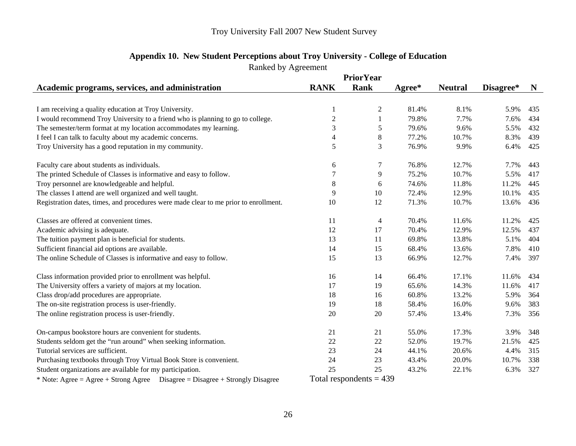| Ranked by Agreement                                                                  |                          |                  |        |                |           |             |
|--------------------------------------------------------------------------------------|--------------------------|------------------|--------|----------------|-----------|-------------|
|                                                                                      |                          | <b>PriorYear</b> |        |                |           |             |
| Academic programs, services, and administration                                      | <b>RANK</b>              | <b>Rank</b>      | Agree* | <b>Neutral</b> | Disagree* | $\mathbf N$ |
|                                                                                      |                          |                  |        |                |           |             |
| I am receiving a quality education at Troy University.                               | 1                        | $\overline{c}$   | 81.4%  | 8.1%           | 5.9%      | 435         |
| I would recommend Troy University to a friend who is planning to go to college.      | $\sqrt{2}$               |                  | 79.8%  | 7.7%           | 7.6%      | 434         |
| The semester/term format at my location accommodates my learning.                    | 3                        | 5                | 79.6%  | 9.6%           | 5.5%      | 432         |
| I feel I can talk to faculty about my academic concerns.                             | $\overline{\mathcal{L}}$ | 8                | 77.2%  | 10.7%          | 8.3%      | 439         |
| Troy University has a good reputation in my community.                               | 5                        | 3                | 76.9%  | 9.9%           | 6.4%      | 425         |
| Faculty care about students as individuals.                                          | 6                        | 7                | 76.8%  | 12.7%          | 7.7%      | 443         |
| The printed Schedule of Classes is informative and easy to follow.                   | 7                        | 9                | 75.2%  | 10.7%          | 5.5%      | 417         |
| Troy personnel are knowledgeable and helpful.                                        | 8                        | 6                | 74.6%  | 11.8%          | 11.2%     | 445         |
| The classes I attend are well organized and well taught.                             | 9                        | 10               | 72.4%  | 12.9%          | 10.1%     | 435         |
| Registration dates, times, and procedures were made clear to me prior to enrollment. | 10                       | 12               | 71.3%  | 10.7%          | 13.6%     | 436         |
| Classes are offered at convenient times.                                             | 11                       | 4                | 70.4%  | 11.6%          | 11.2%     | 425         |
| Academic advising is adequate.                                                       | 12                       | 17               | 70.4%  | 12.9%          | 12.5%     | 437         |
| The tuition payment plan is beneficial for students.                                 | 13                       | 11               | 69.8%  | 13.8%          | 5.1%      | 404         |
| Sufficient financial aid options are available.                                      | 14                       | 15               | 68.4%  | 13.6%          | 7.8%      | 410         |
| The online Schedule of Classes is informative and easy to follow.                    | 15                       | 13               | 66.9%  | 12.7%          | 7.4%      | 397         |
| Class information provided prior to enrollment was helpful.                          | 16                       | 14               | 66.4%  | 17.1%          | 11.6%     | 434         |
| The University offers a variety of majors at my location.                            | 17                       | 19               | 65.6%  | 14.3%          | 11.6%     | 417         |
| Class drop/add procedures are appropriate.                                           | 18                       | 16               | 60.8%  | 13.2%          | 5.9%      | 364         |
| The on-site registration process is user-friendly.                                   | 19                       | 18               | 58.4%  | 16.0%          | 9.6%      | 383         |
| The online registration process is user-friendly.                                    | 20                       | 20               | 57.4%  | 13.4%          | 7.3%      | 356         |
| On-campus bookstore hours are convenient for students.                               | 21                       | 21               | 55.0%  | 17.3%          | 3.9%      | 348         |
| Students seldom get the "run around" when seeking information.                       | 22                       | 22               | 52.0%  | 19.7%          | 21.5%     | 425         |
| Tutorial services are sufficient.                                                    | 23                       | 24               | 44.1%  | 20.6%          | 4.4%      | 315         |
| Purchasing textbooks through Troy Virtual Book Store is convenient.                  | 24                       | 23               | 43.4%  | 20.0%          | 10.7%     | 338         |
| Student organizations are available for my participation.                            | 25                       | 25               | 43.2%  | 22.1%          | 6.3%      | 327         |

#### **Appendix 10. New Student Perceptions about Troy University - College of Education**

\* Note: Agree = Agree + Strong Agree Disagree = Disagree + Strongly Disagree Total respondents = 439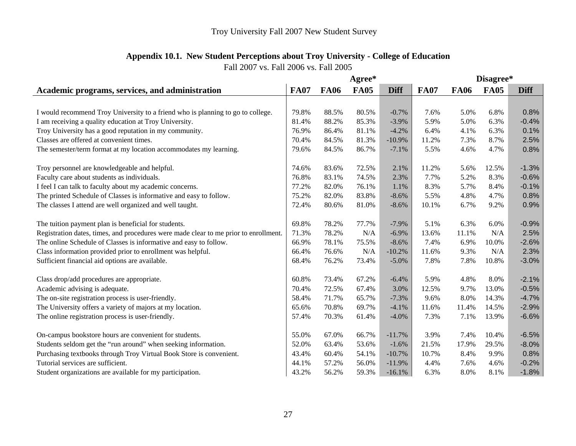# **Appendix 10.1. New Student Perceptions about Troy University - College of Education**

|                                                                                      |             |             | Agree*      |             |             | Disagree*   |             |             |  |
|--------------------------------------------------------------------------------------|-------------|-------------|-------------|-------------|-------------|-------------|-------------|-------------|--|
| Academic programs, services, and administration                                      | <b>FA07</b> | <b>FA06</b> | <b>FA05</b> | <b>Diff</b> | <b>FA07</b> | <b>FA06</b> | <b>FA05</b> | <b>Diff</b> |  |
|                                                                                      |             |             |             |             |             |             |             |             |  |
| I would recommend Troy University to a friend who is planning to go to college.      | 79.8%       | 88.5%       | 80.5%       | $-0.7%$     | 7.6%        | 5.0%        | 6.8%        | 0.8%        |  |
| I am receiving a quality education at Troy University.                               | 81.4%       | 88.2%       | 85.3%       | $-3.9%$     | 5.9%        | 5.0%        | 6.3%        | $-0.4%$     |  |
| Troy University has a good reputation in my community.                               | 76.9%       | 86.4%       | 81.1%       | $-4.2%$     | 6.4%        | 4.1%        | 6.3%        | 0.1%        |  |
| Classes are offered at convenient times.                                             | 70.4%       | 84.5%       | 81.3%       | $-10.9%$    | 11.2%       | 7.3%        | 8.7%        | 2.5%        |  |
| The semester/term format at my location accommodates my learning.                    | 79.6%       | 84.5%       | 86.7%       | $-7.1%$     | 5.5%        | 4.6%        | 4.7%        | 0.8%        |  |
| Troy personnel are knowledgeable and helpful.                                        | 74.6%       | 83.6%       | 72.5%       | 2.1%        | 11.2%       | 5.6%        | 12.5%       | $-1.3%$     |  |
| Faculty care about students as individuals.                                          | 76.8%       | 83.1%       | 74.5%       | 2.3%        | 7.7%        | 5.2%        | 8.3%        | $-0.6%$     |  |
| I feel I can talk to faculty about my academic concerns.                             | 77.2%       | 82.0%       | 76.1%       | 1.1%        | 8.3%        | 5.7%        | 8.4%        | $-0.1%$     |  |
| The printed Schedule of Classes is informative and easy to follow.                   | 75.2%       | 82.0%       | 83.8%       | $-8.6%$     | 5.5%        | 4.8%        | 4.7%        | 0.8%        |  |
| The classes I attend are well organized and well taught.                             | 72.4%       | 80.6%       | 81.0%       | $-8.6%$     | 10.1%       | 6.7%        | 9.2%        | 0.9%        |  |
| The tuition payment plan is beneficial for students.                                 | 69.8%       | 78.2%       | 77.7%       | $-7.9%$     | 5.1%        | 6.3%        | 6.0%        | $-0.9%$     |  |
| Registration dates, times, and procedures were made clear to me prior to enrollment. | 71.3%       | 78.2%       | N/A         | $-6.9%$     | 13.6%       | 11.1%       | N/A         | 2.5%        |  |
| The online Schedule of Classes is informative and easy to follow.                    | 66.9%       | 78.1%       | 75.5%       | $-8.6%$     | 7.4%        | 6.9%        | 10.0%       | $-2.6%$     |  |
| Class information provided prior to enrollment was helpful.                          | 66.4%       | 76.6%       | N/A         | $-10.2%$    | 11.6%       | 9.3%        | N/A         | 2.3%        |  |
| Sufficient financial aid options are available.                                      | 68.4%       | 76.2%       | 73.4%       | $-5.0%$     | 7.8%        | 7.8%        | 10.8%       | $-3.0%$     |  |
| Class drop/add procedures are appropriate.                                           | 60.8%       | 73.4%       | 67.2%       | $-6.4%$     | 5.9%        | 4.8%        | 8.0%        | $-2.1%$     |  |
| Academic advising is adequate.                                                       | 70.4%       | 72.5%       | 67.4%       | 3.0%        | 12.5%       | 9.7%        | 13.0%       | $-0.5%$     |  |
| The on-site registration process is user-friendly.                                   | 58.4%       | 71.7%       | 65.7%       | $-7.3%$     | 9.6%        | 8.0%        | 14.3%       | $-4.7%$     |  |
| The University offers a variety of majors at my location.                            | 65.6%       | 70.8%       | 69.7%       | $-4.1%$     | 11.6%       | 11.4%       | 14.5%       | $-2.9%$     |  |
| The online registration process is user-friendly.                                    | 57.4%       | 70.3%       | 61.4%       | $-4.0%$     | 7.3%        | 7.1%        | 13.9%       | $-6.6%$     |  |
|                                                                                      |             |             |             |             |             |             |             |             |  |
| On-campus bookstore hours are convenient for students.                               | 55.0%       | 67.0%       | 66.7%       | $-11.7%$    | 3.9%        | 7.4%        | 10.4%       | $-6.5%$     |  |
| Students seldom get the "run around" when seeking information.                       | 52.0%       | 63.4%       | 53.6%       | $-1.6%$     | 21.5%       | 17.9%       | 29.5%       | $-8.0%$     |  |
| Purchasing textbooks through Troy Virtual Book Store is convenient.                  | 43.4%       | 60.4%       | 54.1%       | $-10.7%$    | 10.7%       | 8.4%        | 9.9%        | 0.8%        |  |
| Tutorial services are sufficient.                                                    | 44.1%       | 57.2%       | 56.0%       | $-11.9%$    | 4.4%        | 7.6%        | 4.6%        | $-0.2%$     |  |
| Student organizations are available for my participation.                            | 43.2%       | 56.2%       | 59.3%       | $-16.1%$    | 6.3%        | 8.0%        | 8.1%        | $-1.8%$     |  |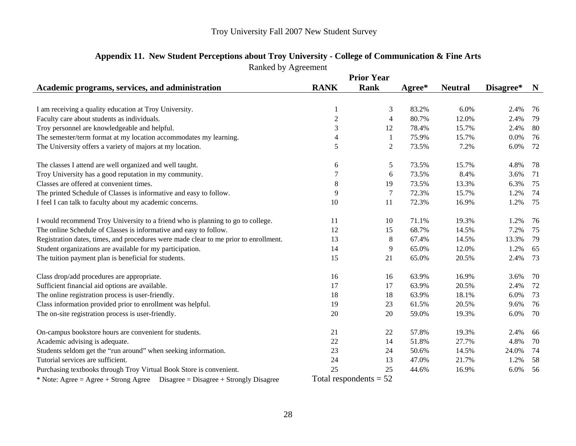|                                                                                      |                  | <b>Prior Year</b>        |        |                |           |    |
|--------------------------------------------------------------------------------------|------------------|--------------------------|--------|----------------|-----------|----|
| Academic programs, services, and administration                                      | <b>RANK</b>      | <b>Rank</b>              | Agree* | <b>Neutral</b> | Disagree* | N  |
|                                                                                      |                  |                          |        |                |           |    |
| I am receiving a quality education at Troy University.                               | 1                | 3                        | 83.2%  | 6.0%           | 2.4%      | 76 |
| Faculty care about students as individuals.                                          | $\boldsymbol{2}$ | 4                        | 80.7%  | 12.0%          | 2.4%      | 79 |
| Troy personnel are knowledgeable and helpful.                                        | 3                | 12                       | 78.4%  | 15.7%          | 2.4%      | 80 |
| The semester/term format at my location accommodates my learning.                    | 4                | $\mathbf{1}$             | 75.9%  | 15.7%          | 0.0%      | 76 |
| The University offers a variety of majors at my location.                            | 5                | $\overline{c}$           | 73.5%  | 7.2%           | 6.0%      | 72 |
| The classes I attend are well organized and well taught.                             | 6                | 5                        | 73.5%  | 15.7%          | 4.8%      | 78 |
| Troy University has a good reputation in my community.                               | $\overline{7}$   | 6                        | 73.5%  | 8.4%           | 3.6%      | 71 |
| Classes are offered at convenient times.                                             | 8                | 19                       | 73.5%  | 13.3%          | 6.3%      | 75 |
| The printed Schedule of Classes is informative and easy to follow.                   | 9                | $\tau$                   | 72.3%  | 15.7%          | 1.2%      | 74 |
| I feel I can talk to faculty about my academic concerns.                             | 10               | 11                       | 72.3%  | 16.9%          | 1.2%      | 75 |
| I would recommend Troy University to a friend who is planning to go to college.      | 11               | 10                       | 71.1%  | 19.3%          | 1.2%      | 76 |
| The online Schedule of Classes is informative and easy to follow.                    | 12               | 15                       | 68.7%  | 14.5%          | 7.2%      | 75 |
| Registration dates, times, and procedures were made clear to me prior to enrollment. | 13               | 8                        | 67.4%  | 14.5%          | 13.3%     | 79 |
| Student organizations are available for my participation.                            | 14               | 9                        | 65.0%  | 12.0%          | 1.2%      | 65 |
| The tuition payment plan is beneficial for students.                                 | 15               | 21                       | 65.0%  | 20.5%          | 2.4%      | 73 |
| Class drop/add procedures are appropriate.                                           | 16               | 16                       | 63.9%  | 16.9%          | 3.6%      | 70 |
| Sufficient financial aid options are available.                                      | 17               | 17                       | 63.9%  | 20.5%          | 2.4%      | 72 |
| The online registration process is user-friendly.                                    | 18               | 18                       | 63.9%  | 18.1%          | 6.0%      | 73 |
| Class information provided prior to enrollment was helpful.                          | 19               | 23                       | 61.5%  | 20.5%          | 9.6%      | 76 |
| The on-site registration process is user-friendly.                                   | 20               | 20                       | 59.0%  | 19.3%          | 6.0%      | 70 |
| On-campus bookstore hours are convenient for students.                               | 21               | 22                       | 57.8%  | 19.3%          | 2.4%      | 66 |
| Academic advising is adequate.                                                       | 22               | 14                       | 51.8%  | 27.7%          | 4.8%      | 70 |
| Students seldom get the "run around" when seeking information.                       | 23               | 24                       | 50.6%  | 14.5%          | 24.0%     | 74 |
| Tutorial services are sufficient.                                                    | 24               | 13                       | 47.0%  | 21.7%          | 1.2%      | 58 |
| Purchasing textbooks through Troy Virtual Book Store is convenient.                  | 25               | 25                       | 44.6%  | 16.9%          | 6.0%      | 56 |
| * Note: Agree = Agree + Strong Agree Disagree = Disagree + Strongly Disagree         |                  | Total respondents $= 52$ |        |                |           |    |

# **Appendix 11. New Student Perceptions about Troy University - College of Communication & Fine Arts**  Ranked by Agreement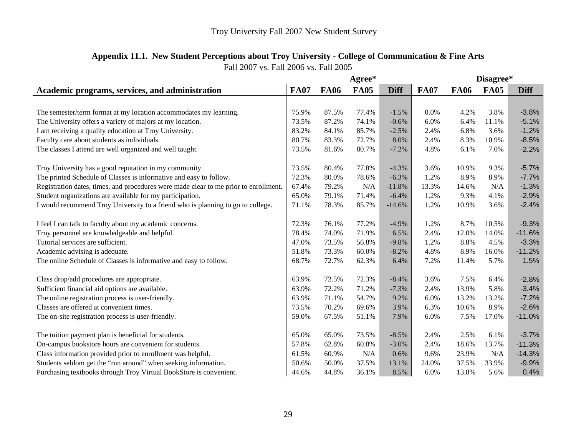|                                                                                      | Agree*      |             |             |             |             | Disagree*   |             |             |  |
|--------------------------------------------------------------------------------------|-------------|-------------|-------------|-------------|-------------|-------------|-------------|-------------|--|
| Academic programs, services, and administration                                      | <b>FA07</b> | <b>FA06</b> | <b>FA05</b> | <b>Diff</b> | <b>FA07</b> | <b>FA06</b> | <b>FA05</b> | <b>Diff</b> |  |
|                                                                                      |             |             |             |             |             |             |             |             |  |
| The semester/term format at my location accommodates my learning.                    | 75.9%       | 87.5%       | 77.4%       | $-1.5%$     | $0.0\%$     | 4.2%        | 3.8%        | $-3.8%$     |  |
| The University offers a variety of majors at my location.                            | 73.5%       | 87.2%       | 74.1%       | $-0.6%$     | 6.0%        | 6.4%        | 11.1%       | $-5.1%$     |  |
| I am receiving a quality education at Troy University.                               | 83.2%       | 84.1%       | 85.7%       | $-2.5%$     | 2.4%        | 6.8%        | 3.6%        | $-1.2%$     |  |
| Faculty care about students as individuals.                                          | 80.7%       | 83.3%       | 72.7%       | 8.0%        | 2.4%        | 8.3%        | 10.9%       | $-8.5%$     |  |
| The classes I attend are well organized and well taught.                             | 73.5%       | 81.6%       | 80.7%       | $-7.2%$     | 4.8%        | 6.1%        | 7.0%        | $-2.2%$     |  |
| Troy University has a good reputation in my community.                               | 73.5%       | 80.4%       | 77.8%       | $-4.3%$     | 3.6%        | 10.9%       | 9.3%        | $-5.7%$     |  |
| The printed Schedule of Classes is informative and easy to follow.                   | 72.3%       | 80.0%       | 78.6%       | $-6.3%$     | 1.2%        | 8.9%        | 8.9%        | $-7.7%$     |  |
| Registration dates, times, and procedures were made clear to me prior to enrollment. | 67.4%       | 79.2%       | N/A         | $-11.8%$    | 13.3%       | 14.6%       | N/A         | $-1.3%$     |  |
| Student organizations are available for my participation.                            | 65.0%       | 79.1%       | 71.4%       | $-6.4%$     | 1.2%        | 9.3%        | 4.1%        | $-2.9%$     |  |
| I would recommend Troy University to a friend who is planning to go to college.      | 71.1%       | 78.3%       | 85.7%       | $-14.6%$    | 1.2%        | 10.9%       | 3.6%        | $-2.4%$     |  |
| I feel I can talk to faculty about my academic concerns.                             | 72.3%       | 76.1%       | 77.2%       | $-4.9\%$    | 1.2%        | 8.7%        | 10.5%       | $-9.3%$     |  |
| Troy personnel are knowledgeable and helpful.                                        | 78.4%       | 74.0%       | 71.9%       | 6.5%        | 2.4%        | 12.0%       | 14.0%       | $-11.6%$    |  |
| Tutorial services are sufficient.                                                    | 47.0%       | 73.5%       | 56.8%       | $-9.8%$     | 1.2%        | 8.8%        | 4.5%        | $-3.3%$     |  |
| Academic advising is adequate.                                                       | 51.8%       | 73.3%       | 60.0%       | $-8.2%$     | 4.8%        | 8.9%        | 16.0%       | $-11.2%$    |  |
| The online Schedule of Classes is informative and easy to follow.                    | 68.7%       | 72.7%       | 62.3%       | 6.4%        | 7.2%        | 11.4%       | 5.7%        | 1.5%        |  |
| Class drop/add procedures are appropriate.                                           | 63.9%       | 72.5%       | 72.3%       | $-8.4\%$    | 3.6%        | 7.5%        | 6.4%        | $-2.8%$     |  |
| Sufficient financial aid options are available.                                      | 63.9%       | 72.2%       | 71.2%       | $-7.3%$     | 2.4%        | 13.9%       | 5.8%        | $-3.4%$     |  |
| The online registration process is user-friendly.                                    | 63.9%       | 71.1%       | 54.7%       | 9.2%        | 6.0%        | 13.2%       | 13.2%       | $-7.2%$     |  |
| Classes are offered at convenient times.                                             | 73.5%       | 70.2%       | 69.6%       | 3.9%        | 6.3%        | 10.6%       | 8.9%        | $-2.6%$     |  |
| The on-site registration process is user-friendly.                                   | 59.0%       | 67.5%       | 51.1%       | 7.9%        | 6.0%        | 7.5%        | 17.0%       | $-11.0%$    |  |
| The tuition payment plan is beneficial for students.                                 | 65.0%       | 65.0%       | 73.5%       | $-8.5%$     | 2.4%        | 2.5%        | 6.1%        | $-3.7%$     |  |
| On-campus bookstore hours are convenient for students.                               | 57.8%       | 62.8%       | 60.8%       | $-3.0\%$    | 2.4%        | 18.6%       | 13.7%       | $-11.3%$    |  |
| Class information provided prior to enrollment was helpful.                          | 61.5%       | 60.9%       | N/A         | 0.6%        | 9.6%        | 23.9%       | N/A         | $-14.3%$    |  |
| Students seldom get the "run around" when seeking information.                       | 50.6%       | 50.0%       | 37.5%       | 13.1%       | 24.0%       | 37.5%       | 33.9%       | $-9.9%$     |  |
| Purchasing textbooks through Troy Virtual BookStore is convenient.                   | 44.6%       | 44.8%       | 36.1%       | 8.5%        | 6.0%        | 13.8%       | 5.6%        | 0.4%        |  |

# **Appendix 11.1. New Student Perceptions about Troy University - College of Communication & Fine Arts**  Fall 2007 vs. Fall 2006 vs. Fall 2005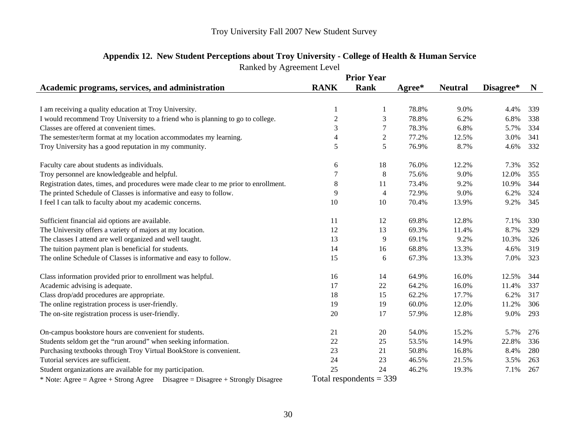|                                                                                      |                | <b>Prior Year</b>         |        |                |           |     |
|--------------------------------------------------------------------------------------|----------------|---------------------------|--------|----------------|-----------|-----|
| Academic programs, services, and administration                                      | <b>RANK</b>    | <b>Rank</b>               | Agree* | <b>Neutral</b> | Disagree* | N   |
|                                                                                      |                |                           |        |                |           |     |
| I am receiving a quality education at Troy University.                               |                | 1                         | 78.8%  | 9.0%           | 4.4%      | 339 |
| I would recommend Troy University to a friend who is planning to go to college.      | $\overline{c}$ | 3                         | 78.8%  | 6.2%           | 6.8%      | 338 |
| Classes are offered at convenient times.                                             | 3              | $\tau$                    | 78.3%  | 6.8%           | 5.7%      | 334 |
| The semester/term format at my location accommodates my learning.                    | $\overline{4}$ | $\overline{2}$            | 77.2%  | 12.5%          | 3.0%      | 341 |
| Troy University has a good reputation in my community.                               | 5              | 5                         | 76.9%  | 8.7%           | 4.6%      | 332 |
| Faculty care about students as individuals.                                          | 6              | 18                        | 76.0%  | 12.2%          | 7.3%      | 352 |
| Troy personnel are knowledgeable and helpful.                                        | 7              | 8                         | 75.6%  | 9.0%           | 12.0%     | 355 |
| Registration dates, times, and procedures were made clear to me prior to enrollment. | 8              | 11                        | 73.4%  | 9.2%           | 10.9%     | 344 |
| The printed Schedule of Classes is informative and easy to follow.                   | 9              | $\overline{4}$            | 72.9%  | 9.0%           | 6.2%      | 324 |
| I feel I can talk to faculty about my academic concerns.                             | 10             | 10                        | 70.4%  | 13.9%          | 9.2%      | 345 |
| Sufficient financial aid options are available.                                      | 11             | 12                        | 69.8%  | 12.8%          | 7.1%      | 330 |
| The University offers a variety of majors at my location.                            | 12             | 13                        | 69.3%  | 11.4%          | 8.7%      | 329 |
| The classes I attend are well organized and well taught.                             | 13             | 9                         | 69.1%  | 9.2%           | 10.3%     | 326 |
| The tuition payment plan is beneficial for students.                                 | 14             | 16                        | 68.8%  | 13.3%          | 4.6%      | 319 |
| The online Schedule of Classes is informative and easy to follow.                    | 15             | 6                         | 67.3%  | 13.3%          | 7.0%      | 323 |
| Class information provided prior to enrollment was helpful.                          | 16             | 14                        | 64.9%  | 16.0%          | 12.5%     | 344 |
| Academic advising is adequate.                                                       | 17             | 22                        | 64.2%  | 16.0%          | 11.4%     | 337 |
| Class drop/add procedures are appropriate.                                           | 18             | 15                        | 62.2%  | 17.7%          | 6.2%      | 317 |
| The online registration process is user-friendly.                                    | 19             | 19                        | 60.0%  | 12.0%          | 11.2%     | 306 |
| The on-site registration process is user-friendly.                                   | 20             | 17                        | 57.9%  | 12.8%          | 9.0%      | 293 |
| On-campus bookstore hours are convenient for students.                               | 21             | 20                        | 54.0%  | 15.2%          | 5.7%      | 276 |
| Students seldom get the "run around" when seeking information.                       | 22             | 25                        | 53.5%  | 14.9%          | 22.8%     | 336 |
| Purchasing textbooks through Troy Virtual BookStore is convenient.                   | 23             | 21                        | 50.8%  | 16.8%          | 8.4%      | 280 |
| Tutorial services are sufficient.                                                    | 24             | 23                        | 46.5%  | 21.5%          | 3.5%      | 263 |
| Student organizations are available for my participation.                            | 25             | 24                        | 46.2%  | 19.3%          | 7.1%      | 267 |
| * Note: Agree = Agree + Strong Agree Disagree = Disagree + Strongly Disagree         |                | Total respondents $=$ 339 |        |                |           |     |

# **Appendix 12. New Student Perceptions about Troy University - College of Health & Human Service**  Ranked by Agreement Level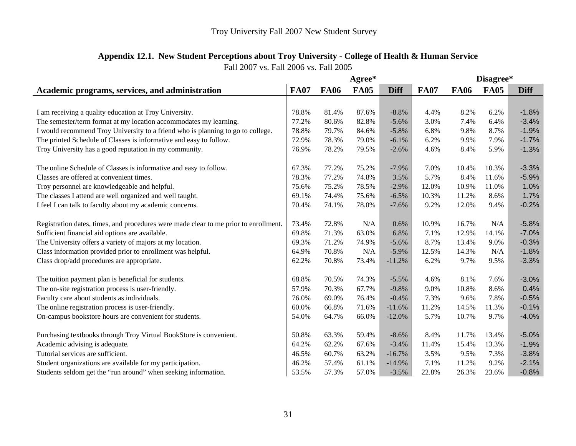|                                                                                      | Agree*      |             |             |             |             | Disagree*   |             |             |  |  |
|--------------------------------------------------------------------------------------|-------------|-------------|-------------|-------------|-------------|-------------|-------------|-------------|--|--|
| Academic programs, services, and administration                                      | <b>FA07</b> | <b>FA06</b> | <b>FA05</b> | <b>Diff</b> | <b>FA07</b> | <b>FA06</b> | <b>FA05</b> | <b>Diff</b> |  |  |
|                                                                                      |             |             |             |             |             |             |             |             |  |  |
| I am receiving a quality education at Troy University.                               | 78.8%       | 81.4%       | 87.6%       | $-8.8%$     | 4.4%        | 8.2%        | 6.2%        | $-1.8%$     |  |  |
| The semester/term format at my location accommodates my learning.                    | 77.2%       | 80.6%       | 82.8%       | $-5.6%$     | 3.0%        | 7.4%        | 6.4%        | $-3.4%$     |  |  |
| I would recommend Troy University to a friend who is planning to go to college.      | 78.8%       | 79.7%       | 84.6%       | $-5.8%$     | 6.8%        | 9.8%        | 8.7%        | $-1.9%$     |  |  |
| The printed Schedule of Classes is informative and easy to follow.                   | 72.9%       | 78.3%       | 79.0%       | $-6.1%$     | 6.2%        | 9.9%        | 7.9%        | $-1.7%$     |  |  |
| Troy University has a good reputation in my community.                               | 76.9%       | 78.2%       | 79.5%       | $-2.6%$     | 4.6%        | 8.4%        | 5.9%        | $-1.3%$     |  |  |
| The online Schedule of Classes is informative and easy to follow.                    | 67.3%       | 77.2%       | 75.2%       | $-7.9%$     | 7.0%        | 10.4%       | 10.3%       | $-3.3%$     |  |  |
| Classes are offered at convenient times.                                             | 78.3%       | 77.2%       | 74.8%       | 3.5%        | 5.7%        | 8.4%        | 11.6%       | $-5.9%$     |  |  |
| Troy personnel are knowledgeable and helpful.                                        | 75.6%       | 75.2%       | 78.5%       | $-2.9%$     | 12.0%       | 10.9%       | 11.0%       | 1.0%        |  |  |
| The classes I attend are well organized and well taught.                             | 69.1%       | 74.4%       | 75.6%       | $-6.5%$     | 10.3%       | 11.2%       | 8.6%        | 1.7%        |  |  |
| I feel I can talk to faculty about my academic concerns.                             | 70.4%       | 74.1%       | 78.0%       | $-7.6%$     | 9.2%        | 12.0%       | 9.4%        | $-0.2%$     |  |  |
| Registration dates, times, and procedures were made clear to me prior to enrollment. | 73.4%       | 72.8%       | N/A         | 0.6%        | 10.9%       | 16.7%       | N/A         | $-5.8%$     |  |  |
| Sufficient financial aid options are available.                                      | 69.8%       | 71.3%       | 63.0%       | 6.8%        | 7.1%        | 12.9%       | 14.1%       | $-7.0%$     |  |  |
| The University offers a variety of majors at my location.                            | 69.3%       | 71.2%       | 74.9%       | $-5.6%$     | 8.7%        | 13.4%       | 9.0%        | $-0.3%$     |  |  |
| Class information provided prior to enrollment was helpful.                          | 64.9%       | 70.8%       | N/A         | $-5.9%$     | 12.5%       | 14.3%       | N/A         | $-1.8%$     |  |  |
| Class drop/add procedures are appropriate.                                           | 62.2%       | 70.8%       | 73.4%       | $-11.2%$    | 6.2%        | 9.7%        | 9.5%        | $-3.3%$     |  |  |
| The tuition payment plan is beneficial for students.                                 | 68.8%       | 70.5%       | 74.3%       | $-5.5%$     | 4.6%        | 8.1%        | 7.6%        | $-3.0%$     |  |  |
| The on-site registration process is user-friendly.                                   | 57.9%       | 70.3%       | 67.7%       | $-9.8%$     | 9.0%        | 10.8%       | 8.6%        | 0.4%        |  |  |
| Faculty care about students as individuals.                                          | 76.0%       | 69.0%       | 76.4%       | $-0.4%$     | 7.3%        | 9.6%        | 7.8%        | $-0.5%$     |  |  |
| The online registration process is user-friendly.                                    | 60.0%       | 66.8%       | 71.6%       | $-11.6%$    | 11.2%       | 14.5%       | 11.3%       | $-0.1%$     |  |  |
| On-campus bookstore hours are convenient for students.                               | 54.0%       | 64.7%       | 66.0%       | $-12.0%$    | 5.7%        | 10.7%       | 9.7%        | $-4.0%$     |  |  |
| Purchasing textbooks through Troy Virtual BookStore is convenient.                   | 50.8%       | 63.3%       | 59.4%       | $-8.6%$     | 8.4%        | 11.7%       | 13.4%       | $-5.0%$     |  |  |
| Academic advising is adequate.                                                       | 64.2%       | 62.2%       | 67.6%       | $-3.4%$     | 11.4%       | 15.4%       | 13.3%       | $-1.9%$     |  |  |
| Tutorial services are sufficient.                                                    | 46.5%       | 60.7%       | 63.2%       | $-16.7%$    | 3.5%        | 9.5%        | 7.3%        | $-3.8%$     |  |  |
| Student organizations are available for my participation.                            | 46.2%       | 57.4%       | 61.1%       | $-14.9%$    | 7.1%        | 11.2%       | 9.2%        | $-2.1%$     |  |  |
| Students seldom get the "run around" when seeking information.                       | 53.5%       | 57.3%       | 57.0%       | $-3.5%$     | 22.8%       | 26.3%       | 23.6%       | $-0.8%$     |  |  |

# **Appendix 12.1. New Student Perceptions about Troy University - College of Health & Human Service**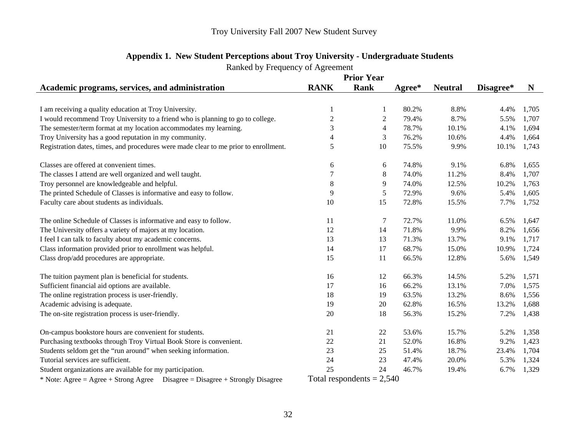|                                                                                      |                                                              | <b>Prior Year</b>           |        |                |           |       |  |  |
|--------------------------------------------------------------------------------------|--------------------------------------------------------------|-----------------------------|--------|----------------|-----------|-------|--|--|
| Academic programs, services, and administration                                      | <b>RANK</b>                                                  | Rank                        | Agree* | <b>Neutral</b> | Disagree* | N     |  |  |
|                                                                                      |                                                              |                             |        |                |           |       |  |  |
| I am receiving a quality education at Troy University.                               | 1                                                            | 1                           | 80.2%  | 8.8%           | 4.4%      | 1,705 |  |  |
| I would recommend Troy University to a friend who is planning to go to college.      | $\mathfrak{2}% =\mathfrak{2}\left( \mathfrak{2}\right) ^{2}$ | $\overline{c}$              | 79.4%  | 8.7%           | 5.5%      | 1,707 |  |  |
| The semester/term format at my location accommodates my learning.                    | 3                                                            | 4                           | 78.7%  | 10.1%          | 4.1%      | 1,694 |  |  |
| Troy University has a good reputation in my community.                               | 4                                                            | 3                           | 76.2%  | 10.6%          | 4.4%      | 1,664 |  |  |
| Registration dates, times, and procedures were made clear to me prior to enrollment. | 5                                                            | 10                          | 75.5%  | 9.9%           | 10.1%     | 1,743 |  |  |
| Classes are offered at convenient times.                                             | 6                                                            | 6                           | 74.8%  | 9.1%           | 6.8%      | 1,655 |  |  |
| The classes I attend are well organized and well taught.                             | 7                                                            | 8                           | 74.0%  | 11.2%          | 8.4%      | 1,707 |  |  |
| Troy personnel are knowledgeable and helpful.                                        | 8                                                            | 9                           | 74.0%  | 12.5%          | 10.2%     | 1,763 |  |  |
| The printed Schedule of Classes is informative and easy to follow.                   | 9                                                            | 5                           | 72.9%  | 9.6%           | 5.4%      | 1,605 |  |  |
| Faculty care about students as individuals.                                          | 10                                                           | 15                          | 72.8%  | 15.5%          | 7.7%      | 1,752 |  |  |
| The online Schedule of Classes is informative and easy to follow.                    | 11                                                           | 7                           | 72.7%  | 11.0%          | 6.5%      | 1,647 |  |  |
| The University offers a variety of majors at my location.                            | 12                                                           | 14                          | 71.8%  | 9.9%           | 8.2%      | 1,656 |  |  |
| I feel I can talk to faculty about my academic concerns.                             | 13                                                           | 13                          | 71.3%  | 13.7%          | 9.1%      | 1,717 |  |  |
| Class information provided prior to enrollment was helpful.                          | 14                                                           | 17                          | 68.7%  | 15.0%          | 10.9%     | 1,724 |  |  |
| Class drop/add procedures are appropriate.                                           | 15                                                           | 11                          | 66.5%  | 12.8%          | 5.6%      | 1,549 |  |  |
| The tuition payment plan is beneficial for students.                                 | 16                                                           | 12                          | 66.3%  | 14.5%          | 5.2%      | 1,571 |  |  |
| Sufficient financial aid options are available.                                      | 17                                                           | 16                          | 66.2%  | 13.1%          | 7.0%      | 1,575 |  |  |
| The online registration process is user-friendly.                                    | 18                                                           | 19                          | 63.5%  | 13.2%          | 8.6%      | 1,556 |  |  |
| Academic advising is adequate.                                                       | 19                                                           | 20                          | 62.8%  | 16.5%          | 13.2%     | 1,688 |  |  |
| The on-site registration process is user-friendly.                                   | 20                                                           | 18                          | 56.3%  | 15.2%          | 7.2%      | 1,438 |  |  |
| On-campus bookstore hours are convenient for students.                               | 21                                                           | 22                          | 53.6%  | 15.7%          | 5.2%      | 1,358 |  |  |
| Purchasing textbooks through Troy Virtual Book Store is convenient.                  | 22                                                           | 21                          | 52.0%  | 16.8%          | 9.2%      | 1,423 |  |  |
| Students seldom get the "run around" when seeking information.                       | 23                                                           | 25                          | 51.4%  | 18.7%          | 23.4%     | 1,704 |  |  |
| Tutorial services are sufficient.                                                    | 24                                                           | 23                          | 47.4%  | 20.0%          | 5.3%      | 1,324 |  |  |
| Student organizations are available for my participation.                            | 25                                                           | 24                          | 46.7%  | 19.4%          | 6.7%      | 1,329 |  |  |
| * Note: Agree = Agree + Strong Agree Disagree = Disagree + Strongly Disagree         |                                                              | Total respondents $= 2,540$ |        |                |           |       |  |  |

# **Appendix 1. New Student Perceptions about Troy University - Undergraduate Students**

Ranked by Frequency of Agreement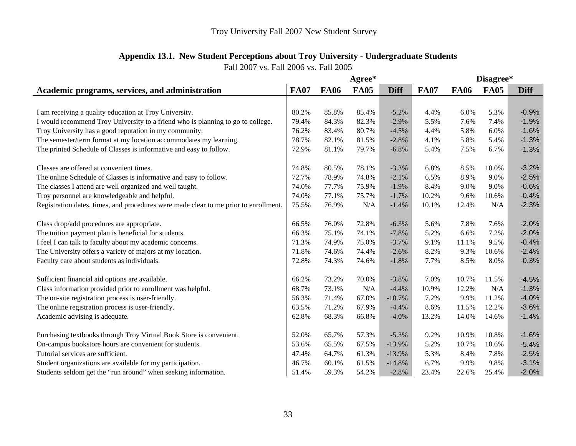# **Appendix 13.1. New Student Perceptions about Troy University - Undergraduate Students**

|                                                                                      |             |             | Agree*      |             |             |             | Disagree*   |             |
|--------------------------------------------------------------------------------------|-------------|-------------|-------------|-------------|-------------|-------------|-------------|-------------|
| Academic programs, services, and administration                                      | <b>FA07</b> | <b>FA06</b> | <b>FA05</b> | <b>Diff</b> | <b>FA07</b> | <b>FA06</b> | <b>FA05</b> | <b>Diff</b> |
|                                                                                      |             |             |             |             |             |             |             |             |
| I am receiving a quality education at Troy University.                               | 80.2%       | 85.8%       | 85.4%       | $-5.2%$     | 4.4%        | 6.0%        | 5.3%        | $-0.9%$     |
| I would recommend Troy University to a friend who is planning to go to college.      | 79.4%       | 84.3%       | 82.3%       | $-2.9%$     | 5.5%        | 7.6%        | 7.4%        | $-1.9%$     |
| Troy University has a good reputation in my community.                               | 76.2%       | 83.4%       | 80.7%       | $-4.5%$     | 4.4%        | 5.8%        | 6.0%        | $-1.6%$     |
| The semester/term format at my location accommodates my learning.                    | 78.7%       | 82.1%       | 81.5%       | $-2.8%$     | 4.1%        | 5.8%        | 5.4%        | $-1.3%$     |
| The printed Schedule of Classes is informative and easy to follow.                   | 72.9%       | 81.1%       | 79.7%       | $-6.8%$     | 5.4%        | 7.5%        | 6.7%        | $-1.3%$     |
| Classes are offered at convenient times.                                             | 74.8%       | 80.5%       | 78.1%       | $-3.3%$     | 6.8%        | 8.5%        | 10.0%       | $-3.2%$     |
| The online Schedule of Classes is informative and easy to follow.                    | 72.7%       | 78.9%       | 74.8%       | $-2.1%$     | 6.5%        | 8.9%        | 9.0%        | $-2.5%$     |
| The classes I attend are well organized and well taught.                             | 74.0%       | 77.7%       | 75.9%       | $-1.9%$     | 8.4%        | 9.0%        | 9.0%        | $-0.6%$     |
| Troy personnel are knowledgeable and helpful.                                        | 74.0%       | 77.1%       | 75.7%       | $-1.7%$     | 10.2%       | 9.6%        | 10.6%       | $-0.4%$     |
| Registration dates, times, and procedures were made clear to me prior to enrollment. | 75.5%       | 76.9%       | N/A         | $-1.4%$     | 10.1%       | 12.4%       | N/A         | $-2.3%$     |
| Class drop/add procedures are appropriate.                                           | 66.5%       | 76.0%       | 72.8%       | $-6.3%$     | 5.6%        | 7.8%        | 7.6%        | $-2.0%$     |
| The tuition payment plan is beneficial for students.                                 | 66.3%       | 75.1%       | 74.1%       | $-7.8%$     | 5.2%        | 6.6%        | 7.2%        | $-2.0%$     |
| I feel I can talk to faculty about my academic concerns.                             | 71.3%       | 74.9%       | 75.0%       | $-3.7%$     | 9.1%        | 11.1%       | 9.5%        | $-0.4%$     |
| The University offers a variety of majors at my location.                            | 71.8%       | 74.6%       | 74.4%       | $-2.6%$     | 8.2%        | 9.3%        | 10.6%       | $-2.4%$     |
| Faculty care about students as individuals.                                          | 72.8%       | 74.3%       | 74.6%       | $-1.8%$     | 7.7%        | 8.5%        | 8.0%        | $-0.3%$     |
| Sufficient financial aid options are available.                                      | 66.2%       | 73.2%       | 70.0%       | $-3.8%$     | 7.0%        | 10.7%       | 11.5%       | $-4.5%$     |
| Class information provided prior to enrollment was helpful.                          | 68.7%       | 73.1%       | N/A         | $-4.4%$     | 10.9%       | 12.2%       | N/A         | $-1.3%$     |
| The on-site registration process is user-friendly.                                   | 56.3%       | 71.4%       | 67.0%       | $-10.7%$    | 7.2%        | 9.9%        | 11.2%       | $-4.0%$     |
| The online registration process is user-friendly.                                    | 63.5%       | 71.2%       | 67.9%       | $-4.4%$     | 8.6%        | 11.5%       | 12.2%       | $-3.6%$     |
| Academic advising is adequate.                                                       | 62.8%       | 68.3%       | 66.8%       | $-4.0%$     | 13.2%       | 14.0%       | 14.6%       | $-1.4%$     |
| Purchasing textbooks through Troy Virtual Book Store is convenient.                  | 52.0%       | 65.7%       | 57.3%       | $-5.3%$     | 9.2%        | 10.9%       | 10.8%       | $-1.6%$     |
| On-campus bookstore hours are convenient for students.                               | 53.6%       | 65.5%       | 67.5%       | $-13.9%$    | 5.2%        | 10.7%       | 10.6%       | $-5.4%$     |
| Tutorial services are sufficient.                                                    | 47.4%       | 64.7%       | 61.3%       | $-13.9%$    | 5.3%        | 8.4%        | 7.8%        | $-2.5%$     |
| Student organizations are available for my participation.                            | 46.7%       | 60.1%       | 61.5%       | $-14.8%$    | 6.7%        | 9.9%        | 9.8%        | $-3.1%$     |
| Students seldom get the "run around" when seeking information.                       | 51.4%       | 59.3%       | 54.2%       | $-2.8%$     | 23.4%       | 22.6%       | 25.4%       | $-2.0%$     |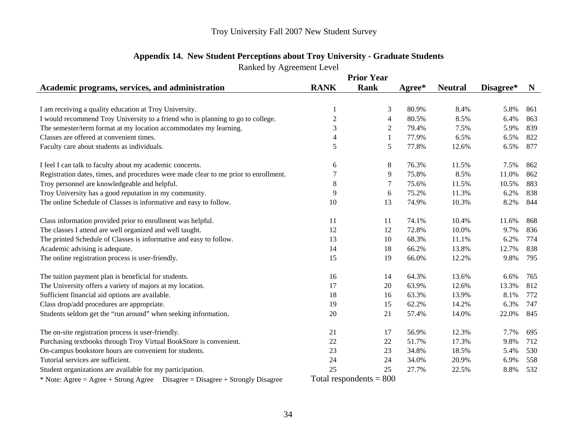|                                                                                                                                                                                                                                                                                                                                                                                                                                                                                                                                                                                                                                                                                                                                                                                                                                                                                                                                                                                                                                                                                                                                                                                                                                                                                                                                                                                                                                                                                                                                                                          | <b>Prior Year</b>                    |                           |       |       |       |     |  |
|--------------------------------------------------------------------------------------------------------------------------------------------------------------------------------------------------------------------------------------------------------------------------------------------------------------------------------------------------------------------------------------------------------------------------------------------------------------------------------------------------------------------------------------------------------------------------------------------------------------------------------------------------------------------------------------------------------------------------------------------------------------------------------------------------------------------------------------------------------------------------------------------------------------------------------------------------------------------------------------------------------------------------------------------------------------------------------------------------------------------------------------------------------------------------------------------------------------------------------------------------------------------------------------------------------------------------------------------------------------------------------------------------------------------------------------------------------------------------------------------------------------------------------------------------------------------------|--------------------------------------|---------------------------|-------|-------|-------|-----|--|
| Academic programs, services, and administration<br>I am receiving a quality education at Troy University.<br>I would recommend Troy University to a friend who is planning to go to college.<br>The semester/term format at my location accommodates my learning.<br>Classes are offered at convenient times.<br>Faculty care about students as individuals.<br>I feel I can talk to faculty about my academic concerns.<br>Registration dates, times, and procedures were made clear to me prior to enrollment.<br>Troy personnel are knowledgeable and helpful.<br>Troy University has a good reputation in my community.<br>The online Schedule of Classes is informative and easy to follow.<br>Class information provided prior to enrollment was helpful.<br>The classes I attend are well organized and well taught.<br>The printed Schedule of Classes is informative and easy to follow.<br>Academic advising is adequate.<br>The online registration process is user-friendly.<br>The tuition payment plan is beneficial for students.<br>The University offers a variety of majors at my location.<br>Sufficient financial aid options are available.<br>Class drop/add procedures are appropriate.<br>Students seldom get the "run around" when seeking information.<br>The on-site registration process is user-friendly.<br>Purchasing textbooks through Troy Virtual BookStore is convenient.<br>On-campus bookstore hours are convenient for students.<br>Tutorial services are sufficient.<br>Student organizations are available for my participation. | <b>RANK</b><br><b>Rank</b><br>Agree* |                           |       |       |       |     |  |
|                                                                                                                                                                                                                                                                                                                                                                                                                                                                                                                                                                                                                                                                                                                                                                                                                                                                                                                                                                                                                                                                                                                                                                                                                                                                                                                                                                                                                                                                                                                                                                          |                                      |                           |       |       |       |     |  |
|                                                                                                                                                                                                                                                                                                                                                                                                                                                                                                                                                                                                                                                                                                                                                                                                                                                                                                                                                                                                                                                                                                                                                                                                                                                                                                                                                                                                                                                                                                                                                                          | 1                                    | 3                         | 80.9% | 8.4%  | 5.8%  | 861 |  |
|                                                                                                                                                                                                                                                                                                                                                                                                                                                                                                                                                                                                                                                                                                                                                                                                                                                                                                                                                                                                                                                                                                                                                                                                                                                                                                                                                                                                                                                                                                                                                                          | $\mathfrak 2$                        | 4                         | 80.5% | 8.5%  | 6.4%  | 863 |  |
|                                                                                                                                                                                                                                                                                                                                                                                                                                                                                                                                                                                                                                                                                                                                                                                                                                                                                                                                                                                                                                                                                                                                                                                                                                                                                                                                                                                                                                                                                                                                                                          | 3                                    | $\overline{c}$            | 79.4% | 7.5%  | 5.9%  | 839 |  |
|                                                                                                                                                                                                                                                                                                                                                                                                                                                                                                                                                                                                                                                                                                                                                                                                                                                                                                                                                                                                                                                                                                                                                                                                                                                                                                                                                                                                                                                                                                                                                                          | 4                                    | 1                         | 77.9% | 6.5%  | 6.5%  | 822 |  |
|                                                                                                                                                                                                                                                                                                                                                                                                                                                                                                                                                                                                                                                                                                                                                                                                                                                                                                                                                                                                                                                                                                                                                                                                                                                                                                                                                                                                                                                                                                                                                                          | 5                                    | 5                         | 77.8% | 12.6% | 6.5%  | 877 |  |
|                                                                                                                                                                                                                                                                                                                                                                                                                                                                                                                                                                                                                                                                                                                                                                                                                                                                                                                                                                                                                                                                                                                                                                                                                                                                                                                                                                                                                                                                                                                                                                          | 6                                    | 8                         | 76.3% | 11.5% | 7.5%  | 862 |  |
|                                                                                                                                                                                                                                                                                                                                                                                                                                                                                                                                                                                                                                                                                                                                                                                                                                                                                                                                                                                                                                                                                                                                                                                                                                                                                                                                                                                                                                                                                                                                                                          | 7                                    | 9                         | 75.8% | 8.5%  | 11.0% | 862 |  |
|                                                                                                                                                                                                                                                                                                                                                                                                                                                                                                                                                                                                                                                                                                                                                                                                                                                                                                                                                                                                                                                                                                                                                                                                                                                                                                                                                                                                                                                                                                                                                                          | 8                                    | 7                         | 75.6% | 11.5% | 10.5% | 883 |  |
|                                                                                                                                                                                                                                                                                                                                                                                                                                                                                                                                                                                                                                                                                                                                                                                                                                                                                                                                                                                                                                                                                                                                                                                                                                                                                                                                                                                                                                                                                                                                                                          | 9                                    | 6                         | 75.2% | 11.3% | 6.2%  | 838 |  |
|                                                                                                                                                                                                                                                                                                                                                                                                                                                                                                                                                                                                                                                                                                                                                                                                                                                                                                                                                                                                                                                                                                                                                                                                                                                                                                                                                                                                                                                                                                                                                                          | 10                                   | 13                        | 74.9% | 10.3% | 8.2%  | 844 |  |
|                                                                                                                                                                                                                                                                                                                                                                                                                                                                                                                                                                                                                                                                                                                                                                                                                                                                                                                                                                                                                                                                                                                                                                                                                                                                                                                                                                                                                                                                                                                                                                          | 11                                   | 11                        | 74.1% | 10.4% | 11.6% | 868 |  |
|                                                                                                                                                                                                                                                                                                                                                                                                                                                                                                                                                                                                                                                                                                                                                                                                                                                                                                                                                                                                                                                                                                                                                                                                                                                                                                                                                                                                                                                                                                                                                                          | 12                                   | 12                        | 72.8% | 10.0% | 9.7%  | 836 |  |
|                                                                                                                                                                                                                                                                                                                                                                                                                                                                                                                                                                                                                                                                                                                                                                                                                                                                                                                                                                                                                                                                                                                                                                                                                                                                                                                                                                                                                                                                                                                                                                          | 13                                   | 10                        | 68.3% | 11.1% | 6.2%  | 774 |  |
|                                                                                                                                                                                                                                                                                                                                                                                                                                                                                                                                                                                                                                                                                                                                                                                                                                                                                                                                                                                                                                                                                                                                                                                                                                                                                                                                                                                                                                                                                                                                                                          | 14                                   | 18                        | 66.2% | 13.8% | 12.7% | 838 |  |
|                                                                                                                                                                                                                                                                                                                                                                                                                                                                                                                                                                                                                                                                                                                                                                                                                                                                                                                                                                                                                                                                                                                                                                                                                                                                                                                                                                                                                                                                                                                                                                          | 15                                   | 19                        | 66.0% | 12.2% | 9.8%  | 795 |  |
|                                                                                                                                                                                                                                                                                                                                                                                                                                                                                                                                                                                                                                                                                                                                                                                                                                                                                                                                                                                                                                                                                                                                                                                                                                                                                                                                                                                                                                                                                                                                                                          | 16                                   | 14                        | 64.3% | 13.6% | 6.6%  | 765 |  |
|                                                                                                                                                                                                                                                                                                                                                                                                                                                                                                                                                                                                                                                                                                                                                                                                                                                                                                                                                                                                                                                                                                                                                                                                                                                                                                                                                                                                                                                                                                                                                                          | 17                                   | 20                        | 63.9% | 12.6% | 13.3% | 812 |  |
|                                                                                                                                                                                                                                                                                                                                                                                                                                                                                                                                                                                                                                                                                                                                                                                                                                                                                                                                                                                                                                                                                                                                                                                                                                                                                                                                                                                                                                                                                                                                                                          | 18                                   | 16                        | 63.3% | 13.9% | 8.1%  | 772 |  |
|                                                                                                                                                                                                                                                                                                                                                                                                                                                                                                                                                                                                                                                                                                                                                                                                                                                                                                                                                                                                                                                                                                                                                                                                                                                                                                                                                                                                                                                                                                                                                                          | 19                                   | 15                        | 62.2% | 14.2% | 6.3%  | 747 |  |
|                                                                                                                                                                                                                                                                                                                                                                                                                                                                                                                                                                                                                                                                                                                                                                                                                                                                                                                                                                                                                                                                                                                                                                                                                                                                                                                                                                                                                                                                                                                                                                          | 20                                   | 21                        | 57.4% | 14.0% | 22.0% | 845 |  |
|                                                                                                                                                                                                                                                                                                                                                                                                                                                                                                                                                                                                                                                                                                                                                                                                                                                                                                                                                                                                                                                                                                                                                                                                                                                                                                                                                                                                                                                                                                                                                                          | 21                                   | 17                        | 56.9% | 12.3% | 7.7%  | 695 |  |
|                                                                                                                                                                                                                                                                                                                                                                                                                                                                                                                                                                                                                                                                                                                                                                                                                                                                                                                                                                                                                                                                                                                                                                                                                                                                                                                                                                                                                                                                                                                                                                          | 22                                   | 22                        | 51.7% | 17.3% | 9.8%  | 712 |  |
|                                                                                                                                                                                                                                                                                                                                                                                                                                                                                                                                                                                                                                                                                                                                                                                                                                                                                                                                                                                                                                                                                                                                                                                                                                                                                                                                                                                                                                                                                                                                                                          | 23                                   | 23                        | 34.8% | 18.5% | 5.4%  | 530 |  |
|                                                                                                                                                                                                                                                                                                                                                                                                                                                                                                                                                                                                                                                                                                                                                                                                                                                                                                                                                                                                                                                                                                                                                                                                                                                                                                                                                                                                                                                                                                                                                                          | 24                                   | 24                        | 34.0% | 20.9% | 6.9%  | 558 |  |
|                                                                                                                                                                                                                                                                                                                                                                                                                                                                                                                                                                                                                                                                                                                                                                                                                                                                                                                                                                                                                                                                                                                                                                                                                                                                                                                                                                                                                                                                                                                                                                          | 25                                   | 25                        | 27.7% | 22.5% | 8.8%  | 532 |  |
| * Note: Agree = Agree + Strong Agree Disagree = Disagree + Strongly Disagree                                                                                                                                                                                                                                                                                                                                                                                                                                                                                                                                                                                                                                                                                                                                                                                                                                                                                                                                                                                                                                                                                                                                                                                                                                                                                                                                                                                                                                                                                             |                                      | Total respondents $= 800$ |       |       |       |     |  |

# **Appendix 14. New Student Perceptions about Troy University - Graduate Students**

Ranked by Agreement Level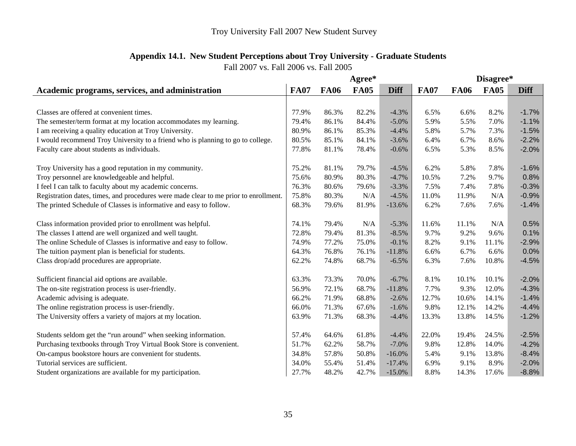# **Appendix 14.1. New Student Perceptions about Troy University - Graduate Students**

|                                                                                                                                                          |                         |                         | Agree*                  |                                  |                      |                       | Disagree*              |                               |
|----------------------------------------------------------------------------------------------------------------------------------------------------------|-------------------------|-------------------------|-------------------------|----------------------------------|----------------------|-----------------------|------------------------|-------------------------------|
| Academic programs, services, and administration                                                                                                          | <b>FA07</b>             | <b>FA06</b>             | <b>FA05</b>             | <b>Diff</b>                      | <b>FA07</b>          | <b>FA06</b>           | <b>FA05</b>            | <b>Diff</b>                   |
|                                                                                                                                                          |                         |                         |                         |                                  |                      |                       |                        |                               |
| Classes are offered at convenient times.                                                                                                                 | 77.9%                   | 86.3%                   | 82.2%                   | $-4.3%$                          | 6.5%                 | 6.6%                  | 8.2%                   | $-1.7%$                       |
| The semester/term format at my location accommodates my learning.                                                                                        | 79.4%                   | 86.1%                   | 84.4%                   | $-5.0%$                          | 5.9%                 | 5.5%                  | 7.0%                   | $-1.1%$                       |
| I am receiving a quality education at Troy University.                                                                                                   | 80.9%                   | 86.1%                   | 85.3%                   | $-4.4%$                          | 5.8%                 | 5.7%                  | 7.3%                   | $-1.5%$                       |
| I would recommend Troy University to a friend who is planning to go to college.                                                                          | 80.5%                   | 85.1%                   | 84.1%                   | $-3.6%$                          | 6.4%                 | 6.7%                  | 8.6%                   | $-2.2%$                       |
| Faculty care about students as individuals.                                                                                                              | 77.8%                   | 81.1%                   | 78.4%                   | $-0.6%$                          | 6.5%                 | 5.3%                  | 8.5%                   | $-2.0%$                       |
| Troy University has a good reputation in my community.                                                                                                   | 75.2%                   | 81.1%                   | 79.7%                   | $-4.5%$                          | 6.2%                 | 5.8%                  | 7.8%                   | $-1.6%$                       |
| Troy personnel are knowledgeable and helpful.                                                                                                            | 75.6%                   | 80.9%                   | 80.3%                   | $-4.7%$                          | 10.5%                | 7.2%                  | 9.7%                   | 0.8%                          |
| I feel I can talk to faculty about my academic concerns.                                                                                                 | 76.3%                   | 80.6%                   | 79.6%                   | $-3.3%$                          | 7.5%                 | 7.4%                  | 7.8%                   | $-0.3%$                       |
| Registration dates, times, and procedures were made clear to me prior to enrollment.                                                                     | 75.8%                   | 80.3%                   | N/A                     | $-4.5%$                          | 11.0%                | 11.9%                 | N/A                    | $-0.9%$                       |
| The printed Schedule of Classes is informative and easy to follow.                                                                                       | 68.3%                   | 79.6%                   | 81.9%                   | $-13.6%$                         | 6.2%                 | 7.6%                  | 7.6%                   | $-1.4%$                       |
| Class information provided prior to enrollment was helpful.                                                                                              | 74.1%                   | 79.4%                   | N/A                     | $-5.3%$                          | 11.6%                | 11.1%                 | N/A                    | 0.5%                          |
| The classes I attend are well organized and well taught.                                                                                                 | 72.8%                   | 79.4%                   | 81.3%                   | $-8.5%$                          | 9.7%                 | 9.2%                  | 9.6%                   | 0.1%                          |
| The online Schedule of Classes is informative and easy to follow.                                                                                        | 74.9%                   | 77.2%                   | 75.0%                   | $-0.1%$                          | 8.2%                 | 9.1%                  | 11.1%                  | $-2.9%$                       |
| The tuition payment plan is beneficial for students.                                                                                                     | 64.3%                   | 76.8%                   | 76.1%                   | $-11.8%$                         | 6.6%                 | 6.7%                  | 6.6%                   | 0.0%                          |
| Class drop/add procedures are appropriate.                                                                                                               | 62.2%                   | 74.8%                   | 68.7%                   | $-6.5%$                          | 6.3%                 | 7.6%                  | 10.8%                  | $-4.5%$                       |
| Sufficient financial aid options are available.                                                                                                          | 63.3%                   | 73.3%                   | 70.0%                   | $-6.7%$                          | 8.1%                 | 10.1%                 | 10.1%                  | $-2.0%$                       |
| The on-site registration process is user-friendly.                                                                                                       | 56.9%                   | 72.1%                   | 68.7%                   | $-11.8%$                         | 7.7%                 | 9.3%                  | 12.0%                  | $-4.3%$                       |
| Academic advising is adequate.                                                                                                                           | 66.2%                   | 71.9%                   | 68.8%                   | $-2.6%$                          | 12.7%                | 10.6%                 | 14.1%                  | $-1.4%$                       |
| The online registration process is user-friendly.                                                                                                        | 66.0%                   | 71.3%                   | 67.6%                   | $-1.6%$                          | 9.8%                 | 12.1%                 | 14.2%                  | $-4.4%$                       |
| The University offers a variety of majors at my location.                                                                                                | 63.9%                   | 71.3%                   | 68.3%                   | $-4.4%$                          | 13.3%                | 13.8%                 | 14.5%                  | $-1.2%$                       |
| Students seldom get the "run around" when seeking information.                                                                                           | 57.4%                   | 64.6%                   | 61.8%                   | $-4.4%$                          | 22.0%                | 19.4%                 | 24.5%                  | $-2.5%$                       |
|                                                                                                                                                          | 51.7%                   | 62.2%                   | 58.7%                   | $-7.0%$                          | 9.8%                 | 12.8%                 | 14.0%                  | $-4.2%$                       |
| Purchasing textbooks through Troy Virtual Book Store is convenient.                                                                                      |                         |                         |                         |                                  |                      |                       |                        |                               |
|                                                                                                                                                          |                         |                         |                         |                                  |                      |                       |                        |                               |
|                                                                                                                                                          |                         |                         |                         |                                  |                      |                       |                        |                               |
| On-campus bookstore hours are convenient for students.<br>Tutorial services are sufficient.<br>Student organizations are available for my participation. | 34.8%<br>34.0%<br>27.7% | 57.8%<br>55.4%<br>48.2% | 50.8%<br>51.4%<br>42.7% | $-16.0%$<br>$-17.4%$<br>$-15.0%$ | 5.4%<br>6.9%<br>8.8% | 9.1%<br>9.1%<br>14.3% | 13.8%<br>8.9%<br>17.6% | $-8.4%$<br>$-2.0%$<br>$-8.8%$ |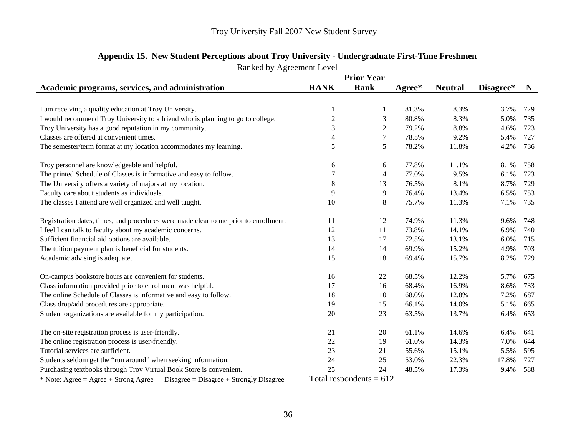|                                                                                      |                | <b>Prior Year</b>         |        |                |           |     |
|--------------------------------------------------------------------------------------|----------------|---------------------------|--------|----------------|-----------|-----|
| Academic programs, services, and administration                                      | <b>RANK</b>    | <b>Rank</b>               | Agree* | <b>Neutral</b> | Disagree* | N   |
|                                                                                      |                |                           |        |                |           |     |
| I am receiving a quality education at Troy University.                               | 1              |                           | 81.3%  | 8.3%           | 3.7%      | 729 |
| I would recommend Troy University to a friend who is planning to go to college.      | $\overline{2}$ | 3                         | 80.8%  | 8.3%           | 5.0%      | 735 |
| Troy University has a good reputation in my community.                               | 3              | $\mathbf{2}$              | 79.2%  | 8.8%           | 4.6%      | 723 |
| Classes are offered at convenient times.                                             | 4              | 7                         | 78.5%  | 9.2%           | 5.4%      | 727 |
| The semester/term format at my location accommodates my learning.                    | 5              | 5                         | 78.2%  | 11.8%          | 4.2%      | 736 |
| Troy personnel are knowledgeable and helpful.                                        | 6              | 6                         | 77.8%  | 11.1%          | 8.1%      | 758 |
| The printed Schedule of Classes is informative and easy to follow.                   | 7              | 4                         | 77.0%  | 9.5%           | 6.1%      | 723 |
| The University offers a variety of majors at my location.                            | $\,$ 8 $\,$    | 13                        | 76.5%  | 8.1%           | 8.7%      | 729 |
| Faculty care about students as individuals.                                          | 9              | 9                         | 76.4%  | 13.4%          | 6.5%      | 753 |
| The classes I attend are well organized and well taught.                             | 10             | $\,8\,$                   | 75.7%  | 11.3%          | 7.1%      | 735 |
| Registration dates, times, and procedures were made clear to me prior to enrollment. | 11             | 12                        | 74.9%  | 11.3%          | 9.6%      | 748 |
| I feel I can talk to faculty about my academic concerns.                             | 12             | 11                        | 73.8%  | 14.1%          | 6.9%      | 740 |
| Sufficient financial aid options are available.                                      | 13             | 17                        | 72.5%  | 13.1%          | 6.0%      | 715 |
| The tuition payment plan is beneficial for students.                                 | 14             | 14                        | 69.9%  | 15.2%          | 4.9%      | 703 |
| Academic advising is adequate.                                                       | 15             | 18                        | 69.4%  | 15.7%          | 8.2%      | 729 |
| On-campus bookstore hours are convenient for students.                               | 16             | 22                        | 68.5%  | 12.2%          | 5.7%      | 675 |
| Class information provided prior to enrollment was helpful.                          | 17             | 16                        | 68.4%  | 16.9%          | 8.6%      | 733 |
| The online Schedule of Classes is informative and easy to follow.                    | 18             | 10                        | 68.0%  | 12.8%          | 7.2%      | 687 |
| Class drop/add procedures are appropriate.                                           | 19             | 15                        | 66.1%  | 14.0%          | 5.1%      | 665 |
| Student organizations are available for my participation.                            | 20             | 23                        | 63.5%  | 13.7%          | 6.4%      | 653 |
| The on-site registration process is user-friendly.                                   | 21             | 20                        | 61.1%  | 14.6%          | 6.4%      | 641 |
| The online registration process is user-friendly.                                    | 22             | 19                        | 61.0%  | 14.3%          | 7.0%      | 644 |
| Tutorial services are sufficient.                                                    | 23             | 21                        | 55.6%  | 15.1%          | 5.5%      | 595 |
| Students seldom get the "run around" when seeking information.                       | 24             | 25                        | 53.0%  | 22.3%          | 17.8%     | 727 |
| Purchasing textbooks through Troy Virtual Book Store is convenient.                  | 25             | 24                        | 48.5%  | 17.3%          | 9.4%      | 588 |
| * Note: Agree = Agree + Strong Agree Disagree = Disagree + Strongly Disagree         |                | Total respondents $= 612$ |        |                |           |     |

# **Appendix 15. New Student Perceptions about Troy University - Undergraduate First-Time Freshmen**

Ranked by Agreement Level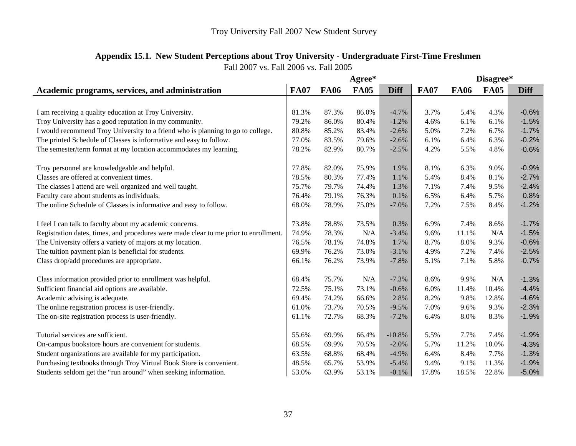# **Appendix 15.1. New Student Perceptions about Troy University - Undergraduate First-Time Freshmen**

Fall 2007 vs. Fall 2006 vs. Fall 2005

|                                                                                      | Agree*      |             |             |             | Disagree*   |             |             |             |
|--------------------------------------------------------------------------------------|-------------|-------------|-------------|-------------|-------------|-------------|-------------|-------------|
| Academic programs, services, and administration                                      | <b>FA07</b> | <b>FA06</b> | <b>FA05</b> | <b>Diff</b> | <b>FA07</b> | <b>FA06</b> | <b>FA05</b> | <b>Diff</b> |
|                                                                                      |             |             |             |             |             |             |             |             |
| I am receiving a quality education at Troy University.                               | 81.3%       | 87.3%       | 86.0%       | $-4.7%$     | 3.7%        | 5.4%        | 4.3%        | $-0.6%$     |
| Troy University has a good reputation in my community.                               | 79.2%       | 86.0%       | 80.4%       | $-1.2%$     | 4.6%        | 6.1%        | 6.1%        | $-1.5%$     |
| I would recommend Troy University to a friend who is planning to go to college.      | 80.8%       | 85.2%       | 83.4%       | $-2.6%$     | 5.0%        | 7.2%        | 6.7%        | $-1.7%$     |
| The printed Schedule of Classes is informative and easy to follow.                   | 77.0%       | 83.5%       | 79.6%       | $-2.6%$     | 6.1%        | 6.4%        | 6.3%        | $-0.2%$     |
| The semester/term format at my location accommodates my learning.                    | 78.2%       | 82.9%       | 80.7%       | $-2.5%$     | 4.2%        | 5.5%        | 4.8%        | $-0.6%$     |
| Troy personnel are knowledgeable and helpful.                                        | 77.8%       | 82.0%       | 75.9%       | 1.9%        | 8.1%        | 6.3%        | 9.0%        | $-0.9%$     |
| Classes are offered at convenient times.                                             | 78.5%       | 80.3%       | 77.4%       | 1.1%        | 5.4%        | 8.4%        | 8.1%        | $-2.7%$     |
| The classes I attend are well organized and well taught.                             | 75.7%       | 79.7%       | 74.4%       | 1.3%        | 7.1%        | 7.4%        | 9.5%        | $-2.4%$     |
| Faculty care about students as individuals.                                          | 76.4%       | 79.1%       | 76.3%       | 0.1%        | 6.5%        | 6.4%        | 5.7%        | 0.8%        |
| The online Schedule of Classes is informative and easy to follow.                    | 68.0%       | 78.9%       | 75.0%       | $-7.0%$     | 7.2%        | 7.5%        | 8.4%        | $-1.2%$     |
| I feel I can talk to faculty about my academic concerns.                             | 73.8%       | 78.8%       | 73.5%       | 0.3%        | 6.9%        | 7.4%        | 8.6%        | $-1.7%$     |
| Registration dates, times, and procedures were made clear to me prior to enrollment. | 74.9%       | 78.3%       | N/A         | $-3.4%$     | 9.6%        | 11.1%       | N/A         | $-1.5%$     |
| The University offers a variety of majors at my location.                            | 76.5%       | 78.1%       | 74.8%       | 1.7%        | 8.7%        | 8.0%        | 9.3%        | $-0.6%$     |
| The tuition payment plan is beneficial for students.                                 | 69.9%       | 76.2%       | 73.0%       | $-3.1%$     | 4.9%        | 7.2%        | 7.4%        | $-2.5%$     |
| Class drop/add procedures are appropriate.                                           | 66.1%       | 76.2%       | 73.9%       | $-7.8%$     | 5.1%        | 7.1%        | 5.8%        | $-0.7%$     |
| Class information provided prior to enrollment was helpful.                          | 68.4%       | 75.7%       | N/A         | $-7.3%$     | 8.6%        | 9.9%        | N/A         | $-1.3%$     |
| Sufficient financial aid options are available.                                      | 72.5%       | 75.1%       | 73.1%       | $-0.6%$     | 6.0%        | 11.4%       | 10.4%       | $-4.4%$     |
| Academic advising is adequate.                                                       | 69.4%       | 74.2%       | 66.6%       | 2.8%        | 8.2%        | 9.8%        | 12.8%       | $-4.6%$     |
| The online registration process is user-friendly.                                    | 61.0%       | 73.7%       | 70.5%       | $-9.5%$     | 7.0%        | 9.6%        | 9.3%        | $-2.3%$     |
| The on-site registration process is user-friendly.                                   | 61.1%       | 72.7%       | 68.3%       | $-7.2%$     | 6.4%        | 8.0%        | 8.3%        | $-1.9%$     |
| Tutorial services are sufficient.                                                    | 55.6%       | 69.9%       | 66.4%       | $-10.8%$    | 5.5%        | 7.7%        | 7.4%        | $-1.9%$     |
| On-campus bookstore hours are convenient for students.                               | 68.5%       | 69.9%       | 70.5%       | $-2.0%$     | 5.7%        | 11.2%       | 10.0%       | $-4.3%$     |
| Student organizations are available for my participation.                            | 63.5%       | 68.8%       | 68.4%       | $-4.9%$     | 6.4%        | 8.4%        | 7.7%        | $-1.3%$     |
| Purchasing textbooks through Troy Virtual Book Store is convenient.                  | 48.5%       | 65.7%       | 53.9%       | $-5.4%$     | 9.4%        | 9.1%        | 11.3%       | $-1.9%$     |
| Students seldom get the "run around" when seeking information.                       | 53.0%       | 63.9%       | 53.1%       | $-0.1%$     | 17.8%       | 18.5%       | 22.8%       | $-5.0%$     |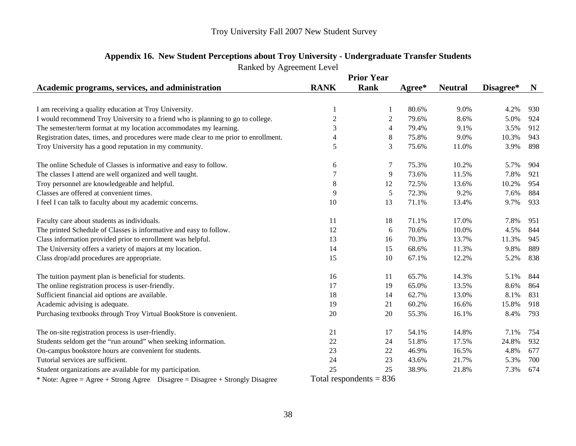| Kalikeu by Agreement Level                                                           |                |                           |        |                |           |             |
|--------------------------------------------------------------------------------------|----------------|---------------------------|--------|----------------|-----------|-------------|
|                                                                                      |                | <b>Prior Year</b>         |        |                |           |             |
| Academic programs, services, and administration                                      | <b>RANK</b>    | <b>Rank</b>               | Agree* | <b>Neutral</b> | Disagree* | $\mathbf N$ |
|                                                                                      |                |                           |        |                |           |             |
| I am receiving a quality education at Troy University.                               |                | 1                         | 80.6%  | 9.0%           | 4.2%      | 930         |
| I would recommend Troy University to a friend who is planning to go to college.      | $\overline{c}$ | 2                         | 79.6%  | 8.6%           | 5.0%      | 924         |
| The semester/term format at my location accommodates my learning.                    | 3              | 4                         | 79.4%  | 9.1%           | 3.5%      | 912         |
| Registration dates, times, and procedures were made clear to me prior to enrollment. | $\overline{4}$ | 8                         | 75.8%  | 9.0%           | 10.3%     | 943         |
| Troy University has a good reputation in my community.                               | 5              | 3                         | 75.6%  | 11.0%          | 3.9%      | 898         |
| The online Schedule of Classes is informative and easy to follow.                    | 6              | 7                         | 75.3%  | 10.2%          | 5.7%      | 904         |
| The classes I attend are well organized and well taught.                             | $\overline{7}$ | 9                         | 73.6%  | 11.5%          | 7.8%      | 921         |
| Troy personnel are knowledgeable and helpful.                                        | $\,$ 8 $\,$    | 12                        | 72.5%  | 13.6%          | 10.2%     | 954         |
| Classes are offered at convenient times.                                             | 9              | 5                         | 72.3%  | 9.2%           | 7.6%      | 884         |
| I feel I can talk to faculty about my academic concerns.                             | 10             | 13                        | 71.1%  | 13.4%          | 9.7%      | 933         |
| Faculty care about students as individuals.                                          | 11             | 18                        | 71.1%  | 17.0%          | 7.8%      | 951         |
| The printed Schedule of Classes is informative and easy to follow.                   | 12             | 6                         | 70.6%  | 10.0%          | 4.5%      | 844         |
| Class information provided prior to enrollment was helpful.                          | 13             | 16                        | 70.3%  | 13.7%          | 11.3%     | 945         |
| The University offers a variety of majors at my location.                            | 14             | 15                        | 68.6%  | 11.3%          | 9.8%      | 889         |
| Class drop/add procedures are appropriate.                                           | 15             | 10                        | 67.1%  | 12.2%          | 5.2%      | 838         |
| The tuition payment plan is beneficial for students.                                 | 16             | 11                        | 65.7%  | 14.3%          | 5.1%      | 844         |
| The online registration process is user-friendly.                                    | 17             | 19                        | 65.0%  | 13.5%          | 8.6%      | 864         |
| Sufficient financial aid options are available.                                      | 18             | 14                        | 62.7%  | 13.0%          | 8.1%      | 831         |
| Academic advising is adequate.                                                       | 19             | 21                        | 60.2%  | 16.6%          | 15.8%     | 918         |
| Purchasing textbooks through Troy Virtual BookStore is convenient.                   | 20             | 20                        | 55.3%  | 16.1%          | 8.4%      | 793         |
| The on-site registration process is user-friendly.                                   | 21             | 17                        | 54.1%  | 14.8%          | 7.1%      | 754         |
| Students seldom get the "run around" when seeking information.                       | 22             | 24                        | 51.8%  | 17.5%          | 24.8%     | 932         |
| On-campus bookstore hours are convenient for students.                               | 23             | 22                        | 46.9%  | 16.5%          | 4.8%      | 677         |
| Tutorial services are sufficient.                                                    | 24             | 23                        | 43.6%  | 21.7%          | 5.3%      | 700         |
| Student organizations are available for my participation.                            | 25             | 25                        | 38.9%  | 21.8%          | 7.3%      | 674         |
| * Note: Agree = Agree + Strong Agree Disagree = Disagree + Strongly Disagree         |                | Total respondents $= 836$ |        |                |           |             |

# **Appendix 16. New Student Perceptions about Troy University - Undergraduate Transfer Students**

Ranked by Agreement Level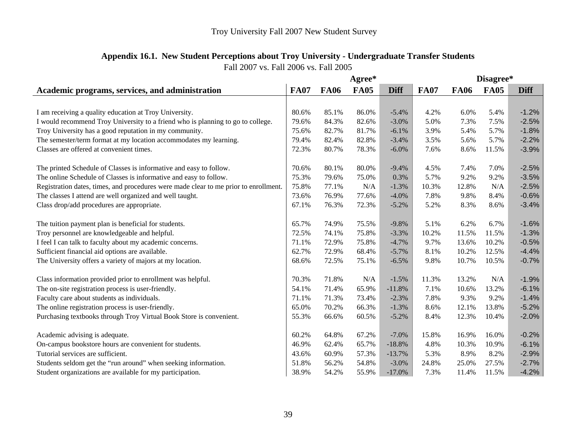# **Appendix 16.1. New Student Perceptions about Troy University - Undergraduate Transfer Students**

Fall 2007 vs. Fall 2006 vs. Fall 2005

|                                                                                      | Agree*      |             |             |             | Disagree*   |             |             |             |
|--------------------------------------------------------------------------------------|-------------|-------------|-------------|-------------|-------------|-------------|-------------|-------------|
| Academic programs, services, and administration                                      | <b>FA07</b> | <b>FA06</b> | <b>FA05</b> | <b>Diff</b> | <b>FA07</b> | <b>FA06</b> | <b>FA05</b> | <b>Diff</b> |
|                                                                                      |             |             |             |             |             |             |             |             |
| I am receiving a quality education at Troy University.                               | 80.6%       | 85.1%       | 86.0%       | $-5.4%$     | 4.2%        | 6.0%        | 5.4%        | $-1.2%$     |
| I would recommend Troy University to a friend who is planning to go to college.      | 79.6%       | 84.3%       | 82.6%       | $-3.0%$     | 5.0%        | 7.3%        | 7.5%        | $-2.5%$     |
| Troy University has a good reputation in my community.                               | 75.6%       | 82.7%       | 81.7%       | $-6.1%$     | 3.9%        | 5.4%        | 5.7%        | $-1.8%$     |
| The semester/term format at my location accommodates my learning.                    | 79.4%       | 82.4%       | 82.8%       | $-3.4%$     | 3.5%        | 5.6%        | 5.7%        | $-2.2%$     |
| Classes are offered at convenient times.                                             | 72.3%       | 80.7%       | 78.3%       | $-6.0%$     | 7.6%        | 8.6%        | 11.5%       | $-3.9%$     |
| The printed Schedule of Classes is informative and easy to follow.                   | 70.6%       | 80.1%       | 80.0%       | $-9.4%$     | 4.5%        | 7.4%        | 7.0%        | $-2.5%$     |
| The online Schedule of Classes is informative and easy to follow.                    | 75.3%       | 79.6%       | 75.0%       | 0.3%        | 5.7%        | 9.2%        | 9.2%        | $-3.5%$     |
| Registration dates, times, and procedures were made clear to me prior to enrollment. | 75.8%       | 77.1%       | N/A         | $-1.3%$     | 10.3%       | 12.8%       | N/A         | $-2.5%$     |
| The classes I attend are well organized and well taught.                             | 73.6%       | 76.9%       | 77.6%       | $-4.0%$     | 7.8%        | 9.8%        | 8.4%        | $-0.6%$     |
| Class drop/add procedures are appropriate.                                           | 67.1%       | 76.3%       | 72.3%       | $-5.2%$     | 5.2%        | 8.3%        | 8.6%        | $-3.4%$     |
| The tuition payment plan is beneficial for students.                                 | 65.7%       | 74.9%       | 75.5%       | $-9.8%$     | 5.1%        | 6.2%        | 6.7%        | $-1.6%$     |
| Troy personnel are knowledgeable and helpful.                                        | 72.5%       | 74.1%       | 75.8%       | $-3.3%$     | 10.2%       | 11.5%       | 11.5%       | $-1.3%$     |
| I feel I can talk to faculty about my academic concerns.                             | 71.1%       | 72.9%       | 75.8%       | $-4.7%$     | 9.7%        | 13.6%       | 10.2%       | $-0.5%$     |
| Sufficient financial aid options are available.                                      | 62.7%       | 72.9%       | 68.4%       | $-5.7%$     | 8.1%        | 10.2%       | 12.5%       | $-4.4%$     |
| The University offers a variety of majors at my location.                            | 68.6%       | 72.5%       | 75.1%       | $-6.5%$     | 9.8%        | 10.7%       | 10.5%       | $-0.7%$     |
|                                                                                      |             |             |             |             |             |             |             |             |
| Class information provided prior to enrollment was helpful.                          | 70.3%       | 71.8%       | N/A         | $-1.5%$     | 11.3%       | 13.2%       | N/A         | $-1.9%$     |
| The on-site registration process is user-friendly.                                   | 54.1%       | 71.4%       | 65.9%       | $-11.8%$    | 7.1%        | 10.6%       | 13.2%       | $-6.1%$     |
| Faculty care about students as individuals.                                          | 71.1%       | 71.3%       | 73.4%       | $-2.3%$     | 7.8%        | 9.3%        | 9.2%        | $-1.4%$     |
| The online registration process is user-friendly.                                    | 65.0%       | 70.2%       | 66.3%       | $-1.3%$     | 8.6%        | 12.1%       | 13.8%       | $-5.2%$     |
| Purchasing textbooks through Troy Virtual Book Store is convenient.                  | 55.3%       | 66.6%       | 60.5%       | $-5.2%$     | 8.4%        | 12.3%       | 10.4%       | $-2.0%$     |
| Academic advising is adequate.                                                       | 60.2%       | 64.8%       | 67.2%       | $-7.0%$     | 15.8%       | 16.9%       | 16.0%       | $-0.2%$     |
| On-campus bookstore hours are convenient for students.                               | 46.9%       | 62.4%       | 65.7%       | $-18.8%$    | 4.8%        | 10.3%       | 10.9%       | $-6.1%$     |
| Tutorial services are sufficient.                                                    | 43.6%       | 60.9%       | 57.3%       | $-13.7%$    | 5.3%        | 8.9%        | 8.2%        | $-2.9%$     |
| Students seldom get the "run around" when seeking information.                       | 51.8%       | 56.2%       | 54.8%       | $-3.0%$     | 24.8%       | 25.0%       | 27.5%       | $-2.7%$     |
| Student organizations are available for my participation.                            | 38.9%       | 54.2%       | 55.9%       | $-17.0%$    | 7.3%        | 11.4%       | 11.5%       | $-4.2%$     |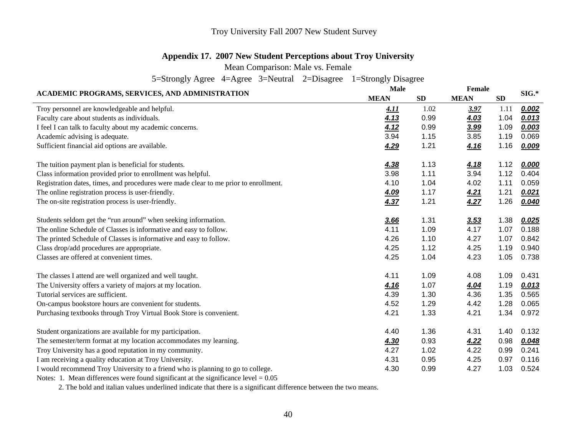#### **Appendix 17. 2007 New Student Perceptions about Troy University**

Mean Comparison: Male vs. Female

5=Strongly Agree 4=Agree 3=Neutral 2=Disagree 1=Strongly Disagree

| ACADEMIC PROGRAMS, SERVICES, AND ADMINISTRATION                                      | <b>Male</b> |           | <b>Female</b> | SIG.* |       |
|--------------------------------------------------------------------------------------|-------------|-----------|---------------|-------|-------|
|                                                                                      | <b>MEAN</b> | <b>SD</b> | <b>MEAN</b>   | SD    |       |
| Troy personnel are knowledgeable and helpful.                                        | 4.11        | 1.02      | 3.97          | 1.11  | 0.002 |
| Faculty care about students as individuals.                                          | 4.13        | 0.99      | 4.03          | 1.04  | 0.013 |
| I feel I can talk to faculty about my academic concerns.                             | 4.12        | 0.99      | 3.99          | 1.09  | 0.003 |
| Academic advising is adequate.                                                       | 3.94        | 1.15      | 3.85          | 1.19  | 0.069 |
| Sufficient financial aid options are available.                                      | 4.29        | 1.21      | 4.16          | 1.16  | 0.009 |
| The tuition payment plan is beneficial for students.                                 | 4.38        | 1.13      | 4.18          | 1.12  | 0.000 |
| Class information provided prior to enrollment was helpful.                          | 3.98        | 1.11      | 3.94          | 1.12  | 0.404 |
| Registration dates, times, and procedures were made clear to me prior to enrollment. | 4.10        | 1.04      | 4.02          | 1.11  | 0.059 |
| The online registration process is user-friendly.                                    | <u>4.09</u> | 1.17      | 4.21          | 1.21  | 0.021 |
| The on-site registration process is user-friendly.                                   | 4.37        | 1.21      | 4.27          | 1.26  | 0.040 |
| Students seldom get the "run around" when seeking information.                       | 3.66        | 1.31      | 3.53          | 1.38  | 0.025 |
| The online Schedule of Classes is informative and easy to follow.                    | 4.11        | 1.09      | 4.17          | 1.07  | 0.188 |
| The printed Schedule of Classes is informative and easy to follow.                   | 4.26        | 1.10      | 4.27          | 1.07  | 0.842 |
| Class drop/add procedures are appropriate.                                           | 4.25        | 1.12      | 4.25          | 1.19  | 0.940 |
| Classes are offered at convenient times.                                             | 4.25        | 1.04      | 4.23          | 1.05  | 0.738 |
| The classes I attend are well organized and well taught.                             | 4.11        | 1.09      | 4.08          | 1.09  | 0.431 |
| The University offers a variety of majors at my location.                            | 4.16        | 1.07      | 4.04          | 1.19  | 0.013 |
| Tutorial services are sufficient.                                                    | 4.39        | 1.30      | 4.36          | 1.35  | 0.565 |
| On-campus bookstore hours are convenient for students.                               | 4.52        | 1.29      | 4.42          | 1.28  | 0.065 |
| Purchasing textbooks through Troy Virtual Book Store is convenient.                  | 4.21        | 1.33      | 4.21          | 1.34  | 0.972 |
| Student organizations are available for my participation.                            | 4.40        | 1.36      | 4.31          | 1.40  | 0.132 |
| The semester/term format at my location accommodates my learning.                    | 4.30        | 0.93      | 4.22          | 0.98  | 0.048 |
| Troy University has a good reputation in my community.                               | 4.27        | 1.02      | 4.22          | 0.99  | 0.241 |
| I am receiving a quality education at Troy University.                               | 4.31        | 0.95      | 4.25          | 0.97  | 0.116 |
| I would recommend Troy University to a friend who is planning to go to college.      | 4.30        | 0.99      | 4.27          | 1.03  | 0.524 |

Notes: 1. Mean differences were found significant at the significance level  $= 0.05$ 

2. The bold and italian values underlined indicate that there is a significant difference between the two means.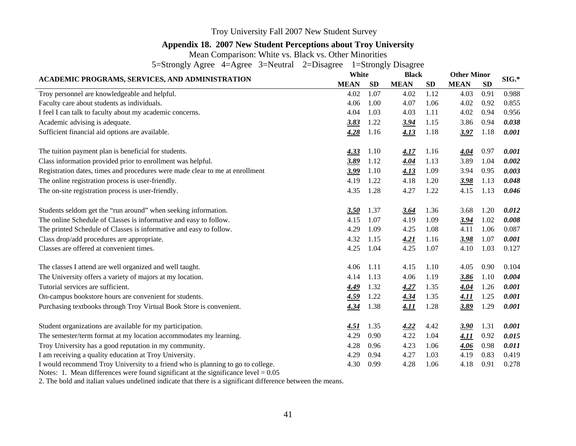# **Appendix 18. 2007 New Student Perceptions about Troy University**

Mean Comparison: White vs. Black vs. Other Minorities

5=Strongly Agree 4=Agree 3=Neutral 2=Disagree 1=Strongly Disagree

| ACADEMIC PROGRAMS, SERVICES, AND ADMINISTRATION                                 |             | White     | <b>Black</b> |      | <b>Other Minor</b> |           | $SIG.*$ |  |
|---------------------------------------------------------------------------------|-------------|-----------|--------------|------|--------------------|-----------|---------|--|
|                                                                                 | <b>MEAN</b> | <b>SD</b> | <b>MEAN</b>  | SD   | <b>MEAN</b>        | <b>SD</b> |         |  |
| Troy personnel are knowledgeable and helpful.                                   | 4.02        | 1.07      | 4.02         | 1.12 | 4.03               | 0.91      | 0.988   |  |
| Faculty care about students as individuals.                                     | 4.06        | 1.00      | 4.07         | 1.06 | 4.02               | 0.92      | 0.855   |  |
| I feel I can talk to faculty about my academic concerns.                        | 4.04        | 1.03      | 4.03         | 1.11 | 4.02               | 0.94      | 0.956   |  |
| Academic advising is adequate.                                                  | 3.83        | 1.22      | 3.94         | 1.15 | 3.86               | 0.94      | 0.038   |  |
| Sufficient financial aid options are available.                                 | 4.28        | 1.16      | 4.13         | 1.18 | 3.97               | 1.18      | 0.001   |  |
| The tuition payment plan is beneficial for students.                            | 4.33        | 1.10      | <u>4.17</u>  | 1.16 | 4.04               | 0.97      | 0.001   |  |
| Class information provided prior to enrollment was helpful.                     | 3.89        | 1.12      | 4.04         | 1.13 | 3.89               | 1.04      | 0.002   |  |
| Registration dates, times and procedures were made clear to me at enrollment    | 3.99        | 1.10      | 4.13         | 1.09 | 3.94               | 0.95      | 0.003   |  |
| The online registration process is user-friendly.                               | 4.19        | 1.22      | 4.18         | 1.20 | 3.98               | 1.13      | 0.048   |  |
| The on-site registration process is user-friendly.                              | 4.35        | 1.28      | 4.27         | 1.22 | 4.15               | 1.13      | 0.046   |  |
| Students seldom get the "run around" when seeking information.                  | 3.50        | 1.37      | 3.64         | 1.36 | 3.68               | 1.20      | 0.012   |  |
| The online Schedule of Classes is informative and easy to follow.               | 4.15        | 1.07      | 4.19         | 1.09 | 3.94               | 1.02      | 0.008   |  |
| The printed Schedule of Classes is informative and easy to follow.              | 4.29        | 1.09      | 4.25         | 1.08 | 4.11               | 1.06      | 0.087   |  |
| Class drop/add procedures are appropriate.                                      | 4.32        | 1.15      | <u>4.21</u>  | 1.16 | 3.98               | 1.07      | 0.001   |  |
| Classes are offered at convenient times.                                        | 4.25        | 1.04      | 4.25         | 1.07 | 4.10               | 1.03      | 0.127   |  |
| The classes I attend are well organized and well taught.                        | 4.06        | 1.11      | 4.15         | 1.10 | 4.05               | 0.90      | 0.104   |  |
| The University offers a variety of majors at my location.                       | 4.14        | 1.13      | 4.06         | 1.19 | 3.86               | 1.10      | 0.004   |  |
| Tutorial services are sufficient.                                               | 4.49        | 1.32      | 4.27         | 1.35 | 4.04               | 1.26      | 0.001   |  |
| On-campus bookstore hours are convenient for students.                          | 4.59        | 1.22      | 4.34         | 1.35 | 4.11               | 1.25      | 0.001   |  |
| Purchasing textbooks through Troy Virtual Book Store is convenient.             | 4.34        | 1.38      | <u>4.11</u>  | 1.28 | 3.89               | 1.29      | 0.001   |  |
| Student organizations are available for my participation.                       | 4.51        | 1.35      | 4.22         | 4.42 | 3.90               | 1.31      | 0.001   |  |
| The semester/term format at my location accommodates my learning.               | 4.29        | 0.90      | 4.22         | 1.04 | 4.11               | 0.92      | 0.015   |  |
| Troy University has a good reputation in my community.                          | 4.28        | 0.96      | 4.23         | 1.06 | 4.06               | 0.98      | 0.011   |  |
| I am receiving a quality education at Troy University.                          | 4.29        | 0.94      | 4.27         | 1.03 | 4.19               | 0.83      | 0.419   |  |
| I would recommend Troy University to a friend who is planning to go to college. | 4.30        | 0.99      | 4.28         | 1.06 | 4.18               | 0.91      | 0.278   |  |

Notes: 1. Mean differences were found significant at the significance level  $= 0.05$ 

2. The bold and italian values undelined indicate that there is a significant difference between the means.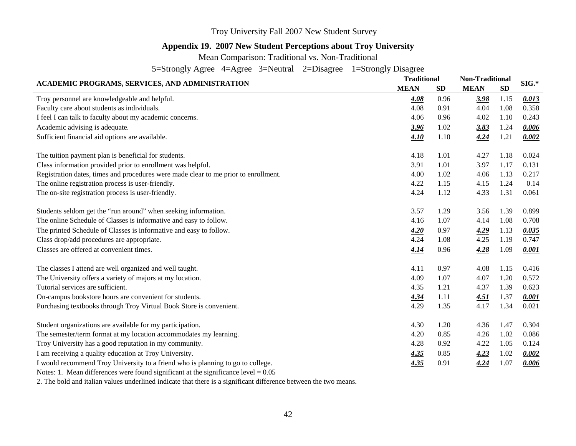#### **Appendix 19. 2007 New Student Perceptions about Troy University**

Mean Comparison: Traditional vs. Non-Traditional

5=Strongly Agree 4=Agree 3=Neutral 2=Disagree 1=Strongly Disagree

| ACADEMIC PROGRAMS, SERVICES, AND ADMINISTRATION                                      | <b>Traditional</b> |           | <b>Non-Traditional</b> | $SIG.*$   |       |
|--------------------------------------------------------------------------------------|--------------------|-----------|------------------------|-----------|-------|
|                                                                                      | <b>MEAN</b>        | <b>SD</b> | <b>MEAN</b>            | <b>SD</b> |       |
| Troy personnel are knowledgeable and helpful.                                        | 4.08               | 0.96      | 3.98                   | 1.15      | 0.013 |
| Faculty care about students as individuals.                                          | 4.08               | 0.91      | 4.04                   | 1.08      | 0.358 |
| I feel I can talk to faculty about my academic concerns.                             | 4.06               | 0.96      | 4.02                   | 1.10      | 0.243 |
| Academic advising is adequate.                                                       | 3.96               | 1.02      | 3.83                   | 1.24      | 0.006 |
| Sufficient financial aid options are available.                                      | 4.10               | 1.10      | 4.24                   | 1.21      | 0.002 |
| The tuition payment plan is beneficial for students.                                 | 4.18               | 1.01      | 4.27                   | 1.18      | 0.024 |
| Class information provided prior to enrollment was helpful.                          | 3.91               | 1.01      | 3.97                   | 1.17      | 0.131 |
| Registration dates, times and procedures were made clear to me prior to enrollment.  | 4.00               | 1.02      | 4.06                   | 1.13      | 0.217 |
| The online registration process is user-friendly.                                    | 4.22               | 1.15      | 4.15                   | 1.24      | 0.14  |
| The on-site registration process is user-friendly.                                   | 4.24               | 1.12      | 4.33                   | 1.31      | 0.061 |
| Students seldom get the "run around" when seeking information.                       | 3.57               | 1.29      | 3.56                   | 1.39      | 0.899 |
| The online Schedule of Classes is informative and easy to follow.                    | 4.16               | 1.07      | 4.14                   | 1.08      | 0.708 |
| The printed Schedule of Classes is informative and easy to follow.                   | 4.20               | 0.97      | 4.29                   | 1.13      | 0.035 |
| Class drop/add procedures are appropriate.                                           | 4.24               | 1.08      | 4.25                   | 1.19      | 0.747 |
| Classes are offered at convenient times.                                             | 4.14               | 0.96      | 4.28                   | 1.09      | 0.001 |
| The classes I attend are well organized and well taught.                             | 4.11               | 0.97      | 4.08                   | 1.15      | 0.416 |
| The University offers a variety of majors at my location.                            | 4.09               | 1.07      | 4.07                   | 1.20      | 0.572 |
| Tutorial services are sufficient.                                                    | 4.35               | 1.21      | 4.37                   | 1.39      | 0.623 |
| On-campus bookstore hours are convenient for students.                               | 4.34               | 1.11      | 4.51                   | 1.37      | 0.001 |
| Purchasing textbooks through Troy Virtual Book Store is convenient.                  | 4.29               | 1.35      | 4.17                   | 1.34      | 0.021 |
| Student organizations are available for my participation.                            | 4.30               | 1.20      | 4.36                   | 1.47      | 0.304 |
| The semester/term format at my location accommodates my learning.                    | 4.20               | 0.85      | 4.26                   | 1.02      | 0.086 |
| Troy University has a good reputation in my community.                               | 4.28               | 0.92      | 4.22                   | 1.05      | 0.124 |
| I am receiving a quality education at Troy University.                               | 4.35               | 0.85      | 4.23                   | 1.02      | 0.002 |
| I would recommend Troy University to a friend who is planning to go to college.      | 4.35               | 0.91      | 4.24                   | 1.07      | 0.006 |
| Notes: 1. Mean differences were found significant at the significance level $= 0.05$ |                    |           |                        |           |       |

2. The bold and italian values underlined indicate that there is a significant difference between the two means.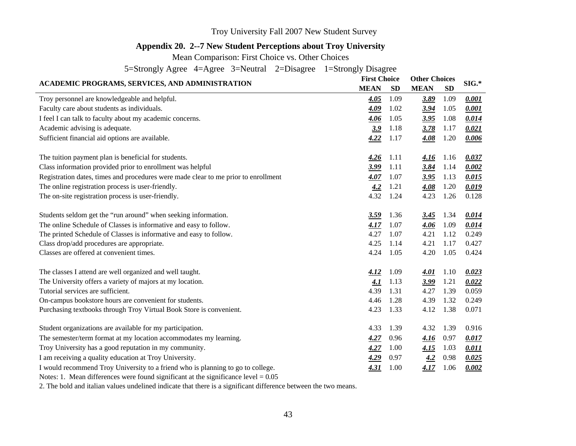#### **Appendix 20. 2--7 New Student Perceptions about Troy University**

Mean Comparison: First Choice vs. Other Choices

5=Strongly Agree 4=Agree 3=Neutral 2=Disagree 1=Strongly Disagree

| ACADEMIC PROGRAMS, SERVICES, AND ADMINISTRATION                                      |             | <b>First Choice</b> | <b>Other Choices</b> |           | $SIG.*$ |  |
|--------------------------------------------------------------------------------------|-------------|---------------------|----------------------|-----------|---------|--|
|                                                                                      | <b>MEAN</b> | <b>SD</b>           | <b>MEAN</b>          | <b>SD</b> |         |  |
| Troy personnel are knowledgeable and helpful.                                        | 4.05        | 1.09                | 3.89                 | 1.09      | 0.001   |  |
| Faculty care about students as individuals.                                          | 4.09        | 1.02                | 3.94                 | 1.05      | 0.001   |  |
| I feel I can talk to faculty about my academic concerns.                             | 4.06        | 1.05                | 3.95                 | 1.08      | 0.014   |  |
| Academic advising is adequate.                                                       | 3.9         | 1.18                | 3.78                 | 1.17      | 0.021   |  |
| Sufficient financial aid options are available.                                      | 4.22        | 1.17                | 4.08                 | 1.20      | 0.006   |  |
| The tuition payment plan is beneficial for students.                                 | 4.26        | 1.11                | <u>4.16</u>          | 1.16      | 0.037   |  |
| Class information provided prior to enrollment was helpful                           | 3.99        | 1.11                | 3.84                 | 1.14      | 0.002   |  |
| Registration dates, times and procedures were made clear to me prior to enrollment   | 4.07        | 1.07                | 3.95                 | 1.13      | 0.015   |  |
| The online registration process is user-friendly.                                    | 4.2         | 1.21                | 4.08                 | 1.20      | 0.019   |  |
| The on-site registration process is user-friendly.                                   | 4.32        | 1.24                | 4.23                 | 1.26      | 0.128   |  |
|                                                                                      |             |                     |                      |           |         |  |
| Students seldom get the "run around" when seeking information.                       | 3.59        | 1.36                | 3.45                 | 1.34      | 0.014   |  |
| The online Schedule of Classes is informative and easy to follow.                    | 4.17        | 1.07                | 4.06                 | 1.09      | 0.014   |  |
| The printed Schedule of Classes is informative and easy to follow.                   | 4.27        | 1.07                | 4.21                 | 1.12      | 0.249   |  |
| Class drop/add procedures are appropriate.                                           | 4.25        | 1.14                | 4.21                 | 1.17      | 0.427   |  |
| Classes are offered at convenient times.                                             | 4.24        | 1.05                | 4.20                 | 1.05      | 0.424   |  |
| The classes I attend are well organized and well taught.                             | 4.12        | 1.09                | 4.01                 | 1.10      | 0.023   |  |
| The University offers a variety of majors at my location.                            | 4.1         | 1.13                | 3.99                 | 1.21      | 0.022   |  |
| Tutorial services are sufficient.                                                    | 4.39        | 1.31                | 4.27                 | 1.39      | 0.059   |  |
| On-campus bookstore hours are convenient for students.                               | 4.46        | 1.28                | 4.39                 | 1.32      | 0.249   |  |
| Purchasing textbooks through Troy Virtual Book Store is convenient.                  | 4.23        | 1.33                | 4.12                 | 1.38      | 0.071   |  |
|                                                                                      | 4.33        |                     |                      |           |         |  |
| Student organizations are available for my participation.                            |             | 1.39                | 4.32                 | 1.39      | 0.916   |  |
| The semester/term format at my location accommodates my learning.                    | 4.27        | 0.96                | 4.16                 | 0.97      | 0.017   |  |
| Troy University has a good reputation in my community.                               | 4.27        | 1.00                | 4.15                 | 1.03      | 0.011   |  |
| I am receiving a quality education at Troy University.                               | 4.29        | 0.97                | 4.2                  | 0.98      | 0.025   |  |
| I would recommend Troy University to a friend who is planning to go to college.      | 4.31        | 1.00                | 4.17                 | 1.06      | 0.002   |  |
| Notes: 1. Mean differences were found significant at the significance level $= 0.05$ |             |                     |                      |           |         |  |

2. The bold and italian values undelined indicate that there is a significant difference between the two means.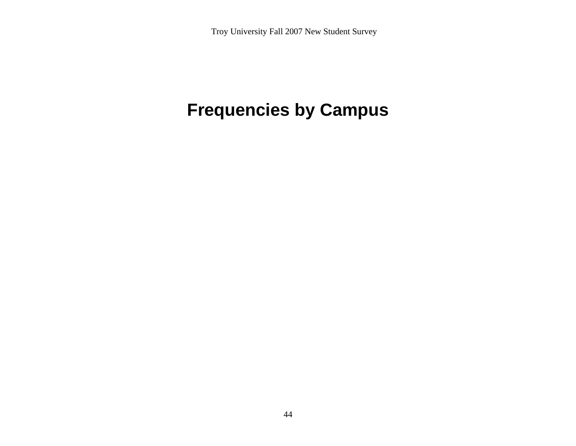# **Frequencies by Campus**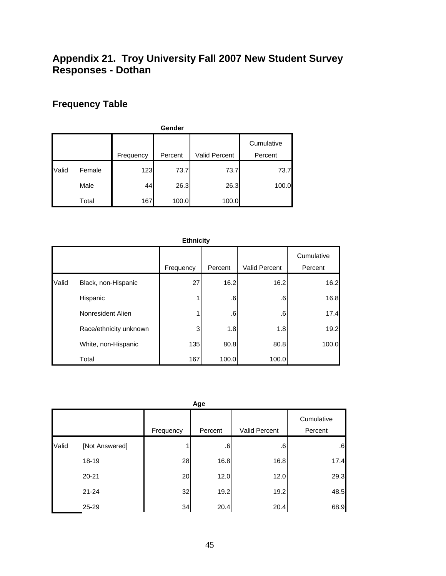# **Appendix 21. Troy University Fall 2007 New Student Survey Responses - Dothan**

# **Frequency Table**

|       | Gender |           |         |               |                       |  |  |  |  |  |  |
|-------|--------|-----------|---------|---------------|-----------------------|--|--|--|--|--|--|
|       |        | Frequency | Percent | Valid Percent | Cumulative<br>Percent |  |  |  |  |  |  |
| Valid | Female | 123       | 73.7    | 73.7          | 73.7                  |  |  |  |  |  |  |
|       | Male   | 44        | 26.3    | 26.3          | 100.0                 |  |  |  |  |  |  |
|       | Total  | 167       | 100.0   | 100.0         |                       |  |  |  |  |  |  |

|       | <b>Ethnicity</b>       |           |         |                      |                       |  |  |  |  |  |  |
|-------|------------------------|-----------|---------|----------------------|-----------------------|--|--|--|--|--|--|
|       |                        | Frequency | Percent | <b>Valid Percent</b> | Cumulative<br>Percent |  |  |  |  |  |  |
| Valid | Black, non-Hispanic    | 27        | 16.2    | 16.2                 | 16.2                  |  |  |  |  |  |  |
|       | Hispanic               |           | .6      | $.6\,$               | 16.8                  |  |  |  |  |  |  |
|       | Nonresident Alien      |           | .6      | .6                   | 17.4                  |  |  |  |  |  |  |
|       | Race/ethnicity unknown | 3         | 1.8     | 1.8                  | 19.2                  |  |  |  |  |  |  |
|       | White, non-Hispanic    | 135       | 80.8    | 80.8                 | 100.0                 |  |  |  |  |  |  |
|       | Total                  | 167       | 100.0   | 100.0                |                       |  |  |  |  |  |  |

|       |                |           |         |               | Cumulative |
|-------|----------------|-----------|---------|---------------|------------|
|       |                | Frequency | Percent | Valid Percent | Percent    |
| Valid | [Not Answered] |           | .6      | .6            | .6         |
|       | 18-19          | 28        | 16.8    | 16.8          | 17.4       |
|       | $20 - 21$      | 20        | 12.0    | 12.0          | 29.3       |
|       | $21 - 24$      | 32        | 19.2    | 19.2          | 48.5       |
|       | 25-29          | 34        | 20.4    | 20.4          | 68.9       |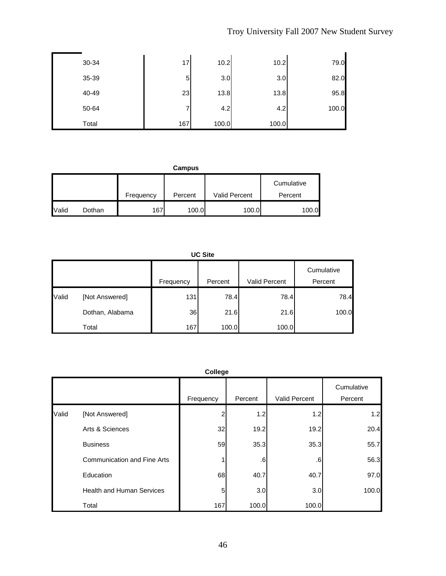| 30-34 | 17  | 10.2  | 10.2  | 79.0  |
|-------|-----|-------|-------|-------|
| 35-39 | 5   | 3.0   | 3.0   | 82.0  |
| 40-49 | 23  | 13.8  | 13.8  | 95.8  |
| 50-64 |     | 4.2   | 4.2   | 100.0 |
| Total | 167 | 100.0 | 100.0 |       |

**Campus**

|              |        |           |         |                      | Cumulative |
|--------------|--------|-----------|---------|----------------------|------------|
|              |        | Frequency | Percent | <b>Valid Percent</b> | Percent    |
| <b>Valid</b> | Dothan | 167       | 100.0   | 100.0                | 100.0      |

| пе<br>u. |
|----------|
|----------|

|       |                 | Frequency | Percent | Valid Percent | Cumulative<br>Percent |
|-------|-----------------|-----------|---------|---------------|-----------------------|
| Valid | [Not Answered]  | 131       | 78.4    | 78.4          | 78.4                  |
|       | Dothan, Alabama | 36        | 21.6    | 21.6          | 100.0                 |
|       | Total           | 167       | 100.0   | 100.0         |                       |

|       | College                            |           |         |               |                       |  |  |  |
|-------|------------------------------------|-----------|---------|---------------|-----------------------|--|--|--|
|       |                                    | Frequency | Percent | Valid Percent | Cumulative<br>Percent |  |  |  |
| Valid | [Not Answered]                     |           | 1.2     | 1.2           | 1.2                   |  |  |  |
|       | Arts & Sciences                    | 32        | 19.2    | 19.2          | 20.4                  |  |  |  |
|       | <b>Business</b>                    | 59        | 35.3    | 35.3          | 55.7                  |  |  |  |
|       | <b>Communication and Fine Arts</b> |           | .6      | .6            | 56.3                  |  |  |  |
|       | Education                          | 68        | 40.7    | 40.7          | 97.0                  |  |  |  |
|       | <b>Health and Human Services</b>   | 5         | 3.0     | 3.0           | 100.0                 |  |  |  |
|       | Total                              | 167       | 100.0   | 100.0         |                       |  |  |  |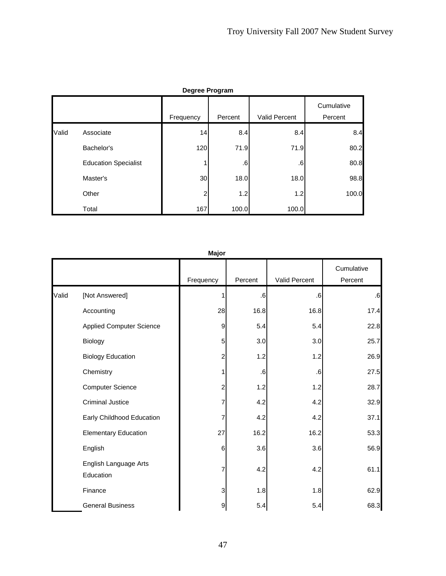|       | Degree Program              |           |         |               |                       |  |  |  |
|-------|-----------------------------|-----------|---------|---------------|-----------------------|--|--|--|
|       |                             | Frequency | Percent | Valid Percent | Cumulative<br>Percent |  |  |  |
| Valid | Associate                   | 14        | 8.4     | 8.4           | 8.4                   |  |  |  |
|       | Bachelor's                  | 120       | 71.9    | 71.9          | 80.2                  |  |  |  |
|       | <b>Education Specialist</b> |           | .6      | .6            | 80.8                  |  |  |  |
|       | Master's                    | 30        | 18.0    | 18.0          | 98.8                  |  |  |  |
|       | Other                       | 2         | 1.2     | 1.2           | 100.0                 |  |  |  |
|       | Total                       | 167       | 100.0   | 100.0         |                       |  |  |  |

|       | <b>Major</b>                       |                |           |               |                       |  |  |  |  |
|-------|------------------------------------|----------------|-----------|---------------|-----------------------|--|--|--|--|
|       |                                    | Frequency      | Percent   | Valid Percent | Cumulative<br>Percent |  |  |  |  |
| Valid | [Not Answered]                     |                | .6        | .6            | .6                    |  |  |  |  |
|       | Accounting                         | 28             | 16.8      | 16.8          | 17.4                  |  |  |  |  |
|       | <b>Applied Computer Science</b>    | 9              | 5.4       | 5.4           | 22.8                  |  |  |  |  |
|       | Biology                            | 5              | 3.0       | 3.0           | 25.7                  |  |  |  |  |
|       | <b>Biology Education</b>           | $\overline{c}$ | 1.2       | 1.2           | 26.9                  |  |  |  |  |
|       | Chemistry                          | 1              | $\cdot 6$ | $\cdot 6$     | 27.5                  |  |  |  |  |
|       | <b>Computer Science</b>            | 2              | 1.2       | 1.2           | 28.7                  |  |  |  |  |
|       | <b>Criminal Justice</b>            | 7              | 4.2       | 4.2           | 32.9                  |  |  |  |  |
|       | Early Childhood Education          | 7              | 4.2       | 4.2           | 37.1                  |  |  |  |  |
|       | <b>Elementary Education</b>        | 27             | 16.2      | 16.2          | 53.3                  |  |  |  |  |
|       | English                            | 6              | 3.6       | 3.6           | 56.9                  |  |  |  |  |
|       | English Language Arts<br>Education | 7              | 4.2       | 4.2           | 61.1                  |  |  |  |  |
|       | Finance                            | 3              | 1.8       | 1.8           | 62.9                  |  |  |  |  |
|       | <b>General Business</b>            | 9              | 5.4       | 5.4           | 68.3                  |  |  |  |  |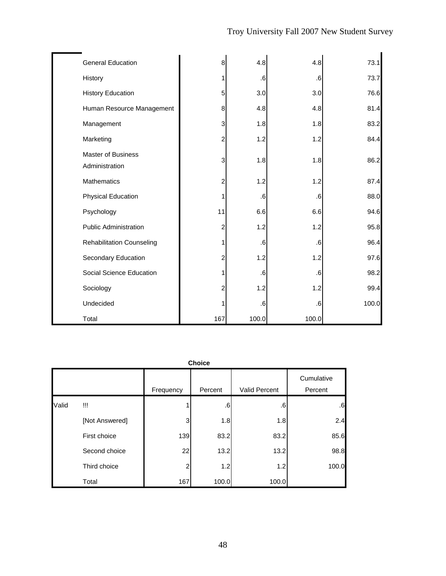|       | <b>General Education</b>                    | 8              | 4.8   | 4.8   | 73.1  |
|-------|---------------------------------------------|----------------|-------|-------|-------|
|       | History                                     | 1              | .6    | .6    | 73.7  |
|       | <b>History Education</b>                    | 5              | 3.0   | 3.0   | 76.6  |
|       | Human Resource Management                   | 8              | 4.8   | 4.8   | 81.4  |
|       | Management                                  | 3              | 1.8   | 1.8   | 83.2  |
|       | Marketing                                   | $\overline{c}$ | 1.2   | 1.2   | 84.4  |
|       | <b>Master of Business</b><br>Administration | 3              | 1.8   | 1.8   | 86.2  |
|       | <b>Mathematics</b>                          | 2              | 1.2   | 1.2   | 87.4  |
|       | Physical Education                          | 1              | .6    | .6    | 88.0  |
|       | Psychology                                  | 11             | 6.6   | 6.6   | 94.6  |
|       | <b>Public Administration</b>                | $\overline{c}$ | 1.2   | 1.2   | 95.8  |
|       | <b>Rehabilitation Counseling</b>            | 1              | .6    | .6    | 96.4  |
|       | Secondary Education                         | 2              | 1.2   | 1.2   | 97.6  |
|       | Social Science Education                    | 1              | .6    | .6    | 98.2  |
|       | Sociology                                   | 2              | 1.2   | 1.2   | 99.4  |
|       | Undecided                                   |                | .6    | .6    | 100.0 |
| Total |                                             | 167            | 100.0 | 100.0 |       |

**Choice**

|       |                | Frequency | Percent | Valid Percent | Cumulative<br>Percent |
|-------|----------------|-----------|---------|---------------|-----------------------|
| Valid | W              |           | .6      | .6            | $.6\,$                |
|       | [Not Answered] | 3         | 1.8     | 1.8           | 2.4                   |
|       | First choice   | 139       | 83.2    | 83.2          | 85.6                  |
|       | Second choice  | 22        | 13.2    | 13.2          | 98.8                  |
|       | Third choice   | 2         | 1.2     | 1.2           | 100.0                 |
|       | Total          | 167       | 100.0   | 100.0         |                       |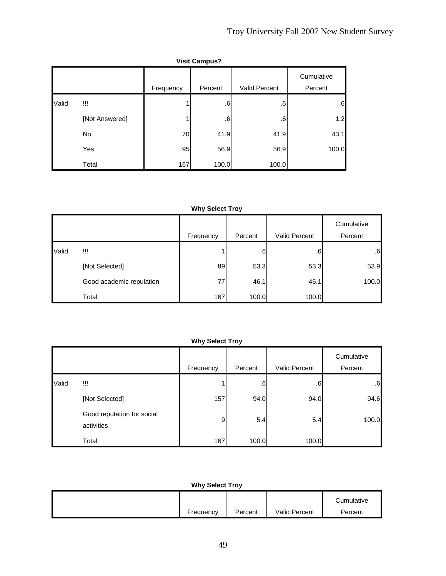| <b>Visit Campus?</b> |                |           |         |               |                       |  |  |  |
|----------------------|----------------|-----------|---------|---------------|-----------------------|--|--|--|
|                      |                | Frequency | Percent | Valid Percent | Cumulative<br>Percent |  |  |  |
| Valid                | $\mathbf{III}$ |           | .6      | .6            | .6                    |  |  |  |
|                      | [Not Answered] | 1         | .6      | .6            | 1.2                   |  |  |  |
|                      | No             | 70        | 41.9    | 41.9          | 43.1                  |  |  |  |
|                      | Yes            | 95        | 56.9    | 56.9          | 100.0                 |  |  |  |
|                      | Total          | 167       | 100.0   | 100.0         |                       |  |  |  |

|       |                          | Frequency | Percent | Valid Percent | Cumulative<br>Percent |
|-------|--------------------------|-----------|---------|---------------|-----------------------|
| Valid | !!!                      |           | .6      | .6            | .6                    |
|       | [Not Selected]           | 89        | 53.3    | 53.3          | 53.9                  |
|       | Good academic repulation | 77        | 46.1    | 46.1          | 100.0                 |
|       | Total                    | 167       | 100.0   | 100.0         |                       |

### **Why Select Troy**

|       |                                          | Frequency | Percent | Valid Percent | Cumulative<br>Percent |
|-------|------------------------------------------|-----------|---------|---------------|-----------------------|
| Valid | !!!                                      |           | .6      | .6            | .6                    |
|       | [Not Selected]                           | 157       | 94.0    | 94.0          | 94.6                  |
|       | Good reputation for social<br>activities | 9         | 5.4     | 5.4           | 100.0                 |
|       | Total                                    | 167       | 100.0   | 100.0         |                       |

|           |         |                      | Cumulative |
|-----------|---------|----------------------|------------|
| Frequency | Percent | <b>Valid Percent</b> | Percent    |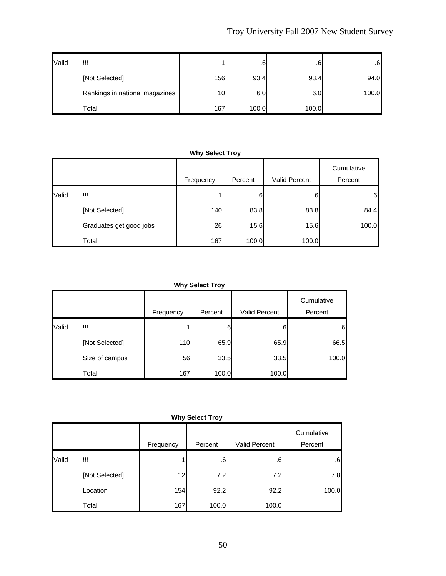| Valid | w                              |                 | .6    | .6    | .6    |
|-------|--------------------------------|-----------------|-------|-------|-------|
|       | [Not Selected]                 | 156             | 93.4  | 93.4  | 94.0  |
|       | Rankings in national magazines | 10 <sub>1</sub> | 6.0   | 6.0   | 100.0 |
|       | Total                          | 167             | 100.0 | 100.0 |       |

|       |                         | Frequency | Percent | Valid Percent | Cumulative<br>Percent |
|-------|-------------------------|-----------|---------|---------------|-----------------------|
|       |                         |           |         |               |                       |
| Valid | !!!                     |           | .6      | .6            | .6                    |
|       | [Not Selected]          | 140       | 83.8    | 83.8          | 84.4                  |
|       | Graduates get good jobs | 26        | 15.6    | 15.6          | 100.0                 |
|       | Total                   | 167       | 100.0   | 100.0         |                       |

**Why Select Troy**

|       |                | Frequency | Percent | Valid Percent | Cumulative<br>Percent |
|-------|----------------|-----------|---------|---------------|-----------------------|
| Valid | !!!            |           | .6      | .6            | .6                    |
|       |                |           |         |               |                       |
|       | [Not Selected] | 110       | 65.9    | 65.9          | 66.5                  |
|       | Size of campus | 56        | 33.5    | 33.5          | 100.0                 |
|       | Total          | 167       | 100.0   | 100.0         |                       |

**Why Select Troy**

|       |                |           |         |               | Cumulative |
|-------|----------------|-----------|---------|---------------|------------|
|       |                | Frequency | Percent | Valid Percent | Percent    |
| Valid | w              |           | $.6\,$  | .6            | .6         |
|       | [Not Selected] | 12        | 7.2     | 7.2           | 7.8        |
|       | Location       | 154       | 92.2    | 92.2          | 100.0      |
|       | Total          | 167       | 100.0   | 100.0         |            |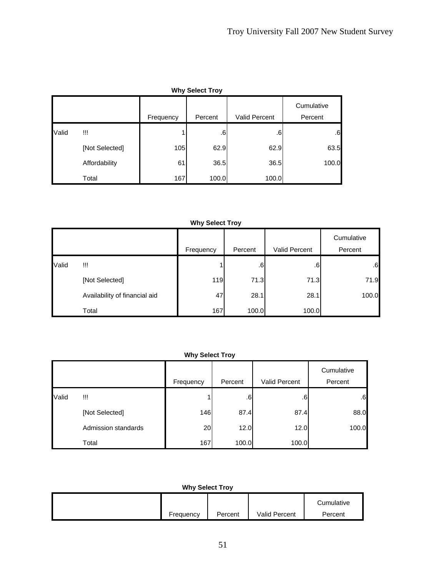|       | <b>Why Select Troy</b> |           |         |                      |                       |  |  |  |
|-------|------------------------|-----------|---------|----------------------|-----------------------|--|--|--|
|       |                        | Frequency | Percent | <b>Valid Percent</b> | Cumulative<br>Percent |  |  |  |
| Valid | Ш                      |           | .6      | .6                   | .6                    |  |  |  |
|       | [Not Selected]         | 105       | 62.9    | 62.9                 | 63.5                  |  |  |  |
|       | Affordability          | 61        | 36.5    | 36.5                 | 100.0                 |  |  |  |
|       | Total                  | 167       | 100.0   | 100.0                |                       |  |  |  |

|       |                               | Frequency | Percent | Valid Percent | Cumulative<br>Percent |
|-------|-------------------------------|-----------|---------|---------------|-----------------------|
| Valid | !!!                           |           | .6      | .6            | .6                    |
|       | [Not Selected]                | 119       | 71.3    | 71.3          | 71.9                  |
|       | Availability of financial aid | 47        | 28.1    | 28.1          | 100.0                 |
|       | Total                         | 167       | 100.0   | 100.0         |                       |

# **Why Select Troy**

|       |                     | Frequency | Percent      | Valid Percent | Cumulative<br>Percent |
|-------|---------------------|-----------|--------------|---------------|-----------------------|
| Valid | !!!                 |           | $.6^{\circ}$ | .6            | .6                    |
|       | [Not Selected]      | 146       | 87.4         | 87.4          | 88.0                  |
|       | Admission standards | 20        | 12.0         | 12.0          | 100.0                 |
|       | Total               | 167       | 100.0        | 100.0         |                       |

|           |         |                      | Cumulative |
|-----------|---------|----------------------|------------|
| Frequency | Percent | <b>Valid Percent</b> | Percent    |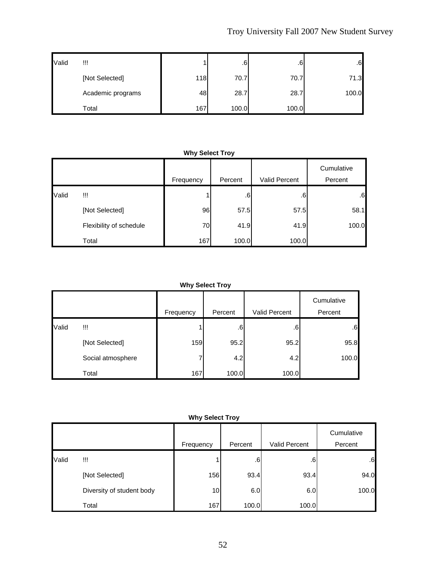| Valid | Ш                 |     | .6    | .6    | $.6\,$ |
|-------|-------------------|-----|-------|-------|--------|
|       | [Not Selected]    | 118 | 70.7  | 70.7  | 71.3   |
|       | Academic programs | 48  | 28.7  | 28.7  | 100.0  |
|       | Total             | 167 | 100.0 | 100.0 |        |

**Why Select Troy**

|       |                         |           |              |               | Cumulative |
|-------|-------------------------|-----------|--------------|---------------|------------|
|       |                         | Frequency | Percent      | Valid Percent | Percent    |
| Valid | w                       |           | $.6^{\circ}$ | .6            | .6         |
|       | [Not Selected]          | 96        | 57.5         | 57.5          | 58.1       |
|       | Flexibility of schedule | 70        | 41.9         | 41.9          | 100.0      |
|       | Total                   | 167       | 100.0        | 100.0         |            |

**Why Select Troy**

|       |                   | Frequency | Percent      | Valid Percent | Cumulative<br>Percent |
|-------|-------------------|-----------|--------------|---------------|-----------------------|
| Valid | w                 |           | $.6^{\circ}$ | .6            | .6                    |
|       | [Not Selected]    | 159       | 95.2         | 95.2          | 95.8                  |
|       | Social atmosphere |           | 4.2          | 4.2           | 100.0                 |
|       | Total             | 167       | 100.0        | 100.0         |                       |

**Why Select Troy**

|       |                           | Frequency | Percent | Valid Percent | Cumulative<br>Percent |
|-------|---------------------------|-----------|---------|---------------|-----------------------|
| Valid | W                         |           | .6      | $.6^{\circ}$  | .6                    |
|       | [Not Selected]            | 156       | 93.4    | 93.4          | 94.0                  |
|       | Diversity of student body | 10        | 6.0     | 6.0           | 100.0                 |
|       | Total                     | 167       | 100.0   | 100.0         |                       |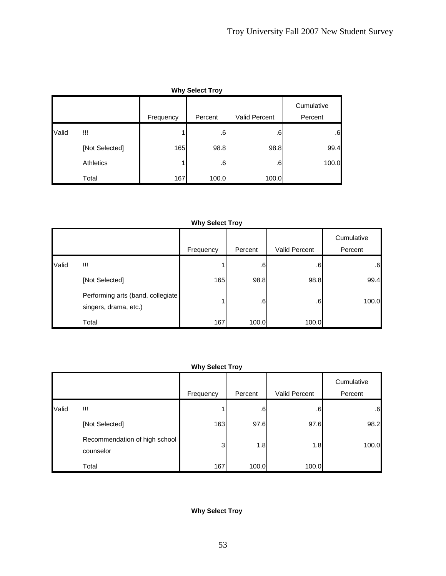|       | <b>Why Select Troy</b> |           |         |                      |                       |  |  |  |
|-------|------------------------|-----------|---------|----------------------|-----------------------|--|--|--|
|       |                        | Frequency | Percent | <b>Valid Percent</b> | Cumulative<br>Percent |  |  |  |
| Valid | w                      |           | .6      | .6                   | .6                    |  |  |  |
|       | [Not Selected]         | 165       | 98.8    | 98.8                 | 99.4                  |  |  |  |
|       | <b>Athletics</b>       |           | .6      | .6                   | 100.0                 |  |  |  |
|       | Total                  | 167       | 100.0   | 100.0                |                       |  |  |  |

|  | <b>Why Select Troy</b> |  |
|--|------------------------|--|
|--|------------------------|--|

|       |                                                            | Frequency | Percent         | Valid Percent | Cumulative<br>Percent |
|-------|------------------------------------------------------------|-----------|-----------------|---------------|-----------------------|
| Valid | !!!                                                        |           | .6              | .6            | .6                    |
|       | [Not Selected]                                             | 165       | 98.8            | 98.8          | 99.4                  |
|       | Performing arts (band, collegiate<br>singers, drama, etc.) |           | .6 <sub>1</sub> | .6            | 100.0                 |
|       | Total                                                      | 167       | 100.0           | 100.0         |                       |

|  | Why Select Troy |  |
|--|-----------------|--|
|--|-----------------|--|

|       |                                            | Frequency | Percent | Valid Percent | Cumulative<br>Percent |
|-------|--------------------------------------------|-----------|---------|---------------|-----------------------|
| Valid | !!!                                        |           | .6      | .6            | .6                    |
|       | [Not Selected]                             | 163       | 97.6    | 97.6          | 98.2                  |
|       | Recommendation of high school<br>counselor | 3         | 1.8     | 1.8           | 100.0                 |
|       | Total                                      | 167       | 100.0   | 100.0         |                       |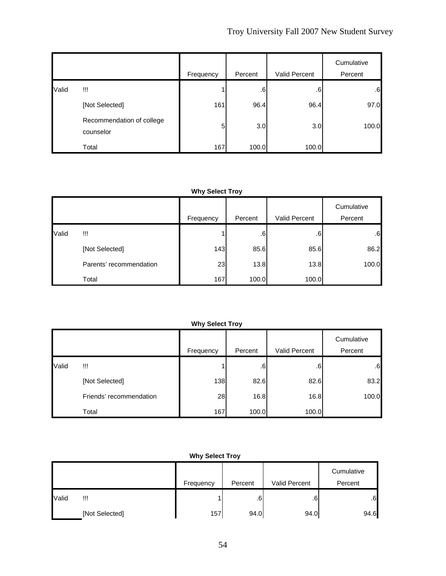|       |                                        | Frequency | Percent | Valid Percent | Cumulative<br>Percent |
|-------|----------------------------------------|-----------|---------|---------------|-----------------------|
| Valid | $\mathbf{III}$                         |           | .6      | $.6^{\circ}$  | .6                    |
|       | [Not Selected]                         | 161       | 96.4    | 96.4          | 97.0                  |
|       | Recommendation of college<br>counselor | 5         | 3.0     | 3.0           | 100.0                 |
|       | Total                                  | 167       | 100.0   | 100.0         |                       |

|       |                         | Frequency | Percent | Valid Percent | Cumulative<br>Percent |
|-------|-------------------------|-----------|---------|---------------|-----------------------|
| Valid | !!!                     |           | .6      | .6            | .6                    |
|       | [Not Selected]          | 143       | 85.6    | 85.6          | 86.2                  |
|       | Parents' recommendation | 23        | 13.8    | 13.8          | 100.0                 |
|       | Total                   | 167       | 100.0   | 100.0         |                       |

#### **Why Select Troy**

|       |                         | Frequency | Percent | Valid Percent | Cumulative<br>Percent |
|-------|-------------------------|-----------|---------|---------------|-----------------------|
| Valid | !!!                     |           | .6      | .6            | .6                    |
|       | [Not Selected]          | 138       | 82.6    | 82.6          | 83.2                  |
|       | Friends' recommendation | 28        | 16.8    | 16.8          | 100.0                 |
|       | Total                   | 167       | 100.0   | 100.0         |                       |

|       |                |           |         |               | Cumulative |
|-------|----------------|-----------|---------|---------------|------------|
|       |                | Frequency | Percent | Valid Percent | Percent    |
| Valid | w              |           | .61     | .6            | .6         |
|       | [Not Selected] | 157       | 94.0    | 94.0          | 94.6       |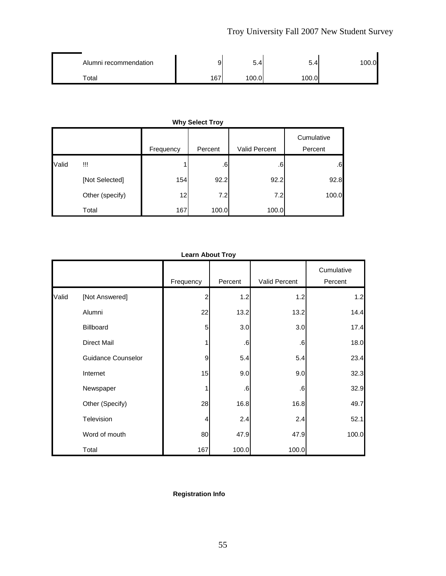| Alumni recommendation | 9   | ◡.    | 5.4   | 00.0 |
|-----------------------|-----|-------|-------|------|
| $\tau$ otal           | 167 | 100.0 | 100.0 |      |

|       |                 |                 |           |               | Cumulative |
|-------|-----------------|-----------------|-----------|---------------|------------|
|       |                 | Frequency       | Percent   | Valid Percent | Percent    |
| Valid | Ш               |                 | $6 \cdot$ | .6            | .6         |
|       | [Not Selected]  | 154             | 92.2      | 92.2          | 92.8       |
|       | Other (specify) | 12 <sub>l</sub> | 7.2       | 7.2           | 100.0      |
|       | Total           | 167             | 100.0     | 100.0         |            |

|       | Learn About Troy          |                |         |               |                       |  |  |
|-------|---------------------------|----------------|---------|---------------|-----------------------|--|--|
|       |                           | Frequency      | Percent | Valid Percent | Cumulative<br>Percent |  |  |
| Valid | [Not Answered]            | $\overline{2}$ | 1.2     | 1.2           | 1.2                   |  |  |
|       | Alumni                    | 22             | 13.2    | 13.2          | 14.4                  |  |  |
|       | Billboard                 | 5              | 3.0     | 3.0           | 17.4                  |  |  |
|       | <b>Direct Mail</b>        |                | .6      | .6            | 18.0                  |  |  |
|       | <b>Guidance Counselor</b> | 9              | 5.4     | 5.4           | 23.4                  |  |  |
|       | Internet                  | 15             | 9.0     | 9.0           | 32.3                  |  |  |
|       | Newspaper                 |                | .6      | .6            | 32.9                  |  |  |
|       | Other (Specify)           | 28             | 16.8    | 16.8          | 49.7                  |  |  |
|       | Television                | 4              | 2.4     | 2.4           | 52.1                  |  |  |
|       | Word of mouth             | 80             | 47.9    | 47.9          | 100.0                 |  |  |
|       | Total                     | 167            | 100.0   | 100.0         |                       |  |  |

### **Learn About Troy**

#### **Registration Info**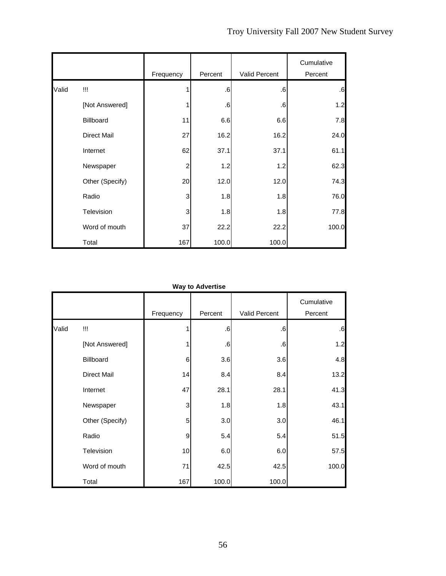|       |                    | Frequency      | Percent   | Valid Percent | Cumulative<br>Percent |
|-------|--------------------|----------------|-----------|---------------|-----------------------|
| Valid | Ш                  |                | $\cdot 6$ | .6            | .6                    |
|       | [Not Answered]     | 1              | .6        | .6            | 1.2                   |
|       | Billboard          | 11             | 6.6       | 6.6           | 7.8                   |
|       | <b>Direct Mail</b> | 27             | 16.2      | 16.2          | 24.0                  |
|       | Internet           | 62             | 37.1      | 37.1          | 61.1                  |
|       | Newspaper          | $\overline{c}$ | 1.2       | 1.2           | 62.3                  |
|       | Other (Specify)    | 20             | 12.0      | 12.0          | 74.3                  |
|       | Radio              | 3              | 1.8       | 1.8           | 76.0                  |
|       | Television         | 3              | 1.8       | 1.8           | 77.8                  |
|       | Word of mouth      | 37             | 22.2      | 22.2          | 100.0                 |
|       | Total              | 167            | 100.0     | 100.0         |                       |

|       |                    |             | <b>Way to Advertise</b> |               |                       |
|-------|--------------------|-------------|-------------------------|---------------|-----------------------|
|       |                    | Frequency   | Percent                 | Valid Percent | Cumulative<br>Percent |
| Valid | Ш                  | 1           | $\cdot 6$               | .6            | .6                    |
|       | [Not Answered]     | 1           | .6                      | .6            | 1.2                   |
|       | Billboard          | 6           | 3.6                     | 3.6           | 4.8                   |
|       | <b>Direct Mail</b> | 14          | 8.4                     | 8.4           | 13.2                  |
|       | Internet           | 47          | 28.1                    | 28.1          | 41.3                  |
|       | Newspaper          | 3           | 1.8                     | 1.8           | 43.1                  |
|       | Other (Specify)    | 5           | 3.0                     | 3.0           | 46.1                  |
|       | Radio              | $\mathsf g$ | 5.4                     | 5.4           | 51.5                  |
|       | Television         | 10          | 6.0                     | 6.0           | 57.5                  |
|       | Word of mouth      | 71          | 42.5                    | 42.5          | 100.0                 |
|       | Total              | 167         | 100.0                   | 100.0         |                       |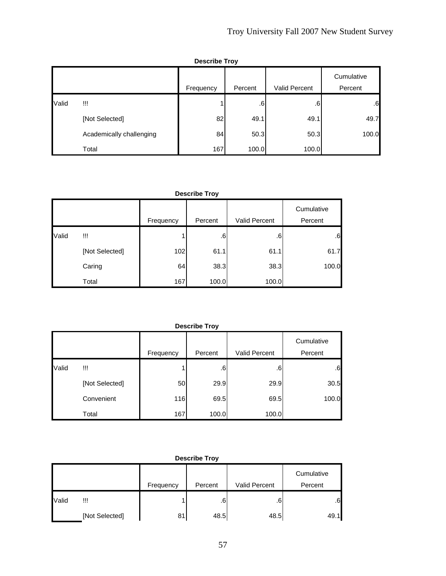|       | <b>Describe Troy</b>     |           |         |                      |                       |  |  |  |  |
|-------|--------------------------|-----------|---------|----------------------|-----------------------|--|--|--|--|
|       |                          | Frequency | Percent | <b>Valid Percent</b> | Cumulative<br>Percent |  |  |  |  |
| Valid | $\mathbf{III}$           |           | .6      | .6 <sub>1</sub>      | .6                    |  |  |  |  |
|       | [Not Selected]           | 82        | 49.1    | 49.1                 | 49.7                  |  |  |  |  |
|       | Academically challenging | 84        | 50.3    | 50.3                 | 100.0                 |  |  |  |  |
|       | Total                    | 167       | 100.0   | 100.0                |                       |  |  |  |  |

#### **Describe Troy**

|       |                |           |         |               | Cumulative |
|-------|----------------|-----------|---------|---------------|------------|
|       |                | Frequency | Percent | Valid Percent | Percent    |
| Valid | !!!            |           | .6      | .6            | $.6 \,$    |
|       | [Not Selected] | 102       | 61.1    | 61.1          | 61.7       |
|       | Caring         | 64        | 38.3    | 38.3          | 100.0      |
|       | Total          | 167       | 100.0   | 100.0         |            |

|       | <b>Describe Troy</b> |           |         |               |                       |  |  |  |
|-------|----------------------|-----------|---------|---------------|-----------------------|--|--|--|
|       |                      | Frequency | Percent | Valid Percent | Cumulative<br>Percent |  |  |  |
| Valid | w                    |           | .6      | .6            | .6                    |  |  |  |
|       | [Not Selected]       | 50        | 29.9    | 29.9          | 30.5                  |  |  |  |
|       | Convenient           | 116       | 69.5    | 69.5          | 100.0                 |  |  |  |
|       | Total                | 167       | 100.0   | 100.0         |                       |  |  |  |

|       | <b>Describe Troy</b> |           |         |                      |                       |  |  |  |
|-------|----------------------|-----------|---------|----------------------|-----------------------|--|--|--|
|       |                      | Frequency | Percent | <b>Valid Percent</b> | Cumulative<br>Percent |  |  |  |
| Valid | w                    |           | .6      | .6                   | .6                    |  |  |  |
|       | [Not Selected]       | 81        | 48.5    | 48.5                 | 49.1                  |  |  |  |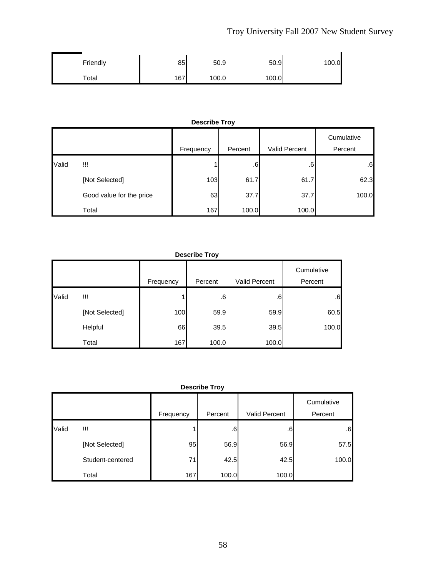| Friendly    | 85  | 50.9  | 50.9  | 100.0 |
|-------------|-----|-------|-------|-------|
| $\tau$ otal | 167 | 100.0 | 100.0 |       |

|       | <b>Describe Troy</b>     |           |         |               |                       |  |  |  |
|-------|--------------------------|-----------|---------|---------------|-----------------------|--|--|--|
|       |                          | Frequency | Percent | Valid Percent | Cumulative<br>Percent |  |  |  |
| Valid | !!!                      |           | .6      | .6            | .6                    |  |  |  |
|       | [Not Selected]           | 103       | 61.7    | 61.7          | 62.3                  |  |  |  |
|       | Good value for the price | 63        | 37.7    | 37.7          | 100.0                 |  |  |  |
|       | Total                    | 167       | 100.0   | 100.0         |                       |  |  |  |

#### **Describe Troy**

|       |                | Frequency | Percent | Valid Percent | Cumulative<br>Percent |
|-------|----------------|-----------|---------|---------------|-----------------------|
| Valid | w              |           | .6      | $6 \cdot$     | .6                    |
|       | [Not Selected] | 100       | 59.9    | 59.9          | 60.5                  |
|       | Helpful        | 66        | 39.5    | 39.5          | 100.0                 |
|       | Total          | 167       | 100.0   | 100.0         |                       |

#### **Describe Troy**

|       |                  |           |         |               | Cumulative |
|-------|------------------|-----------|---------|---------------|------------|
|       |                  | Frequency | Percent | Valid Percent | Percent    |
| Valid | w                |           | .6      | $.6^{\circ}$  | .6         |
|       | [Not Selected]   | 95        | 56.9    | 56.9          | 57.5       |
|       | Student-centered | 71        | 42.5    | 42.5          | 100.0      |
|       | Total            | 167       | 100.0   | 100.0         |            |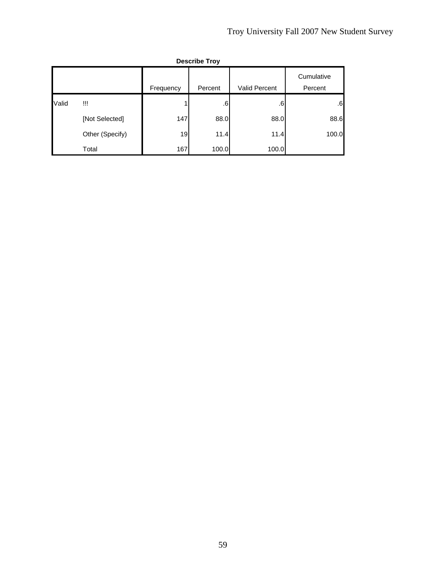|       | <b>Describe Troy</b> |           |         |                      |                       |  |  |  |
|-------|----------------------|-----------|---------|----------------------|-----------------------|--|--|--|
|       |                      | Frequency | Percent | <b>Valid Percent</b> | Cumulative<br>Percent |  |  |  |
| Valid | $\mathbf{III}$       |           | $.6\,$  | .6                   | .6                    |  |  |  |
|       | [Not Selected]       | 147       | 88.0    | 88.0                 | 88.6                  |  |  |  |
|       | Other (Specify)      | 19        | 11.4    | 11.4                 | 100.0                 |  |  |  |
|       | Total                | 167       | 100.0   | 100.0                |                       |  |  |  |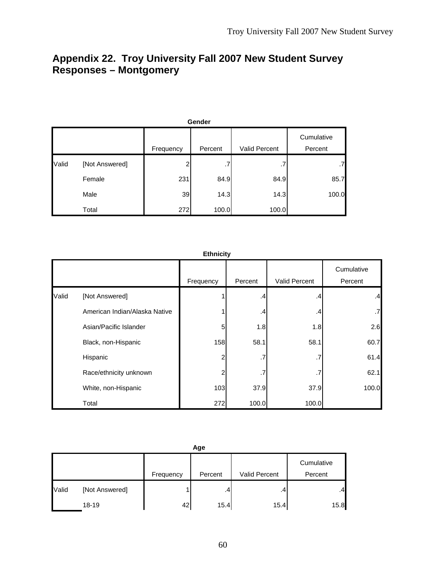# **Appendix 22. Troy University Fall 2007 New Student Survey Responses – Montgomery**

|       | Gender         |           |         |               |                       |  |  |  |
|-------|----------------|-----------|---------|---------------|-----------------------|--|--|--|
|       |                | Frequency | Percent | Valid Percent | Cumulative<br>Percent |  |  |  |
| Valid | [Not Answered] | 2         | .7      | .7            | .7                    |  |  |  |
|       | Female         | 231       | 84.9    | 84.9          | 85.7                  |  |  |  |
|       | Male           | 39        | 14.3    | 14.3          | 100.0                 |  |  |  |
|       | Total          | 272       | 100.0   | 100.0         |                       |  |  |  |

|       |                               | <b>Ethnicity</b> |         |               |                       |
|-------|-------------------------------|------------------|---------|---------------|-----------------------|
|       |                               | Frequency        | Percent | Valid Percent | Cumulative<br>Percent |
| Valid | [Not Answered]                |                  | .4      | .4            | .4                    |
|       | American Indian/Alaska Native |                  | .4      | .4            | .7                    |
|       | Asian/Pacific Islander        | 5                | 1.8     | 1.8           | 2.6                   |
|       | Black, non-Hispanic           | 158              | 58.1    | 58.1          | 60.7                  |
|       | Hispanic                      | 2                | .7      | .7            | 61.4                  |
|       | Race/ethnicity unknown        |                  |         | .7            | 62.1                  |
|       | White, non-Hispanic           | 103              | 37.9    | 37.9          | 100.0                 |
|       | Total                         | 272              | 100.0   | 100.0         |                       |

| Age   |                |           |         |               |                       |  |  |
|-------|----------------|-----------|---------|---------------|-----------------------|--|--|
|       |                | Frequency | Percent | Valid Percent | Cumulative<br>Percent |  |  |
| Valid | [Not Answered] |           | .4      | .4            | .4                    |  |  |
|       | $18 - 19$      | 42        | 15.4    | 15.4          | 15.8                  |  |  |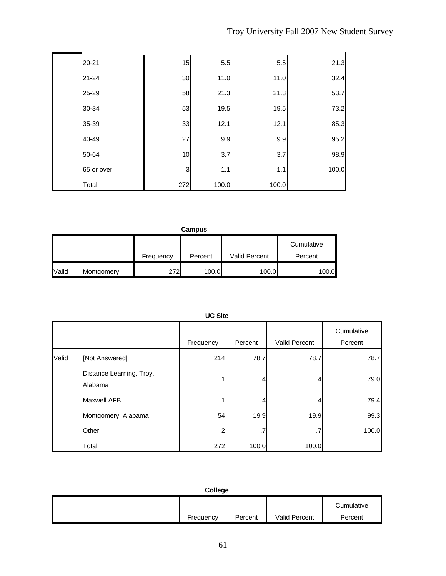| $20 - 21$  | 15  | 5.5   | 5.5   | 21.3  |
|------------|-----|-------|-------|-------|
| $21 - 24$  | 30  | 11.0  | 11.0  | 32.4  |
| 25-29      | 58  | 21.3  | 21.3  | 53.7  |
| 30-34      | 53  | 19.5  | 19.5  | 73.2  |
| 35-39      | 33  | 12.1  | 12.1  | 85.3  |
| 40-49      | 27  | 9.9   | 9.9   | 95.2  |
| 50-64      | 10  | 3.7   | 3.7   | 98.9  |
| 65 or over | 3   | 1.1   | 1.1   | 100.0 |
| Total      | 272 | 100.0 | 100.0 |       |

| Campus |            |             |         |               |            |  |  |
|--------|------------|-------------|---------|---------------|------------|--|--|
|        |            |             |         |               | Cumulative |  |  |
|        |            | Frequency   | Percent | Valid Percent | Percent    |  |  |
| Valid  | Montgomery | <b>2721</b> | 100.0   | 100.0         | 100.0      |  |  |

|       |                                     | $\sim$ $\sim$ |         |               |                       |
|-------|-------------------------------------|---------------|---------|---------------|-----------------------|
|       |                                     | Frequency     | Percent | Valid Percent | Cumulative<br>Percent |
| Valid | [Not Answered]                      | 214           | 78.7    | 78.7          | 78.7                  |
|       | Distance Learning, Troy,<br>Alabama |               | $\cdot$ | .4            | 79.0                  |
|       | Maxwell AFB                         |               | $\cdot$ | .4            | 79.4                  |
|       | Montgomery, Alabama                 | 54            | 19.9    | 19.9          | 99.3                  |
|       | Other                               | 2             | .7      | .7            | 100.0                 |
|       | Total                               | 272           | 100.0   | 100.0         |                       |

**UC Site**

|           |         |               | Cumulative |
|-----------|---------|---------------|------------|
| Frequency | Percent | Valid Percent | Percent    |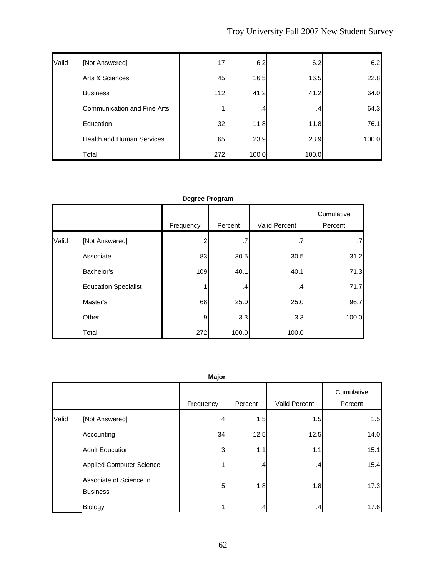| Valid | [Not Answered]                     | 17  | 6.2   | 6.2   | 6.2   |
|-------|------------------------------------|-----|-------|-------|-------|
|       | Arts & Sciences                    | 45  | 16.5  | 16.5  | 22.8  |
|       | <b>Business</b>                    | 112 | 41.2  | 41.2  | 64.0  |
|       | <b>Communication and Fine Arts</b> |     | .4    | .4    | 64.3  |
|       | Education                          | 32  | 11.8  | 11.8  | 76.1  |
|       | <b>Health and Human Services</b>   | 65  | 23.9  | 23.9  | 100.0 |
|       | Total                              | 272 | 100.0 | 100.0 |       |

## **Degree Program**

|       |                             | Frequency | Percent         | Valid Percent | Cumulative<br>Percent |
|-------|-----------------------------|-----------|-----------------|---------------|-----------------------|
| Valid | [Not Answered]              | 2         | .7              |               |                       |
|       | Associate                   | 83        | 30.5            | 30.5          | 31.2                  |
|       | Bachelor's                  | 109       | 40.1            | 40.1          | 71.3                  |
|       | <b>Education Specialist</b> |           | .4 <sub>1</sub> | .4            | 71.7                  |
|       | Master's                    | 68        | 25.0            | 25.0          | 96.7                  |
|       | Other                       | 9         | 3.3             | 3.3           | 100.0                 |
|       | Total                       | 272       | 100.0           | 100.0         |                       |

| Major |                                            |           |                 |               |                       |  |  |
|-------|--------------------------------------------|-----------|-----------------|---------------|-----------------------|--|--|
|       |                                            | Frequency | Percent         | Valid Percent | Cumulative<br>Percent |  |  |
| Valid | [Not Answered]                             | 4         | 1.5             | 1.5           | 1.5                   |  |  |
|       | Accounting                                 | 34        | 12.5            | 12.5          | 14.0                  |  |  |
|       | <b>Adult Education</b>                     | 3         | 1.1             | 1.1           | 15.1                  |  |  |
|       | <b>Applied Computer Science</b>            |           | .4 <sub>1</sub> | .4            | 15.4                  |  |  |
|       | Associate of Science in<br><b>Business</b> | 5         | 1.8             | 1.8           | 17.3                  |  |  |
|       | Biology                                    |           | $\cdot$         | .4            | 17.6                  |  |  |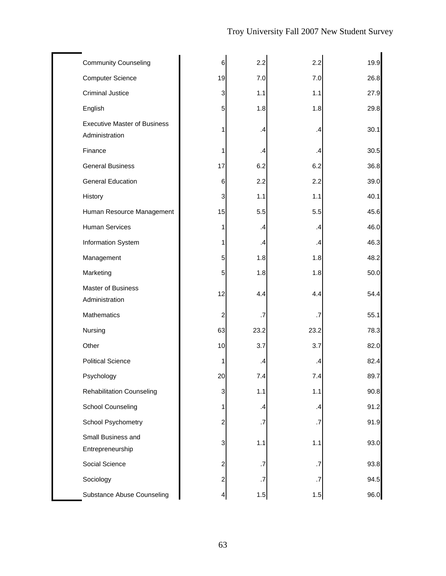| <b>Community Counseling</b>                           | 6              | 2.2     | 2.2       | 19.9 |
|-------------------------------------------------------|----------------|---------|-----------|------|
| <b>Computer Science</b>                               | 19             | 7.0     | 7.0       | 26.8 |
| <b>Criminal Justice</b>                               | 3              | 1.1     | 1.1       | 27.9 |
| English                                               | 5              | 1.8     | 1.8       | 29.8 |
| <b>Executive Master of Business</b><br>Administration | 1              | .4      | .4        | 30.1 |
| Finance                                               | 1              | $\cdot$ | .4        | 30.5 |
| <b>General Business</b>                               | 17             | 6.2     | 6.2       | 36.8 |
| <b>General Education</b>                              | 6              | 2.2     | 2.2       | 39.0 |
| History                                               | 3              | 1.1     | 1.1       | 40.1 |
| Human Resource Management                             | 15             | 5.5     | 5.5       | 45.6 |
| <b>Human Services</b>                                 | 1              | .4      | .4        | 46.0 |
| Information System                                    | 1              | $\cdot$ | $\cdot$   | 46.3 |
| Management                                            | 5              | 1.8     | 1.8       | 48.2 |
| Marketing                                             | 5              | 1.8     | 1.8       | 50.0 |
| Master of Business<br>Administration                  | 12             | 4.4     | 4.4       | 54.4 |
| Mathematics                                           | 2              | .7      | .7        | 55.1 |
| Nursing                                               | 63             | 23.2    | 23.2      | 78.3 |
| Other                                                 | 10             | 3.7     | 3.7       | 82.0 |
| <b>Political Science</b>                              | 1              | .4      | .4        | 82.4 |
| Psychology                                            | 20             | 7.4     | 7.4       | 89.7 |
| <b>Rehabilitation Counseling</b>                      | 3              | 1.1     | 1.1       | 90.8 |
| <b>School Counseling</b>                              | 1              | .4      | .4        | 91.2 |
| School Psychometry                                    | 2              | .7      | .7        | 91.9 |
| Small Business and<br>Entrepreneurship                | 3              | 1.1     | 1.1       | 93.0 |
| Social Science                                        | 2              | $\cdot$ | .7        | 93.8 |
| Sociology                                             | $\overline{c}$ | $\cdot$ | $\cdot$ 7 | 94.5 |
| <b>Substance Abuse Counseling</b>                     | $\vert$        | 1.5     | 1.5       | 96.0 |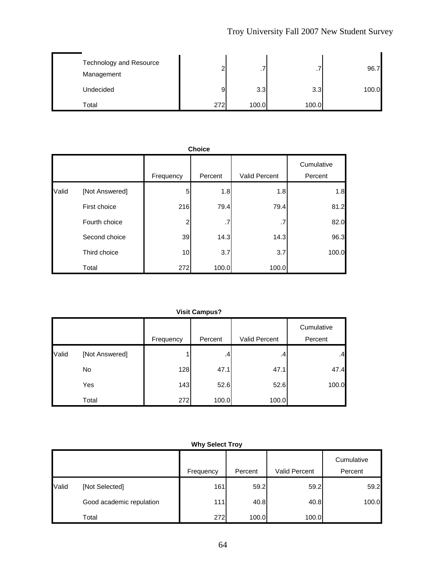| Technology and Resource<br>Management | ⌒   | $\cdot$ | $\cdot$ | 96.7  |
|---------------------------------------|-----|---------|---------|-------|
| Undecided                             | 9   | 3.3     | 3.3     | 100.0 |
| Total                                 | 272 | 100.0   | 100.0   |       |

|       | <b>Choice</b>  |                |         |               |                       |  |  |  |  |
|-------|----------------|----------------|---------|---------------|-----------------------|--|--|--|--|
|       |                | Frequency      | Percent | Valid Percent | Cumulative<br>Percent |  |  |  |  |
| Valid | [Not Answered] | 5              | 1.8     | 1.8           | 1.8                   |  |  |  |  |
|       | First choice   | 216            | 79.4    | 79.4          | 81.2                  |  |  |  |  |
|       | Fourth choice  | $\overline{2}$ | .7      | .7            | 82.0                  |  |  |  |  |
|       | Second choice  | 39             | 14.3    | 14.3          | 96.3                  |  |  |  |  |
|       | Third choice   | 10             | 3.7     | 3.7           | 100.0                 |  |  |  |  |
|       | Total          | 272            | 100.0   | 100.0         |                       |  |  |  |  |

#### **Visit Campus?**

|       |                |           |         |               | Cumulative |
|-------|----------------|-----------|---------|---------------|------------|
|       |                | Frequency | Percent | Valid Percent | Percent    |
| Valid | [Not Answered] |           | .4      | .4            | .4         |
|       | <b>No</b>      | 128       | 47.1    | 47.1          | 47.4       |
|       | Yes            | 143       | 52.6    | 52.6          | 100.0      |
|       | Total          | 272       | 100.0   | 100.0         |            |

|       |                          | Frequency | Percent | Valid Percent | Cumulative<br>Percent |
|-------|--------------------------|-----------|---------|---------------|-----------------------|
| Valid | [Not Selected]           | 161       | 59.2    | 59.2          | 59.2                  |
|       | Good academic repulation | 111       | 40.8    | 40.8          | 100.0                 |
|       | Total                    | 272       | 100.0   | 100.0         |                       |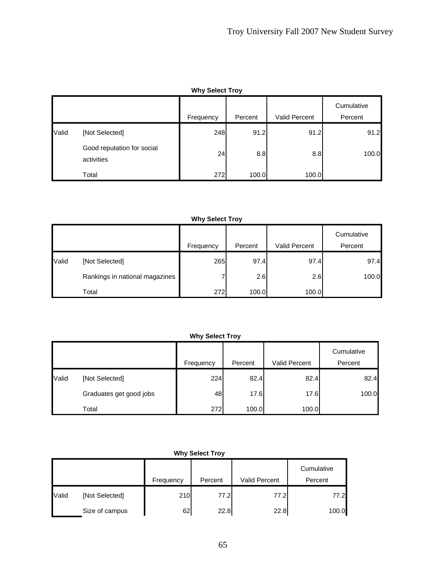|       | <b>Why Select Troy</b>                   |           |         |                      |                       |  |  |  |  |
|-------|------------------------------------------|-----------|---------|----------------------|-----------------------|--|--|--|--|
|       |                                          | Frequency | Percent | <b>Valid Percent</b> | Cumulative<br>Percent |  |  |  |  |
| Valid | [Not Selected]                           | 248       | 91.2    | 91.2                 | 91.2                  |  |  |  |  |
|       | Good reputation for social<br>activities | 24        | 8.8     | 8.8                  | 100.0                 |  |  |  |  |
|       | Total                                    | 272       | 100.0   | 100.0                |                       |  |  |  |  |

|       |                                |           |         |               | Cumulative |
|-------|--------------------------------|-----------|---------|---------------|------------|
|       |                                | Frequency | Percent | Valid Percent | Percent    |
| Valid | [Not Selected]                 | 265       | 97.4    | 97.4          | 97.4       |
|       | Rankings in national magazines |           | 2.6     | 2.6           | 100.0      |
|       | Total                          | 272       | 100.0   | 100.0         |            |

|       |                         | Frequency | Percent | Valid Percent | Cumulative<br>Percent |
|-------|-------------------------|-----------|---------|---------------|-----------------------|
| Valid | [Not Selected]          | 224       | 82.4    | 82.4          | 82.4                  |
|       | Graduates get good jobs | 48        | 17.6    | 17.6          | 100.0                 |
|       | Total                   | 272       | 100.0   | 100.0         |                       |

| <b>Why Select Troy</b> |
|------------------------|
|------------------------|

|       |                |           |         |                      | Cumulative |
|-------|----------------|-----------|---------|----------------------|------------|
|       |                | Frequency | Percent | <b>Valid Percent</b> | Percent    |
| Valid | [Not Selected] | 210       | 77.2    | 77.2                 | 77.2       |
|       | Size of campus | 62        | 22.8    | 22.8                 | 100.0      |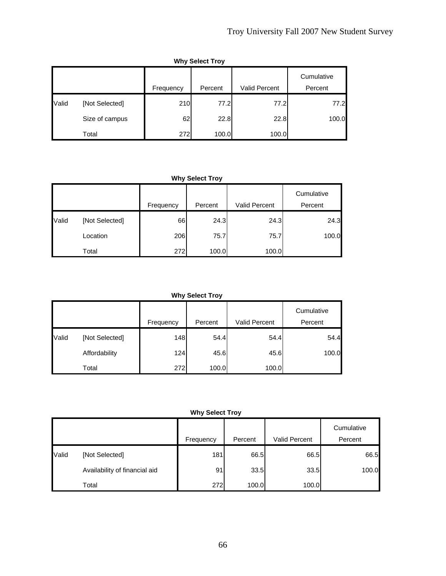|       | <b>Why Select Troy</b> |           |         |               |                       |  |  |  |
|-------|------------------------|-----------|---------|---------------|-----------------------|--|--|--|
|       |                        | Frequency | Percent | Valid Percent | Cumulative<br>Percent |  |  |  |
| Valid | [Not Selected]         | 210       | 77.2    | 77.2          | 77.2                  |  |  |  |
|       | Size of campus         | 62        | 22.8    | 22.8          | 100.0                 |  |  |  |
|       | Total                  | 272       | 100.0   | 100.0         |                       |  |  |  |

**Why Select Troy**

|       |                |           |         |                      | Cumulative |
|-------|----------------|-----------|---------|----------------------|------------|
|       |                | Frequency | Percent | <b>Valid Percent</b> | Percent    |
| Valid | [Not Selected] | 66        | 24.3    | 24.3                 | 24.3       |
|       | Location       | 206       | 75.7    | 75.7                 | 100.0      |
|       | Total          | 272       | 100.0   | 100.0                |            |

**Why Select Troy**

|       |                | Frequency | Percent | Valid Percent | Cumulative<br>Percent |
|-------|----------------|-----------|---------|---------------|-----------------------|
| Valid | [Not Selected] | 148       | 54.4    | 54.4          | 54.4                  |
|       | Affordability  | 124       | 45.6    | 45.6          | 100.0                 |
|       | Total          | 272       | 100.0   | 100.0         |                       |

**Why Select Troy**

|       |                               | Frequency | Percent | Valid Percent | Cumulative<br>Percent |
|-------|-------------------------------|-----------|---------|---------------|-----------------------|
| Valid | [Not Selected]                | 181       | 66.5    | 66.5          | 66.5                  |
|       | Availability of financial aid | 91        | 33.5    | 33.5          | 100.0                 |
|       | Total                         | 272       | 100.0   | 100.0         |                       |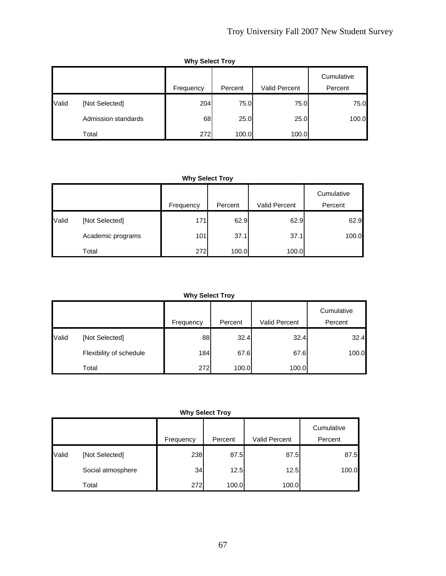|       | <b>Why Select Troy</b> |           |         |                      |                       |  |  |  |  |
|-------|------------------------|-----------|---------|----------------------|-----------------------|--|--|--|--|
|       |                        | Frequency | Percent | <b>Valid Percent</b> | Cumulative<br>Percent |  |  |  |  |
| Valid | [Not Selected]         | 204       | 75.0    | 75.0                 | 75.0                  |  |  |  |  |
|       | Admission standards    | 68        | 25.0    | 25.0                 | 100.0                 |  |  |  |  |
|       | Total                  | 272       | 100.0   | 100.0                |                       |  |  |  |  |

|       |                   | Frequency | Percent | Valid Percent | Cumulative<br>Percent |
|-------|-------------------|-----------|---------|---------------|-----------------------|
| Valid | [Not Selected]    | 171       | 62.9    | 62.9          | 62.9                  |
|       | Academic programs | 101       | 37.1    | 37.1          | 100.0                 |
|       | Total             | 272       | 100.0   | 100.0         |                       |

## **Why Select Troy**

|       |                         | Frequency  | Percent | <b>Valid Percent</b> | Cumulative<br>Percent |
|-------|-------------------------|------------|---------|----------------------|-----------------------|
| Valid | [Not Selected]          | 88         | 32.4    | 32.4                 | 32.4                  |
|       | Flexibility of schedule | <b>184</b> | 67.6    | 67.6                 | 100.0                 |
|       | Total                   | 272        | 100.0   | 100.0                |                       |

|       |                   | Frequency | Percent | Valid Percent | Cumulative<br>Percent |
|-------|-------------------|-----------|---------|---------------|-----------------------|
| Valid | [Not Selected]    | 238       | 87.5    | 87.5          | 87.5                  |
|       | Social atmosphere | 34        | 12.5    | 12.5          | 100.0                 |
|       | Total             | 272       | 100.0   | 100.0         |                       |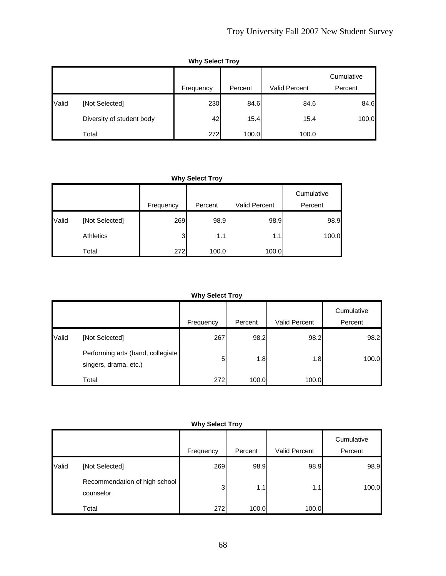|       | <b>THIS OCIGAL LIDY</b>   |           |         |               |                       |  |  |  |  |
|-------|---------------------------|-----------|---------|---------------|-----------------------|--|--|--|--|
|       |                           | Frequency | Percent | Valid Percent | Cumulative<br>Percent |  |  |  |  |
| Valid | [Not Selected]            | 230       | 84.6    | 84.6          | 84.6                  |  |  |  |  |
|       | Diversity of student body | 42        | 15.4    | 15.4          | 100.0                 |  |  |  |  |
|       | Total                     | 272       | 100.0   | 100.0         |                       |  |  |  |  |

**Why Select Troy**

|       |                  | Frequency    | Percent | <b>Valid Percent</b> | Cumulative<br>Percent |
|-------|------------------|--------------|---------|----------------------|-----------------------|
| Valid | [Not Selected]   | 269          | 98.9    | 98.9                 | 98.9                  |
|       | <b>Athletics</b> | $\mathbf{3}$ | 1.1     | 1.1                  | 100.0                 |
|       | Total            | 272          | 100.0   | 100.0                |                       |

## **Why Select Troy**

|       |                                                            | Frequency | Percent | <b>Valid Percent</b> | Cumulative<br>Percent |
|-------|------------------------------------------------------------|-----------|---------|----------------------|-----------------------|
|       |                                                            |           |         |                      |                       |
| Valid | [Not Selected]                                             | 267       | 98.2    | 98.2                 | 98.2                  |
|       | Performing arts (band, collegiate<br>singers, drama, etc.) | 5         | 1.8     | 1.8                  | 100.0                 |
|       | Total                                                      | 272       | 100.0   | 100.0                |                       |

|       |                                            | Frequency | Percent | Valid Percent | Cumulative<br>Percent |
|-------|--------------------------------------------|-----------|---------|---------------|-----------------------|
| Valid | [Not Selected]                             | 269       | 98.9    | 98.9          | 98.9                  |
|       | Recommendation of high school<br>counselor | 3         | 1.1     | 1.1           | 100.0                 |
|       | Total                                      | 272       | 100.0   | 100.0         |                       |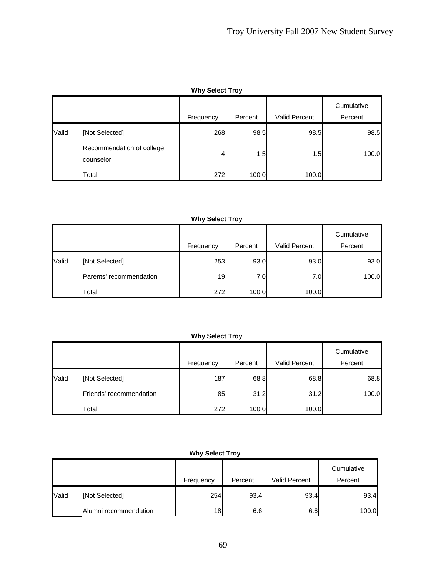|       | <b>Why Select Troy</b>                 |           |         |                      |                       |  |  |  |  |  |
|-------|----------------------------------------|-----------|---------|----------------------|-----------------------|--|--|--|--|--|
|       |                                        | Frequency | Percent | <b>Valid Percent</b> | Cumulative<br>Percent |  |  |  |  |  |
| Valid | [Not Selected]                         | 268       | 98.5    | 98.5                 | 98.5                  |  |  |  |  |  |
|       | Recommendation of college<br>counselor | 4         | 1.5     | 1.5                  | 100.0                 |  |  |  |  |  |
|       | Total                                  | 272       | 100.0   | 100.0                |                       |  |  |  |  |  |

|       |                         | Frequency | Percent | Valid Percent | Cumulative<br>Percent |
|-------|-------------------------|-----------|---------|---------------|-----------------------|
| Valid | [Not Selected]          | 253       | 93.0    | 93.0          | 93.0                  |
|       | Parents' recommendation | 19        | 7.0I    | 7.0           | 100.0                 |
|       | Total                   | 272       | 100.0   | 100.0         |                       |

#### **Why Select Troy**

|       |                         | Frequency | Percent | <b>Valid Percent</b> | Cumulative<br>Percent |
|-------|-------------------------|-----------|---------|----------------------|-----------------------|
| Valid | [Not Selected]          | 187       | 68.8    | 68.8                 | 68.8                  |
|       | Friends' recommendation | 85        | 31.2    | 31.2                 | 100.0                 |
|       | Total                   | 272       | 100.0   | 100.0                |                       |

|       |                       |           |         |               | Cumulative |
|-------|-----------------------|-----------|---------|---------------|------------|
|       |                       | Frequency | Percent | Valid Percent | Percent    |
| Valid | [Not Selected]        | 254       | 93.4    | 93.4          | 93.4       |
|       | Alumni recommendation | 18        | 6.6     | 6.6           | 100.0      |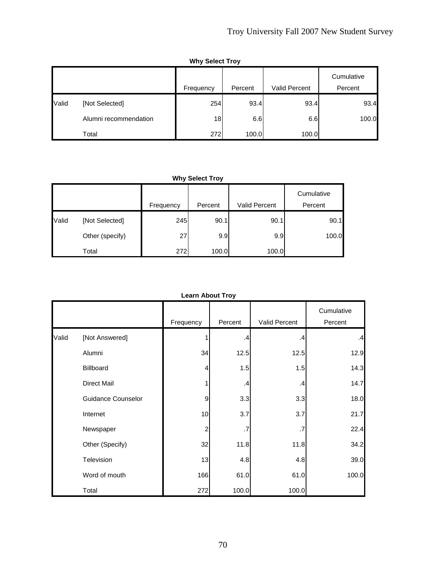|       | <b>THE DEPTH IT OF</b> |           |         |                      |                       |  |  |
|-------|------------------------|-----------|---------|----------------------|-----------------------|--|--|
|       |                        | Frequency | Percent | <b>Valid Percent</b> | Cumulative<br>Percent |  |  |
| Valid | [Not Selected]         | 254       | 93.4    | 93.4                 | 93.4                  |  |  |
|       | Alumni recommendation  | 18        | 6.6     | 6.6                  | 100.0                 |  |  |
|       | Total                  | 272       | 100.0   | 100.0                |                       |  |  |

**Why Select Troy**

**Why Select Troy**

|       |                 | Frequency | Percent | <b>Valid Percent</b> | Cumulative<br>Percent |
|-------|-----------------|-----------|---------|----------------------|-----------------------|
| Valid | [Not Selected]  | 245       | 90.1    | 90.1                 | 90.1                  |
|       | Other (specify) | 27        | 9.9     | 9.9                  | 100.0                 |
|       | Total           | 272       | 100.0   | 100.0                |                       |

| <b>Learn About Troy</b> |  |  |
|-------------------------|--|--|
|-------------------------|--|--|

|       |                    | Frequency | Percent | Valid Percent | Cumulative<br>Percent |
|-------|--------------------|-----------|---------|---------------|-----------------------|
|       |                    |           |         |               |                       |
| Valid | [Not Answered]     |           | .4      | .4            | .4                    |
|       | Alumni             | 34        | 12.5    | 12.5          | 12.9                  |
|       | Billboard          | 4         | 1.5     | 1.5           | 14.3                  |
|       | Direct Mail        |           | .4      | .4            | 14.7                  |
|       | Guidance Counselor | 9         | 3.3     | 3.3           | 18.0                  |
|       | Internet           | 10        | 3.7     | 3.7           | 21.7                  |
|       | Newspaper          | 2         | .7      | .7            | 22.4                  |
|       | Other (Specify)    | 32        | 11.8    | 11.8          | 34.2                  |
|       | Television         | 13        | 4.8     | 4.8           | 39.0                  |
|       | Word of mouth      | 166       | 61.0    | 61.0          | 100.0                 |
|       | Total              | 272       | 100.0   | 100.0         |                       |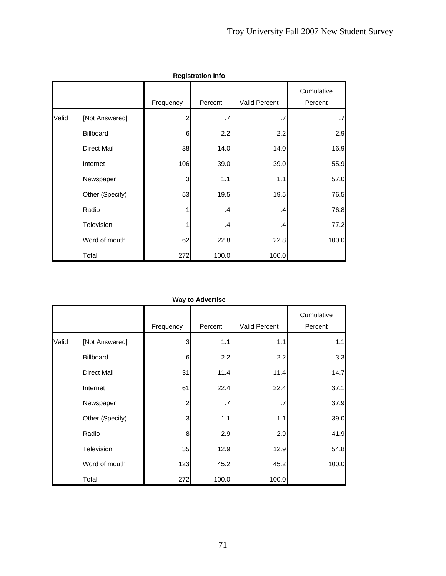|       |                    |           | <b>Registration Info</b> |                      |                       |
|-------|--------------------|-----------|--------------------------|----------------------|-----------------------|
|       |                    | Frequency | Percent                  | <b>Valid Percent</b> | Cumulative<br>Percent |
| Valid | [Not Answered]     | 2         | .7                       | .7                   | .7                    |
|       | Billboard          | 6         | 2.2                      | 2.2                  | 2.9                   |
|       | <b>Direct Mail</b> | 38        | 14.0                     | 14.0                 | 16.9                  |
|       | Internet           | 106       | 39.0                     | 39.0                 | 55.9                  |
|       | Newspaper          | 3         | 1.1                      | 1.1                  | 57.0                  |
|       | Other (Specify)    | 53        | 19.5                     | 19.5                 | 76.5                  |
|       | Radio              |           | $\cdot$                  | $\cdot$              | 76.8                  |
|       | Television         |           | $\cdot$                  | $\cdot$              | 77.2                  |
|       | Word of mouth      | 62        | 22.8                     | 22.8                 | 100.0                 |
|       | Total              | 272       | 100.0                    | 100.0                |                       |

| <b>Way to Advertise</b> |  |
|-------------------------|--|
|-------------------------|--|

|       |                    | Frequency | Percent | Valid Percent | Cumulative<br>Percent |
|-------|--------------------|-----------|---------|---------------|-----------------------|
| Valid | [Not Answered]     | 3         | 1.1     | 1.1           | 1.1                   |
|       | Billboard          | 6         | 2.2     | 2.2           | 3.3                   |
|       | <b>Direct Mail</b> | 31        | 11.4    | 11.4          | 14.7                  |
|       | Internet           | 61        | 22.4    | 22.4          | 37.1                  |
|       | Newspaper          | 2         | $.7\,$  | .7            | 37.9                  |
|       | Other (Specify)    | 3         | 1.1     | 1.1           | 39.0                  |
|       | Radio              | 8         | 2.9     | 2.9           | 41.9                  |
|       | Television         | 35        | 12.9    | 12.9          | 54.8                  |
|       | Word of mouth      | 123       | 45.2    | 45.2          | 100.0                 |
|       | Total              | 272       | 100.0   | 100.0         |                       |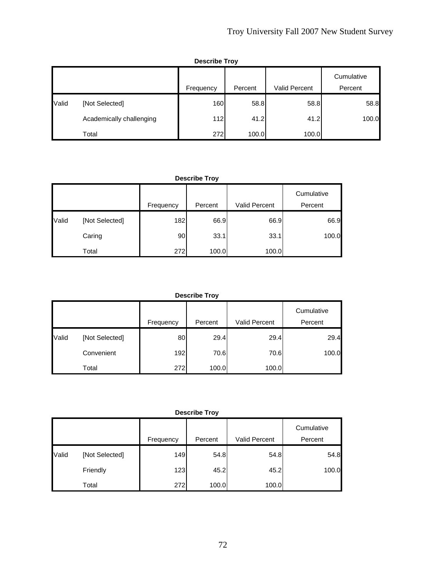|       | <b>Describe Troy</b>     |           |         |                      |                       |  |  |  |
|-------|--------------------------|-----------|---------|----------------------|-----------------------|--|--|--|
|       |                          | Frequency | Percent | <b>Valid Percent</b> | Cumulative<br>Percent |  |  |  |
| Valid | [Not Selected]           | 160       | 58.8    | 58.8                 | 58.8                  |  |  |  |
|       | Academically challenging | 112       | 41.2    | 41.2                 | 100.0                 |  |  |  |
|       | Total                    | 272       | 100.0   | 100.0                |                       |  |  |  |

# **Describe Troy**

|       |                | Frequency       | Percent | <b>Valid Percent</b> | Cumulative<br>Percent |
|-------|----------------|-----------------|---------|----------------------|-----------------------|
| Valid | [Not Selected] | 182             | 66.9    | 66.9                 | 66.9                  |
|       | Caring         | 90 <sub>l</sub> | 33.1    | 33.1                 | 100.0                 |
|       | Total          | 272             | 100.0   | 100.0                |                       |

#### **Describe Troy**

|       |                | Frequency | Percent | <b>Valid Percent</b> | Cumulative<br>Percent |
|-------|----------------|-----------|---------|----------------------|-----------------------|
| Valid | [Not Selected] | 80        | 29.4    | 29.4                 | 29.4                  |
|       | Convenient     | 192       | 70.6    | 70.6                 | 100.0                 |
|       | Total          | 272       | 100.0   | 100.0                |                       |

|       |                | Frequency | Percent | <b>Valid Percent</b> | Cumulative<br>Percent |
|-------|----------------|-----------|---------|----------------------|-----------------------|
| Valid | [Not Selected] | 149       | 54.8    | 54.8                 | 54.8                  |
|       | Friendly       | 123       | 45.2    | 45.2                 | 100.0                 |
|       | Total          | 272       | 100.0   | 100.0                |                       |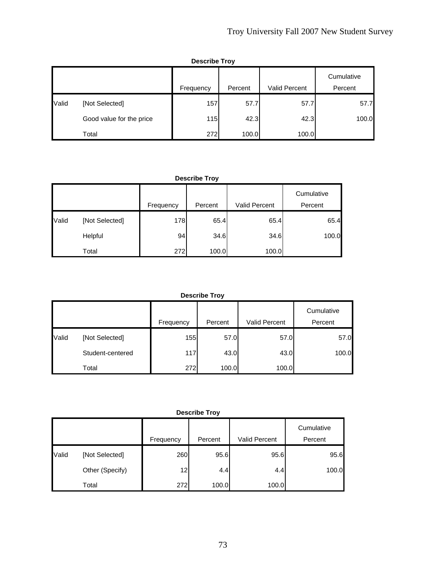|       | <b>Describe Troy</b>     |           |         |               |                       |  |  |  |  |
|-------|--------------------------|-----------|---------|---------------|-----------------------|--|--|--|--|
|       |                          | Frequency | Percent | Valid Percent | Cumulative<br>Percent |  |  |  |  |
| Valid | [Not Selected]           | 157       | 57.7    | 57.7          | 57.7                  |  |  |  |  |
|       | Good value for the price | 115       | 42.3    | 42.3          | 100.0                 |  |  |  |  |
|       | Total                    | 272       | 100.0   | 100.0         |                       |  |  |  |  |

#### **Describe Troy**

|       |                | Frequency       | Percent | Valid Percent | Cumulative<br>Percent |
|-------|----------------|-----------------|---------|---------------|-----------------------|
| Valid | [Not Selected] | 178             | 65.4    | 65.4          | 65.4                  |
|       | Helpful        | 94 <sub>1</sub> | 34.6    | 34.6          | 100.0                 |
|       | Total          | 272             | 100.0   | 100.0         |                       |

## **Describe Troy**

|       |                  | Frequency | Percent | <b>Valid Percent</b> | Cumulative<br>Percent |
|-------|------------------|-----------|---------|----------------------|-----------------------|
| Valid | [Not Selected]   | 155       | 57.0    | 57.0                 | 57.0                  |
|       | Student-centered | 117       | 43.0    | 43.0                 | 100.0                 |
|       | Total            | 272       | 100.0   | 100.0                |                       |

|       |                 | Frequency       | Percent | Valid Percent | Cumulative<br>Percent |
|-------|-----------------|-----------------|---------|---------------|-----------------------|
| Valid | [Not Selected]  | 260             | 95.6    | 95.6          | 95.6                  |
|       | Other (Specify) | 12 <sub>l</sub> | 4.4     | 4.4           | 100.0                 |
|       | Total           | 272             | 100.0   | 100.0         |                       |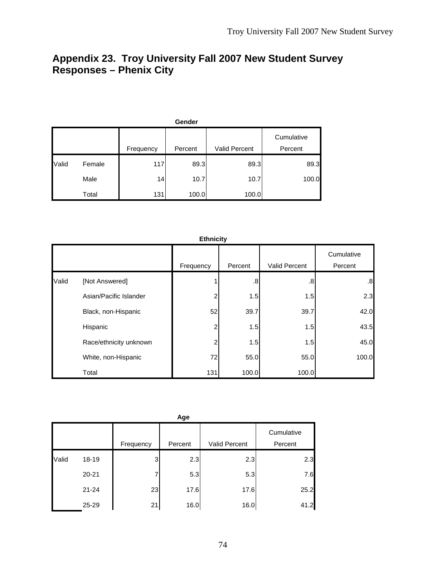# **Appendix 23. Troy University Fall 2007 New Student Survey Responses – Phenix City**

|       | Gender |           |         |               |                       |  |  |  |  |
|-------|--------|-----------|---------|---------------|-----------------------|--|--|--|--|
|       |        | Frequency | Percent | Valid Percent | Cumulative<br>Percent |  |  |  |  |
| Valid | Female | 117       | 89.3    | 89.3          | 89.3                  |  |  |  |  |
|       | Male   | 14        | 10.7    | 10.7          | 100.0                 |  |  |  |  |
|       | Total  | 131       | 100.0   | 100.0         |                       |  |  |  |  |

**Ethnicity** Frequency | Percent | Valid Percent **Cumulative** Percent Valid [Not Answered] 1 .8 .8 .8 Asian/Pacific Islander 1.5 2.3 Black, non-Hispanic 52 39.7 39.7 42.0 Hispanic 2 1.5 1.5 43.5 Race/ethnicity unknown  $\begin{array}{ccc} 2 & 1.5 & 1.5 \end{array}$  1.5  $\begin{array}{ccc} 45.0 & 45.0 \end{array}$ White, non-Hispanic **100.0** 72 55.0 55.0 55.0 Total 100.0 131 100.0 100.0

|       | Age       |           |         |               |            |  |  |  |  |
|-------|-----------|-----------|---------|---------------|------------|--|--|--|--|
|       |           |           |         |               | Cumulative |  |  |  |  |
|       |           | Frequency | Percent | Valid Percent | Percent    |  |  |  |  |
| Valid | 18-19     | 3         | 2.3     | 2.3           | 2.3        |  |  |  |  |
|       | $20 - 21$ |           | 5.3     | 5.3           | 7.6        |  |  |  |  |
|       | $21 - 24$ | 23        | 17.6    | 17.6          | 25.2       |  |  |  |  |
|       | 25-29     | 21        | 16.0    | 16.0          | 41.2       |  |  |  |  |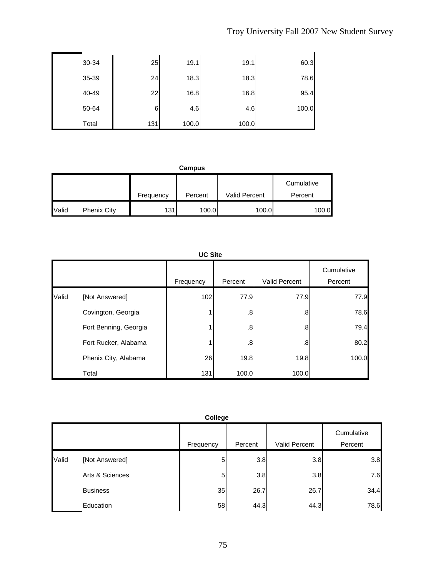| 30-34 | 25  | 19.1  | 19.1  | 60.3  |
|-------|-----|-------|-------|-------|
| 35-39 | 24  | 18.3  | 18.3  | 78.6  |
| 40-49 | 22  | 16.8  | 16.8  | 95.4  |
| 50-64 | 6   | 4.6   | 4.6   | 100.0 |
| Total | 131 | 100.0 | 100.0 |       |

**Campus**

|       |                    | Frequency | Percent | Valid Percent | Cumulative<br>Percent |
|-------|--------------------|-----------|---------|---------------|-----------------------|
| Valid | <b>Phenix City</b> | 131       | 100.0   | 100.0         | 100.0                 |

|       | <b>UC Site</b>        |           |         |               |                       |  |  |  |
|-------|-----------------------|-----------|---------|---------------|-----------------------|--|--|--|
|       |                       | Frequency | Percent | Valid Percent | Cumulative<br>Percent |  |  |  |
| Valid | [Not Answered]        | 102       | 77.9    | 77.9          | 77.9                  |  |  |  |
|       | Covington, Georgia    |           | .8      | .8            | 78.6                  |  |  |  |
|       | Fort Benning, Georgia |           | .8      | .8            | 79.4                  |  |  |  |
|       | Fort Rucker, Alabama  |           | .8      | .8            | 80.2                  |  |  |  |
|       | Phenix City, Alabama  | 26        | 19.8    | 19.8          | 100.0                 |  |  |  |
|       | Total                 | 131       | 100.0   | 100.0         |                       |  |  |  |

|       | College         |           |         |               |                       |  |  |
|-------|-----------------|-----------|---------|---------------|-----------------------|--|--|
|       |                 | Frequency | Percent | Valid Percent | Cumulative<br>Percent |  |  |
| Valid | [Not Answered]  | 5         | 3.8     | 3.8           | 3.8                   |  |  |
|       | Arts & Sciences | 5         | 3.8     | 3.8           | 7.6                   |  |  |
|       | <b>Business</b> | 35        | 26.7    | 26.7          | 34.4                  |  |  |
|       | Education       | 58        | 44.3    | 44.3          | 78.6                  |  |  |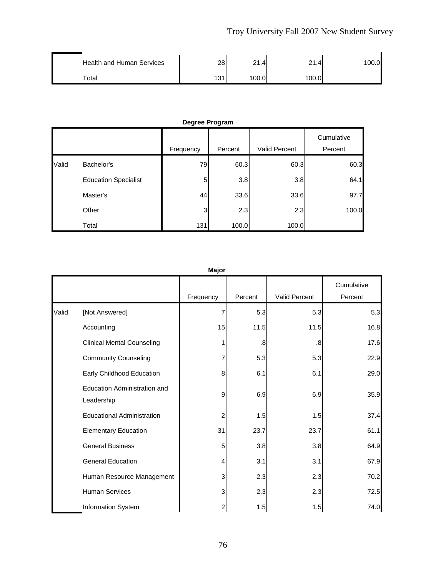| <b>Health and Human Services</b> | 28  | 21.4  | 24<br>21.4 | 100.0 |
|----------------------------------|-----|-------|------------|-------|
| Total                            | 131 | 100.0 | 100.0      |       |

|       | Degree Program              |                |         |               |                       |  |  |  |
|-------|-----------------------------|----------------|---------|---------------|-----------------------|--|--|--|
|       |                             | Frequency      | Percent | Valid Percent | Cumulative<br>Percent |  |  |  |
| Valid | Bachelor's                  | 79             | 60.3    | 60.3          | 60.3                  |  |  |  |
|       | <b>Education Specialist</b> | 5              | 3.8     | 3.8           | 64.1                  |  |  |  |
|       | Master's                    | 44             | 33.6    | 33.6          | 97.7                  |  |  |  |
|       | Other                       | $\overline{3}$ | 2.3     | 2.3           | 100.0                 |  |  |  |
|       | Total                       | 131            | 100.0   | 100.0         |                       |  |  |  |

|       | <b>Major</b>                               |           |         |               |                       |  |  |  |
|-------|--------------------------------------------|-----------|---------|---------------|-----------------------|--|--|--|
|       |                                            | Frequency | Percent | Valid Percent | Cumulative<br>Percent |  |  |  |
| Valid | [Not Answered]                             | 7         | 5.3     | 5.3           | 5.3                   |  |  |  |
|       | Accounting                                 | 15        | 11.5    | 11.5          | 16.8                  |  |  |  |
|       | <b>Clinical Mental Counseling</b>          |           | .8      | .8            | 17.6                  |  |  |  |
|       | <b>Community Counseling</b>                | 7         | 5.3     | 5.3           | 22.9                  |  |  |  |
|       | Early Childhood Education                  | 8         | 6.1     | 6.1           | 29.0                  |  |  |  |
|       | Education Administration and<br>Leadership | 9         | 6.9     | 6.9           | 35.9                  |  |  |  |
|       | <b>Educational Administration</b>          | 2         | 1.5     | 1.5           | 37.4                  |  |  |  |
|       | <b>Elementary Education</b>                | 31        | 23.7    | 23.7          | 61.1                  |  |  |  |
|       | <b>General Business</b>                    | 5         | 3.8     | 3.8           | 64.9                  |  |  |  |
|       | <b>General Education</b>                   | 4         | 3.1     | 3.1           | 67.9                  |  |  |  |
|       | Human Resource Management                  | 3         | 2.3     | 2.3           | 70.2                  |  |  |  |
|       | <b>Human Services</b>                      | 3         | 2.3     | 2.3           | 72.5                  |  |  |  |
|       | Information System                         | 2         | 1.5     | 1.5           | 74.0                  |  |  |  |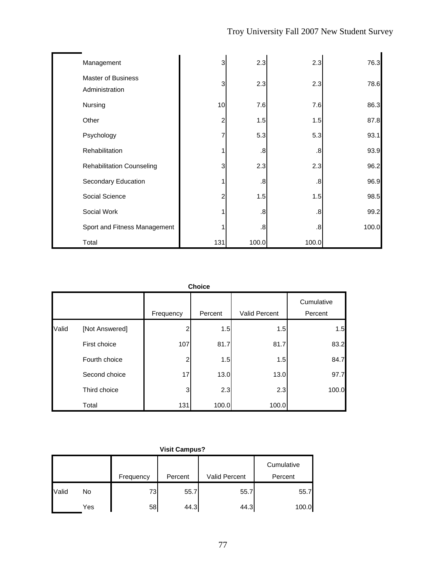| Management                                  | 3              | 2.3   | 2.3               | 76.3  |
|---------------------------------------------|----------------|-------|-------------------|-------|
| <b>Master of Business</b><br>Administration | 3              | 2.3   | 2.3               | 78.6  |
| Nursing                                     | 10             | 7.6   | 7.6               | 86.3  |
| Other                                       | $\overline{c}$ | 1.5   | 1.5               | 87.8  |
| Psychology                                  | 7              | 5.3   | 5.3               | 93.1  |
| Rehabilitation                              | 1              | .8    | .8                | 93.9  |
| <b>Rehabilitation Counseling</b>            | 3              | 2.3   | 2.3               | 96.2  |
| Secondary Education                         | 1              | .8    | $\boldsymbol{.8}$ | 96.9  |
| Social Science                              | $\overline{c}$ | 1.5   | 1.5               | 98.5  |
| Social Work                                 |                | .8    | $\boldsymbol{.8}$ | 99.2  |
| Sport and Fitness Management                |                | .8    | $\boldsymbol{.8}$ | 100.0 |
| Total                                       | 131            | 100.0 | 100.0             |       |

|       |                | Frequency | Percent | <b>Valid Percent</b> | Cumulative<br>Percent |
|-------|----------------|-----------|---------|----------------------|-----------------------|
| Valid | [Not Answered] | 2         | 1.5     | 1.5                  | 1.5                   |
|       | First choice   | 107       | 81.7    | 81.7                 | 83.2                  |
|       | Fourth choice  | 2         | 1.5     | 1.5                  | 84.7                  |
|       | Second choice  | 17        | 13.0    | 13.0                 | 97.7                  |
|       | Third choice   | 3         | 2.3     | 2.3                  | 100.0                 |
|       | Total          | 131       | 100.0   | 100.0                |                       |

|       | <b>VISIt Campus?</b> |           |         |                      |            |  |  |  |
|-------|----------------------|-----------|---------|----------------------|------------|--|--|--|
|       |                      |           |         |                      | Cumulative |  |  |  |
|       |                      | Frequency | Percent | <b>Valid Percent</b> | Percent    |  |  |  |
| Valid | No                   | 73        | 55.7    | 55.7                 | 55.7       |  |  |  |
|       | Yes                  | 58        | 44.3    | 44.3                 | 100.0      |  |  |  |

## **Visit Campus?**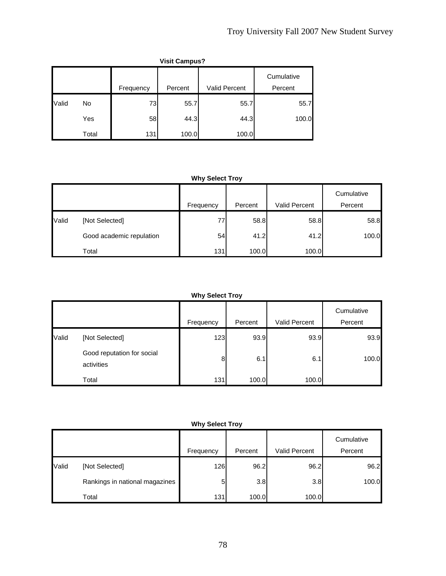|       | <b>Visit Campus?</b> |           |         |                      |                       |  |  |  |
|-------|----------------------|-----------|---------|----------------------|-----------------------|--|--|--|
|       |                      | Frequency | Percent | <b>Valid Percent</b> | Cumulative<br>Percent |  |  |  |
| Valid | No                   | 73        | 55.7    | 55.7                 | 55.7                  |  |  |  |
|       | Yes                  | 58        | 44.3    | 44.3                 | 100.0                 |  |  |  |
|       | Total                | 131       | 100.0   | 100.0                |                       |  |  |  |

|       |                          | Frequency | Percent | Valid Percent | Cumulative<br>Percent |
|-------|--------------------------|-----------|---------|---------------|-----------------------|
| Valid | [Not Selected]           | 77        | 58.8    | 58.8          | 58.8                  |
|       | Good academic repulation | 54        | 41.2    | 41.2          | 100.0                 |
|       | Total                    | 131       | 100.0   | 100.0         |                       |

## **Why Select Troy**

|       |                                          | Frequency | Percent | Valid Percent | Cumulative<br>Percent |
|-------|------------------------------------------|-----------|---------|---------------|-----------------------|
| Valid | [Not Selected]                           | 123       | 93.9    | 93.9          | 93.9                  |
|       | Good reputation for social<br>activities | 8         | 6.1     | 6.1           | 100.0                 |
|       | Total                                    | 131       | 100.0   | 100.0         |                       |

|       |                                | Frequency | Percent | Valid Percent | Cumulative<br>Percent |
|-------|--------------------------------|-----------|---------|---------------|-----------------------|
| Valid | [Not Selected]                 | 126       | 96.2    | 96.2          | 96.2                  |
|       | Rankings in national magazines | 5         | 3.8     | 3.8           | 100.0                 |
|       | Total                          | 131       | 100.0   | 100.0         |                       |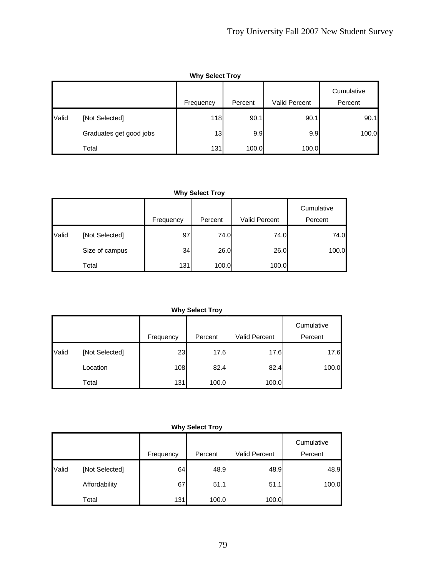|       | <b>Why Select Troy</b>  |           |         |               |                       |  |  |  |
|-------|-------------------------|-----------|---------|---------------|-----------------------|--|--|--|
|       |                         | Frequency | Percent | Valid Percent | Cumulative<br>Percent |  |  |  |
| Valid | [Not Selected]          | 118       | 90.1    | 90.1          | 90.1                  |  |  |  |
|       | Graduates get good jobs | 13        | 9.9     | 9.9           | 100.0                 |  |  |  |
|       | Total                   | 131       | 100.0   | 100.0         |                       |  |  |  |

|       |                | Frequency | Percent | Valid Percent | Cumulative<br>Percent |
|-------|----------------|-----------|---------|---------------|-----------------------|
| Valid | [Not Selected] | 97        | 74.0    | 74.0          | 74.0                  |
|       | Size of campus | 34        | 26.0    | 26.0          | 100.0                 |
|       | Total          | 131       | 100.0   | 100.0         |                       |

## **Why Select Troy**

|       |                | Frequency | Percent | <b>Valid Percent</b> | Cumulative<br>Percent |
|-------|----------------|-----------|---------|----------------------|-----------------------|
| Valid | [Not Selected] | 23        | 17.6    | 17.6                 | 17.6                  |
|       | Location       | 108       | 82.4    | 82.4                 | 100.0                 |
|       | Total          | 131       | 100.0   | 100.0                |                       |

|       |                | Frequency | Percent | <b>Valid Percent</b> | Cumulative<br>Percent |
|-------|----------------|-----------|---------|----------------------|-----------------------|
| Valid | [Not Selected] | 64        | 48.9    | 48.9                 | 48.9                  |
|       | Affordability  | 67        | 51.1    | 51.1                 | 100.0                 |
|       | Total          | 131       | 100.0   | 100.0                |                       |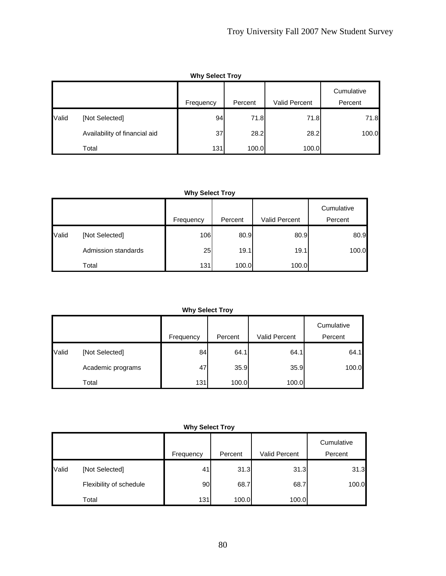|       | Why Select Troy               |                 |         |               |                       |  |  |  |
|-------|-------------------------------|-----------------|---------|---------------|-----------------------|--|--|--|
|       |                               | Frequency       | Percent | Valid Percent | Cumulative<br>Percent |  |  |  |
| Valid | [Not Selected]                | 94 <sub>l</sub> | 71.8    | 71.8          | 71.8                  |  |  |  |
|       | Availability of financial aid | 37              | 28.2    | 28.2          | 100.0                 |  |  |  |
|       | Total                         | 131             | 100.0   | 100.0         |                       |  |  |  |

**Why Select To** 

**Why Select Troy**

|       |                     | Frequency | Percent | <b>Valid Percent</b> | Cumulative<br>Percent |
|-------|---------------------|-----------|---------|----------------------|-----------------------|
| Valid | [Not Selected]      | 106       | 80.9    | 80.9                 | 80.9                  |
|       | Admission standards | 25        | 19.1    | 19.1                 | 100.0                 |
|       | Total               | 131       | 100.0   | 100.0                |                       |

**Why Select Troy**

|       |                   | Frequency | Percent | Valid Percent | Cumulative<br>Percent |
|-------|-------------------|-----------|---------|---------------|-----------------------|
|       |                   |           |         |               |                       |
| Valid | [Not Selected]    | 84        | 64.1    | 64.1          | 64.1                  |
|       | Academic programs | 47        | 35.9    | 35.9          | 100.0                 |
|       | Total             | 131       | 100.0   | 100.0         |                       |

**Why Select Troy**

|       |                         | Frequency | Percent | <b>Valid Percent</b> | Cumulative<br>Percent |
|-------|-------------------------|-----------|---------|----------------------|-----------------------|
| Valid | [Not Selected]          | 41        | 31.3    | 31.3                 | 31.3                  |
|       | Flexibility of schedule | 90        | 68.7    | 68.7                 | 100.0                 |
|       | Total                   | 131       | 100.0   | 100.0                |                       |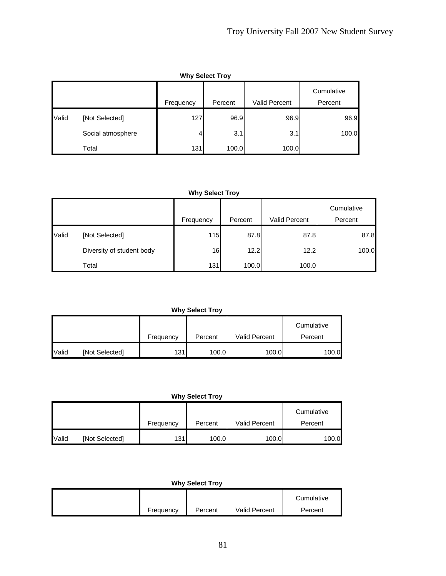|       | <b>Why Select Troy</b> |           |         |                      |                       |  |  |  |  |
|-------|------------------------|-----------|---------|----------------------|-----------------------|--|--|--|--|
|       |                        | Frequency | Percent | <b>Valid Percent</b> | Cumulative<br>Percent |  |  |  |  |
| Valid | [Not Selected]         | 127       | 96.9    | 96.9                 | 96.9                  |  |  |  |  |
|       | Social atmosphere      | 4         | 3.1     | 3.1                  | 100.0                 |  |  |  |  |
|       | Total                  | 131       | 100.0   | 100.0                |                       |  |  |  |  |

|       |                           | Frequency | Percent | Valid Percent | Cumulative<br>Percent |
|-------|---------------------------|-----------|---------|---------------|-----------------------|
| Valid | [Not Selected]            | 115       | 87.8    | 87.8          | 87.8                  |
|       | Diversity of student body | 16        | 12.2    | 12.2          | 100.0                 |
|       | Total                     | 131       | 100.0   | 100.0         |                       |

**Why Select Troy**

|              |                |           |         |                      | Cumulative |
|--------------|----------------|-----------|---------|----------------------|------------|
|              |                | Frequency | Percent | <b>Valid Percent</b> | Percent    |
| <b>Valid</b> | [Not Selected] | 131       | 100.0   | 100.0                | 100.0      |

|              |                | Frequency | Percent | <b>Valid Percent</b> | Cumulative<br>Percent |
|--------------|----------------|-----------|---------|----------------------|-----------------------|
| <b>Valid</b> | [Not Selected] | 131       | 100.0   | 100.0                | 100.0                 |

| <b>Why Select Troy</b> |  |  |  |  |
|------------------------|--|--|--|--|
|------------------------|--|--|--|--|

|           |         |                      | Cumulative |
|-----------|---------|----------------------|------------|
| Frequency | Percent | <b>Valid Percent</b> | Percent    |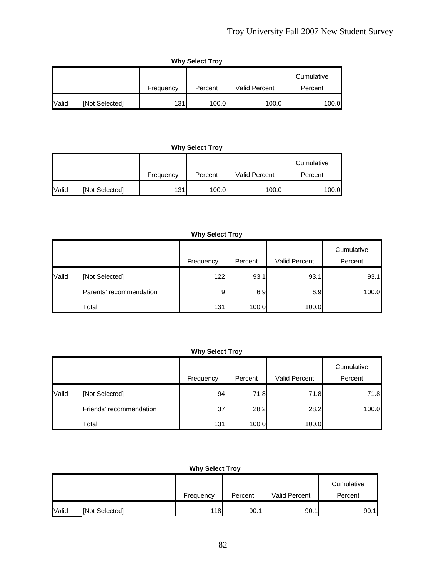|       | <b>Why Select Troy</b> |           |         |                      |            |  |  |  |
|-------|------------------------|-----------|---------|----------------------|------------|--|--|--|
|       |                        |           |         |                      | Cumulative |  |  |  |
|       |                        | Frequency | Percent | <b>Valid Percent</b> | Percent    |  |  |  |
| Valid | [Not Selected]         | 131       | 100.0   | 100.0                | 100.0      |  |  |  |

|       |                |           |         |                      | Cumulative |
|-------|----------------|-----------|---------|----------------------|------------|
|       |                | Frequency | Percent | <b>Valid Percent</b> | Percent    |
| Valid | [Not Selected] | 131       | 100.0   | 100.0                | 100.0      |

#### **Why Select Troy**

|       |                         | Frequency | Percent | Valid Percent | Cumulative<br>Percent |
|-------|-------------------------|-----------|---------|---------------|-----------------------|
| Valid | [Not Selected]          | 122       | 93.1    | 93.1          | 93.1                  |
|       | Parents' recommendation | 9         | 6.9     | 6.9           | 100.0                 |
|       | Total                   | 131       | 100.0   | 100.0         |                       |

#### **Why Select Troy**

|       |                         | Frequency | Percent | Valid Percent | Cumulative<br>Percent |
|-------|-------------------------|-----------|---------|---------------|-----------------------|
| Valid | [Not Selected]          | 94        | 71.8    | 71.8          | 71.8                  |
|       | Friends' recommendation | 37        | 28.2    | 28.2          | 100.0                 |
|       | Total                   | 131       | 100.0   | 100.0         |                       |

|              |                |           |         |                      | Cumulative |
|--------------|----------------|-----------|---------|----------------------|------------|
|              |                | Frequency | Percent | <b>Valid Percent</b> | Percent    |
| <b>Valid</b> | [Not Selected] | 118l      | 90.1    | 90.1                 | 90.1       |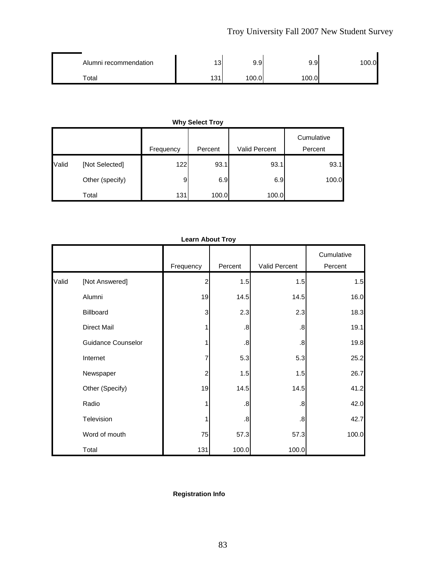| Alumni recommendation | 12<br>ູບ     | 9.9   | 9.91  | 0.001 |
|-----------------------|--------------|-------|-------|-------|
| $\tau$ otal           | 1 O A<br>ا v | 100.0 | 100.0 |       |

|       |                 |                |         |               | Cumulative |
|-------|-----------------|----------------|---------|---------------|------------|
|       |                 | Frequency      | Percent | Valid Percent | Percent    |
| Valid | [Not Selected]  | 122            | 93.1    | 93.1          | 93.1       |
|       | Other (specify) | 9 <sub>l</sub> | 6.9     | 6.9           | 100.0      |
|       | Total           | 131            | 100.0   | 100.0         |            |

|       |                           | Learn About Troy |                   |                   |                       |
|-------|---------------------------|------------------|-------------------|-------------------|-----------------------|
|       |                           | Frequency        | Percent           | Valid Percent     | Cumulative<br>Percent |
| Valid | [Not Answered]            | 2                | 1.5               | 1.5               | 1.5                   |
|       | Alumni                    | 19               | 14.5              | 14.5              | 16.0                  |
|       | Billboard                 | 3                | 2.3               | 2.3               | 18.3                  |
|       | Direct Mail               | 1                | .8                | $\boldsymbol{.8}$ | 19.1                  |
|       | <b>Guidance Counselor</b> |                  | $\boldsymbol{.8}$ | .8                | 19.8                  |
|       | Internet                  | 7                | 5.3               | 5.3               | 25.2                  |
|       | Newspaper                 | 2                | 1.5               | 1.5               | 26.7                  |
|       | Other (Specify)           | 19               | 14.5              | 14.5              | 41.2                  |
|       | Radio                     |                  | $\boldsymbol{.8}$ | .8                | 42.0                  |
|       | Television                |                  | $\boldsymbol{.8}$ | $\boldsymbol{.8}$ | 42.7                  |
|       | Word of mouth             | 75               | 57.3              | 57.3              | 100.0                 |
|       | Total                     | 131              | 100.0             | 100.0             |                       |

#### **Learn About Troy**

#### **Registration Info**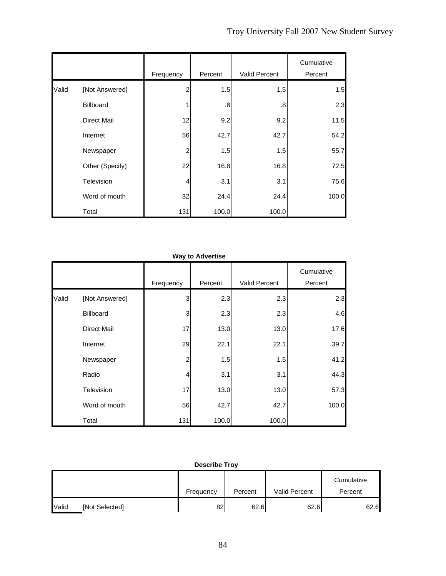|       |                    | Frequency      | Percent | Valid Percent | Cumulative<br>Percent |
|-------|--------------------|----------------|---------|---------------|-----------------------|
| Valid | [Not Answered]     | $\overline{2}$ | 1.5     | 1.5           | 1.5                   |
|       | Billboard          | 1              | $.8\,$  | .8            | 2.3                   |
|       | <b>Direct Mail</b> | 12             | 9.2     | 9.2           | 11.5                  |
|       | Internet           | 56             | 42.7    | 42.7          | 54.2                  |
|       | Newspaper          | $\overline{2}$ | 1.5     | 1.5           | 55.7                  |
|       | Other (Specify)    | 22             | 16.8    | 16.8          | 72.5                  |
|       | Television         | 4              | 3.1     | 3.1           | 75.6                  |
|       | Word of mouth      | 32             | 24.4    | 24.4          | 100.0                 |
|       | Total              | 131            | 100.0   | 100.0         |                       |

#### **Way to Advertise**

|       |                    |                |         |               | Cumulative |
|-------|--------------------|----------------|---------|---------------|------------|
|       |                    | Frequency      | Percent | Valid Percent | Percent    |
| Valid | [Not Answered]     | 3              | 2.3     | 2.3           | 2.3        |
|       | Billboard          | 3              | 2.3     | 2.3           | 4.6        |
|       | <b>Direct Mail</b> | 17             | 13.0    | 13.0          | 17.6       |
|       | Internet           | 29             | 22.1    | 22.1          | 39.7       |
|       | Newspaper          | $\overline{2}$ | 1.5     | 1.5           | 41.2       |
|       | Radio              | 4              | 3.1     | 3.1           | 44.3       |
|       | Television         | 17             | 13.0    | 13.0          | 57.3       |
|       | Word of mouth      | 56             | 42.7    | 42.7          | 100.0      |
|       | Total              | 131            | 100.0   | 100.0         |            |

|       | <b>Describe Troy</b> |           |         |               |            |  |  |
|-------|----------------------|-----------|---------|---------------|------------|--|--|
|       |                      |           |         |               | Cumulative |  |  |
|       |                      | Frequency | Percent | Valid Percent | Percent    |  |  |
| Valid | [Not Selected]       | 82        | 62.6    | 62.6          | 62.6       |  |  |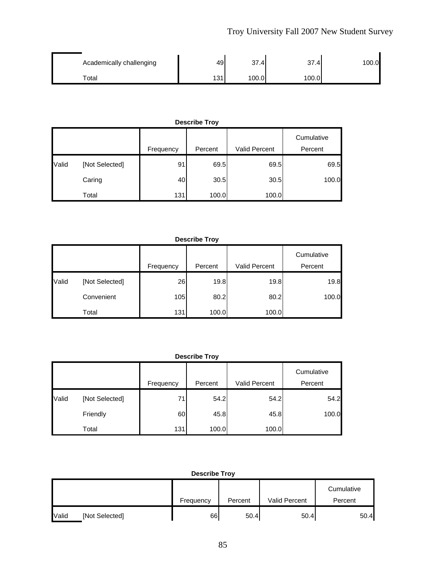| Academically challenging | 49         | 37.4  | 37.4 <sub>1</sub> | 100.0 |
|--------------------------|------------|-------|-------------------|-------|
| $\tau$ otal              | 121<br>וטו | 100.0 | 100.0             |       |

#### **Describe Troy**

|       |                | Frequency | Percent | <b>Valid Percent</b> | Cumulative<br>Percent |
|-------|----------------|-----------|---------|----------------------|-----------------------|
| Valid | [Not Selected] | 91        | 69.5    | 69.5                 | 69.5                  |
|       | Caring         | 40        | 30.5    | 30.5                 | 100.0                 |
|       | Total          | 131       | 100.0   | 100.0                |                       |

**Describe Troy**

|       |                | Frequency | Percent | <b>Valid Percent</b> | Cumulative<br>Percent |
|-------|----------------|-----------|---------|----------------------|-----------------------|
| Valid | [Not Selected] | 26        | 19.8    | 19.8                 | 19.8                  |
|       | Convenient     | 105       | 80.2    | 80.2                 | 100.0                 |
|       | Total          | 131       | 100.0   | 100.0                |                       |

|       |                |           |         |                      | Cumulative |
|-------|----------------|-----------|---------|----------------------|------------|
|       |                | Frequency | Percent | <b>Valid Percent</b> | Percent    |
| Valid | [Not Selected] | 71        | 54.2    | 54.2                 | 54.2       |
|       | Friendly       | 60        | 45.8    | 45.8                 | 100.0      |
|       | Total          | 131       | 100.0   | 100.0                |            |

|       | <b>Describe Troy</b> |           |         |               |                       |  |  |  |
|-------|----------------------|-----------|---------|---------------|-----------------------|--|--|--|
|       |                      | Frequency | Percent | Valid Percent | Cumulative<br>Percent |  |  |  |
| Valid | [Not Selected]       | 66        | 50.4    | 50.4          | 50.4                  |  |  |  |
|       |                      |           |         |               |                       |  |  |  |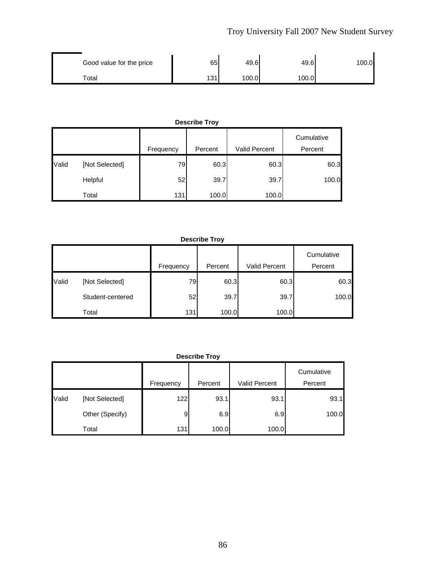| Good value for the price | 65  | 49.6   | 49.6  | 100.0 |
|--------------------------|-----|--------|-------|-------|
| Total                    | 131 | 100.01 | 100.0 |       |

|       |                |           |         |                      | Cumulative |
|-------|----------------|-----------|---------|----------------------|------------|
|       |                | Frequency | Percent | <b>Valid Percent</b> | Percent    |
| Valid | [Not Selected] | 79        | 60.3    | 60.3                 | 60.3       |
|       | Helpful        | 52        | 39.7    | 39.7                 | 100.0      |
|       | Total          | 131       | 100.0   | 100.0                |            |

**Describe Troy**

|       |                  | Frequency | Percent | <b>Valid Percent</b> | Cumulative<br>Percent |
|-------|------------------|-----------|---------|----------------------|-----------------------|
| Valid | [Not Selected]   | 79        | 60.3    | 60.3                 | 60.3                  |
|       | Student-centered | 52        | 39.7    | 39.7                 | 100.0                 |
|       | Total            | 131       | 100.0   | 100.0                |                       |

**Describe Troy**

|       |                 |           |         |                      | Cumulative |
|-------|-----------------|-----------|---------|----------------------|------------|
|       |                 | Frequency | Percent | <b>Valid Percent</b> | Percent    |
| Valid | [Not Selected]  | 122       | 93.1    | 93.1                 | 93.1       |
|       | Other (Specify) | 9         | 6.9     | 6.9                  | 100.0      |
|       | Total           | 131       | 100.0   | 100.0                |            |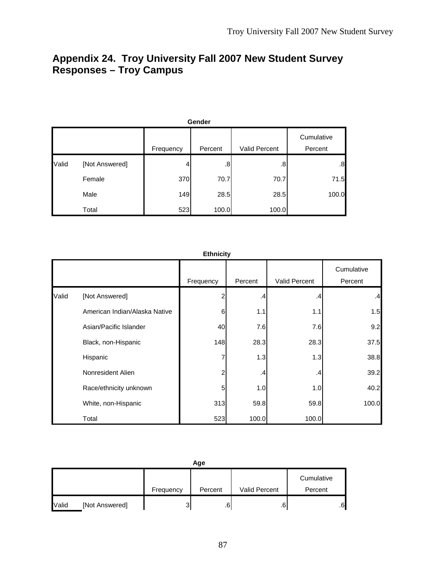# **Appendix 24. Troy University Fall 2007 New Student Survey Responses – Troy Campus**

|       | Gender         |           |         |               |                       |  |  |  |
|-------|----------------|-----------|---------|---------------|-----------------------|--|--|--|
|       |                | Frequency | Percent | Valid Percent | Cumulative<br>Percent |  |  |  |
| Valid | [Not Answered] | 4         | $.8\,$  | .8            | .8                    |  |  |  |
|       | Female         | 370       | 70.7    | 70.7          | 71.5                  |  |  |  |
|       | Male           | 149       | 28.5    | 28.5          | 100.0                 |  |  |  |
|       | Total          | 523       | 100.0   | 100.0         |                       |  |  |  |

|       | <b>Ethnicity</b>              |           |                  |               |                       |  |  |  |
|-------|-------------------------------|-----------|------------------|---------------|-----------------------|--|--|--|
|       |                               | Frequency | Percent          | Valid Percent | Cumulative<br>Percent |  |  |  |
| Valid | [Not Answered]                |           | .4               | .4            | .4                    |  |  |  |
|       | American Indian/Alaska Native | 6         | 1.1              | 1.1           | 1.5                   |  |  |  |
|       | Asian/Pacific Islander        | 40        | 7.6              | 7.6           | 9.2                   |  |  |  |
|       | Black, non-Hispanic           | 148       | 28.3             | 28.3          | 37.5                  |  |  |  |
|       | Hispanic                      | 7         | 1.3              | 1.3           | 38.8                  |  |  |  |
|       | Nonresident Alien             | 2         | $\cdot$          | .4            | 39.2                  |  |  |  |
|       | Race/ethnicity unknown        | 5         | 1.0 <sub>l</sub> | 1.0           | 40.2                  |  |  |  |
|       | White, non-Hispanic           | 313       | 59.8             | 59.8          | 100.0                 |  |  |  |
|       | Total                         | 523       | 100.0            | 100.0         |                       |  |  |  |

|       | Age            |           |         |                      |                 |  |  |  |
|-------|----------------|-----------|---------|----------------------|-----------------|--|--|--|
|       |                |           |         |                      | Cumulative      |  |  |  |
|       |                | Frequency | Percent | <b>Valid Percent</b> | Percent         |  |  |  |
| Valid | [Not Answered] | 3         | $.6\,$  | .6                   | .6 <sub>l</sub> |  |  |  |

87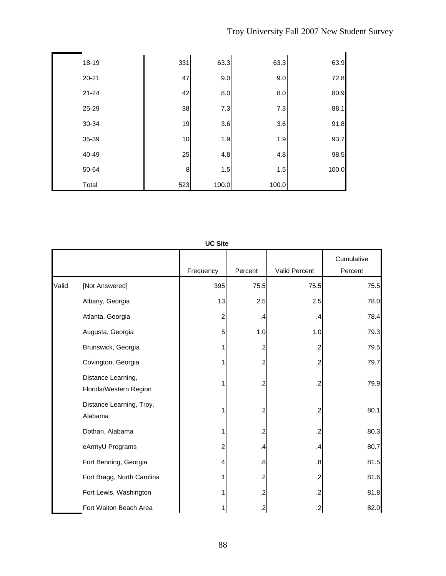| 18-19     | 331 | 63.3  | 63.3  | 63.9  |
|-----------|-----|-------|-------|-------|
| $20 - 21$ | 47  | 9.0   | 9.0   | 72.8  |
| $21 - 24$ | 42  | 8.0   | 8.0   | 80.9  |
| 25-29     | 38  | 7.3   | 7.3   | 88.1  |
| 30-34     | 19  | 3.6   | 3.6   | 91.8  |
| 35-39     | 10  | 1.9   | 1.9   | 93.7  |
| 40-49     | 25  | 4.8   | 4.8   | 98.5  |
| 50-64     | 8   | 1.5   | 1.5   | 100.0 |
| Total     | 523 | 100.0 | 100.0 |       |

|       | <b>UC SITE</b>                               |           |                   |               |                       |  |  |  |  |
|-------|----------------------------------------------|-----------|-------------------|---------------|-----------------------|--|--|--|--|
|       |                                              | Frequency | Percent           | Valid Percent | Cumulative<br>Percent |  |  |  |  |
| Valid | [Not Answered]                               | 395       | 75.5              | 75.5          | 75.5                  |  |  |  |  |
|       | Albany, Georgia                              | 13        | 2.5               | 2.5           | 78.0                  |  |  |  |  |
|       | Atlanta, Georgia                             | 2         | .4                | .4            | 78.4                  |  |  |  |  |
|       | Augusta, Georgia                             | 5         | 1.0               | 1.0           | 79.3                  |  |  |  |  |
|       | Brunswick, Georgia                           |           | $\cdot$           | $\cdot$       | 79.5                  |  |  |  |  |
|       | Covington, Georgia                           |           | $.2\,$            | $\cdot$       | 79.7                  |  |  |  |  |
|       | Distance Learning,<br>Florida/Western Region |           | $.2\,$            | $\cdot$       | 79.9                  |  |  |  |  |
|       | Distance Learning, Troy,<br>Alabama          |           | $\overline{2}$    | $\cdot$       | 80.1                  |  |  |  |  |
|       | Dothan, Alabama                              |           | $\cdot$           | $\cdot$       | 80.3                  |  |  |  |  |
|       | eArmyU Programs                              | 2         | .4                | .4            | 80.7                  |  |  |  |  |
|       | Fort Benning, Georgia                        | 4         | $\boldsymbol{.8}$ | .8            | 81.5                  |  |  |  |  |
|       | Fort Bragg, North Carolina                   |           | $\cdot$           | $\cdot$       | 81.6                  |  |  |  |  |
|       | Fort Lewis, Washington                       |           | $\cdot$           | $\cdot$       | 81.8                  |  |  |  |  |
|       | Fort Walton Beach Area                       |           | $\mathbf{.2}$     | $\cdot$       | 82.0                  |  |  |  |  |

**UC Site**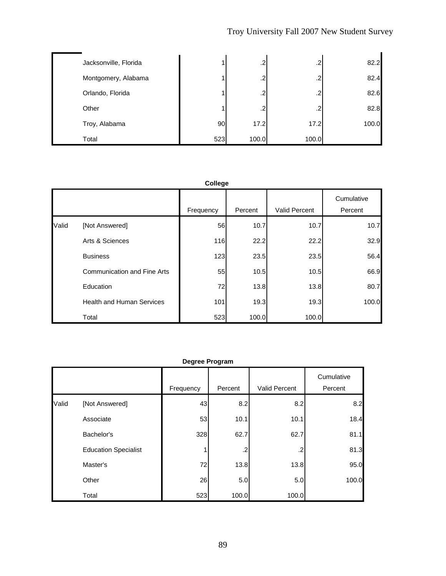| Jacksonville, Florida |     | $\cdot$   | .2    | 82.2  |
|-----------------------|-----|-----------|-------|-------|
| Montgomery, Alabama   |     | $\cdot$ 2 | .2    | 82.4  |
| Orlando, Florida      |     | $\cdot$   | .2    | 82.6  |
| Other                 |     | $\cdot$ 2 | .2    | 82.8  |
| Troy, Alabama         | 90  | 17.2      | 17.2  | 100.0 |
| Total                 | 523 | 100.0     | 100.0 |       |

|       | College                            |           |         |                      |                       |  |  |  |  |
|-------|------------------------------------|-----------|---------|----------------------|-----------------------|--|--|--|--|
|       |                                    | Frequency | Percent | <b>Valid Percent</b> | Cumulative<br>Percent |  |  |  |  |
| Valid | [Not Answered]                     | 56        | 10.7    | 10.7                 | 10.7                  |  |  |  |  |
|       | Arts & Sciences                    | 116       | 22.2    | 22.2                 | 32.9                  |  |  |  |  |
|       | <b>Business</b>                    | 123       | 23.5    | 23.5                 | 56.4                  |  |  |  |  |
|       | <b>Communication and Fine Arts</b> | 55        | 10.5    | 10.5                 | 66.9                  |  |  |  |  |
|       | Education                          | 72        | 13.8    | 13.8                 | 80.7                  |  |  |  |  |
|       | <b>Health and Human Services</b>   | 101       | 19.3    | 19.3                 | 100.0                 |  |  |  |  |
|       | Total                              | 523       | 100.0   | 100.0                |                       |  |  |  |  |

## **Degree Program**

|       |                             | Frequency | Percent | Valid Percent | Cumulative<br>Percent |
|-------|-----------------------------|-----------|---------|---------------|-----------------------|
| Valid | [Not Answered]              | 43        | 8.2     | 8.2           | 8.2                   |
|       | Associate                   | 53        | 10.1    | 10.1          | 18.4                  |
|       | Bachelor's                  | 328       | 62.7    | 62.7          | 81.1                  |
|       | <b>Education Specialist</b> |           | .2      | .2            | 81.3                  |
|       | Master's                    | 72        | 13.8    | 13.8          | 95.0                  |
|       | Other                       | 26        | 5.0     | 5.0           | 100.0                 |
|       | Total                       | 523       | 100.0   | 100.0         |                       |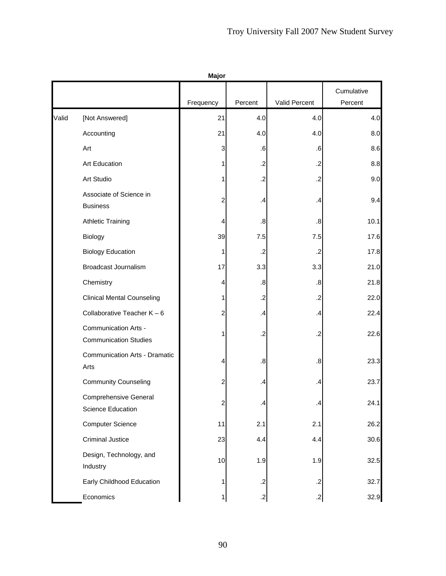|       | Major                                                |           |               |                   |                       |  |  |  |
|-------|------------------------------------------------------|-----------|---------------|-------------------|-----------------------|--|--|--|
|       |                                                      | Frequency | Percent       | Valid Percent     | Cumulative<br>Percent |  |  |  |
| Valid | [Not Answered]                                       | 21        | 4.0           | 4.0               | 4.0                   |  |  |  |
|       | Accounting                                           | 21        | 4.0           | 4.0               | 8.0                   |  |  |  |
|       | Art                                                  | 3         | .6            | .6                | 8.6                   |  |  |  |
|       | <b>Art Education</b>                                 | 1         | $\cdot$ .2    | $.2\,$            | 8.8                   |  |  |  |
|       | Art Studio                                           | 1         | $\cdot$       | $.2\,$            | 9.0                   |  |  |  |
|       | Associate of Science in<br><b>Business</b>           | 2         | $\cdot$       | $\cdot$           | 9.4                   |  |  |  |
|       | <b>Athletic Training</b>                             | 4         | .8            | $\boldsymbol{.8}$ | 10.1                  |  |  |  |
|       | Biology                                              | 39        | 7.5           | 7.5               | 17.6                  |  |  |  |
|       | <b>Biology Education</b>                             | 1         | $\cdot$       | $\cdot$           | 17.8                  |  |  |  |
|       | <b>Broadcast Journalism</b>                          | 17        | 3.3           | 3.3               | 21.0                  |  |  |  |
|       | Chemistry                                            | 4         | .8            | $\boldsymbol{.8}$ | 21.8                  |  |  |  |
|       | <b>Clinical Mental Counseling</b>                    | 1         | $\cdot$       | $.2\,$            | 22.0                  |  |  |  |
|       | Collaborative Teacher $K - 6$                        | 2         | $\cdot$       | $\mathbf{.4}$     | 22.4                  |  |  |  |
|       | Communication Arts -<br><b>Communication Studies</b> | 1         | $\cdot$       | $\cdot$           | 22.6                  |  |  |  |
|       | <b>Communication Arts - Dramatic</b><br>Arts         | 4         | .8            | $\boldsymbol{.8}$ | 23.3                  |  |  |  |
|       | <b>Community Counseling</b>                          | 2         | $\mathcal{A}$ | $\cdot$           | 23.7                  |  |  |  |
|       | <b>Comprehensive General</b><br>Science Education    | 2         | $\mathcal{A}$ | $\mathcal{A}$     | 24.1                  |  |  |  |
|       | <b>Computer Science</b>                              | 11        | 2.1           | 2.1               | 26.2                  |  |  |  |
|       | <b>Criminal Justice</b>                              | 23        | 4.4           | 4.4               | 30.6                  |  |  |  |
|       | Design, Technology, and<br>Industry                  | 10        | 1.9           | 1.9               | 32.5                  |  |  |  |
|       | Early Childhood Education                            | 1         | $\cdot$       | $\cdot$           | 32.7                  |  |  |  |
|       | Economics                                            | 1         | $\mathbf{.2}$ | $\cdot$           | 32.9                  |  |  |  |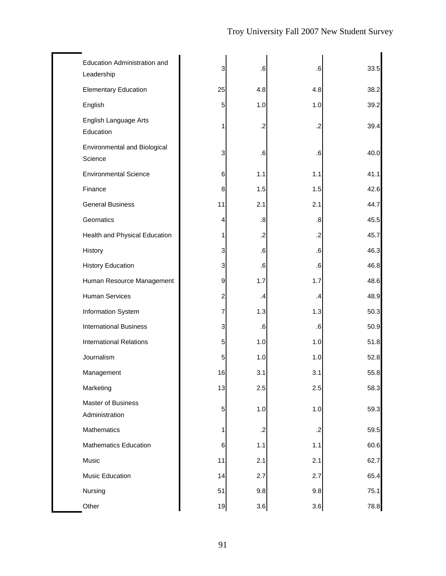| Education Administration and<br>Leadership     | 3              | .6                | .6                | 33.5 |
|------------------------------------------------|----------------|-------------------|-------------------|------|
| <b>Elementary Education</b>                    | 25             | 4.8               | 4.8               | 38.2 |
| English                                        | 5              | 1.0               | 1.0               | 39.2 |
| English Language Arts<br>Education             | 1              | $\cdot$           | .2                | 39.4 |
| <b>Environmental and Biological</b><br>Science | 3              | .6                | .6                | 40.0 |
| <b>Environmental Science</b>                   | 6              | 1.1               | 1.1               | 41.1 |
| Finance                                        | 8              | 1.5               | 1.5               | 42.6 |
| <b>General Business</b>                        | 11             | 2.1               | 2.1               | 44.7 |
| Geomatics                                      | 4              | $\boldsymbol{.8}$ | $\boldsymbol{.8}$ | 45.5 |
| Health and Physical Education                  | 1              | $\cdot$           | $\cdot$           | 45.7 |
| History                                        | 3              | .6                | .6                | 46.3 |
| <b>History Education</b>                       | 3              | .6                | .6                | 46.8 |
| Human Resource Management                      | 9              | 1.7               | 1.7               | 48.6 |
| <b>Human Services</b>                          | $\overline{c}$ | $\cdot$           | .4                | 48.9 |
| Information System                             | $\overline{7}$ | 1.3               | 1.3               | 50.3 |
| <b>International Business</b>                  | 3              | .6                | .6                | 50.9 |
| <b>International Relations</b>                 | 5              | 1.0               | 1.0               | 51.8 |
| Journalism                                     | 5              | 1.0               | 1.0               | 52.8 |
| Management                                     | 16             | 3.1               | 3.1               | 55.8 |
| Marketing                                      | 13             | 2.5               | 2.5               | 58.3 |
| Master of Business<br>Administration           | 5              | 1.0               | 1.0               | 59.3 |
| Mathematics                                    | 1              | .2                | $\cdot$           | 59.5 |
| <b>Mathematics Education</b>                   | 6              | 1.1               | 1.1               | 60.6 |
| Music                                          | 11             | 2.1               | 2.1               | 62.7 |
| Music Education                                | 14             | 2.7               | 2.7               | 65.4 |
| Nursing                                        | 51             | 9.8               | 9.8               | 75.1 |
| Other                                          | 19             | 3.6               | 3.6               | 78.8 |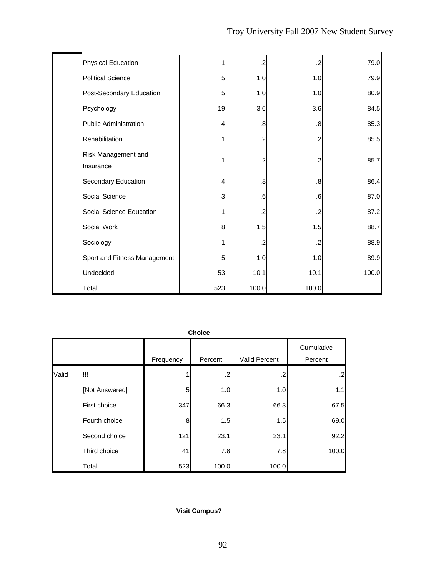| <b>Physical Education</b>        | 1   | $\overline{2}$    | $\cdot$           | 79.0  |
|----------------------------------|-----|-------------------|-------------------|-------|
| <b>Political Science</b>         | 5   | 1.0               | 1.0               | 79.9  |
| Post-Secondary Education         | 5   | 1.0               | 1.0               | 80.9  |
| Psychology                       | 19  | 3.6               | 3.6               | 84.5  |
| <b>Public Administration</b>     | 4   | $\boldsymbol{.8}$ | $\boldsymbol{.8}$ | 85.3  |
| Rehabilitation                   | 1   | $\cdot$           | $\cdot$           | 85.5  |
| Risk Management and<br>Insurance | 1   | .2                | $\cdot$           | 85.7  |
| Secondary Education              | 4   | .8                | 8.                | 86.4  |
| Social Science                   | 3   | $\cdot 6$         | $\cdot 6$         | 87.0  |
| Social Science Education         | 1   | $\cdot$           | $\cdot$           | 87.2  |
| Social Work                      | 8   | 1.5               | 1.5               | 88.7  |
| Sociology                        | 1   | $\overline{2}$    | $\cdot$           | 88.9  |
| Sport and Fitness Management     | 5   | 1.0               | 1.0               | 89.9  |
| Undecided                        | 53  | 10.1              | 10.1              | 100.0 |
| Total                            | 523 | 100.0             | 100.0             |       |

|       | <b>Choice</b>  |           |         |               |                       |  |  |  |  |
|-------|----------------|-----------|---------|---------------|-----------------------|--|--|--|--|
|       |                | Frequency | Percent | Valid Percent | Cumulative<br>Percent |  |  |  |  |
| Valid | W              |           | .2      | .2            | $\cdot$               |  |  |  |  |
|       | [Not Answered] | 5         | 1.0     | 1.0           | 1.1                   |  |  |  |  |
|       | First choice   | 347       | 66.3    | 66.3          | 67.5                  |  |  |  |  |
|       | Fourth choice  | 8         | 1.5     | 1.5           | 69.0                  |  |  |  |  |
|       | Second choice  | 121       | 23.1    | 23.1          | 92.2                  |  |  |  |  |
|       | Third choice   | 41        | 7.8     | 7.8           | 100.0                 |  |  |  |  |
|       | Total          | 523       | 100.0   | 100.0         |                       |  |  |  |  |

## **Visit Campus?**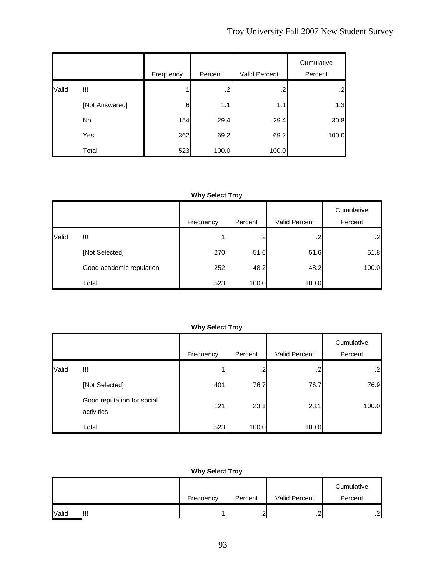|       |                |           |         |               | Cumulative |
|-------|----------------|-----------|---------|---------------|------------|
|       |                | Frequency | Percent | Valid Percent | Percent    |
| Valid | W              |           | $\cdot$ | .2            | .2         |
|       | [Not Answered] | 6         | 1.1     | 1.1           | 1.3        |
|       | No             | 154       | 29.4    | 29.4          | 30.8       |
|       | Yes            | 362       | 69.2    | 69.2          | 100.0      |
|       | Total          | 523       | 100.0   | 100.0         |            |

|       |                          | Frequency | Percent | Valid Percent | Cumulative<br>Percent |
|-------|--------------------------|-----------|---------|---------------|-----------------------|
| Valid | !!!                      |           | .2      | .2            | $\overline{2}$        |
|       | [Not Selected]           | 270       | 51.6    | 51.6          | 51.8                  |
|       | Good academic repulation | 252       | 48.2    | 48.2          | 100.0                 |
|       | Total                    | 523       | 100.0   | 100.0         |                       |

|       |                                          | Frequency | Percent | <b>Valid Percent</b> | Cumulative<br>Percent |
|-------|------------------------------------------|-----------|---------|----------------------|-----------------------|
| Valid | !!!                                      |           | $\cdot$ | .2                   | .2                    |
|       | [Not Selected]                           | 401       | 76.7    | 76.7                 | 76.9                  |
|       | Good reputation for social<br>activities | 121       | 23.1    | 23.1                 | 100.0                 |
|       | Total                                    | 523       | 100.0   | 100.0                |                       |

| <b>Why Select Troy</b> |           |               |               |                       |  |
|------------------------|-----------|---------------|---------------|-----------------------|--|
|                        | Frequency | Percent       | Valid Percent | Cumulative<br>Percent |  |
| Valid<br>!!!           |           | $\mathcal{L}$ | .2            | .2                    |  |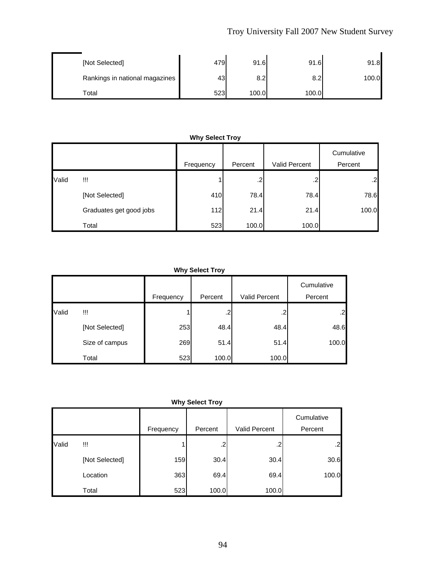| [Not Selected]                 | 479 | 91.6  | 91.6  | 91.8  |
|--------------------------------|-----|-------|-------|-------|
| Rankings in national magazines | 43  | 8.2   | 8.2   | 100.0 |
| $\tau$ otal                    | 523 | 100.0 | 100.0 |       |

## **Why Select Troy**

|       |                         | Frequency | Percent | Valid Percent | Cumulative<br>Percent |
|-------|-------------------------|-----------|---------|---------------|-----------------------|
| Valid | !!!                     |           | າ<br>.∠ | .2            | .2                    |
|       | [Not Selected]          | 410       | 78.4    | 78.4          | 78.6                  |
|       | Graduates get good jobs | 112       | 21.4    | 21.4          | 100.0                 |
|       | Total                   | 523       | 100.0   | 100.0         |                       |

#### **Why Select Troy**

|       |                | Frequency | Percent | Valid Percent | Cumulative<br>Percent |
|-------|----------------|-----------|---------|---------------|-----------------------|
| Valid | !!!            |           | .2      | .2            | .2                    |
|       | [Not Selected] | 253       | 48.4    | 48.4          | 48.6                  |
|       | Size of campus | 269       | 51.4    | 51.4          | 100.0                 |
|       | Total          | 523       | 100.0   | 100.0         |                       |

|       |                |           |         |               | Cumulative    |
|-------|----------------|-----------|---------|---------------|---------------|
|       |                | Frequency | Percent | Valid Percent | Percent       |
| Valid | w              |           | $\cdot$ | .2            | $\mathbf{.2}$ |
|       | [Not Selected] | 159       | 30.4    | 30.4          | 30.6          |
|       | Location       | 363       | 69.4    | 69.4          | 100.0         |
|       | Total          | 523       | 100.0   | 100.0         |               |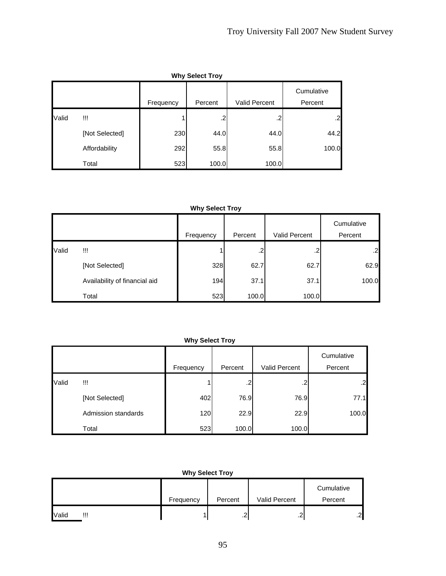| <b>Why Select Troy</b> |                |           |         |                      |                       |  |
|------------------------|----------------|-----------|---------|----------------------|-----------------------|--|
|                        |                | Frequency | Percent | <b>Valid Percent</b> | Cumulative<br>Percent |  |
| Valid                  | Ш              |           | .2      | .2                   | .2                    |  |
|                        | [Not Selected] | 230       | 44.0    | 44.0                 | 44.2                  |  |
|                        | Affordability  | 292       | 55.8    | 55.8                 | 100.0                 |  |
|                        | Total          | 523       | 100.0   | 100.0                |                       |  |

|       |                               | Frequency | Percent | Valid Percent | Cumulative<br>Percent |
|-------|-------------------------------|-----------|---------|---------------|-----------------------|
| Valid | W                             |           | .2      | .2            | .2                    |
|       | [Not Selected]                | 328       | 62.7    | 62.7          | 62.9                  |
|       | Availability of financial aid | 194       | 37.1    | 37.1          | 100.0                 |
|       | Total                         | 523       | 100.0   | 100.0         |                       |

**Why Select Troy**

|       |                     |           |         |               | Cumulative |
|-------|---------------------|-----------|---------|---------------|------------|
|       |                     | Frequency | Percent | Valid Percent | Percent    |
| Valid | Ш                   |           | .2      | .2            | .2         |
|       | [Not Selected]      | 402       | 76.9    | 76.9          | 77.1       |
|       | Admission standards | 120       | 22.9    | 22.9          | 100.0      |
|       | Total               | 523       | 100.0   | 100.0         |            |

|  | <b>Why Select Troy</b> |  |
|--|------------------------|--|
|--|------------------------|--|

|                     | Frequency | Percent  | Valid Percent | Cumulative<br>Percent |
|---------------------|-----------|----------|---------------|-----------------------|
| <b>Valid</b><br>!!! |           | ົ<br>. . | . <u>.</u>    | .2                    |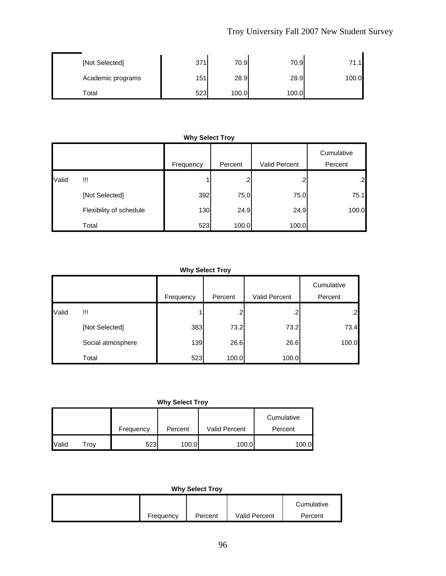| [Not Selected]    | 371 | 70.9  | 70.9  | 71.1<br>$\overline{1}$ |
|-------------------|-----|-------|-------|------------------------|
| Academic programs | 151 | 28.9  | 28.9  | 100.0                  |
| Total             | 523 | 100.0 | 100.0 |                        |

|       | $\ldots$ , $\ldots$ , $\ldots$ , |           |         |               |                       |  |  |
|-------|----------------------------------|-----------|---------|---------------|-----------------------|--|--|
|       |                                  | Frequency | Percent | Valid Percent | Cumulative<br>Percent |  |  |
| Valid | Ш                                |           | .2      | .2            | .2                    |  |  |
|       | [Not Selected]                   | 392       | 75.0    | 75.0          | 75.1                  |  |  |
|       | Flexibility of schedule          | 130       | 24.9    | 24.9          | 100.0                 |  |  |
|       | Total                            | 523       | 100.0   | 100.0         |                       |  |  |

**Why Select Troy**

|       |                   | Frequency | Percent | Valid Percent | Cumulative<br>Percent |
|-------|-------------------|-----------|---------|---------------|-----------------------|
| Valid | !!!               |           | .2      | $\cdot$       | .2                    |
|       | [Not Selected]    | 383       | 73.2    | 73.2          | 73.4                  |
|       | Social atmosphere | 139       | 26.6    | 26.6          | 100.0                 |
|       | Total             | 523       | 100.0   | 100.0         |                       |

|  | <b>Why Select Troy</b> |
|--|------------------------|
|  |                        |

|              |      |           |         |                      | Cumulative |
|--------------|------|-----------|---------|----------------------|------------|
|              |      | Frequency | Percent | <b>Valid Percent</b> | Percent    |
| <b>Valid</b> | Frov | 523       | 100.0   | 100.0                | 100.0      |

**Why Select Troy**

|           |         |                      | Cumulative |
|-----------|---------|----------------------|------------|
| Frequency | Percent | <b>Valid Percent</b> | Percent    |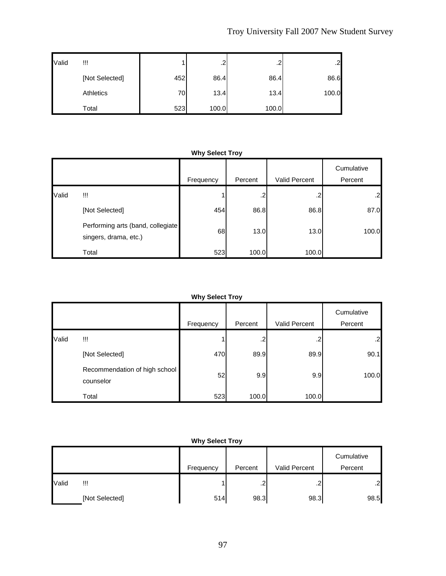| Valid | Ш              |     | າ<br>$\sim$ | .2    | .2    |
|-------|----------------|-----|-------------|-------|-------|
|       | [Not Selected] | 452 | 86.4        | 86.4  | 86.6  |
|       | Athletics      | 70  | 13.4        | 13.4  | 100.0 |
|       | Total          | 523 | 100.0       | 100.0 |       |

## **Why Select Troy**

|       |                                                            | Frequency | Percent | Valid Percent | Cumulative<br>Percent |
|-------|------------------------------------------------------------|-----------|---------|---------------|-----------------------|
| Valid | !!!                                                        |           | .2      | .2            | .2                    |
|       | [Not Selected]                                             | 454       | 86.8    | 86.8          | 87.0                  |
|       | Performing arts (band, collegiate<br>singers, drama, etc.) | 68        | 13.0    | 13.0          | 100.0                 |
|       | Total                                                      | 523       | 100.0   | 100.0         |                       |

#### **Why Select Troy**

|       |                                            | Frequency | Percent | Valid Percent | Cumulative<br>Percent |
|-------|--------------------------------------------|-----------|---------|---------------|-----------------------|
| Valid | W                                          |           | .2      | .2            | .2                    |
|       | [Not Selected]                             | 470       | 89.9    | 89.9          | 90.1                  |
|       | Recommendation of high school<br>counselor | 52        | 9.9     | 9.9           | 100.0                 |
|       | Total                                      | 523       | 100.0   | 100.0         |                       |

|       |                |           |         |               | Cumulative |
|-------|----------------|-----------|---------|---------------|------------|
|       |                | Frequency | Percent | Valid Percent | Percent    |
| Valid | !!!            |           | ⌒<br>ے. | ີ<br>ے.       | .2         |
|       | [Not Selected] | 514       | 98.3    | 98.3          | 98.5       |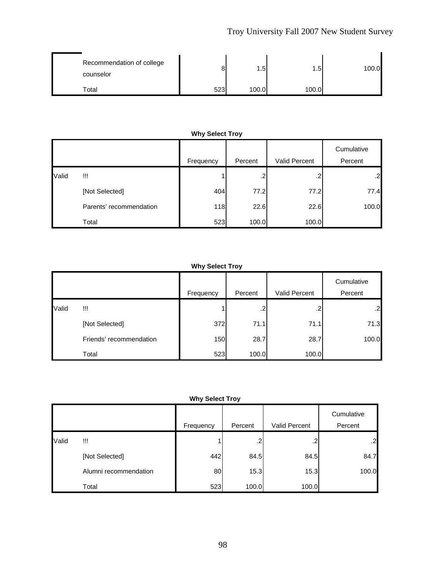| Recommendation of college<br>counselor |     | . .5  | .5    | 100.0 |
|----------------------------------------|-----|-------|-------|-------|
| Total                                  | 523 | 100.0 | 100.0 |       |

|       |                         | Frequency | Percent | <b>Valid Percent</b> | Cumulative<br>Percent |
|-------|-------------------------|-----------|---------|----------------------|-----------------------|
| Valid | !!!                     |           | .2      | .2                   | .2                    |
|       | [Not Selected]          | 404       | 77.2    | 77.2                 | 77.4                  |
|       | Parents' recommendation | 118       | 22.6    | 22.6                 | 100.0                 |
|       | Total                   | 523       | 100.0   | 100.0                |                       |

## **Why Select Troy**

|       |                         |           |         |               | Cumulative |
|-------|-------------------------|-----------|---------|---------------|------------|
|       |                         | Frequency | Percent | Valid Percent | Percent    |
| Valid | !!!                     |           | .2      | .2            | .2         |
|       | [Not Selected]          | 372       | 71.1    | 71.1          | 71.3       |
|       | Friends' recommendation | 150       | 28.7    | 28.7          | 100.0      |
|       | Total                   | 523       | 100.0   | 100.0         |            |

|       |                       | Frequency | Percent | Valid Percent | Cumulative<br>Percent |
|-------|-----------------------|-----------|---------|---------------|-----------------------|
| Valid | Ш                     |           | $\cdot$ | .2            | .2                    |
|       | [Not Selected]        | 442       | 84.5    | 84.5          | 84.7                  |
|       | Alumni recommendation | 80        | 15.3    | 15.3          | 100.0                 |
|       | Total                 | 523       | 100.0   | 100.0         |                       |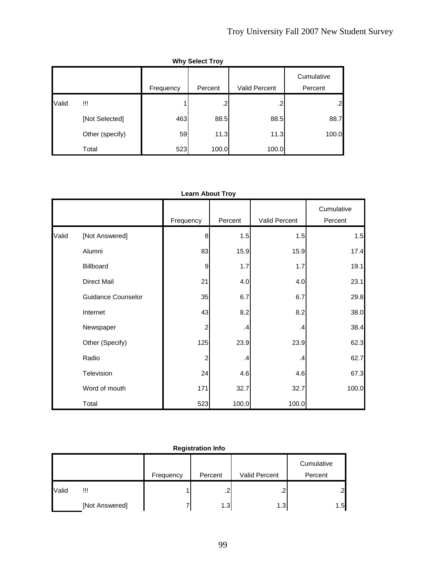|       | <b>Why Select Troy</b> |           |         |                      |                       |  |  |  |
|-------|------------------------|-----------|---------|----------------------|-----------------------|--|--|--|
|       |                        | Frequency | Percent | <b>Valid Percent</b> | Cumulative<br>Percent |  |  |  |
| Valid | !!!                    |           | .2      | .2                   | .2                    |  |  |  |
|       | [Not Selected]         | 463       | 88.5    | 88.5                 | 88.7                  |  |  |  |
|       | Other (specify)        | 59        | 11.3    | 11.3                 | 100.0                 |  |  |  |
|       | Total                  | 523       | 100.0   | 100.0                |                       |  |  |  |

|       |                           | Frequency | Percent | Valid Percent | Cumulative<br>Percent |
|-------|---------------------------|-----------|---------|---------------|-----------------------|
| Valid | [Not Answered]            | 8         | 1.5     | 1.5           | 1.5                   |
|       | Alumni                    | 83        | 15.9    | 15.9          | 17.4                  |
|       | Billboard                 | 9         | 1.7     | 1.7           | 19.1                  |
|       | <b>Direct Mail</b>        | 21        | 4.0     | 4.0           | 23.1                  |
|       | <b>Guidance Counselor</b> | 35        | 6.7     | 6.7           | 29.8                  |
|       | Internet                  | 43        | 8.2     | 8.2           | 38.0                  |
|       | Newspaper                 | 2         | $\cdot$ | .4            | 38.4                  |
|       | Other (Specify)           | 125       | 23.9    | 23.9          | 62.3                  |
|       | Radio                     | 2         | $\cdot$ | .4            | 62.7                  |
|       | Television                | 24        | 4.6     | 4.6           | 67.3                  |
|       | Word of mouth             | 171       | 32.7    | 32.7          | 100.0                 |
|       | Total                     | 523       | 100.0   | 100.0         |                       |

| <b>Registration Info</b> |  |
|--------------------------|--|
|                          |  |

|       |                |           |         |               | Cumulative |
|-------|----------------|-----------|---------|---------------|------------|
|       |                | Frequency | Percent | Valid Percent | Percent    |
| Valid | Ш              |           | ے.      | .,            | $\cdot$    |
|       | [Not Answered] |           | 1.3     | 1.3           | 1.5        |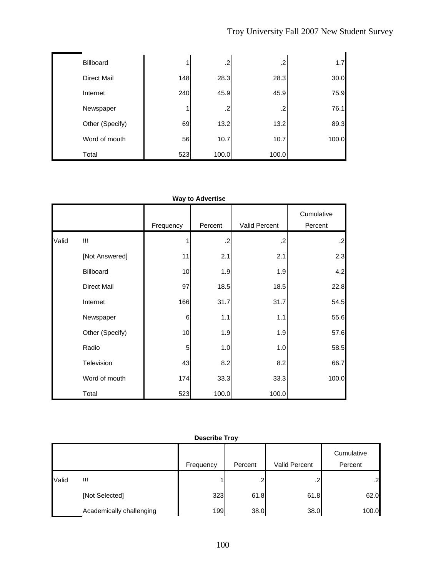| Billboard          |     | .2        | .2    | 1.7   |
|--------------------|-----|-----------|-------|-------|
| <b>Direct Mail</b> | 148 | 28.3      | 28.3  | 30.0  |
| Internet           | 240 | 45.9      | 45.9  | 75.9  |
| Newspaper          |     | $.2 \mid$ | .2    | 76.1  |
| Other (Specify)    | 69  | 13.2      | 13.2  | 89.3  |
| Word of mouth      | 56  | 10.7      | 10.7  | 100.0 |
| Total              | 523 | 100.0     | 100.0 |       |

#### **Way to Advertise**

|       |                    | Frequency | Percent | Valid Percent | Cumulative<br>Percent |
|-------|--------------------|-----------|---------|---------------|-----------------------|
|       |                    |           |         |               |                       |
| Valid | Ш                  |           | $\cdot$ | $\cdot$       | .2                    |
|       | [Not Answered]     | 11        | 2.1     | 2.1           | 2.3                   |
|       | Billboard          | 10        | 1.9     | 1.9           | 4.2                   |
|       | <b>Direct Mail</b> | 97        | 18.5    | 18.5          | 22.8                  |
|       | Internet           | 166       | 31.7    | 31.7          | 54.5                  |
|       | Newspaper          | 6         | 1.1     | 1.1           | 55.6                  |
|       | Other (Specify)    | 10        | 1.9     | 1.9           | 57.6                  |
|       | Radio              | 5         | 1.0     | 1.0           | 58.5                  |
|       | Television         | 43        | 8.2     | 8.2           | 66.7                  |
|       | Word of mouth      | 174       | 33.3    | 33.3          | 100.0                 |
|       | Total              | 523       | 100.0   | 100.0         |                       |

|       |                          | Frequency | Percent | Valid Percent | Cumulative<br>Percent |
|-------|--------------------------|-----------|---------|---------------|-----------------------|
| Valid | Ш                        |           | $\cdot$ | .∠            | $\cdot$               |
|       | [Not Selected]           | 323       | 61.8    | 61.8          | 62.0                  |
|       | Academically challenging | 199       | 38.0    | 38.0          | 100.0                 |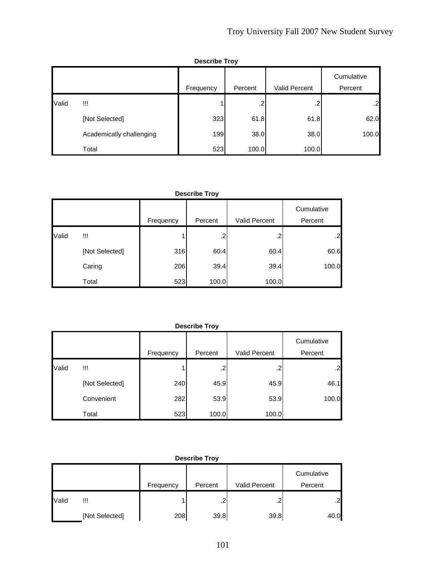|       | <b>Describe Troy</b>     |           |         |                      |                       |  |  |  |
|-------|--------------------------|-----------|---------|----------------------|-----------------------|--|--|--|
|       |                          | Frequency | Percent | <b>Valid Percent</b> | Cumulative<br>Percent |  |  |  |
| Valid | !!!                      |           | .2      | .2                   | .2                    |  |  |  |
|       | [Not Selected]           | 323       | 61.8    | 61.8                 | 62.0                  |  |  |  |
|       | Academically challenging | 199       | 38.0    | 38.0                 | 100.0                 |  |  |  |
|       | Total                    | 523       | 100.0   | 100.0                |                       |  |  |  |

|       |                | Frequency | Percent | Valid Percent | Cumulative<br>Percent |
|-------|----------------|-----------|---------|---------------|-----------------------|
| Valid | !!!            |           | .2      | .2            | .2 <sub>l</sub>       |
|       | [Not Selected] | 316       | 60.4    | 60.4          | 60.6                  |
|       | Caring         | 206       | 39.4    | 39.4          | 100.0                 |
|       | Total          | 523       | 100.0   | 100.0         |                       |

|       | <b>Describe Troy</b> |           |         |                      |                       |  |  |  |  |
|-------|----------------------|-----------|---------|----------------------|-----------------------|--|--|--|--|
|       |                      | Frequency | Percent | <b>Valid Percent</b> | Cumulative<br>Percent |  |  |  |  |
| Valid | W                    |           | .2      | .2                   | .2                    |  |  |  |  |
|       | [Not Selected]       | 240       | 45.9    | 45.9                 | 46.1                  |  |  |  |  |
|       | Convenient           | 282       | 53.9    | 53.9                 | 100.0                 |  |  |  |  |
|       | Total                | 523       | 100.0   | 100.0                |                       |  |  |  |  |

|       | <b>Describe Troy</b> |           |         |                      |                       |  |  |  |  |
|-------|----------------------|-----------|---------|----------------------|-----------------------|--|--|--|--|
|       |                      | Frequency | Percent | <b>Valid Percent</b> | Cumulative<br>Percent |  |  |  |  |
| Valid | Ш                    |           | .2      | ⌒<br>ے.              | .2                    |  |  |  |  |
|       | [Not Selected]       | 208       | 39.8    | 39.8                 | 40.0                  |  |  |  |  |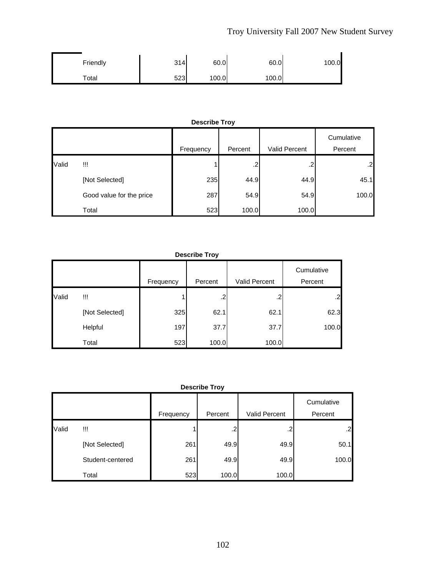| Friendly | 314 | 60.0  | 60.0  | 100.0 |
|----------|-----|-------|-------|-------|
| Total    | 523 | 100.0 | 100.0 |       |

|       | <b>Describe Troy</b>     |           |         |               |                       |  |  |  |  |
|-------|--------------------------|-----------|---------|---------------|-----------------------|--|--|--|--|
|       |                          | Frequency | Percent | Valid Percent | Cumulative<br>Percent |  |  |  |  |
| Valid | !!!                      |           | .2      | .2            | .2                    |  |  |  |  |
|       | [Not Selected]           | 235       | 44.9    | 44.9          | 45.1                  |  |  |  |  |
|       | Good value for the price | 287       | 54.9    | 54.9          | 100.0                 |  |  |  |  |
|       | Total                    | 523       | 100.0   | 100.0         |                       |  |  |  |  |

#### **Describe Troy**

|       |                | Frequency | Percent | Valid Percent | Cumulative<br>Percent |
|-------|----------------|-----------|---------|---------------|-----------------------|
| Valid | w              |           | .2      | .2            | .2                    |
|       | [Not Selected] | 325       | 62.1    | 62.1          | 62.3                  |
|       | Helpful        | 197       | 37.7    | 37.7          | 100.0                 |
|       | Total          | 523       | 100.0   | 100.0         |                       |

|       |                  |           |         |               | Cumulative |
|-------|------------------|-----------|---------|---------------|------------|
|       |                  | Frequency | Percent | Valid Percent | Percent    |
| Valid | w                |           | .2      | .2            | .2         |
|       | [Not Selected]   | 261       | 49.9    | 49.9          | 50.1       |
|       | Student-centered | 261       | 49.9    | 49.9          | 100.0      |
|       | Total            | 523       | 100.0   | 100.0         |            |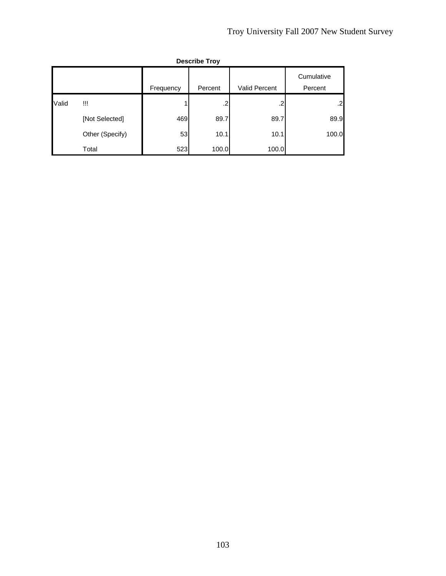|       | <b>Describe Troy</b> |           |         |                      |                       |  |  |  |
|-------|----------------------|-----------|---------|----------------------|-----------------------|--|--|--|
|       |                      | Frequency | Percent | <b>Valid Percent</b> | Cumulative<br>Percent |  |  |  |
| Valid | !!!                  |           | $\cdot$ | .2                   | .2                    |  |  |  |
|       | [Not Selected]       | 469       | 89.7    | 89.7                 | 89.9                  |  |  |  |
|       | Other (Specify)      | 53        | 10.1    | 10.1                 | 100.0                 |  |  |  |
|       | Total                | 523       | 100.0   | 100.0                |                       |  |  |  |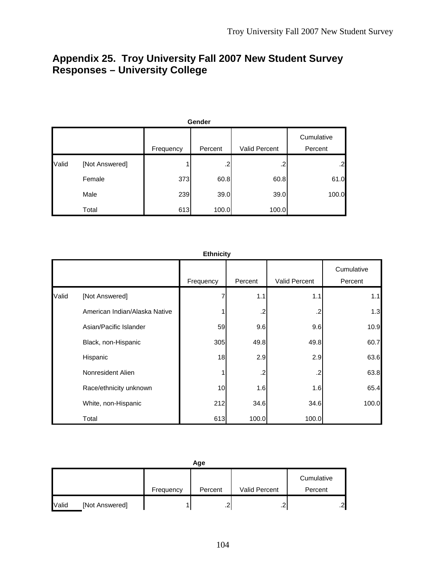# **Appendix 25. Troy University Fall 2007 New Student Survey Responses – University College**

|       | Gender         |           |         |               |                       |  |  |  |  |
|-------|----------------|-----------|---------|---------------|-----------------------|--|--|--|--|
|       |                | Frequency | Percent | Valid Percent | Cumulative<br>Percent |  |  |  |  |
| Valid | [Not Answered] |           | .2      | .2            | .2                    |  |  |  |  |
|       | Female         | 373       | 60.8    | 60.8          | 61.0                  |  |  |  |  |
|       | Male           | 239       | 39.0    | 39.0          | 100.0                 |  |  |  |  |
|       | Total          | 613       | 100.0   | 100.0         |                       |  |  |  |  |

|       | <b>Ethnicity</b>              |           |         |               |                       |  |  |  |  |
|-------|-------------------------------|-----------|---------|---------------|-----------------------|--|--|--|--|
|       |                               | Frequency | Percent | Valid Percent | Cumulative<br>Percent |  |  |  |  |
| Valid | [Not Answered]                |           | 1.1     | 1.1           | 1.1                   |  |  |  |  |
|       | American Indian/Alaska Native |           | .2      | .2            | 1.3                   |  |  |  |  |
|       | Asian/Pacific Islander        | 59        | 9.6     | 9.6           | 10.9                  |  |  |  |  |
|       | Black, non-Hispanic           | 305       | 49.8    | 49.8          | 60.7                  |  |  |  |  |
|       | Hispanic                      | 18        | 2.9     | 2.9           | 63.6                  |  |  |  |  |
|       | Nonresident Alien             |           | .2      | .2            | 63.8                  |  |  |  |  |
|       | Race/ethnicity unknown        | 10        | 1.6     | 1.6           | 65.4                  |  |  |  |  |
|       | White, non-Hispanic           | 212       | 34.6    | 34.6          | 100.0                 |  |  |  |  |
|       | Total                         | 613       | 100.0   | 100.0         |                       |  |  |  |  |

|       | Age            |           |         |               |                       |     |  |  |
|-------|----------------|-----------|---------|---------------|-----------------------|-----|--|--|
|       |                | Frequency | Percent | Valid Percent | Cumulative<br>Percent |     |  |  |
|       |                |           |         |               |                       |     |  |  |
| Valid | [Not Answered] |           | ີ<br>ے. | ົ<br>ے.       |                       | .21 |  |  |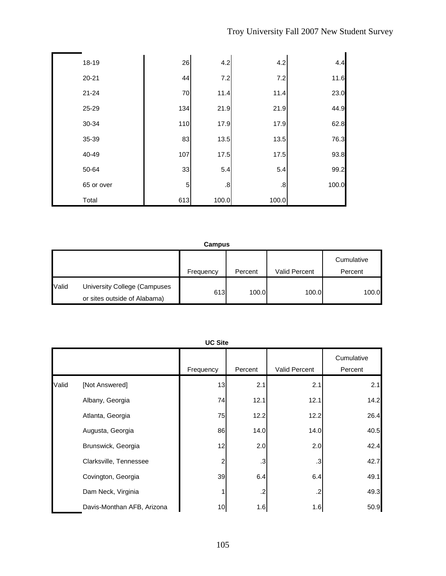| 18-19      | 26  | 4.2               | 4.2               | 4.4   |
|------------|-----|-------------------|-------------------|-------|
| $20 - 21$  | 44  | 7.2               | 7.2               | 11.6  |
| $21 - 24$  | 70  | 11.4              | 11.4              | 23.0  |
| 25-29      | 134 | 21.9              | 21.9              | 44.9  |
| 30-34      | 110 | 17.9              | 17.9              | 62.8  |
| 35-39      | 83  | 13.5              | 13.5              | 76.3  |
| 40-49      | 107 | 17.5              | 17.5              | 93.8  |
| 50-64      | 33  | 5.4               | 5.4               | 99.2  |
| 65 or over | 5   | $\boldsymbol{.8}$ | $\boldsymbol{.8}$ | 100.0 |
| Total      | 613 | 100.0             | 100.0             |       |

**Campus**

|       |                                                              | Frequency | Percent | Valid Percent | Cumulative<br>Percent |
|-------|--------------------------------------------------------------|-----------|---------|---------------|-----------------------|
| Valid | University College (Campuses<br>or sites outside of Alabama) | 613       | 100.0   | 100.0         | 100.0                 |

| <b>UC Site</b> |                            |           |           |               |                       |
|----------------|----------------------------|-----------|-----------|---------------|-----------------------|
|                |                            | Frequency | Percent   | Valid Percent | Cumulative<br>Percent |
| Valid          | [Not Answered]             | 13        | 2.1       | 2.1           | 2.1                   |
|                | Albany, Georgia            | 74        | 12.1      | 12.1          | 14.2                  |
|                | Atlanta, Georgia           | 75        | 12.2      | 12.2          | 26.4                  |
|                | Augusta, Georgia           | 86        | 14.0      | 14.0          | 40.5                  |
|                | Brunswick, Georgia         | 12        | 2.0       | 2.0           | 42.4                  |
|                | Clarksville, Tennessee     | 2         | $\cdot$ 3 | .3            | 42.7                  |
|                | Covington, Georgia         | 39        | 6.4       | 6.4           | 49.1                  |
|                | Dam Neck, Virginia         |           | .2        | $\cdot$       | 49.3                  |
|                | Davis-Monthan AFB, Arizona | 10        | 1.6       | 1.6           | 50.9                  |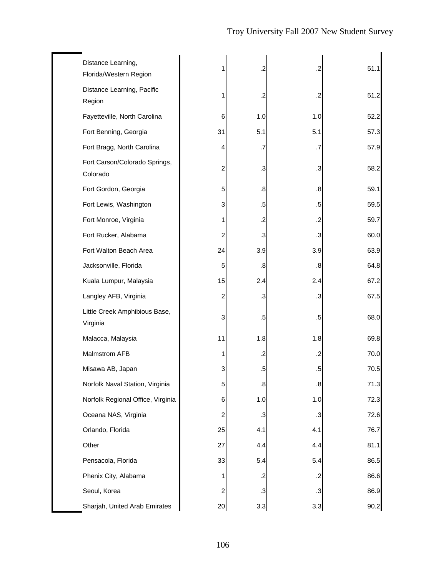| Distance Learning,<br>Florida/Western Region | 1              | $\cdot$           | $\cdot$   | 51.1 |
|----------------------------------------------|----------------|-------------------|-----------|------|
| Distance Learning, Pacific<br>Region         | 1              | .2                | $\cdot$   | 51.2 |
| Fayetteville, North Carolina                 | 6              | 1.0               | 1.0       | 52.2 |
| Fort Benning, Georgia                        | 31             | 5.1               | 5.1       | 57.3 |
| Fort Bragg, North Carolina                   | 4              | .7                | .7        | 57.9 |
| Fort Carson/Colorado Springs,<br>Colorado    | $\overline{c}$ | .3                | .3        | 58.2 |
| Fort Gordon, Georgia                         | 5              | .8                | .8        | 59.1 |
| Fort Lewis, Washington                       | 3              | .5                | .5        | 59.5 |
| Fort Monroe, Virginia                        | 1              | $.2\,$            | $.2\,$    | 59.7 |
| Fort Rucker, Alabama                         | $\overline{c}$ | $\cdot$ 3         | $\cdot$ 3 | 60.0 |
| Fort Walton Beach Area                       | 24             | 3.9               | 3.9       | 63.9 |
| Jacksonville, Florida                        | 5              | .8                | .8        | 64.8 |
| Kuala Lumpur, Malaysia                       | 15             | 2.4               | 2.4       | 67.2 |
| Langley AFB, Virginia                        | $\overline{c}$ | $\cdot$           | $\cdot$ 3 | 67.5 |
| Little Creek Amphibious Base,<br>Virginia    | 3              | .5                | .5        | 68.0 |
| Malacca, Malaysia                            | 11             | 1.8               | 1.8       | 69.8 |
| Malmstrom AFB                                | 1              | $\cdot$           | .2        | 70.0 |
| Misawa AB, Japan                             | 3              | $.5\,$            | $.5\,$    | 70.5 |
| Norfolk Naval Station, Virginia              | 5              | $\boldsymbol{.8}$ | .8        | 71.3 |
| Norfolk Regional Office, Virginia            | 6              | 1.0               | 1.0       | 72.3 |
| Oceana NAS, Virginia                         | $\overline{c}$ | $\cdot$ 3         | .3        | 72.6 |
| Orlando, Florida                             | 25             | 4.1               | 4.1       | 76.7 |
| Other                                        | 27             | 4.4               | 4.4       | 81.1 |
| Pensacola, Florida                           | 33             | 5.4               | 5.4       | 86.5 |
| Phenix City, Alabama                         | 1              | $\cdot$           | .2        | 86.6 |
| Seoul, Korea                                 | $\overline{2}$ | .3                | .3        | 86.9 |
| Sharjah, United Arab Emirates                | 20             | 3.3               | 3.3       | 90.2 |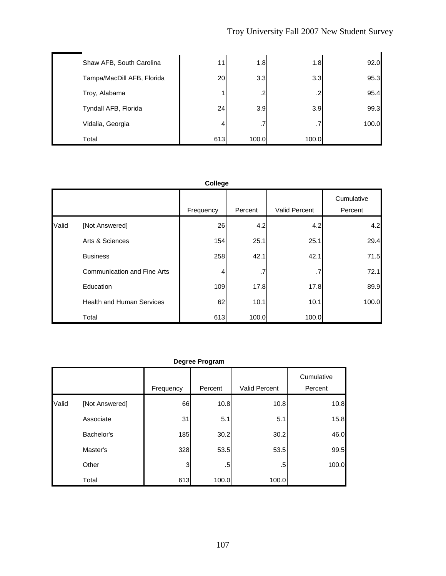| Shaw AFB, South Carolina   | 11              | 1.8   | 1.8   | 92.0  |
|----------------------------|-----------------|-------|-------|-------|
| Tampa/MacDill AFB, Florida | 20 <sub>l</sub> | 3.3   | 3.3   | 95.3  |
| Troy, Alabama              |                 | .2    | .2    | 95.4  |
| Tyndall AFB, Florida       | 24              | 3.9   | 3.9   | 99.3  |
| Vidalia, Georgia           | 4               | .7    | .7    | 100.0 |
| Total                      | 613             | 100.0 | 100.0 |       |

| College |                                    |           |         |                      |                       |
|---------|------------------------------------|-----------|---------|----------------------|-----------------------|
|         |                                    | Frequency | Percent | <b>Valid Percent</b> | Cumulative<br>Percent |
| Valid   | [Not Answered]                     | 26        | 4.2     | 4.2                  | 4.2                   |
|         | Arts & Sciences                    | 154       | 25.1    | 25.1                 | 29.4                  |
|         | <b>Business</b>                    | 258       | 42.1    | 42.1                 | 71.5                  |
|         | <b>Communication and Fine Arts</b> | 4         | .7      | $\cdot$ 7            | 72.1                  |
|         | Education                          | 109       | 17.8    | 17.8                 | 89.9                  |
|         | <b>Health and Human Services</b>   | 62        | 10.1    | 10.1                 | 100.0                 |
|         | Total                              | 613       | 100.0   | 100.0                |                       |

|       |                | Frequency | Percent | <b>Valid Percent</b> | Cumulative<br>Percent |
|-------|----------------|-----------|---------|----------------------|-----------------------|
| Valid | [Not Answered] | 66        | 10.8    | 10.8                 | 10.8                  |
|       | Associate      | 31        | 5.1     | 5.1                  | 15.8                  |
|       | Bachelor's     | 185       | 30.2    | 30.2                 | 46.0                  |
|       | Master's       | 328       | 53.5    | 53.5                 | 99.5                  |
|       | Other          | 3         | .5      | .5                   | 100.0                 |
|       | Total          | 613       | 100.0   | 100.0                |                       |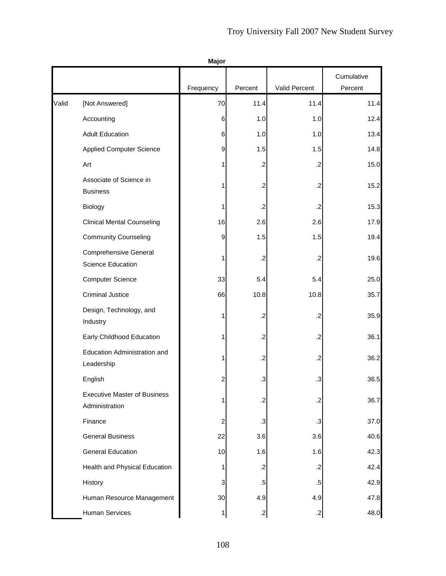|       |                                                          | Major                   |            |               |            |
|-------|----------------------------------------------------------|-------------------------|------------|---------------|------------|
|       |                                                          |                         |            |               | Cumulative |
|       |                                                          | Frequency               | Percent    | Valid Percent | Percent    |
| Valid | [Not Answered]                                           | 70                      | 11.4       | 11.4          | 11.4       |
|       | Accounting                                               | 6                       | 1.0        | 1.0           | 12.4       |
|       | <b>Adult Education</b>                                   | 6                       | 1.0        | 1.0           | 13.4       |
|       | <b>Applied Computer Science</b>                          | 9                       | 1.5        | 1.5           | 14.8       |
|       | Art                                                      | 1                       | $\cdot$    | $\cdot$ .2    | 15.0       |
|       | Associate of Science in<br><b>Business</b>               | 1                       | .2         | $\cdot$ .2    | 15.2       |
|       | Biology                                                  | 1                       | $\cdot$    | $\cdot$ .2    | 15.3       |
|       | <b>Clinical Mental Counseling</b>                        | 16                      | 2.6        | 2.6           | 17.9       |
|       | <b>Community Counseling</b>                              | 9                       | 1.5        | 1.5           | 19.4       |
|       | <b>Comprehensive General</b><br><b>Science Education</b> | 1                       | $\cdot$    | $\cdot$ .2    | 19.6       |
|       | <b>Computer Science</b>                                  | 33                      | 5.4        | 5.4           | 25.0       |
|       | <b>Criminal Justice</b>                                  | 66                      | 10.8       | 10.8          | 35.7       |
|       | Design, Technology, and<br>Industry                      | 1                       | $\cdot$    | $\cdot$       | 35.9       |
|       | Early Childhood Education                                | 1                       | $\cdot$    | $\cdot$       | 36.1       |
|       | Education Administration and<br>Leadership               | 1                       | $\cdot$    | $\cdot$ .2    | 36.2       |
|       | English                                                  | 2                       | .3         | $\cdot$       | 36.5       |
|       | <b>Executive Master of Business</b><br>Administration    | 1                       | $\cdot$    | $.2\,$        | 36.7       |
|       | Finance                                                  | $\overline{\mathbf{c}}$ | .3         | .3            | 37.0       |
|       | <b>General Business</b>                                  | 22                      | 3.6        | 3.6           | 40.6       |
|       | <b>General Education</b>                                 | 10                      | 1.6        | 1.6           | 42.3       |
|       | Health and Physical Education                            | 1                       | $\cdot$ .2 | $\cdot$ .2    | 42.4       |
|       | History                                                  | 3                       | .5         | $.5\,$        | 42.9       |
|       | Human Resource Management                                | 30                      | 4.9        | 4.9           | 47.8       |
|       | <b>Human Services</b>                                    | 1                       | $\cdot$ .2 | $\cdot$       | 48.0       |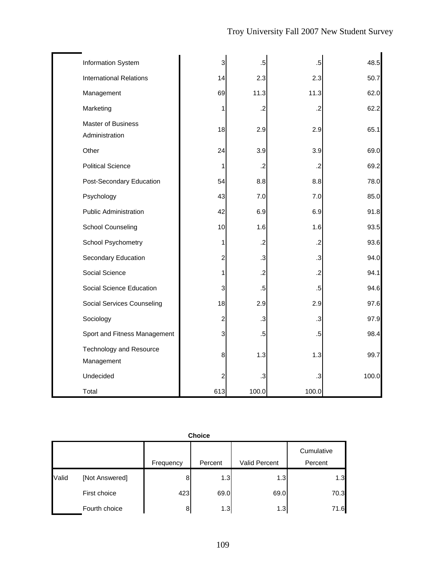| Information System                           | 3              | .5         | .5         | 48.5  |
|----------------------------------------------|----------------|------------|------------|-------|
| <b>International Relations</b>               | 14             | 2.3        | 2.3        | 50.7  |
| Management                                   | 69             | 11.3       | 11.3       | 62.0  |
| Marketing                                    | 1              | .2         | $\cdot$    | 62.2  |
| Master of Business<br>Administration         | 18             | 2.9        | 2.9        | 65.1  |
| Other                                        | 24             | 3.9        | 3.9        | 69.0  |
| <b>Political Science</b>                     | 1              | $\cdot$    | $\cdot$    | 69.2  |
| Post-Secondary Education                     | 54             | 8.8        | 8.8        | 78.0  |
| Psychology                                   | 43             | $7.0$      | 7.0        | 85.0  |
| <b>Public Administration</b>                 | 42             | 6.9        | 6.9        | 91.8  |
| School Counseling                            | 10             | 1.6        | 1.6        | 93.5  |
| School Psychometry                           | 1              | .2         | $\cdot$ .2 | 93.6  |
| Secondary Education                          | 2              | $\cdot$ 3  | .3         | 94.0  |
| Social Science                               | 1              | $\cdot$ .2 | $\cdot$    | 94.1  |
| Social Science Education                     | 3              | $.5\,$     | $.5\,$     | 94.6  |
| Social Services Counseling                   | 18             | 2.9        | 2.9        | 97.6  |
| Sociology                                    | 2              | $\cdot$    | $\cdot$    | 97.9  |
| Sport and Fitness Management                 | 3              | $.5\,$     | $.5\,$     | 98.4  |
| <b>Technology and Resource</b><br>Management | 8              | 1.3        | 1.3        | 99.7  |
| Undecided                                    | $\overline{c}$ | $\cdot$ 3  | $\cdot$ 3  | 100.0 |
| Total                                        | 613            | 100.0      | 100.0      |       |

|       | <b>Choice</b>  |           |         |               |                       |  |  |  |  |
|-------|----------------|-----------|---------|---------------|-----------------------|--|--|--|--|
|       |                | Frequency | Percent | Valid Percent | Cumulative<br>Percent |  |  |  |  |
| Valid | [Not Answered] | 8         | 1.3     | 1.3           | 1.3                   |  |  |  |  |
|       | First choice   | 423       | 69.0    | 69.0          | 70.3                  |  |  |  |  |
|       | Fourth choice  | 8         | 1.3     | 1.3           | 71.6                  |  |  |  |  |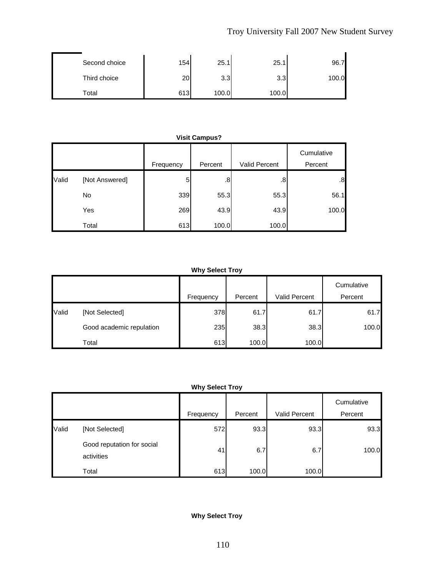| Second choice | 154 | 25.1  | 25.1  | 96.7  |
|---------------|-----|-------|-------|-------|
| Third choice  | 20  | 3.3   | 3.3   | 100.0 |
| Total         | 613 | 100.0 | 100.0 |       |

|       | <b>Visit Campus?</b> |           |         |               |                       |  |  |  |  |
|-------|----------------------|-----------|---------|---------------|-----------------------|--|--|--|--|
|       |                      | Frequency | Percent | Valid Percent | Cumulative<br>Percent |  |  |  |  |
| Valid | [Not Answered]       | 5         | .8      | .8            | .8                    |  |  |  |  |
|       | <b>No</b>            | 339       | 55.3    | 55.3          | 56.1                  |  |  |  |  |
|       | Yes                  | 269       | 43.9    | 43.9          | 100.0                 |  |  |  |  |
|       | Total                | 613       | 100.0   | 100.0         |                       |  |  |  |  |

## **Why Select Troy**

|       |                          | Frequency | Percent | Valid Percent | Cumulative<br>Percent |
|-------|--------------------------|-----------|---------|---------------|-----------------------|
| Valid | [Not Selected]           | 378       | 61.7    | 61.7          | 61.7                  |
|       | Good academic repulation | 235       | 38.3    | 38.3          | 100.0                 |
|       | Total                    | 613       | 100.0   | 100.0         |                       |

## **Why Select Troy**

|       |                                          | Frequency | Percent | <b>Valid Percent</b> | Cumulative<br>Percent |
|-------|------------------------------------------|-----------|---------|----------------------|-----------------------|
| Valid | [Not Selected]                           | 572       | 93.3    | 93.3                 | 93.3                  |
|       | Good reputation for social<br>activities | 41        | 6.7     | 6.7                  | 100.0                 |
|       | Total                                    | 613       | 100.0   | 100.0                |                       |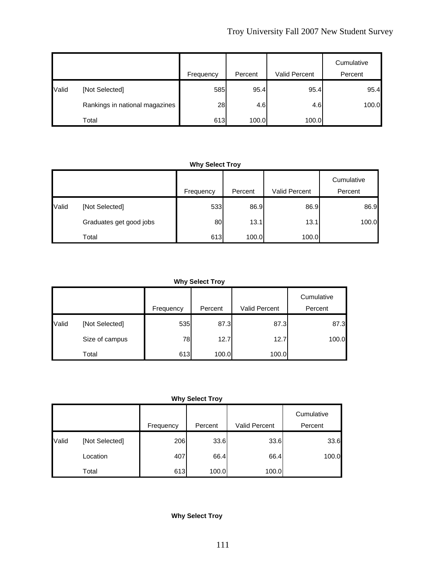|       |                                | Frequency | Percent | Valid Percent | Cumulative<br>Percent |
|-------|--------------------------------|-----------|---------|---------------|-----------------------|
| Valid | [Not Selected]                 | 585       | 95.4    | 95.4          | 95.4                  |
|       | Rankings in national magazines | 28        | 4.6     | 4.6           | 100.0                 |
|       | Total                          | 613       | 100.0   | 100.0         |                       |

**Why Select Troy**

|       |                         | Frequency | Percent | Valid Percent | Cumulative<br>Percent |
|-------|-------------------------|-----------|---------|---------------|-----------------------|
| Valid | [Not Selected]          | 533       | 86.9    | 86.9          | 86.9                  |
|       | Graduates get good jobs | 80        | 13.1    | 13.1          | 100.0                 |
|       | Total                   | 613       | 100.0   | 100.0         |                       |

**Why Select Troy**

|       |                |           |         |               | Cumulative |
|-------|----------------|-----------|---------|---------------|------------|
|       |                | Frequency | Percent | Valid Percent | Percent    |
| Valid | [Not Selected] | 535       | 87.3    | 87.3          | 87.3       |
|       | Size of campus | 78        | 12.7    | 12.7          | 100.0      |
|       | Total          | 613       | 100.0   | 100.0         |            |

**Why Select Troy**

|       |                | Frequency | Percent | <b>Valid Percent</b> | Cumulative<br>Percent |
|-------|----------------|-----------|---------|----------------------|-----------------------|
| Valid | [Not Selected] | 206       | 33.6    | 33.6                 | 33.6                  |
|       | Location       | 407       | 66.4    | 66.4                 | 100.0                 |
|       | Total          | 613       | 100.0   | 100.0                |                       |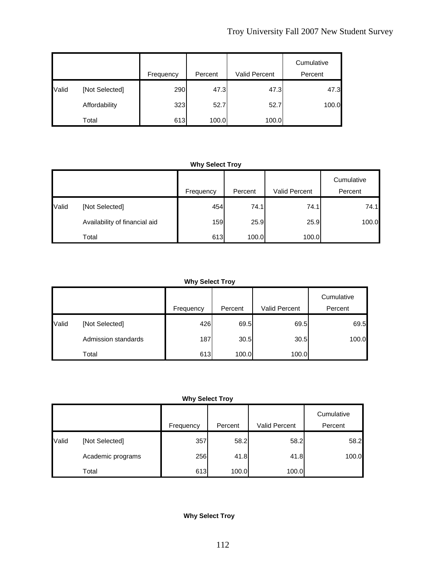|       |                | Frequency | Percent | <b>Valid Percent</b> | Cumulative<br>Percent |
|-------|----------------|-----------|---------|----------------------|-----------------------|
| Valid | [Not Selected] | 290       | 47.3    | 47.3                 | 47.3                  |
|       | Affordability  | 323       | 52.7    | 52.7                 | 100.0                 |
|       | Total          | 613       | 100.0   | 100.0                |                       |

|       |                               | Frequency | Percent | Valid Percent | Cumulative<br>Percent |
|-------|-------------------------------|-----------|---------|---------------|-----------------------|
| Valid | [Not Selected]                | 454       | 74.1    | 74.1          | 74.1                  |
|       | Availability of financial aid | 159       | 25.9    | 25.9          | 100.0                 |
|       | Total                         | 613       | 100.0   | 100.0         |                       |

**Why Select Troy**

|       |                     | Frequency | Percent | <b>Valid Percent</b> | Cumulative<br>Percent |
|-------|---------------------|-----------|---------|----------------------|-----------------------|
| Valid | [Not Selected]      | 426       | 69.5    | 69.5                 | 69.5                  |
|       | Admission standards | 187       | 30.5    | 30.5                 | 100.0                 |
|       | Total               | 613       | 100.0   | 100.0                |                       |

|       |                   | Frequency | Percent | Valid Percent | Cumulative<br>Percent |
|-------|-------------------|-----------|---------|---------------|-----------------------|
| Valid | [Not Selected]    | 357       | 58.2    | 58.2          | 58.2                  |
|       | Academic programs | 256       | 41.8    | 41.8          | 100.0                 |
|       | Total             | 613       | 100.0   | 100.0         |                       |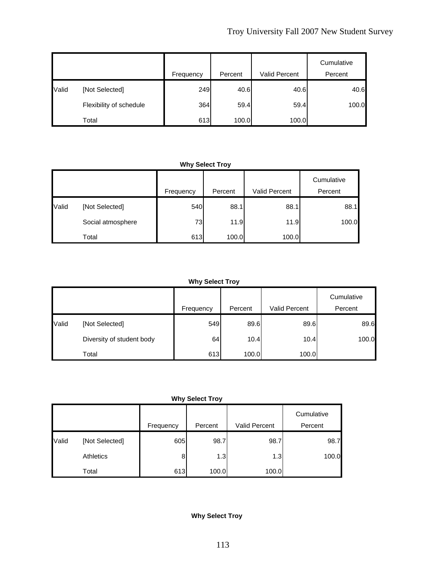|       |                         | Frequency | Percent | <b>Valid Percent</b> | Cumulative<br>Percent |
|-------|-------------------------|-----------|---------|----------------------|-----------------------|
| Valid | [Not Selected]          | 249       | 40.6    | 40.6                 | 40.6                  |
|       | Flexibility of schedule | 364       | 59.4    | 59.4                 | 100.0                 |
|       | Total                   | 613       | 100.0   | 100.0                |                       |

|       |                   |           |         |                      | Cumulative |
|-------|-------------------|-----------|---------|----------------------|------------|
|       |                   | Frequency | Percent | <b>Valid Percent</b> | Percent    |
| Valid | [Not Selected]    | 540       | 88.1    | 88.1                 | 88.1       |
|       | Social atmosphere | 73        | 11.9    | 11.9                 | 100.0      |
|       | Total             | 613       | 100.0   | 100.0                |            |

## **Why Select Troy**

|       |                           | Frequency | Percent | Valid Percent | Cumulative<br>Percent |
|-------|---------------------------|-----------|---------|---------------|-----------------------|
| Valid | [Not Selected]            | 549       | 89.6    | 89.6          | 89.6                  |
|       | Diversity of student body | 64        | 10.4    | 10.4          | 100.0                 |
|       | Total                     | 613       | 100.0   | 100.0         |                       |

#### **Why Select Troy**

|       |                  | Frequency | Percent | Valid Percent | Cumulative<br>Percent |
|-------|------------------|-----------|---------|---------------|-----------------------|
| Valid | [Not Selected]   | 605       | 98.7    | 98.7          | 98.7                  |
|       | <b>Athletics</b> | 8         | 1.3     | 1.3           | 100.0                 |
|       | Total            | 613       | 100.0   | 100.0         |                       |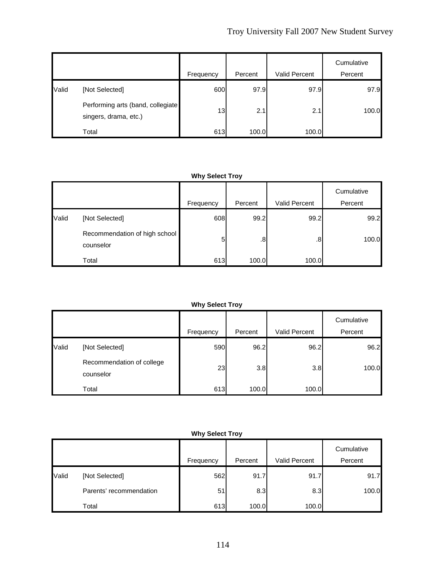|       |                                                            | Frequency | Percent | Valid Percent | Cumulative<br>Percent |
|-------|------------------------------------------------------------|-----------|---------|---------------|-----------------------|
| Valid | [Not Selected]                                             | 600       | 97.9    | 97.9          | 97.9                  |
|       | Performing arts (band, collegiate<br>singers, drama, etc.) | 13        | 2.1     | 2.1           | 100.0                 |
|       | Total                                                      | 613       | 100.0   | 100.0         |                       |

|       |                                            | Frequency | Percent | <b>Valid Percent</b> | Cumulative<br>Percent |
|-------|--------------------------------------------|-----------|---------|----------------------|-----------------------|
| Valid | [Not Selected]                             | 608       | 99.2    | 99.2                 | 99.2                  |
|       | Recommendation of high school<br>counselor | 5         | .8      | $\boldsymbol{.8}$    | 100.0                 |
|       | Total                                      | 613       | 100.0   | 100.0                |                       |

### **Why Select Troy**

|       |                                        | Frequency | Percent | <b>Valid Percent</b> | Cumulative<br>Percent |
|-------|----------------------------------------|-----------|---------|----------------------|-----------------------|
| Valid | [Not Selected]                         | 590       | 96.2    | 96.2                 | 96.2                  |
|       | Recommendation of college<br>counselor | 23        | 3.8     | 3.8                  | 100.0                 |
|       | Total                                  | 613       | 100.0   | 100.0                |                       |

|       |                         | Frequency | Percent | Valid Percent | Cumulative<br>Percent |
|-------|-------------------------|-----------|---------|---------------|-----------------------|
| Valid | [Not Selected]          | 562       | 91.7    | 91.7          | 91.7                  |
|       | Parents' recommendation | 51        | 8.3     | 8.3           | 100.0                 |
|       | Total                   | 613       | 100.0   | 100.0         |                       |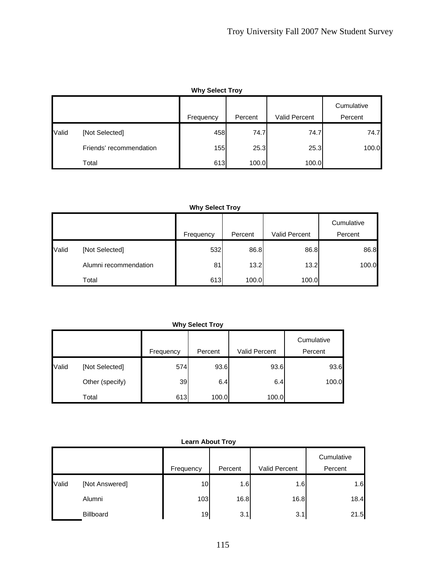|       | <b>Why Select Troy</b>  |           |         |               |                       |  |  |  |
|-------|-------------------------|-----------|---------|---------------|-----------------------|--|--|--|
|       |                         | Frequency | Percent | Valid Percent | Cumulative<br>Percent |  |  |  |
| Valid | [Not Selected]          | 458       | 74.7    | 74.7          | 74.7                  |  |  |  |
|       | Friends' recommendation | 155       | 25.3    | 25.3          | 100.0                 |  |  |  |
|       | Total                   | 613       | 100.0   | 100.0         |                       |  |  |  |

|       |                       | Frequency | Percent | Valid Percent | Cumulative<br>Percent |
|-------|-----------------------|-----------|---------|---------------|-----------------------|
| Valid | [Not Selected]        | 532       | 86.8    | 86.8          | 86.8                  |
|       | Alumni recommendation | 81        | 13.2    | 13.2          | 100.0                 |
|       | Total                 | 613       | 100.0   | 100.0         |                       |

**Why Select Troy**

|       |                 | Frequency | Percent | <b>Valid Percent</b> | Cumulative<br>Percent |
|-------|-----------------|-----------|---------|----------------------|-----------------------|
| Valid | [Not Selected]  | 574       | 93.6    | 93.6                 | 93.6                  |
|       | Other (specify) | 39        | 6.4     | 6.4                  | 100.0                 |
|       | Total           | 613       | 100.0   | 100.0                |                       |

## **Learn About Troy**

|       |                  | Frequency | Percent | Valid Percent | Cumulative<br>Percent |
|-------|------------------|-----------|---------|---------------|-----------------------|
| Valid | [Not Answered]   | 10        | 1.6     | 1.6           | 1.6                   |
|       | Alumni           | 103       | 16.8    | 16.8          | 18.4                  |
|       | <b>Billboard</b> | 19        | 3.1     | 3.1           | 21.5                  |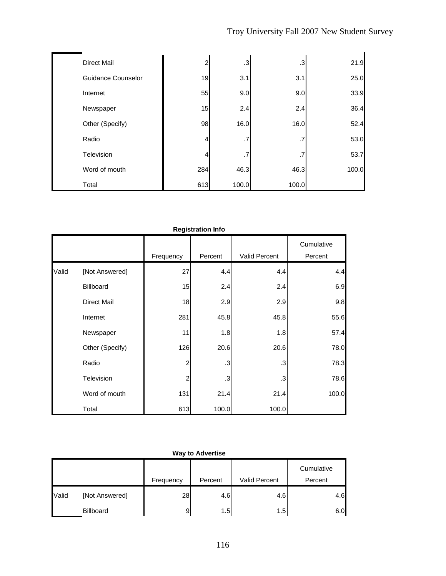| <b>Direct Mail</b>        | 2              | $\cdot$ 3 | .3    | 21.9  |
|---------------------------|----------------|-----------|-------|-------|
| <b>Guidance Counselor</b> | 19             | 3.1       | 3.1   | 25.0  |
| Internet                  | 55             | 9.0       | 9.0   | 33.9  |
| Newspaper                 | 15             | 2.4       | 2.4   | 36.4  |
| Other (Specify)           | 98             | 16.0      | 16.0  | 52.4  |
| Radio                     | $\overline{4}$ | .7        | .7    | 53.0  |
| Television                | 4              | .7        | .7    | 53.7  |
| Word of mouth             | 284            | 46.3      | 46.3  | 100.0 |
| Total                     | 613            | 100.0     | 100.0 |       |

|       | <b>Registration Info</b> |           |           |               |                       |  |  |  |
|-------|--------------------------|-----------|-----------|---------------|-----------------------|--|--|--|
|       |                          | Frequency | Percent   | Valid Percent | Cumulative<br>Percent |  |  |  |
| Valid | [Not Answered]           | 27        | 4.4       | 4.4           | 4.4                   |  |  |  |
|       | Billboard                | 15        | 2.4       | 2.4           | 6.9                   |  |  |  |
|       | <b>Direct Mail</b>       | 18        | 2.9       | 2.9           | 9.8                   |  |  |  |
|       | Internet                 | 281       | 45.8      | 45.8          | 55.6                  |  |  |  |
|       | Newspaper                | 11        | 1.8       | 1.8           | 57.4                  |  |  |  |
|       | Other (Specify)          | 126       | 20.6      | 20.6          | 78.0                  |  |  |  |
|       | Radio                    | 2         | $\cdot$ 3 | .3            | 78.3                  |  |  |  |
|       | Television               | 2         | .3        | .3            | 78.6                  |  |  |  |
|       | Word of mouth            | 131       | 21.4      | 21.4          | 100.0                 |  |  |  |
|       | Total                    | 613       | 100.0     | 100.0         |                       |  |  |  |

|  | <b>Way to Advertise</b> |
|--|-------------------------|

|       |                | Frequency | Percent | Valid Percent | Cumulative<br>Percent |
|-------|----------------|-----------|---------|---------------|-----------------------|
| Valid | [Not Answered] | 28        | 4.6     | 4.6           | 4.6                   |
|       | Billboard      | 9         | 1.5     | 1.5           | 6.0                   |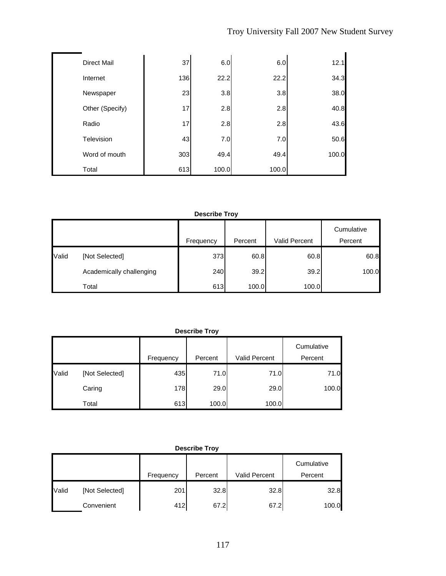| <b>Direct Mail</b> | 37  | 6.0   | 6.0   | 12.1  |
|--------------------|-----|-------|-------|-------|
| Internet           | 136 | 22.2  | 22.2  | 34.3  |
| Newspaper          | 23  | 3.8   | 3.8   | 38.0  |
| Other (Specify)    | 17  | 2.8   | 2.8   | 40.8  |
| Radio              | 17  | 2.8   | 2.8   | 43.6  |
| Television         | 43  | 7.0   | 7.0   | 50.6  |
| Word of mouth      | 303 | 49.4  | 49.4  | 100.0 |
| Total              | 613 | 100.0 | 100.0 |       |

### **Describe Troy**

|       |                          | Frequency | Percent | Valid Percent | Cumulative<br>Percent |
|-------|--------------------------|-----------|---------|---------------|-----------------------|
| Valid | [Not Selected]           | 373       | 60.8    | 60.8          | 60.8                  |
|       | Academically challenging | 240       | 39.2    | 39.2          | 100.0                 |
|       | Total                    | 613       | 100.0   | 100.0         |                       |

#### **Describe Troy**

|       |                | Frequency | Percent | Valid Percent | Cumulative<br>Percent |
|-------|----------------|-----------|---------|---------------|-----------------------|
| Valid | [Not Selected] | 435       | 71.0    | 71.0          | 71.0                  |
|       | Caring         | 178       | 29.0    | 29.0          | 100.0                 |
|       | Total          | 613       | 100.0   | 100.0         |                       |

### **Describe Troy**

|       |                | Frequency | Percent | Valid Percent | Cumulative<br>Percent |
|-------|----------------|-----------|---------|---------------|-----------------------|
| Valid | [Not Selected] | 201       | 32.8    | 32.8          | 32.8                  |
|       | Convenient     | 412       | 67.2    | 67.2          | 100.0                 |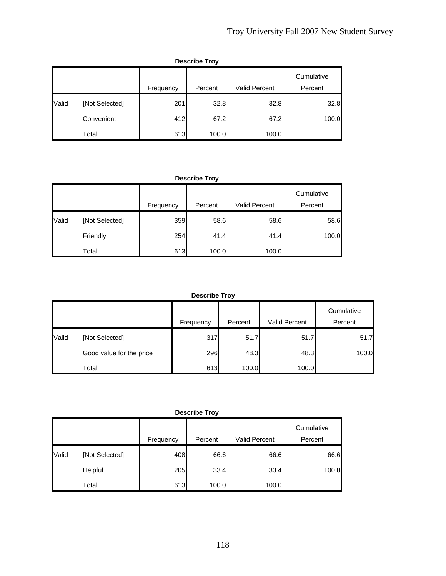|       | <b>Describe Troy</b> |           |         |               |            |  |  |
|-------|----------------------|-----------|---------|---------------|------------|--|--|
|       |                      |           |         |               | Cumulative |  |  |
|       |                      | Frequency | Percent | Valid Percent | Percent    |  |  |
| Valid | [Not Selected]       | 201       | 32.8    | 32.8          | 32.8       |  |  |
|       | Convenient           | 412       | 67.2    | 67.2          | 100.0      |  |  |
|       | Total                | 613       | 100.0   | 100.0         |            |  |  |

## **Describe Troy**

|       |                | Frequency | Percent | <b>Valid Percent</b> | Cumulative<br>Percent |
|-------|----------------|-----------|---------|----------------------|-----------------------|
|       |                |           |         |                      |                       |
| Valid | [Not Selected] | 359       | 58.6    | 58.6                 | 58.6                  |
|       | Friendly       | 254       | 41.4    | 41.4                 | 100.0                 |
|       | Total          | 613       | 100.0   | 100.0                |                       |

## **Describe Troy**

|       |                          | Frequency | Percent | <b>Valid Percent</b> | Cumulative<br>Percent |
|-------|--------------------------|-----------|---------|----------------------|-----------------------|
| Valid | [Not Selected]           | 317       | 51.7    | 51.7                 | 51.7                  |
|       | Good value for the price | 296       | 48.3    | 48.3                 | 100.0                 |
|       | Total                    | 613       | 100.0   | 100.0                |                       |

### **Describe Troy**

|       |                | Frequency | Percent | Valid Percent | Cumulative<br>Percent |
|-------|----------------|-----------|---------|---------------|-----------------------|
| Valid | [Not Selected] | 408       | 66.6    | 66.6          | 66.6                  |
|       | Helpful        | 205       | 33.4    | 33.4          | 100.0                 |
|       | Total          | 613       | 100.0   | 100.0         |                       |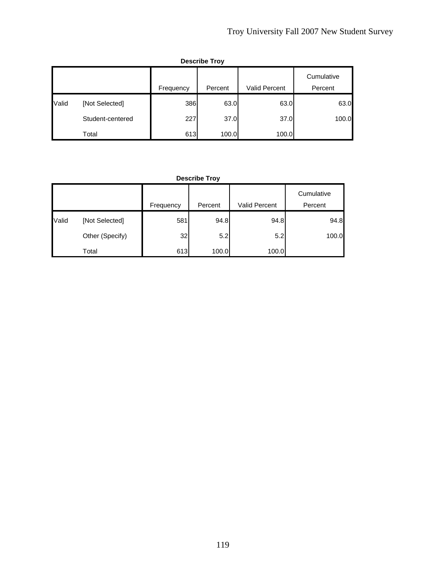|       | <b>Describe Troy</b> |           |         |                      |                       |  |  |
|-------|----------------------|-----------|---------|----------------------|-----------------------|--|--|
|       |                      | Frequency | Percent | <b>Valid Percent</b> | Cumulative<br>Percent |  |  |
| Valid | [Not Selected]       | 386       | 63.0    | 63.0                 | 63.0                  |  |  |
|       | Student-centered     | 227       | 37.0    | 37.0                 | 100.0                 |  |  |
|       | Total                | 613       | 100.0   | 100.0                |                       |  |  |

**Describe Troy**

|       |                 | Frequency | Percent | Valid Percent | Cumulative<br>Percent |
|-------|-----------------|-----------|---------|---------------|-----------------------|
| Valid | [Not Selected]  | 581       | 94.8    | 94.8          | 94.8                  |
|       | Other (Specify) | 32        | 5.2     | 5.2           | 100.0                 |
|       | Total           | 613       | 100.0   | 100.0         |                       |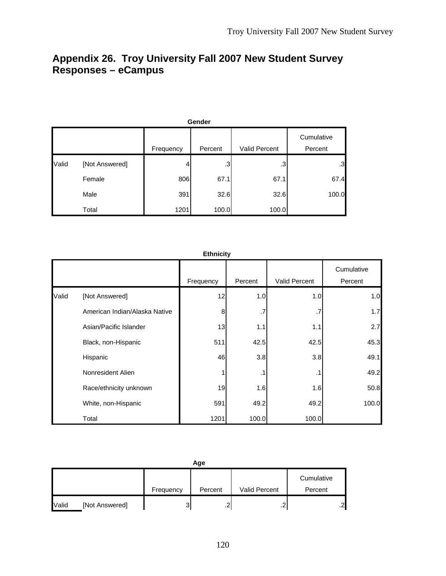# **Appendix 26. Troy University Fall 2007 New Student Survey Responses – eCampus**

|       | Gender         |           |         |               |                       |  |  |  |
|-------|----------------|-----------|---------|---------------|-----------------------|--|--|--|
|       |                | Frequency | Percent | Valid Percent | Cumulative<br>Percent |  |  |  |
| Valid | [Not Answered] | 4         | .3      | .3            | .3                    |  |  |  |
|       | Female         | 806       | 67.1    | 67.1          | 67.4                  |  |  |  |
|       | Male           | 391       | 32.6    | 32.6          | 100.0                 |  |  |  |
|       | Total          | 1201      | 100.0   | 100.0         |                       |  |  |  |

|       |                               | <b>Ethnicity</b> |         |               |                       |
|-------|-------------------------------|------------------|---------|---------------|-----------------------|
|       |                               | Frequency        | Percent | Valid Percent | Cumulative<br>Percent |
| Valid | [Not Answered]                | 12               | 1.0     | 1.0           | 1.0                   |
|       | American Indian/Alaska Native | 8                | .7      | $\cdot$ 7     | 1.7                   |
|       | Asian/Pacific Islander        | 13               | 1.1     | 1.1           | 2.7                   |
|       | Black, non-Hispanic           | 511              | 42.5    | 42.5          | 45.3                  |
|       | Hispanic                      | 46               | 3.8     | 3.8           | 49.1                  |
|       | Nonresident Alien             |                  | .1      | $\cdot$ 1     | 49.2                  |
|       | Race/ethnicity unknown        | 19               | 1.6     | 1.6           | 50.8                  |
|       | White, non-Hispanic           | 591              | 49.2    | 49.2          | 100.0                 |
|       | Total                         | 1201             | 100.0   | 100.0         |                       |

|       | Age            |           |         |                      |            |  |  |
|-------|----------------|-----------|---------|----------------------|------------|--|--|
|       |                |           |         |                      | Cumulative |  |  |
|       |                | Frequency | Percent | <b>Valid Percent</b> | Percent    |  |  |
| Valid | [Not Answered] | 3         | ີ<br>ے. | $\sqrt{2}$<br>ے.     | .2         |  |  |

120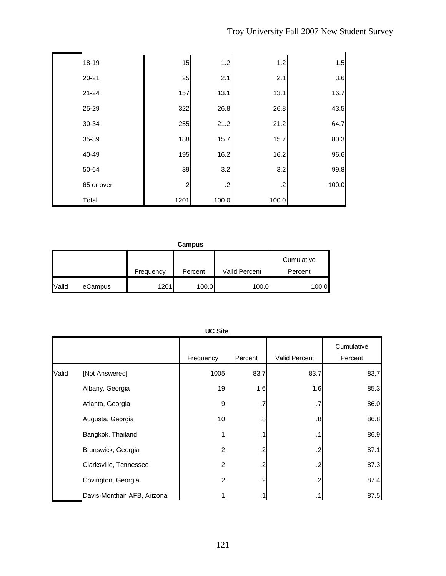| 18-19      | 15             | 1.2     | 1.2   | 1.5   |
|------------|----------------|---------|-------|-------|
| $20 - 21$  | 25             | 2.1     | 2.1   | 3.6   |
| $21 - 24$  | 157            | 13.1    | 13.1  | 16.7  |
| 25-29      | 322            | 26.8    | 26.8  | 43.5  |
| 30-34      | 255            | 21.2    | 21.2  | 64.7  |
| 35-39      | 188            | 15.7    | 15.7  | 80.3  |
| 40-49      | 195            | 16.2    | 16.2  | 96.6  |
| 50-64      | 39             | 3.2     | 3.2   | 99.8  |
| 65 or over | $\overline{c}$ | $\cdot$ | .2    | 100.0 |
| Total      | 1201           | 100.0   | 100.0 |       |

### **Campus**

|       |         |           |         |               | Cumulative |
|-------|---------|-----------|---------|---------------|------------|
|       |         | Frequency | Percent | Valid Percent | Percent    |
| Valid | eCampus | 1201      | 100.0   | 100.0         | 100.0      |

|       |                            | Frequency | Percent    | Valid Percent | Cumulative<br>Percent |
|-------|----------------------------|-----------|------------|---------------|-----------------------|
| Valid | [Not Answered]             | 1005      | 83.7       | 83.7          | 83.7                  |
|       | Albany, Georgia            | 19        | 1.6        | 1.6           | 85.3                  |
|       | Atlanta, Georgia           | 9         | .7         | .7            | 86.0                  |
|       | Augusta, Georgia           | 10        | .8         | .8            | 86.8                  |
|       | Bangkok, Thailand          |           | $\cdot$ 1  | .1            | 86.9                  |
|       | Brunswick, Georgia         | 2         | $\cdot$    | .2            | 87.1                  |
|       | Clarksville, Tennessee     | 2         | $\cdot$    | .2            | 87.3                  |
|       | Covington, Georgia         | 2         | $\cdot$ .2 | .2            | 87.4                  |
|       | Davis-Monthan AFB, Arizona |           | $\cdot$ 1  | .1            | 87.5                  |

## **UC Site**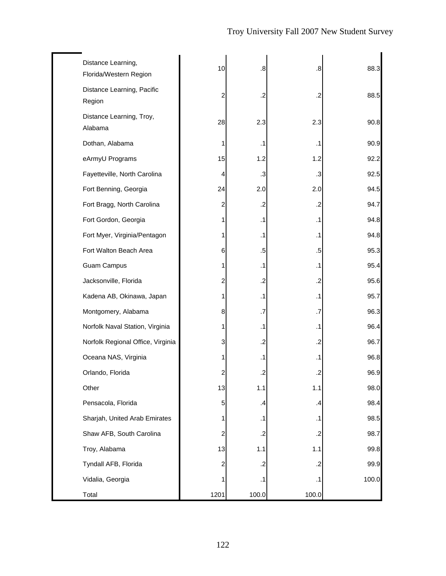| Distance Learning,<br>Florida/Western Region | 10             | .8        | .8      | 88.3  |
|----------------------------------------------|----------------|-----------|---------|-------|
| Distance Learning, Pacific<br>Region         | 2              | $\cdot$   | .2      | 88.5  |
| Distance Learning, Troy,<br>Alabama          | 28             | 2.3       | 2.3     | 90.8  |
| Dothan, Alabama                              | 1              | $\cdot$ 1 | .1      | 90.9  |
| eArmyU Programs                              | 15             | 1.2       | 1.2     | 92.2  |
| Fayetteville, North Carolina                 | 4              | $\cdot$   | .3      | 92.5  |
| Fort Benning, Georgia                        | 24             | 2.0       | 2.0     | 94.5  |
| Fort Bragg, North Carolina                   | $\overline{c}$ | .2        | .2      | 94.7  |
| Fort Gordon, Georgia                         | 1              | $\cdot$ 1 | .1      | 94.8  |
| Fort Myer, Virginia/Pentagon                 | 1              | $\cdot$ 1 | .1      | 94.8  |
| Fort Walton Beach Area                       | 6              | $.5\,$    | .5      | 95.3  |
| <b>Guam Campus</b>                           | 1              | .1        | .1      | 95.4  |
| Jacksonville, Florida                        | $\overline{c}$ | .2        | $\cdot$ | 95.6  |
| Kadena AB, Okinawa, Japan                    | 1              | $\cdot$ 1 | .1      | 95.7  |
| Montgomery, Alabama                          | 8              | .7        | .7      | 96.3  |
| Norfolk Naval Station, Virginia              | 1              | .1        | .1      | 96.4  |
| Norfolk Regional Office, Virginia            | 3              | .2        | .2      | 96.7  |
| Oceana NAS, Virginia                         | 1              | $\cdot$ 1 | .1      | 96.8  |
| Orlando, Florida                             | $\overline{c}$ | $\cdot$   | .2      | 96.9  |
| Other                                        | 13             | 1.1       | 1.1     | 98.0  |
| Pensacola, Florida                           | 5              | $\cdot$   | $\cdot$ | 98.4  |
| Sharjah, United Arab Emirates                | 1              | $\cdot$ 1 | .1      | 98.5  |
| Shaw AFB, South Carolina                     | $\overline{c}$ | $\cdot$   | .2      | 98.7  |
| Troy, Alabama                                | 13             | 1.1       | 1.1     | 99.8  |
| Tyndall AFB, Florida                         | $\overline{c}$ | .2        | .2      | 99.9  |
| Vidalia, Georgia                             | 1              | $\cdot$ 1 | .1      | 100.0 |
| Total                                        | 1201           | 100.0     | 100.0   |       |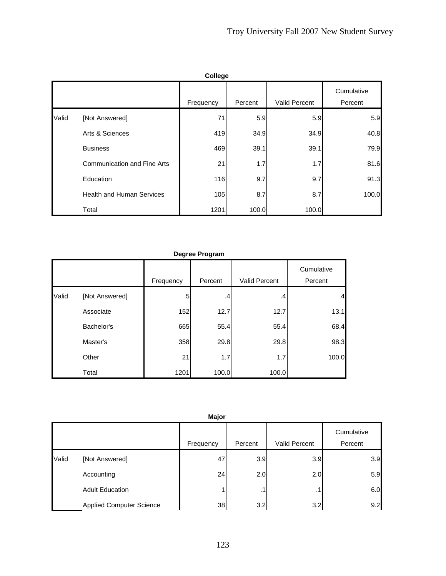| College |                                    |           |         |               |                       |  |
|---------|------------------------------------|-----------|---------|---------------|-----------------------|--|
|         |                                    | Frequency | Percent | Valid Percent | Cumulative<br>Percent |  |
| Valid   | [Not Answered]                     | 71        | 5.9     | 5.9           | 5.9                   |  |
|         | Arts & Sciences                    | 419       | 34.9    | 34.9          | 40.8                  |  |
|         | <b>Business</b>                    | 469       | 39.1    | 39.1          | 79.9                  |  |
|         | <b>Communication and Fine Arts</b> | 21        | 1.7     | 1.7           | 81.6                  |  |
|         | Education                          | 116       | 9.7     | 9.7           | 91.3                  |  |
|         | <b>Health and Human Services</b>   | 105       | 8.7     | 8.7           | 100.0                 |  |
|         | Total                              | 1201      | 100.0   | 100.0         |                       |  |

| Degree Program |
|----------------|

|       |                | Frequency | Percent | <b>Valid Percent</b> | Cumulative<br>Percent |
|-------|----------------|-----------|---------|----------------------|-----------------------|
| Valid | [Not Answered] | 5         | .4      | .4                   | $.4 \,$               |
|       | Associate      | 152       | 12.7    | 12.7                 | 13.1                  |
|       | Bachelor's     | 665       | 55.4    | 55.4                 | 68.4                  |
|       | Master's       | 358       | 29.8    | 29.8                 | 98.3                  |
|       | Other          | 21        | 1.7     | 1.7                  | 100.0                 |
|       | Total          | 1201      | 100.0   | 100.0                |                       |

|       | <b>Major</b>                    |           |           |               |                       |  |  |
|-------|---------------------------------|-----------|-----------|---------------|-----------------------|--|--|
|       |                                 | Frequency | Percent   | Valid Percent | Cumulative<br>Percent |  |  |
| Valid | [Not Answered]                  | 47        | 3.9       | 3.9           | 3.9                   |  |  |
|       | Accounting                      | 24        | 2.0       | 2.0           | 5.9                   |  |  |
|       | <b>Adult Education</b>          |           | $\cdot$ 1 | .1            | 6.0                   |  |  |
|       | <b>Applied Computer Science</b> | 38        | 3.2       | 3.2           | 9.2                   |  |  |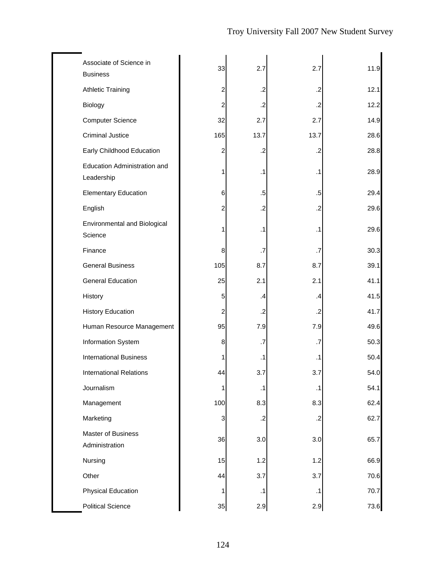| Associate of Science in<br><b>Business</b> | 33             | 2.7        | 2.7            | 11.9 |
|--------------------------------------------|----------------|------------|----------------|------|
| <b>Athletic Training</b>                   | 2              | $\cdot$    | $\cdot$        | 12.1 |
| Biology                                    | 2              | $\cdot$    | $\cdot$        | 12.2 |
| <b>Computer Science</b>                    | 32             | 2.7        | 2.7            | 14.9 |
| <b>Criminal Justice</b>                    | 165            | 13.7       | 13.7           | 28.6 |
| Early Childhood Education                  | 2              | .2         | $\overline{2}$ | 28.8 |
| Education Administration and<br>Leadership | 1              | $\cdot$ 1  | $\cdot$ 1      | 28.9 |
| <b>Elementary Education</b>                | 6              | $.5\,$     | $.5\,$         | 29.4 |
| English                                    | 2              | .2         | $\cdot$        | 29.6 |
| Environmental and Biological<br>Science    | 1              | $\cdot$ 1  | $\cdot$ 1      | 29.6 |
| Finance                                    | 8              | .7         | .7             | 30.3 |
| <b>General Business</b>                    | 105            | 8.7        | 8.7            | 39.1 |
| <b>General Education</b>                   | 25             | 2.1        | 2.1            | 41.1 |
| History                                    | 5              | $\cdot$    | .4             | 41.5 |
| <b>History Education</b>                   | $\overline{c}$ | $\cdot$ .2 | $\cdot$        | 41.7 |
| Human Resource Management                  | 95             | 7.9        | 7.9            | 49.6 |
| Information System                         | 8              | .7         | .7             | 50.3 |
| <b>International Business</b>              | 1              | $\cdot$ 1  | .1             | 50.4 |
| <b>International Relations</b>             | 44             | 3.7        | 3.7            | 54.0 |
| Journalism                                 | 1              | $\cdot$ 1  | $\cdot$ 1      | 54.1 |
| Management                                 | 100            | 8.3        | 8.3            | 62.4 |
| Marketing                                  | 3              | .2         | $\cdot$        | 62.7 |
| Master of Business<br>Administration       | 36             | 3.0        | 3.0            | 65.7 |
| Nursing                                    | 15             | 1.2        | 1.2            | 66.9 |
| Other                                      | 44             | 3.7        | 3.7            | 70.6 |
| <b>Physical Education</b>                  | 1              | $\cdot$ 1  | $\cdot$ 1      | 70.7 |
| <b>Political Science</b>                   | 35             | 2.9        | 2.9            | 73.6 |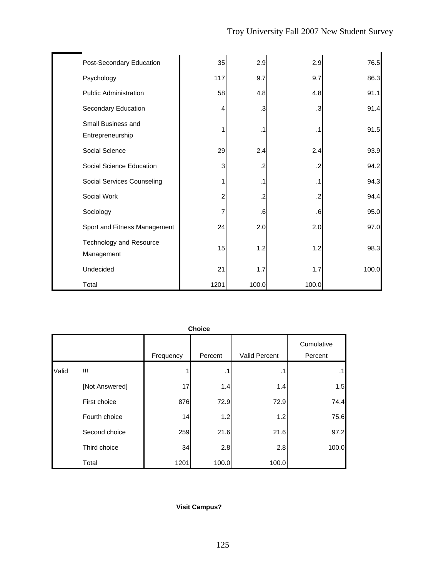| Post-Secondary Education               | 35   | 2.9       | 2.9       | 76.5  |
|----------------------------------------|------|-----------|-----------|-------|
| Psychology                             | 117  | 9.7       | 9.7       | 86.3  |
| <b>Public Administration</b>           | 58   | 4.8       | 4.8       | 91.1  |
| Secondary Education                    | 4    | .3        | $\cdot$ 3 | 91.4  |
| Small Business and<br>Entrepreneurship | 1    | $\cdot$ 1 | $\cdot$ 1 | 91.5  |
| Social Science                         | 29   | 2.4       | 2.4       | 93.9  |
| Social Science Education               | 3    | $\cdot$   | $\cdot$   | 94.2  |
| Social Services Counseling             | 1    | .1        | $\cdot$ 1 | 94.3  |
| Social Work                            | 2    | $\cdot$   | $\cdot$   | 94.4  |
| Sociology                              | 7    | .6        | .6        | 95.0  |
| Sport and Fitness Management           | 24   | 2.0       | 2.0       | 97.0  |
| Technology and Resource<br>Management  | 15   | 1.2       | 1.2       | 98.3  |
| Undecided                              | 21   | 1.7       | 1.7       | 100.0 |
| Total                                  | 1201 | 100.0     | 100.0     |       |

|       | <b>Choice</b>  |           |         |               |                       |  |  |  |  |
|-------|----------------|-----------|---------|---------------|-----------------------|--|--|--|--|
|       |                | Frequency | Percent | Valid Percent | Cumulative<br>Percent |  |  |  |  |
| Valid | $\mathbf{III}$ |           | .1      | .1            | $\cdot$ 1             |  |  |  |  |
|       | [Not Answered] | 17        | 1.4     | 1.4           | 1.5                   |  |  |  |  |
|       | First choice   | 876       | 72.9    | 72.9          | 74.4                  |  |  |  |  |
|       | Fourth choice  | 14        | 1.2     | 1.2           | 75.6                  |  |  |  |  |
|       | Second choice  | 259       | 21.6    | 21.6          | 97.2                  |  |  |  |  |
|       | Third choice   | 34        | 2.8     | 2.8           | 100.0                 |  |  |  |  |
|       | Total          | 1201      | 100.0   | 100.0         |                       |  |  |  |  |

## **Visit Campus?**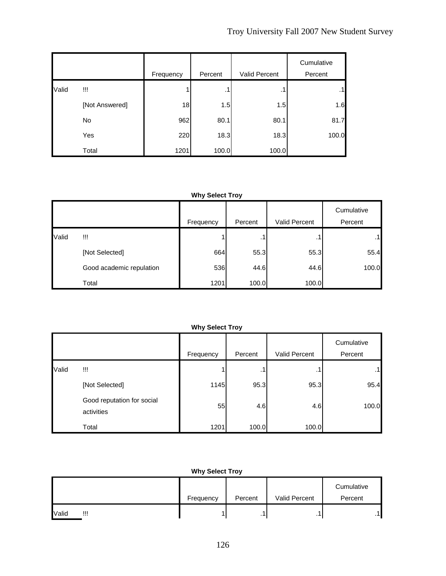|       |                |           |         |               | Cumulative |
|-------|----------------|-----------|---------|---------------|------------|
|       |                | Frequency | Percent | Valid Percent | Percent    |
| Valid | W              |           | .1      | . .           | .1         |
|       | [Not Answered] | 18        | 1.5     | 1.5           | 1.6        |
|       | No             | 962       | 80.1    | 80.1          | 81.7       |
|       | Yes            | 220       | 18.3    | 18.3          | 100.0      |
|       | Total          | 1201      | 100.0   | 100.0         |            |

|       |                          | Frequency | Percent | <b>Valid Percent</b> | Cumulative<br>Percent |
|-------|--------------------------|-----------|---------|----------------------|-----------------------|
| Valid | !!!                      |           | . .     | $\blacksquare$       | $\cdot$ 1             |
|       | [Not Selected]           | 664       | 55.3    | 55.3                 | 55.4                  |
|       | Good academic repulation | 536       | 44.6    | 44.6                 | 100.0                 |
|       | Total                    | 1201      | 100.0   | 100.0                |                       |

|       |                                          | Frequency | Percent   | Valid Percent | Cumulative<br>Percent |
|-------|------------------------------------------|-----------|-----------|---------------|-----------------------|
| Valid | !!!                                      |           | $\cdot$ 1 | $\cdot$ 1     | $\cdot$ 1             |
|       | [Not Selected]                           | 1145      | 95.3      | 95.3          | 95.4                  |
|       | Good reputation for social<br>activities | 55        | 4.6       | 4.6           | 100.0                 |
|       | Total                                    | 1201      | 100.0     | 100.0         |                       |

| <b>Why Select Troy</b> |           |         |               |                       |  |  |
|------------------------|-----------|---------|---------------|-----------------------|--|--|
|                        | Frequency | Percent | Valid Percent | Cumulative<br>Percent |  |  |
| Valid<br>!!!           |           | . 1     | $\cdot$ 1     | .1                    |  |  |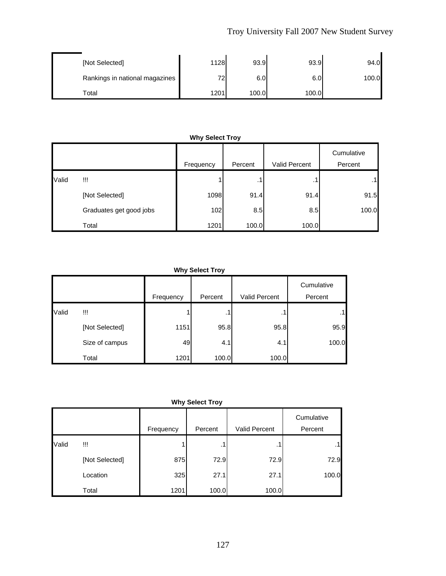| [Not Selected]                 | 1128            | 93.9  | 93.9             | 94.0  |
|--------------------------------|-----------------|-------|------------------|-------|
| Rankings in national magazines | 72 <sub>1</sub> | 6.0   | 6.0 <sub>1</sub> | 100.0 |
| Total                          | 1201            | 100.0 | 100.0            |       |

# **Why Select Troy** Frequency Percent Valid Percent Cumulative Percent Valid !!! 1 .1 .1 .1 [Not Selected] 1098 91.4 91.4 91.4 91.5 Graduates get good jobs  $\begin{array}{ccc} 102 & 8.5 & 8.5 \end{array}$  8.5 100.0 Total 100.0 | 1201 | 100.0 | 100.0 | 100.0 | 100.0 | 100.0 | 100.0 | 100.0 | 100

### **Why Select Troy**

|       |                | Frequency | Percent | Valid Percent | Cumulative<br>Percent |
|-------|----------------|-----------|---------|---------------|-----------------------|
| Valid | Ш              |           | .1      | . .           | $\cdot$ 1             |
|       | [Not Selected] | 1151      | 95.8    | 95.8          | 95.9                  |
|       | Size of campus | 49        | 4.1     | 4.1           | 100.0                 |
|       | Total          | 1201      | 100.0   | 100.0         |                       |

|       |                |           |         |               | Cumulative |
|-------|----------------|-----------|---------|---------------|------------|
|       |                | Frequency | Percent | Valid Percent | Percent    |
| Valid | !!!            |           | .1      | .1            | .1         |
|       | [Not Selected] | 875       | 72.9    | 72.9          | 72.9       |
|       | Location       | 325       | 27.1    | 27.1          | 100.0      |
|       | Total          | 1201      | 100.0   | 100.0         |            |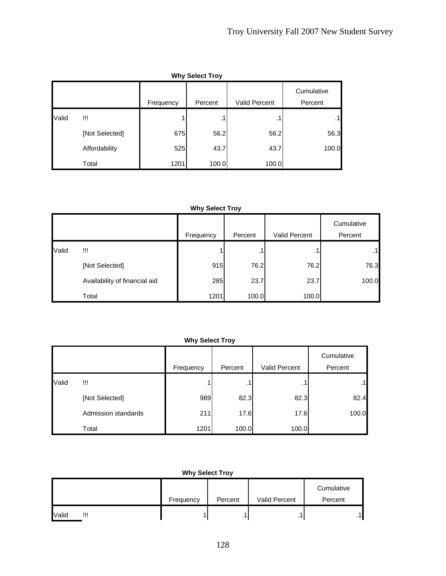| <b>Why Select Troy</b> |                |           |         |                      |                       |  |  |
|------------------------|----------------|-----------|---------|----------------------|-----------------------|--|--|
|                        |                | Frequency | Percent | <b>Valid Percent</b> | Cumulative<br>Percent |  |  |
| Valid                  | Ш              |           | . 1     | . .                  |                       |  |  |
|                        | [Not Selected] | 675       | 56.2    | 56.2                 | 56.3                  |  |  |
|                        | Affordability  | 525       | 43.7    | 43.7                 | 100.0                 |  |  |
|                        | Total          | 1201      | 100.0   | 100.0                |                       |  |  |

|       |                               | Frequency | Percent | Valid Percent | Cumulative<br>Percent |
|-------|-------------------------------|-----------|---------|---------------|-----------------------|
| Valid | w                             |           | . .     | $\cdot$ 1     | $\cdot$ 1             |
|       | [Not Selected]                | 915       | 76.2    | 76.2          | 76.3                  |
|       | Availability of financial aid | 285       | 23.7    | 23.7          | 100.0                 |
|       | Total                         | 1201      | 100.0   | 100.0         |                       |

## **Why Select Troy**

|       |                     |           |         |               | Cumulative |
|-------|---------------------|-----------|---------|---------------|------------|
|       |                     | Frequency | Percent | Valid Percent | Percent    |
| Valid | !!!                 |           | .1      |               | .1         |
|       | [Not Selected]      | 989       | 82.3    | 82.3          | 82.4       |
|       | Admission standards | 211       | 17.6    | 17.6          | 100.0      |
|       | Total               | 1201      | 100.0   | 100.0         |            |

|            |           |         |               | Cumulative |
|------------|-----------|---------|---------------|------------|
|            | Frequency | Percent | Valid Percent | Percent    |
| Valid<br>Ш |           |         | ٠             | $\cdot$ 1  |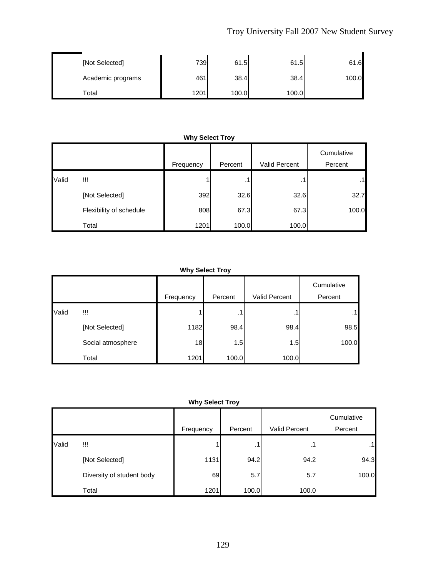| [Not Selected]    | 739  | 61.5  | 61.5  | 61.6  |
|-------------------|------|-------|-------|-------|
| Academic programs | 461  | 38.4  | 38.4  | 100.0 |
| Total             | 1201 | 100.0 | 100.0 |       |

|       |                         | Frequency | Percent | Valid Percent | Cumulative<br>Percent |  |  |  |
|-------|-------------------------|-----------|---------|---------------|-----------------------|--|--|--|
| Valid | w                       |           | .1      |               | $\cdot$ 1             |  |  |  |
|       | [Not Selected]          | 392       | 32.6    | 32.6          | 32.7                  |  |  |  |
|       | Flexibility of schedule | 808       | 67.3    | 67.3          | 100.0                 |  |  |  |
|       | Total                   | 1201      | 100.0   | 100.0         |                       |  |  |  |

### **Why Select Troy**

**Why Select Troy**

|       |                   | Frequency | Percent | Valid Percent | Cumulative<br>Percent |
|-------|-------------------|-----------|---------|---------------|-----------------------|
| Valid | Ш                 |           |         |               | .1                    |
|       | [Not Selected]    | 1182      | 98.4    | 98.4          | 98.5                  |
|       | Social atmosphere | 18        | 1.5     | 1.5           | 100.0                 |
|       | Total             | 1201      | 100.0   | 100.0         |                       |

|       |                           | Frequency | Percent        | Valid Percent | Cumulative<br>Percent |
|-------|---------------------------|-----------|----------------|---------------|-----------------------|
| Valid | Ш                         |           | $\blacksquare$ | $\cdot$ 1     | .1 <sup>1</sup>       |
|       | [Not Selected]            | 1131      | 94.2           | 94.2          | 94.3                  |
|       | Diversity of student body | 69        | 5.7            | 5.7           | 100.0                 |
|       | Total                     | 1201      | 100.0          | 100.0         |                       |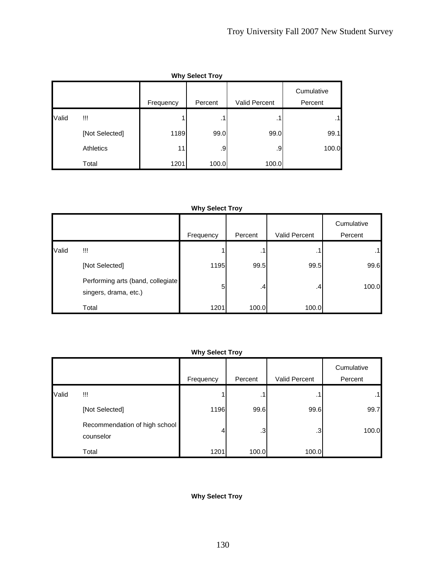| <b>Why Select Troy</b> |                  |           |         |                      |                       |  |  |
|------------------------|------------------|-----------|---------|----------------------|-----------------------|--|--|
|                        |                  | Frequency | Percent | <b>Valid Percent</b> | Cumulative<br>Percent |  |  |
| Valid                  | Ш                |           | . .     | . .                  |                       |  |  |
|                        | [Not Selected]   | 1189      | 99.0    | 99.0                 | 99.1                  |  |  |
|                        | <b>Athletics</b> | 11        | .9      | .9                   | 100.0                 |  |  |
|                        | Total            | 1201      | 100.0   | 100.0                |                       |  |  |

|       |                                                            | Frequency | Percent         | <b>Valid Percent</b> | Cumulative<br>Percent |
|-------|------------------------------------------------------------|-----------|-----------------|----------------------|-----------------------|
| Valid | !!!                                                        |           | . .             | ٠٦                   | $\cdot$ 1             |
|       | [Not Selected]                                             | 1195      | 99.5            | 99.5                 | 99.6                  |
|       | Performing arts (band, collegiate<br>singers, drama, etc.) | 5         | .4 <sub>1</sub> | .4                   | 100.0                 |
|       | Total                                                      | 1201      | 100.0           | 100.0                |                       |

### **Why Select Troy**

|       |                                            | Frequency | Percent | Valid Percent | Cumulative<br>Percent |
|-------|--------------------------------------------|-----------|---------|---------------|-----------------------|
| Valid | !!!                                        |           | $\cdot$ | . 1           | $\cdot$ 1             |
|       | [Not Selected]                             | 1196      | 99.6    | 99.6          | 99.7                  |
|       | Recommendation of high school<br>counselor | 4         | .3      | $\cdot$ 3     | 100.0                 |
|       | Total                                      | 1201      | 100.0   | 100.0         |                       |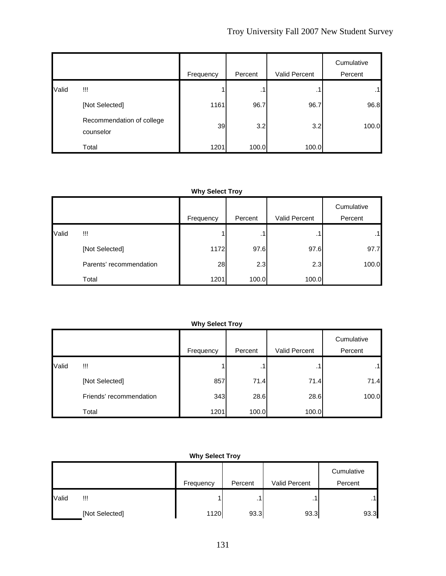|       |                                        | Frequency | Percent | Valid Percent | Cumulative<br>Percent |
|-------|----------------------------------------|-----------|---------|---------------|-----------------------|
| Valid | !!!                                    |           | . 1     | . 1           | .1                    |
|       | [Not Selected]                         | 1161      | 96.7    | 96.7          | 96.8                  |
|       | Recommendation of college<br>counselor | 39        | 3.2     | 3.2           | 100.0                 |
|       | Total                                  | 1201      | 100.0   | 100.0         |                       |

|       |                         | Frequency | Percent | Valid Percent | Cumulative<br>Percent |
|-------|-------------------------|-----------|---------|---------------|-----------------------|
|       |                         |           |         |               |                       |
| Valid | !!!                     |           | . .     | . .           | .1                    |
|       | [Not Selected]          | 1172      | 97.6    | 97.6          | 97.7                  |
|       | Parents' recommendation | 28        | 2.3     | 2.3           | 100.0                 |
|       | Total                   | 1201      | 100.0   | 100.0         |                       |

#### **Why Select Troy**

|       |                         | Frequency | Percent      | Valid Percent | Cumulative<br>Percent |
|-------|-------------------------|-----------|--------------|---------------|-----------------------|
| Valid | !!!                     |           | $\mathbf{r}$ | ٠.            | .1                    |
|       | [Not Selected]          | 857       | 71.4         | 71.4          | 71.4                  |
|       | Friends' recommendation | 343       | 28.6         | 28.6          | 100.0                 |
|       | Total                   | 1201      | 100.0        | 100.0         |                       |

|       |                |           |         |               | Cumulative |
|-------|----------------|-----------|---------|---------------|------------|
|       |                | Frequency | Percent | Valid Percent | Percent    |
| Valid | w              |           |         | . .           | .11        |
|       | [Not Selected] | 1120      | 93.3    | 93.3          | 93.3       |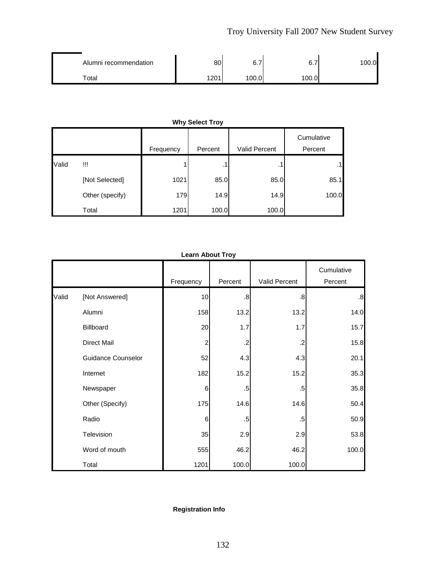| Alumni recommendation | 80   | 6.7<br>- | ⌒<br>⇁<br>◡. | 0.001 |
|-----------------------|------|----------|--------------|-------|
| $\tau$ otal           | 1201 | 100.0    | 100.0        |       |

|       |                 |           |         |               | Cumulative |
|-------|-----------------|-----------|---------|---------------|------------|
|       |                 | Frequency | Percent | Valid Percent | Percent    |
| Valid | Ш               |           | .1      | .1            | .1         |
|       | [Not Selected]  | 1021      | 85.0    | 85.0          | 85.1       |
|       | Other (specify) | 179       | 14.9    | 14.9          | 100.0      |
|       | Total           | 1201      | 100.0   | 100.0         |            |

|       | Learn About Troy          |           |            |               |                       |  |  |  |
|-------|---------------------------|-----------|------------|---------------|-----------------------|--|--|--|
|       |                           | Frequency | Percent    | Valid Percent | Cumulative<br>Percent |  |  |  |
| Valid | [Not Answered]            | 10        | .8         | .8            | .8                    |  |  |  |
|       | Alumni                    | 158       | 13.2       | 13.2          | 14.0                  |  |  |  |
|       | Billboard                 | 20        | 1.7        | 1.7           | 15.7                  |  |  |  |
|       | <b>Direct Mail</b>        | 2         | $\cdot$ .2 | .2            | 15.8                  |  |  |  |
|       | <b>Guidance Counselor</b> | 52        | 4.3        | 4.3           | 20.1                  |  |  |  |
|       | Internet                  | 182       | 15.2       | 15.2          | 35.3                  |  |  |  |
|       | Newspaper                 | 6         | .5         | .5            | 35.8                  |  |  |  |
|       | Other (Specify)           | 175       | 14.6       | 14.6          | 50.4                  |  |  |  |
|       | Radio                     | 6         | .5         | .5            | 50.9                  |  |  |  |
|       | Television                | 35        | 2.9        | 2.9           | 53.8                  |  |  |  |
|       | Word of mouth             | 555       | 46.2       | 46.2          | 100.0                 |  |  |  |
|       | Total                     | 1201      | 100.0      | 100.0         |                       |  |  |  |

## **Learn About Troy**

## **Registration Info**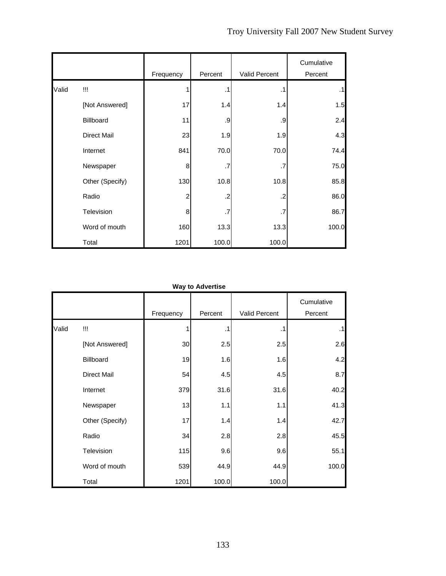|       |                    | Frequency      | Percent   | Valid Percent | Cumulative<br>Percent |
|-------|--------------------|----------------|-----------|---------------|-----------------------|
| Valid | Ш                  |                | $\cdot$ 1 | $\cdot$ 1     | .1                    |
|       | [Not Answered]     | 17             | 1.4       | 1.4           | 1.5                   |
|       | Billboard          | 11             | .9        | .9            | 2.4                   |
|       | <b>Direct Mail</b> | 23             | 1.9       | 1.9           | 4.3                   |
|       | Internet           | 841            | 70.0      | 70.0          | 74.4                  |
|       | Newspaper          | 8              | .7        | $\cdot$       | 75.0                  |
|       | Other (Specify)    | 130            | 10.8      | 10.8          | 85.8                  |
|       | Radio              | $\overline{2}$ | $\cdot$   | $\cdot$       | 86.0                  |
|       | Television         | 8              | .7        | .7            | 86.7                  |
|       | Word of mouth      | 160            | 13.3      | 13.3          | 100.0                 |
|       | Total              | 1201           | 100.0     | 100.0         |                       |

|       | <b>Way to Advertise</b> |           |           |               |                       |  |  |  |  |
|-------|-------------------------|-----------|-----------|---------------|-----------------------|--|--|--|--|
|       |                         | Frequency | Percent   | Valid Percent | Cumulative<br>Percent |  |  |  |  |
| Valid | Ш                       | 1         | $\cdot$ 1 | $\cdot$ 1     | $\cdot$ 1             |  |  |  |  |
|       | [Not Answered]          | 30        | 2.5       | 2.5           | 2.6                   |  |  |  |  |
|       | Billboard               | 19        | 1.6       | 1.6           | 4.2                   |  |  |  |  |
|       | <b>Direct Mail</b>      | 54        | 4.5       | 4.5           | 8.7                   |  |  |  |  |
|       | Internet                | 379       | 31.6      | 31.6          | 40.2                  |  |  |  |  |
|       | Newspaper               | 13        | 1.1       | 1.1           | 41.3                  |  |  |  |  |
|       | Other (Specify)         | 17        | 1.4       | 1.4           | 42.7                  |  |  |  |  |
|       | Radio                   | 34        | 2.8       | 2.8           | 45.5                  |  |  |  |  |
|       | Television              | 115       | 9.6       | 9.6           | 55.1                  |  |  |  |  |
|       | Word of mouth           | 539       | 44.9      | 44.9          | 100.0                 |  |  |  |  |
|       | Total                   | 1201      | 100.0     | 100.0         |                       |  |  |  |  |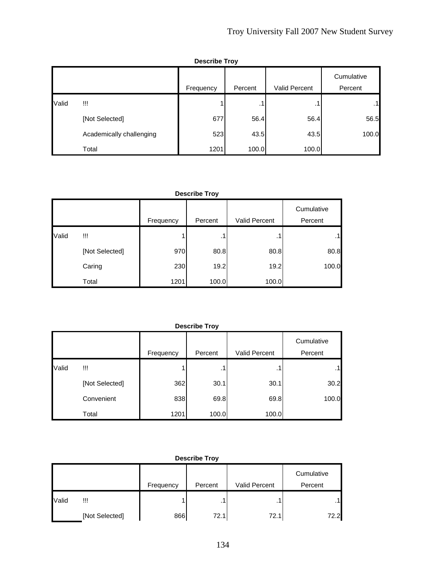|       | <b>Describe Troy</b>     |           |         |               |                       |  |  |  |  |
|-------|--------------------------|-----------|---------|---------------|-----------------------|--|--|--|--|
|       |                          | Frequency | Percent | Valid Percent | Cumulative<br>Percent |  |  |  |  |
| Valid | W                        |           | . 1     | .1            | $\cdot$ 1             |  |  |  |  |
|       | [Not Selected]           | 677       | 56.4    | 56.4          | 56.5                  |  |  |  |  |
|       | Academically challenging | 523       | 43.5    | 43.5          | 100.0                 |  |  |  |  |
|       | Total                    | 1201      | 100.0   | 100.0         |                       |  |  |  |  |

## **Describe Troy**

|       |                |           |         |               | Cumulative |
|-------|----------------|-----------|---------|---------------|------------|
|       |                | Frequency | Percent | Valid Percent | Percent    |
| Valid | !!!            |           | .1      | .1            | .1         |
|       | [Not Selected] | 970       | 80.8    | 80.8          | 80.8       |
|       | Caring         | 230       | 19.2    | 19.2          | 100.0      |
|       | Total          | 1201      | 100.0   | 100.0         |            |

|       | <b>Describe Troy</b> |           |         |               |                       |  |  |  |  |
|-------|----------------------|-----------|---------|---------------|-----------------------|--|--|--|--|
|       |                      | Frequency | Percent | Valid Percent | Cumulative<br>Percent |  |  |  |  |
| Valid | W                    |           | .1      | . .           | $\cdot$ 1             |  |  |  |  |
|       | [Not Selected]       | 362       | 30.1    | 30.1          | 30.2                  |  |  |  |  |
|       | Convenient           | 838       | 69.8    | 69.8          | 100.0                 |  |  |  |  |
|       | Total                | 1201      | 100.0   | 100.0         |                       |  |  |  |  |

|       | <b>Describe Troy</b> |           |         |               |                       |  |  |  |  |
|-------|----------------------|-----------|---------|---------------|-----------------------|--|--|--|--|
|       |                      | Frequency | Percent | Valid Percent | Cumulative<br>Percent |  |  |  |  |
| Valid | Ш                    |           | . I     | $\cdot$ 1     | $\cdot$ 1             |  |  |  |  |
|       | [Not Selected]       | 866       | 72.1    | 72.1          | 72.2                  |  |  |  |  |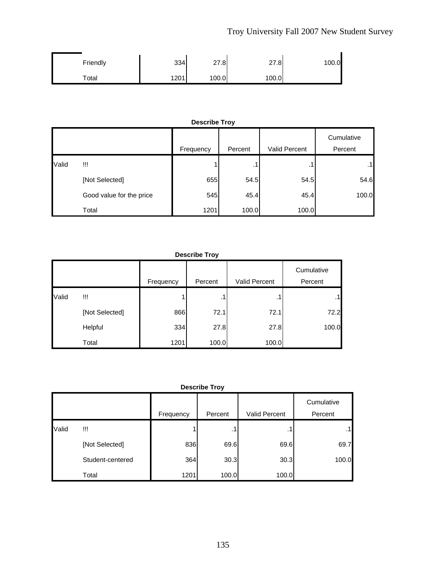| Friendly    | 334  | 27.8  | 27.8  | 100.0 |
|-------------|------|-------|-------|-------|
| $\tau$ otal | 1201 | 100.0 | 100.0 |       |

|       | <b>Describe Troy</b>     |           |         |                      |                       |  |  |  |
|-------|--------------------------|-----------|---------|----------------------|-----------------------|--|--|--|
|       |                          | Frequency | Percent | <b>Valid Percent</b> | Cumulative<br>Percent |  |  |  |
| Valid | w                        |           | . .     | $\cdot$ 1            | .1                    |  |  |  |
|       | [Not Selected]           | 655       | 54.5    | 54.5                 | 54.6                  |  |  |  |
|       | Good value for the price | 545       | 45.4    | 45.4                 | 100.0                 |  |  |  |
|       | Total                    | 1201      | 100.0   | 100.0                |                       |  |  |  |

#### **Describe Troy**

|       |                | Frequency | Percent | Valid Percent | Cumulative<br>Percent |
|-------|----------------|-----------|---------|---------------|-----------------------|
| Valid | w              |           | .1      | .1            | $\cdot$ 1             |
|       | [Not Selected] | 866       | 72.1    | 72.1          | 72.2                  |
|       | Helpful        | 334       | 27.8    | 27.8          | 100.0                 |
|       | Total          | 1201      | 100.0   | 100.0         |                       |

#### **Describe Troy**

|       |                  |           |         |                      | Cumulative |
|-------|------------------|-----------|---------|----------------------|------------|
|       |                  | Frequency | Percent | <b>Valid Percent</b> | Percent    |
| Valid | w                |           | . .     |                      | . .        |
|       | [Not Selected]   | 836       | 69.6    | 69.6                 | 69.7       |
|       | Student-centered | 364       | 30.3    | 30.3                 | 100.0      |
|       | Total            | 1201      | 100.0   | 100.0                |            |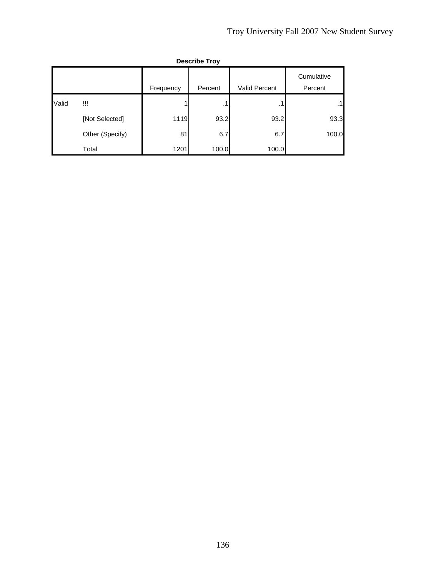|       | <b>Describe Troy</b> |           |         |                      |                       |  |  |  |  |
|-------|----------------------|-----------|---------|----------------------|-----------------------|--|--|--|--|
|       |                      | Frequency | Percent | <b>Valid Percent</b> | Cumulative<br>Percent |  |  |  |  |
| Valid | !!!                  |           | .1      | ٦.                   | .1                    |  |  |  |  |
|       | [Not Selected]       | 1119      | 93.2    | 93.2                 | 93.3                  |  |  |  |  |
|       | Other (Specify)      | 81        | 6.7     | 6.7                  | 100.0                 |  |  |  |  |
|       | Total                | 1201      | 100.0   | 100.0                |                       |  |  |  |  |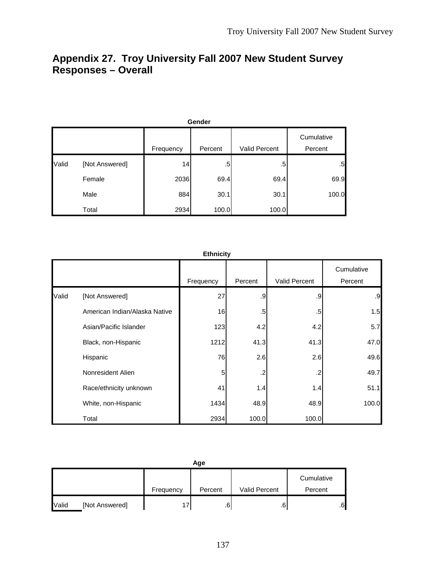# **Appendix 27. Troy University Fall 2007 New Student Survey Responses – Overall**

|       | Gender         |           |              |               |                       |  |  |  |  |
|-------|----------------|-----------|--------------|---------------|-----------------------|--|--|--|--|
|       |                | Frequency | Percent      | Valid Percent | Cumulative<br>Percent |  |  |  |  |
| Valid | [Not Answered] | 14        | $.5^{\circ}$ | .5            | .5                    |  |  |  |  |
|       | Female         | 2036      | 69.4         | 69.4          | 69.9                  |  |  |  |  |
|       | Male           | 884       | 30.1         | 30.1          | 100.0                 |  |  |  |  |
|       | Total          | 2934      | 100.0        | 100.0         |                       |  |  |  |  |

|       | <b>Ethnicity</b>              |           |         |                      |                       |  |  |  |
|-------|-------------------------------|-----------|---------|----------------------|-----------------------|--|--|--|
|       |                               | Frequency | Percent | <b>Valid Percent</b> | Cumulative<br>Percent |  |  |  |
| Valid | [Not Answered]                | 27        | .9      | .9                   | .9                    |  |  |  |
|       | American Indian/Alaska Native | 16        | .5      | .5                   | 1.5                   |  |  |  |
|       | Asian/Pacific Islander        | 123       | 4.2     | 4.2                  | 5.7                   |  |  |  |
|       | Black, non-Hispanic           | 1212      | 41.3    | 41.3                 | 47.0                  |  |  |  |
|       | Hispanic                      | 76        | 2.6     | 2.6                  | 49.6                  |  |  |  |
|       | Nonresident Alien             | 5         | .2      | .2                   | 49.7                  |  |  |  |
|       | Race/ethnicity unknown        | 41        | 1.4     | 1.4                  | 51.1                  |  |  |  |
|       | White, non-Hispanic           | 1434      | 48.9    | 48.9                 | 100.0                 |  |  |  |
|       | Total                         | 2934      | 100.0   | 100.0                |                       |  |  |  |

|       | Age            |           |         |               |                       |        |  |  |
|-------|----------------|-----------|---------|---------------|-----------------------|--------|--|--|
|       |                | Frequency | Percent | Valid Percent | Cumulative<br>Percent |        |  |  |
|       |                |           |         |               |                       |        |  |  |
| Valid | [Not Answered] | 17        | .6      | .6            |                       | $.6\,$ |  |  |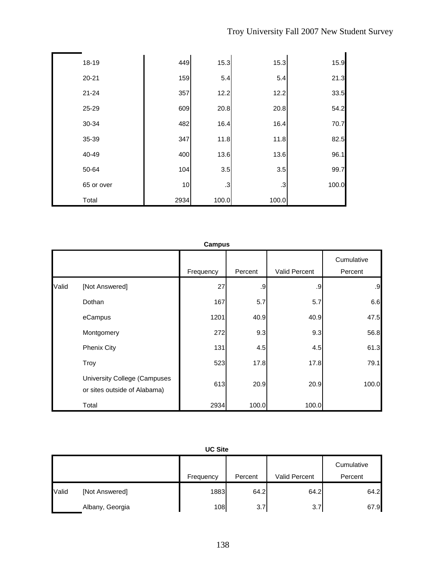| 18-19      | 449  | 15.3      | 15.3      | 15.9  |
|------------|------|-----------|-----------|-------|
| $20 - 21$  | 159  | 5.4       | 5.4       | 21.3  |
| $21 - 24$  | 357  | 12.2      | 12.2      | 33.5  |
| 25-29      | 609  | 20.8      | 20.8      | 54.2  |
| 30-34      | 482  | 16.4      | 16.4      | 70.7  |
| 35-39      | 347  | 11.8      | 11.8      | 82.5  |
| 40-49      | 400  | 13.6      | 13.6      | 96.1  |
| 50-64      | 104  | 3.5       | 3.5       | 99.7  |
| 65 or over | 10   | $\cdot$ 3 | $\cdot$ 3 | 100.0 |
| Total      | 2934 | 100.0     | 100.0     |       |

|       | <b>Campus</b>                                                       |           |         |                      |                       |  |  |  |  |
|-------|---------------------------------------------------------------------|-----------|---------|----------------------|-----------------------|--|--|--|--|
|       |                                                                     | Frequency | Percent | <b>Valid Percent</b> | Cumulative<br>Percent |  |  |  |  |
| Valid | [Not Answered]                                                      | 27        | .9      | .9                   | .9                    |  |  |  |  |
|       | Dothan                                                              | 167       | 5.7     | 5.7                  | 6.6                   |  |  |  |  |
|       | eCampus                                                             | 1201      | 40.9    | 40.9                 | 47.5                  |  |  |  |  |
|       | Montgomery                                                          | 272       | 9.3     | 9.3                  | 56.8                  |  |  |  |  |
|       | <b>Phenix City</b>                                                  | 131       | 4.5     | 4.5                  | 61.3                  |  |  |  |  |
|       | Troy                                                                | 523       | 17.8    | 17.8                 | 79.1                  |  |  |  |  |
|       | <b>University College (Campuses</b><br>or sites outside of Alabama) | 613       | 20.9    | 20.9                 | 100.0                 |  |  |  |  |
|       | Total                                                               | 2934      | 100.0   | 100.0                |                       |  |  |  |  |

|       | <b>UC Site</b>  |           |         |               |            |  |  |
|-------|-----------------|-----------|---------|---------------|------------|--|--|
|       |                 |           |         |               | Cumulative |  |  |
|       |                 | Frequency | Percent | Valid Percent | Percent    |  |  |
| Valid | [Not Answered]  | 1883      | 64.2    | 64.2          | 64.2       |  |  |
|       | Albany, Georgia | 108       | 3.7     | 3.7           | 67.9       |  |  |

## 138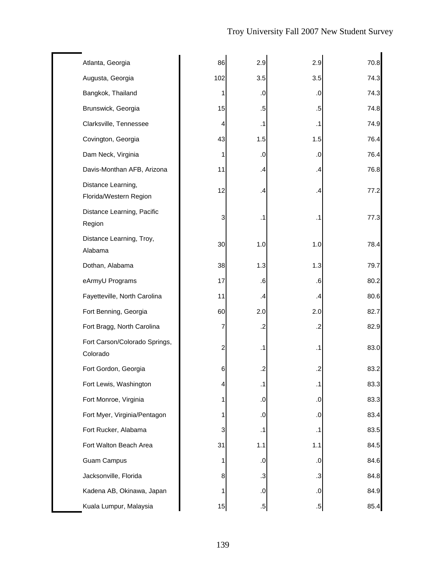| Atlanta, Georgia                             | 86             | 2.9           | 2.9             | 70.8 |
|----------------------------------------------|----------------|---------------|-----------------|------|
| Augusta, Georgia                             | 102            | 3.5           | 3.5             | 74.3 |
| Bangkok, Thailand                            | 1              | .0            | .0              | 74.3 |
| Brunswick, Georgia                           | 15             | $.5\,$        | $.5\,$          | 74.8 |
| Clarksville, Tennessee                       | 4              | $\cdot$ 1     | $\cdot$ 1       | 74.9 |
| Covington, Georgia                           | 43             | 1.5           | 1.5             | 76.4 |
| Dam Neck, Virginia                           | 1              | .0            | .0              | 76.4 |
| Davis-Monthan AFB, Arizona                   | 11             | $\mathcal{A}$ | .4              | 76.8 |
| Distance Learning,<br>Florida/Western Region | 12             | .4            | .4              | 77.2 |
| Distance Learning, Pacific<br>Region         | 3              | .1            | $\cdot$ 1       | 77.3 |
| Distance Learning, Troy,<br>Alabama          | 30             | 1.0           | 1.0             | 78.4 |
| Dothan, Alabama                              | 38             | 1.3           | 1.3             | 79.7 |
| eArmyU Programs                              | 17             | .6            | .6              | 80.2 |
| Fayetteville, North Carolina                 | 11             | $\mathcal{A}$ | $\cdot$         | 80.6 |
| Fort Benning, Georgia                        | 60             | 2.0           | 2.0             | 82.7 |
| Fort Bragg, North Carolina                   | 7              | $\cdot$       | .2              | 82.9 |
| Fort Carson/Colorado Springs,<br>Colorado    | $\overline{c}$ | .1            | .1              | 83.0 |
| Fort Gordon, Georgia                         | 6              | $\cdot$       | $\cdot$         | 83.2 |
| Fort Lewis, Washington                       | 4              | .1            | $\cdot$ 1       | 83.3 |
| Fort Monroe, Virginia                        | 1              | .0            | .0              | 83.3 |
| Fort Myer, Virginia/Pentagon                 | 1              | .0            | .0              | 83.4 |
| Fort Rucker, Alabama                         | 3              | $\cdot$ 1     | $\cdot$ 1       | 83.5 |
| Fort Walton Beach Area                       | 31             | 1.1           | 1.1             | 84.5 |
| <b>Guam Campus</b>                           | 1              | .0            | .0              | 84.6 |
| Jacksonville, Florida                        | 8              | $\cdot$ 3     | $\cdot$         | 84.8 |
| Kadena AB, Okinawa, Japan                    | 1              | .0            | .0              | 84.9 |
| Kuala Lumpur, Malaysia                       | 15             | $.5\,$        | $.5\phantom{0}$ | 85.4 |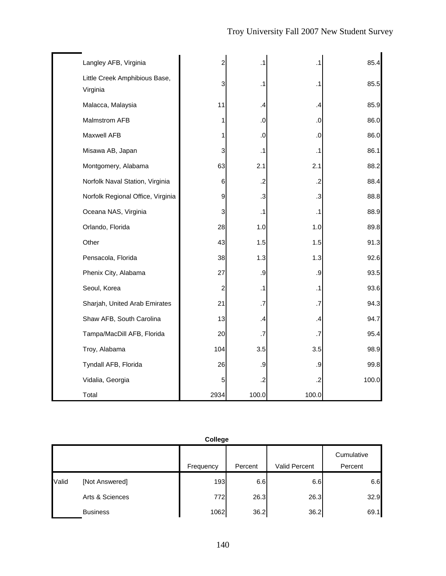| Langley AFB, Virginia                     | 2    | $\cdot$ 1 | .1      | 85.4  |
|-------------------------------------------|------|-----------|---------|-------|
| Little Creek Amphibious Base,<br>Virginia | 3    | .1        | .1      | 85.5  |
| Malacca, Malaysia                         | 11   | .4        | .4      | 85.9  |
| Malmstrom AFB                             |      | .0        | .0      | 86.0  |
| Maxwell AFB                               |      | 0.0       | 0.      | 86.0  |
| Misawa AB, Japan                          | 3    | $\cdot$ 1 | .1      | 86.1  |
| Montgomery, Alabama                       | 63   | 2.1       | 2.1     | 88.2  |
| Norfolk Naval Station, Virginia           | 6    | $\cdot$   | $\cdot$ | 88.4  |
| Norfolk Regional Office, Virginia         | 9    | $\cdot$   | $\cdot$ | 88.8  |
| Oceana NAS, Virginia                      | 3    | $\cdot$ 1 | .1      | 88.9  |
| Orlando, Florida                          | 28   | 1.0       | 1.0     | 89.8  |
| Other                                     | 43   | 1.5       | 1.5     | 91.3  |
| Pensacola, Florida                        | 38   | 1.3       | 1.3     | 92.6  |
| Phenix City, Alabama                      | 27   | .9        | .9      | 93.5  |
| Seoul, Korea                              | 2    | .1        | .1      | 93.6  |
| Sharjah, United Arab Emirates             | 21   | .7        | .7      | 94.3  |
| Shaw AFB, South Carolina                  | 13   | .4        | .4      | 94.7  |
| Tampa/MacDill AFB, Florida                | 20   | .7        | .7      | 95.4  |
| Troy, Alabama                             | 104  | 3.5       | 3.5     | 98.9  |
| Tyndall AFB, Florida                      | 26   | .9        | .9      | 99.8  |
| Vidalia, Georgia                          | 5    | $\cdot$   | .2      | 100.0 |
| Total                                     | 2934 | 100.0     | 100.0   |       |

| olle<br>n<br>- 16 |  |
|-------------------|--|
|                   |  |

|       |                 | Frequency | Percent | <b>Valid Percent</b> | Cumulative<br>Percent |
|-------|-----------------|-----------|---------|----------------------|-----------------------|
| Valid | [Not Answered]  | 193       | 6.6     | 6.6                  | 6.6                   |
|       | Arts & Sciences | 772       | 26.3    | 26.3                 | 32.9                  |
|       | <b>Business</b> | 1062      | 36.2    | 36.2                 | 69.1                  |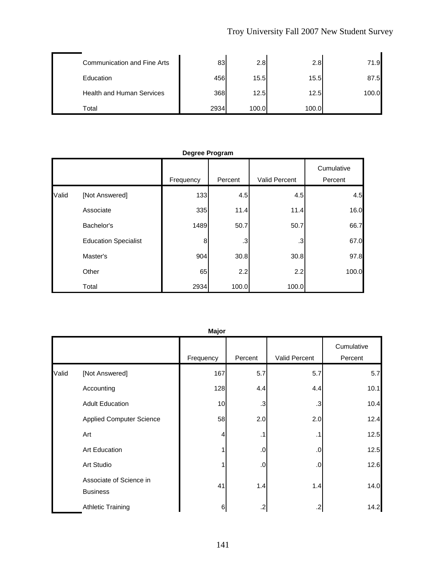| <b>Communication and Fine Arts</b> | 83   | 2.8   | 2.8   | 71.9  |
|------------------------------------|------|-------|-------|-------|
| Education                          | 456  | 15.5  | 15.5  | 87.5  |
| <b>Health and Human Services</b>   | 368  | 12.5  | 12.5  | 100.0 |
| Total                              | 2934 | 100.0 | 100.0 |       |

|       | Degree Program              |           |         |               |                       |  |  |
|-------|-----------------------------|-----------|---------|---------------|-----------------------|--|--|
|       |                             | Frequency | Percent | Valid Percent | Cumulative<br>Percent |  |  |
| Valid | [Not Answered]              | 133       | 4.5     | 4.5           | 4.5                   |  |  |
|       | Associate                   | 335       | 11.4    | 11.4          | 16.0                  |  |  |
|       | Bachelor's                  | 1489      | 50.7    | 50.7          | 66.7                  |  |  |
|       | <b>Education Specialist</b> | 8         | .3      | .3            | 67.0                  |  |  |
|       | Master's                    | 904       | 30.8    | 30.8          | 97.8                  |  |  |
|       | Other                       | 65        | 2.2     | 2.2           | 100.0                 |  |  |
|       | Total                       | 2934      | 100.0   | 100.0         |                       |  |  |

|       |                                            | Major     |           |               |                       |
|-------|--------------------------------------------|-----------|-----------|---------------|-----------------------|
|       |                                            | Frequency | Percent   | Valid Percent | Cumulative<br>Percent |
| Valid | [Not Answered]                             | 167       | 5.7       | 5.7           | 5.7                   |
|       | Accounting                                 | 128       | 4.4       | 4.4           | 10.1                  |
|       | <b>Adult Education</b>                     | 10        | .3        | .3            | 10.4                  |
|       | <b>Applied Computer Science</b>            | 58        | 2.0       | 2.0           | 12.4                  |
|       | Art                                        | 4.        | $\cdot$ 1 | $\cdot$ 1     | 12.5                  |
|       | Art Education                              |           | .0        | .0            | 12.5                  |
|       | Art Studio                                 |           | .0        | .0            | 12.6                  |
|       | Associate of Science in<br><b>Business</b> | 41        | 1.4       | 1.4           | 14.0                  |
|       | <b>Athletic Training</b>                   | 6         | $\cdot$   | .2            | 14.2                  |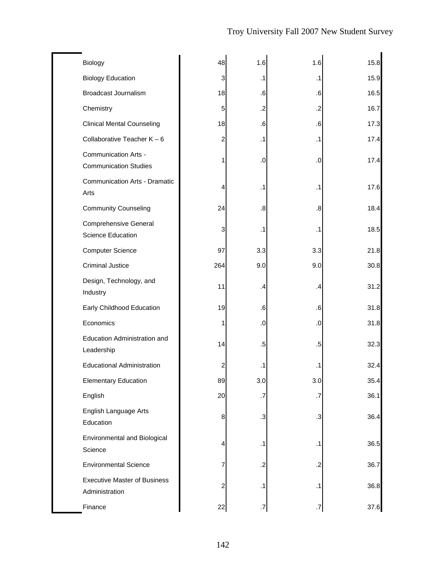| Biology                                                  | 48  | 1.6       | 1.6       | 15.8 |
|----------------------------------------------------------|-----|-----------|-----------|------|
| <b>Biology Education</b>                                 | 3   | .1        | $\cdot$ 1 | 15.9 |
| <b>Broadcast Journalism</b>                              | 18  | .6        | .6        | 16.5 |
| Chemistry                                                | 5   | .2        | $\cdot$   | 16.7 |
| <b>Clinical Mental Counseling</b>                        | 18  | .6        | .6        | 17.3 |
| Collaborative Teacher $K - 6$                            | 2   | .1        | $\cdot$ 1 | 17.4 |
| Communication Arts -<br><b>Communication Studies</b>     | 1   | .0        | .0        | 17.4 |
| <b>Communication Arts - Dramatic</b><br>Arts             | 4   | .1        | .1        | 17.6 |
| <b>Community Counseling</b>                              | 24  | .8        | .8        | 18.4 |
| <b>Comprehensive General</b><br><b>Science Education</b> | 3   | $\cdot$ 1 | .1        | 18.5 |
| <b>Computer Science</b>                                  | 97  | 3.3       | 3.3       | 21.8 |
| <b>Criminal Justice</b>                                  | 264 | 9.0       | 9.0       | 30.8 |
| Design, Technology, and<br>Industry                      | 11  | $\cdot$   | .4        | 31.2 |
| Early Childhood Education                                | 19  | .6        | .6        | 31.8 |
| Economics                                                | 1   | .0        | .0        | 31.8 |
| Education Administration and<br>Leadership               | 14  | .5        | $.5\,$    | 32.3 |
| <b>Educational Administration</b>                        | 2   | $\cdot$ 1 | .1        | 32.4 |
| <b>Elementary Education</b>                              | 89  | 3.0       | 3.0       | 35.4 |
| English                                                  | 20  | .7        | .7        | 36.1 |
| English Language Arts<br>Education                       | 8   | $\cdot$   | $\cdot$ 3 | 36.4 |
| Environmental and Biological<br>Science                  | 4   | $\cdot$ 1 | .1        | 36.5 |
| <b>Environmental Science</b>                             | 7   | .2        | .2        | 36.7 |
| <b>Executive Master of Business</b><br>Administration    | 2   | .1        | .1        | 36.8 |
| Finance                                                  | 22  | $\cdot$ 7 | .7        | 37.6 |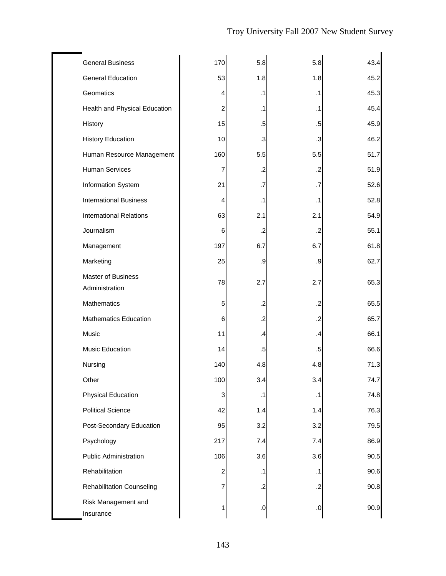| <b>General Business</b>                     | 170            | 5.8        | 5.8       | 43.4 |
|---------------------------------------------|----------------|------------|-----------|------|
| <b>General Education</b>                    | 53             | 1.8        | 1.8       | 45.2 |
| Geomatics                                   | 4              | $\cdot$ 1  | $\cdot$ 1 | 45.3 |
| Health and Physical Education               | $\overline{c}$ | $\cdot$ 1  | $\cdot$ 1 | 45.4 |
| History                                     | 15             | .5         | $.5\,$    | 45.9 |
| <b>History Education</b>                    | 10             | $\cdot$    | $\cdot$ 3 | 46.2 |
| Human Resource Management                   | 160            | 5.5        | 5.5       | 51.7 |
| <b>Human Services</b>                       | 7              | .2         | $\cdot$   | 51.9 |
| Information System                          | 21             | .7         | .7        | 52.6 |
| <b>International Business</b>               | 4              | $\cdot$ 1  | $\cdot$ 1 | 52.8 |
| <b>International Relations</b>              | 63             | 2.1        | 2.1       | 54.9 |
| Journalism                                  | 6              | .2         | $\cdot$   | 55.1 |
| Management                                  | 197            | 6.7        | 6.7       | 61.8 |
| Marketing                                   | 25             | .9         | .9        | 62.7 |
| <b>Master of Business</b><br>Administration | 78             | 2.7        | 2.7       | 65.3 |
| Mathematics                                 | 5              | $\cdot$    | $\cdot$   | 65.5 |
| <b>Mathematics Education</b>                | 6              | $\cdot$ .2 | $\cdot$   | 65.7 |
| Music                                       | 11             | $\cdot$    | .4        | 66.1 |
| <b>Music Education</b>                      | 14             | .5         | .5        | 66.6 |
| Nursing                                     | 140            | 4.8        | 4.8       | 71.3 |
| Other                                       | 100            | 3.4        | 3.4       | 74.7 |
| <b>Physical Education</b>                   | 3              | $\cdot$ 1  | .1        | 74.8 |
| <b>Political Science</b>                    | 42             | 1.4        | 1.4       | 76.3 |
| Post-Secondary Education                    | 95             | 3.2        | 3.2       | 79.5 |
| Psychology                                  | 217            | 7.4        | 7.4       | 86.9 |
| <b>Public Administration</b>                | 106            | 3.6        | 3.6       | 90.5 |
| Rehabilitation                              | $\overline{c}$ | $\cdot$ 1  | $\cdot$ 1 | 90.6 |
| <b>Rehabilitation Counseling</b>            | 7              | $\cdot$ .2 | $\cdot$   | 90.8 |
| Risk Management and<br>Insurance            |                | .0         | 0.        | 90.9 |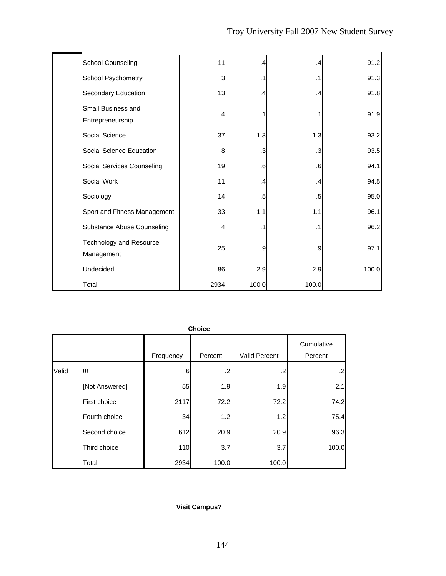| <b>School Counseling</b>               | 11   | .4    | .4     | 91.2  |
|----------------------------------------|------|-------|--------|-------|
| School Psychometry                     | 3    | .1    | .1     | 91.3  |
| Secondary Education                    | 13   | .4    | .4     | 91.8  |
| Small Business and<br>Entrepreneurship | 4    | .1    | .1     | 91.9  |
| Social Science                         | 37   | 1.3   | 1.3    | 93.2  |
| Social Science Education               | 8    | .3    | .3     | 93.5  |
| Social Services Counseling             | 19   | .6    | .6     | 94.1  |
| Social Work                            | 11   | .4    | .4     | 94.5  |
| Sociology                              | 14   | .5    | $.5\,$ | 95.0  |
| Sport and Fitness Management           | 33   | 1.1   | 1.1    | 96.1  |
| Substance Abuse Counseling             | 4    | .1    | .1     | 96.2  |
| Technology and Resource<br>Management  | 25   | .9    | .9     | 97.1  |
| Undecided                              | 86   | 2.9   | 2.9    | 100.0 |
| Total                                  | 2934 | 100.0 | 100.0  |       |

|       | <b>Choice</b>  |           |         |                      |                       |  |  |  |
|-------|----------------|-----------|---------|----------------------|-----------------------|--|--|--|
|       |                | Frequency | Percent | <b>Valid Percent</b> | Cumulative<br>Percent |  |  |  |
| Valid | W              | 6         | .2      | .2                   | .2                    |  |  |  |
|       | [Not Answered] | 55        | 1.9     | 1.9                  | 2.1                   |  |  |  |
|       | First choice   | 2117      | 72.2    | 72.2                 | 74.2                  |  |  |  |
|       | Fourth choice  | 34        | 1.2     | 1.2                  | 75.4                  |  |  |  |
|       | Second choice  | 612       | 20.9    | 20.9                 | 96.3                  |  |  |  |
|       | Third choice   | 110       | 3.7     | 3.7                  | 100.0                 |  |  |  |
|       | Total          | 2934      | 100.0   | 100.0                |                       |  |  |  |

# **Visit Campus?**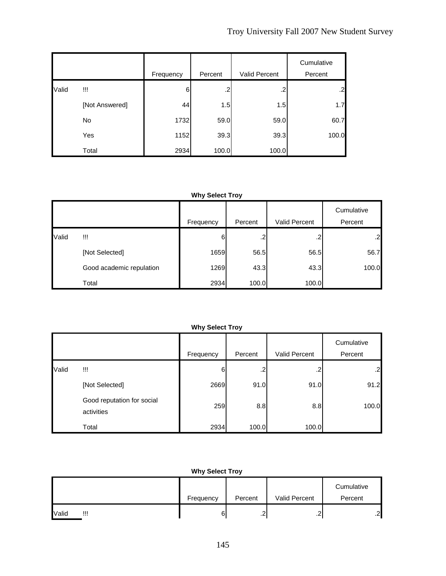|       |                | Frequency | Percent | Valid Percent | Cumulative<br>Percent |
|-------|----------------|-----------|---------|---------------|-----------------------|
| Valid | $\mathbf{III}$ | 6         | .2      | .2            | .2                    |
|       | [Not Answered] | 44        | 1.5     | 1.5           | 1.7                   |
|       | No             | 1732      | 59.0    | 59.0          | 60.7                  |
|       | Yes            | 1152      | 39.3    | 39.3          | 100.0                 |
|       | Total          | 2934      | 100.0   | 100.0         |                       |

|       |                          | Frequency | Percent | Valid Percent | Cumulative<br>Percent |
|-------|--------------------------|-----------|---------|---------------|-----------------------|
| Valid | !!!                      | 6         | .2      | .2            | $\overline{2}$        |
|       | [Not Selected]           | 1659      | 56.5    | 56.5          | 56.7                  |
|       | Good academic repulation | 1269      | 43.3    | 43.3          | 100.0                 |
|       | Total                    | 2934      | 100.0   | 100.0         |                       |

|       |                                          | Frequency | Percent | Valid Percent | Cumulative<br>Percent |
|-------|------------------------------------------|-----------|---------|---------------|-----------------------|
| Valid | !!!                                      | 6         | .2      | .2            | .2                    |
|       | [Not Selected]                           | 2669      | 91.0    | 91.0          | 91.2                  |
|       | Good reputation for social<br>activities | 259       | 8.8     | 8.8           | 100.0                 |
|       | Total                                    | 2934      | 100.0   | 100.0         |                       |

| <b>Why Select Troy</b> |           |         |               |                |  |
|------------------------|-----------|---------|---------------|----------------|--|
|                        |           |         |               | Cumulative     |  |
|                        | Frequency | Percent | Valid Percent | Percent        |  |
| Valid<br>w             | 6         | ⌒<br>ے. | ີ<br>ے.       | $\overline{2}$ |  |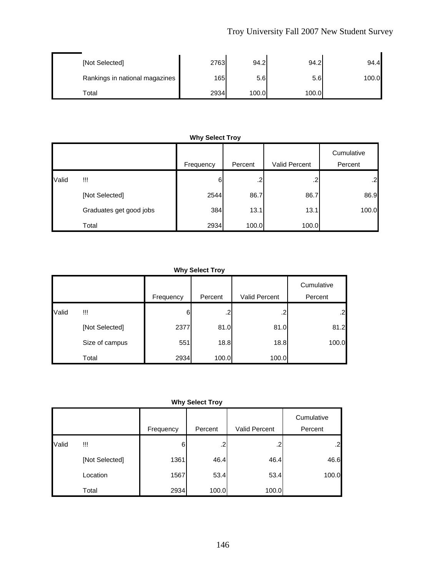# Troy University Fall 2007 New Student Survey

| [Not Selected]                 | 2763 | 94.2  | 94.2  | 94.4  |
|--------------------------------|------|-------|-------|-------|
| Rankings in national magazines | 165  | 5.6   | 5.6   | 100.0 |
| Total                          | 2934 | 100.0 | 100.0 |       |

|       | ,                       |           |         |                      |            |  |  |  |
|-------|-------------------------|-----------|---------|----------------------|------------|--|--|--|
|       |                         |           |         |                      | Cumulative |  |  |  |
|       |                         | Frequency | Percent | <b>Valid Percent</b> | Percent    |  |  |  |
| Valid | W                       | 6         | .2      | .2                   | .2         |  |  |  |
|       | [Not Selected]          | 2544      | 86.7    | 86.7                 | 86.9       |  |  |  |
|       | Graduates get good jobs | 384       | 13.1    | 13.1                 | 100.0      |  |  |  |
|       | Total                   | 2934      | 100.0   | 100.0                |            |  |  |  |

**Why Select Troy**

|       |                |           |         |                      | Cumulative |
|-------|----------------|-----------|---------|----------------------|------------|
|       |                | Frequency | Percent | <b>Valid Percent</b> | Percent    |
| Valid | !!!            | 6         | .2      | .2                   | .2         |
|       | [Not Selected] | 2377      | 81.0    | 81.0                 | 81.2       |
|       | Size of campus | 551       | 18.8    | 18.8                 | 100.0      |
|       | Total          | 2934      | 100.0   | 100.0                |            |

| <b>Why Select Troy</b> |
|------------------------|
|------------------------|

|       |                |           |         |               | Cumulative    |
|-------|----------------|-----------|---------|---------------|---------------|
|       |                | Frequency | Percent | Valid Percent | Percent       |
| Valid | w              | 6         | $\cdot$ | .2            | $\mathbf{.2}$ |
|       | [Not Selected] | 1361      | 46.4    | 46.4          | 46.6          |
|       | Location       | 1567      | 53.4    | 53.4          | 100.0         |
|       | Total          | 2934      | 100.0   | 100.0         |               |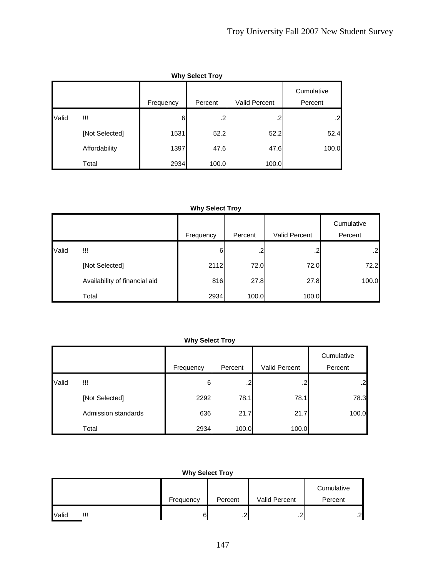|       | <b>Why Select Troy</b> |           |         |                      |                       |  |  |
|-------|------------------------|-----------|---------|----------------------|-----------------------|--|--|
|       |                        | Frequency | Percent | <b>Valid Percent</b> | Cumulative<br>Percent |  |  |
| Valid | Ш                      | 6         | .2      | .2                   |                       |  |  |
|       | [Not Selected]         | 1531      | 52.2    | 52.2                 | 52.4                  |  |  |
|       | Affordability          | 1397      | 47.6    | 47.6                 | 100.0                 |  |  |
|       | Total                  | 2934      | 100.0   | 100.0                |                       |  |  |

|       |                               | Frequency | Percent | <b>Valid Percent</b> | Cumulative<br>Percent |
|-------|-------------------------------|-----------|---------|----------------------|-----------------------|
| Valid | !!!                           | 6         | .2      | .2                   | .2 <sub>l</sub>       |
|       | [Not Selected]                | 2112      | 72.0    | 72.0                 | 72.2                  |
|       | Availability of financial aid | 816       | 27.8    | 27.8                 | 100.0                 |
|       | Total                         | 2934      | 100.0   | 100.0                |                       |

|       |                     |           |         |               | Cumulative |
|-------|---------------------|-----------|---------|---------------|------------|
|       |                     | Frequency | Percent | Valid Percent | Percent    |
| Valid | !!!                 | 6         | .2      | .2            | .2         |
|       | [Not Selected]      | 2292      | 78.1    | 78.1          | 78.3       |
|       | Admission standards | 636       | 21.7    | 21.7          | 100.0      |
|       | Total               | 2934      | 100.0   | 100.0         |            |

|  | <b>Why Select Troy</b> |  |
|--|------------------------|--|
|--|------------------------|--|

|                     | Frequency | Percent  | Valid Percent | Cumulative<br>Percent |
|---------------------|-----------|----------|---------------|-----------------------|
| <b>Valid</b><br>!!! | 6.        | ົ<br>. . | . <u>.</u>    | .2                    |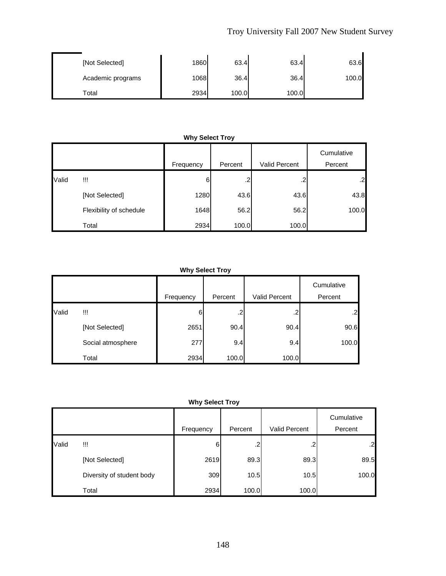# Troy University Fall 2007 New Student Survey

| [Not Selected]    | 1860 | 63.4  | 63.4  | 63.6  |
|-------------------|------|-------|-------|-------|
| Academic programs | 1068 | 36.4  | 36.4  | 100.0 |
| $\tau$ otal       | 2934 | 100.0 | 100.0 |       |

|       | ,                       |           |         |               |                       |  |  |  |
|-------|-------------------------|-----------|---------|---------------|-----------------------|--|--|--|
|       |                         | Frequency | Percent | Valid Percent | Cumulative<br>Percent |  |  |  |
| Valid | W                       | 6         | .2      | .2            | .2                    |  |  |  |
|       | [Not Selected]          | 1280      | 43.6    | 43.6          | 43.8                  |  |  |  |
|       | Flexibility of schedule | 1648      | 56.2    | 56.2          | 100.0                 |  |  |  |
|       | Total                   | 2934      | 100.0   | 100.0         |                       |  |  |  |

#### **Why Select Troy**

**Why Select Troy**

|       |                   | Frequency | Percent | Valid Percent | Cumulative<br>Percent |
|-------|-------------------|-----------|---------|---------------|-----------------------|
| Valid | Ш                 | 6         |         |               | .2                    |
|       | [Not Selected]    | 2651      | 90.4    | 90.4          | 90.6                  |
|       | Social atmosphere | 277       | 9.4     | 9.4           | 100.0                 |
|       | Total             | 2934      | 100.0   | 100.0         |                       |

|       |                           | Frequency | Percent | Valid Percent | Cumulative<br>Percent |
|-------|---------------------------|-----------|---------|---------------|-----------------------|
| Valid | w                         | 6         | .2      | $\cdot$       | .21                   |
|       | [Not Selected]            | 2619      | 89.3    | 89.3          | 89.5                  |
|       | Diversity of student body | 309       | 10.5    | 10.5          | 100.0                 |
|       | Total                     | 2934      | 100.0   | 100.0         |                       |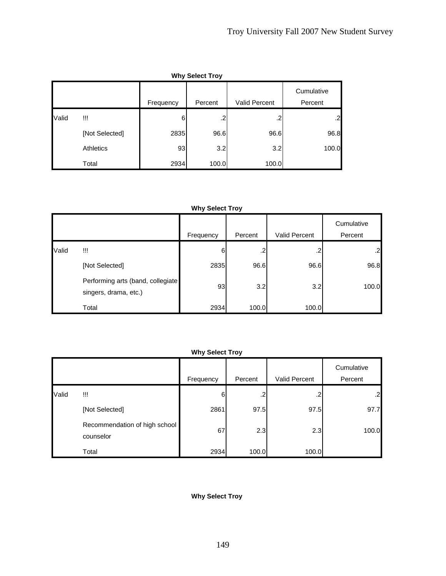| <b>Why Select Troy</b> |                  |           |         |                      |                       |  |  |
|------------------------|------------------|-----------|---------|----------------------|-----------------------|--|--|
|                        |                  | Frequency | Percent | <b>Valid Percent</b> | Cumulative<br>Percent |  |  |
| Valid                  | !!!              | 6         | .2      | .2                   | .2                    |  |  |
|                        | [Not Selected]   | 2835      | 96.6    | 96.6                 | 96.8                  |  |  |
|                        | <b>Athletics</b> | 93        | 3.2     | 3.2                  | 100.0                 |  |  |
|                        | Total            | 2934      | 100.0   | 100.0                |                       |  |  |

|       |                                                            | Frequency | Percent       | Valid Percent | Cumulative<br>Percent |
|-------|------------------------------------------------------------|-----------|---------------|---------------|-----------------------|
| Valid | !!!                                                        | 6         | $.2^{\prime}$ | .2            | .2                    |
|       | [Not Selected]                                             | 2835      | 96.6          | 96.6          | 96.8                  |
|       | Performing arts (band, collegiate<br>singers, drama, etc.) | 93        | 3.2           | 3.2           | 100.0                 |
|       | Total                                                      | 2934      | 100.0         | 100.0         |                       |

#### **Why Select Troy**

|       |                                            | Frequency | Percent | Valid Percent | Cumulative<br>Percent |
|-------|--------------------------------------------|-----------|---------|---------------|-----------------------|
| Valid | !!!                                        | 6         | .2      | .2            | $\cdot$               |
|       | [Not Selected]                             | 2861      | 97.5    | 97.5          | 97.7                  |
|       | Recommendation of high school<br>counselor | 67        | 2.3     | 2.3           | 100.0                 |
|       | Total                                      | 2934      | 100.0   | 100.0         |                       |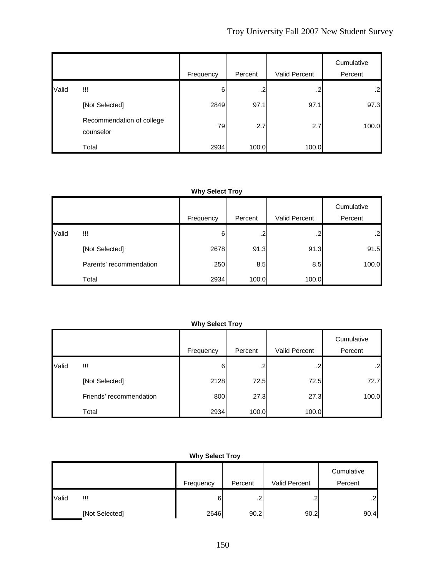|       |                                        | Frequency | Percent | Valid Percent | Cumulative<br>Percent |
|-------|----------------------------------------|-----------|---------|---------------|-----------------------|
| Valid | $\mathbf{III}$                         | 6         | .2      | .2            | $\overline{2}$        |
|       | [Not Selected]                         | 2849      | 97.1    | 97.1          | 97.3                  |
|       | Recommendation of college<br>counselor | 79        | 2.7     | 2.7           | 100.0                 |
|       | Total                                  | 2934      | 100.0   | 100.0         |                       |

|       |                         | Frequency | Percent | Valid Percent | Cumulative<br>Percent |
|-------|-------------------------|-----------|---------|---------------|-----------------------|
| Valid | !!!                     | 6         | .2      | .2            | $\overline{2}$        |
|       | [Not Selected]          | 2678      | 91.3    | 91.3          | 91.5                  |
|       | Parents' recommendation | 250       | 8.5     | 8.5           | 100.0                 |
|       | Total                   | 2934      | 100.0   | 100.0         |                       |

#### **Why Select Troy**

|       |                         | Frequency | Percent | Valid Percent | Cumulative<br>Percent |
|-------|-------------------------|-----------|---------|---------------|-----------------------|
| Valid | !!!                     | 6         | .2      | .2            | $\overline{2}$        |
|       | [Not Selected]          | 2128      | 72.5    | 72.5          | 72.7                  |
|       | Friends' recommendation | 800       | 27.3    | 27.3          | 100.0                 |
|       | Total                   | 2934      | 100.0   | 100.0         |                       |

|       |                |           |            |               | Cumulative |
|-------|----------------|-----------|------------|---------------|------------|
|       |                | Frequency | Percent    | Valid Percent | Percent    |
| Valid | w              | 6         | . <u>.</u> | ⌒<br>ے.       | .2         |
|       | [Not Selected] | 2646      | 90.2       | 90.2          | 90.4       |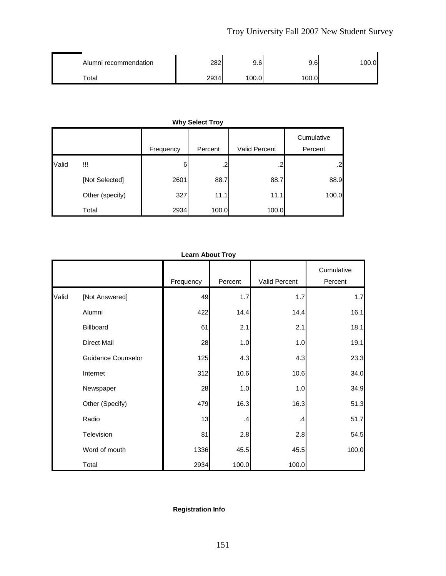| Alumni recommendation | റാറ<br>ZUZ | 9.6   | 9.6   | 00.0 |
|-----------------------|------------|-------|-------|------|
| $\mathsf{^{To}tal}$   | 2934       | 100.0 | 100.0 |      |

|       |                 | Frequency | Percent | Valid Percent | Cumulative<br>Percent |
|-------|-----------------|-----------|---------|---------------|-----------------------|
|       |                 |           |         |               |                       |
| Valid | !!!             | 6         | .2      | .2            | .2                    |
|       | [Not Selected]  | 2601      | 88.7    | 88.7          | 88.9                  |
|       | Other (specify) | 327       | 11.1    | 11.1          | 100.0                 |
|       | Total           | 2934      | 100.0   | 100.0         |                       |

|       | Learn About Troy   |           |         |               |                       |  |  |
|-------|--------------------|-----------|---------|---------------|-----------------------|--|--|
|       |                    | Frequency | Percent | Valid Percent | Cumulative<br>Percent |  |  |
| Valid | [Not Answered]     | 49        | 1.7     | 1.7           | 1.7                   |  |  |
|       | Alumni             | 422       | 14.4    | 14.4          | 16.1                  |  |  |
|       | Billboard          | 61        | 2.1     | 2.1           | 18.1                  |  |  |
|       | <b>Direct Mail</b> | 28        | 1.0     | 1.0           | 19.1                  |  |  |
|       | Guidance Counselor | 125       | 4.3     | 4.3           | 23.3                  |  |  |
|       | Internet           | 312       | 10.6    | 10.6          | 34.0                  |  |  |
|       | Newspaper          | 28        | 1.0     | 1.0           | 34.9                  |  |  |
|       | Other (Specify)    | 479       | 16.3    | 16.3          | 51.3                  |  |  |
|       | Radio              | 13        | $\cdot$ | .4            | 51.7                  |  |  |
|       | Television         | 81        | 2.8     | 2.8           | 54.5                  |  |  |
|       | Word of mouth      | 1336      | 45.5    | 45.5          | 100.0                 |  |  |
|       | Total              | 2934      | 100.0   | 100.0         |                       |  |  |

### **Learn About Troy**

### **Registration Info**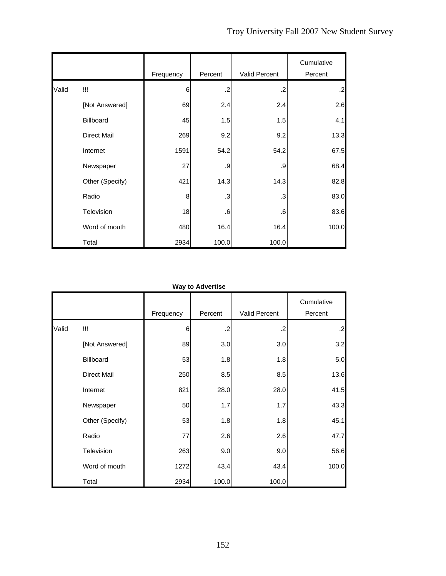|       |                    | Frequency | Percent | Valid Percent | Cumulative<br>Percent |
|-------|--------------------|-----------|---------|---------------|-----------------------|
| Valid | Ш                  | 6         | $\cdot$ | $\cdot$       | .2                    |
|       | [Not Answered]     | 69        | 2.4     | 2.4           | 2.6                   |
|       | Billboard          | 45        | 1.5     | 1.5           | 4.1                   |
|       | <b>Direct Mail</b> | 269       | 9.2     | 9.2           | 13.3                  |
|       | Internet           | 1591      | 54.2    | 54.2          | 67.5                  |
|       | Newspaper          | 27        | .9      | .9            | 68.4                  |
|       | Other (Specify)    | 421       | 14.3    | 14.3          | 82.8                  |
|       | Radio              | 8         | .3      | .3            | 83.0                  |
|       | Television         | 18        | $.6\,$  | .6            | 83.6                  |
|       | Word of mouth      | 480       | 16.4    | 16.4          | 100.0                 |
|       | Total              | 2934      | 100.0   | 100.0         |                       |

|       | <b>Way to Advertise</b> |           |         |               |                       |  |  |  |
|-------|-------------------------|-----------|---------|---------------|-----------------------|--|--|--|
|       |                         | Frequency | Percent | Valid Percent | Cumulative<br>Percent |  |  |  |
| Valid | !!!                     | 6         | $\cdot$ | .2            | $\overline{.2}$       |  |  |  |
|       | [Not Answered]          | 89        | 3.0     | 3.0           | 3.2                   |  |  |  |
|       | Billboard               | 53        | 1.8     | 1.8           | 5.0                   |  |  |  |
|       | Direct Mail             | 250       | 8.5     | 8.5           | 13.6                  |  |  |  |
|       | Internet                | 821       | 28.0    | 28.0          | 41.5                  |  |  |  |
|       | Newspaper               | 50        | 1.7     | 1.7           | 43.3                  |  |  |  |
|       | Other (Specify)         | 53        | 1.8     | 1.8           | 45.1                  |  |  |  |
|       | Radio                   | 77        | 2.6     | 2.6           | 47.7                  |  |  |  |
|       | Television              | 263       | 9.0     | 9.0           | 56.6                  |  |  |  |
|       | Word of mouth           | 1272      | 43.4    | 43.4          | 100.0                 |  |  |  |
|       | Total                   | 2934      | 100.0   | 100.0         |                       |  |  |  |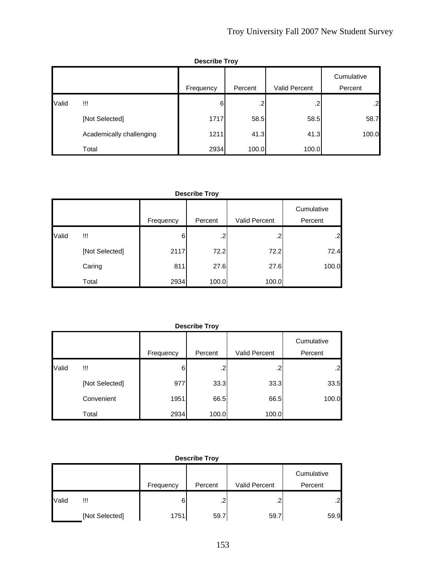|       | <b>Describe Troy</b>     |           |         |               |                       |  |  |  |
|-------|--------------------------|-----------|---------|---------------|-----------------------|--|--|--|
|       |                          | Frequency | Percent | Valid Percent | Cumulative<br>Percent |  |  |  |
| Valid | $\mathbf{III}$           | 6         | .2      | .2            | .2                    |  |  |  |
|       | [Not Selected]           | 1717      | 58.5    | 58.5          | 58.7                  |  |  |  |
|       | Academically challenging | 1211      | 41.3    | 41.3          | 100.0                 |  |  |  |
|       | Total                    | 2934      | 100.0   | 100.0         |                       |  |  |  |

### **Describe Troy**

|       |                |           |         |               | Cumulative |
|-------|----------------|-----------|---------|---------------|------------|
|       |                | Frequency | Percent | Valid Percent | Percent    |
| Valid | !!!            | 6         | .2      | .2            | .2         |
|       | [Not Selected] | 2117      | 72.2    | 72.2          | 72.4       |
|       | Caring         | 811       | 27.6    | 27.6          | 100.0      |
|       | Total          | 2934      | 100.0   | 100.0         |            |

|       | <b>Describe Troy</b> |           |         |               |                       |  |  |  |  |
|-------|----------------------|-----------|---------|---------------|-----------------------|--|--|--|--|
|       |                      | Frequency | Percent | Valid Percent | Cumulative<br>Percent |  |  |  |  |
| Valid | !!!                  | 6         | .2      | .2            | .2                    |  |  |  |  |
|       | [Not Selected]       | 977       | 33.3    | 33.3          | 33.5                  |  |  |  |  |
|       | Convenient           | 1951      | 66.5    | 66.5          | 100.0                 |  |  |  |  |
|       | Total                | 2934      | 100.0   | 100.0         |                       |  |  |  |  |

|       | <b>Describe Troy</b> |           |         |                      |                       |  |  |  |  |
|-------|----------------------|-----------|---------|----------------------|-----------------------|--|--|--|--|
|       |                      | Frequency | Percent | <b>Valid Percent</b> | Cumulative<br>Percent |  |  |  |  |
| Valid | w                    | 6         | .2      | ົ<br>ے.              | .2                    |  |  |  |  |
|       | [Not Selected]       | 1751      | 59.7    | 59.7                 | 59.9                  |  |  |  |  |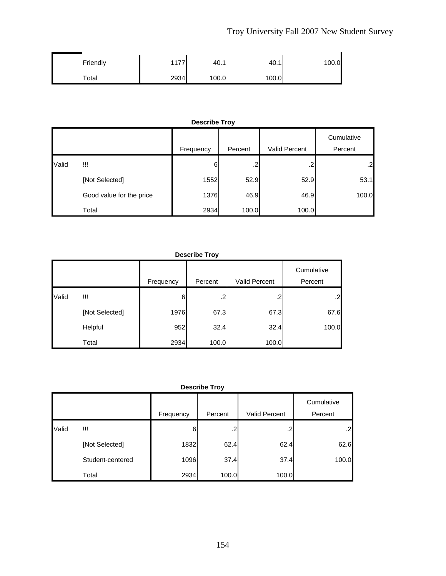# Troy University Fall 2007 New Student Survey

| Friendly    | 1177<br>. | 40.1  | 40.1  | 100.0 |
|-------------|-----------|-------|-------|-------|
| $\tau$ otal | 2934      | 100.0 | 100.0 |       |

|       | <b>Describe Troy</b>     |           |            |                      |                       |
|-------|--------------------------|-----------|------------|----------------------|-----------------------|
|       |                          | Frequency | Percent    | <b>Valid Percent</b> | Cumulative<br>Percent |
| Valid | W                        | 6         | $\cdot$ .2 | .2                   | .2                    |
|       | [Not Selected]           | 1552      | 52.9       | 52.9                 | 53.1                  |
|       | Good value for the price | 1376      | 46.9       | 46.9                 | 100.0                 |
|       | Total                    | 2934      | 100.0      | 100.0                |                       |

#### **Describe Troy**

|       |                | Frequency | Percent | Valid Percent | Cumulative<br>Percent |
|-------|----------------|-----------|---------|---------------|-----------------------|
| Valid | w              | 6         | .2      | $\cdot$       | $\overline{.2}$       |
|       | [Not Selected] | 1976      | 67.3    | 67.3          | 67.6                  |
|       | Helpful        | 952       | 32.4    | 32.4          | 100.0                 |
|       | Total          | 2934      | 100.0   | 100.0         |                       |

#### **Describe Troy**

|       |                  |           |         |                      | Cumulative |
|-------|------------------|-----------|---------|----------------------|------------|
|       |                  | Frequency | Percent | <b>Valid Percent</b> | Percent    |
| Valid | w                | 6         | .2      | .2                   | .2         |
|       | [Not Selected]   | 1832      | 62.4    | 62.4                 | 62.6       |
|       | Student-centered | 1096      | 37.4    | 37.4                 | 100.0      |
|       | Total            | 2934      | 100.0   | 100.0                |            |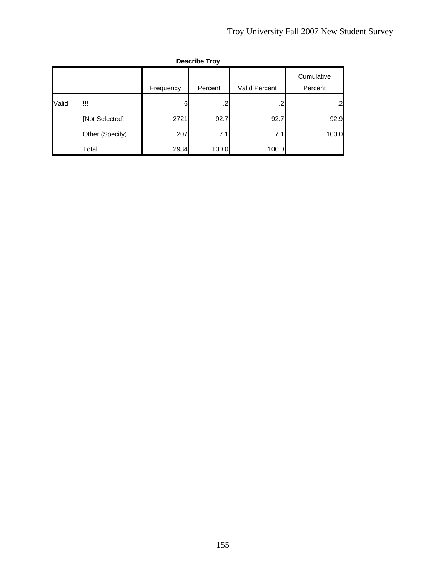|       |                 |           | <b>Describe Troy</b> |               |                       |
|-------|-----------------|-----------|----------------------|---------------|-----------------------|
|       |                 | Frequency | Percent              | Valid Percent | Cumulative<br>Percent |
| Valid | !!!             | 6         | .2                   | .2            | .2                    |
|       | [Not Selected]  | 2721      | 92.7                 | 92.7          | 92.9                  |
|       | Other (Specify) | 207       | 7.1                  | 7.1           | 100.0                 |
|       | Total           | 2934      | 100.0                | 100.0         |                       |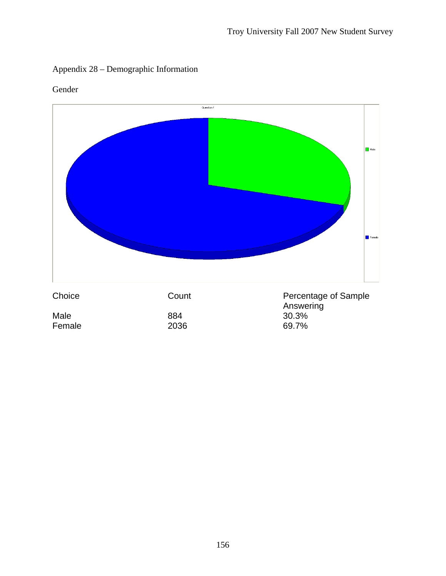



Gender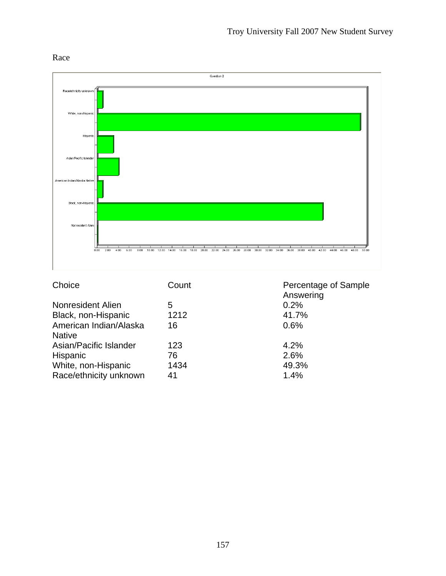

| Choice                 | Count | Percentage of Sample<br>Answering |
|------------------------|-------|-----------------------------------|
| Nonresident Alien      | 5     | 0.2%                              |
| Black, non-Hispanic    | 1212  | 41.7%                             |
| American Indian/Alaska | 16    | 0.6%                              |
| <b>Native</b>          |       |                                   |
| Asian/Pacific Islander | 123   | 4.2%                              |
| Hispanic               | 76    | 2.6%                              |
| White, non-Hispanic    | 1434  | 49.3%                             |
| Race/ethnicity unknown | 41    | 1.4%                              |

# Race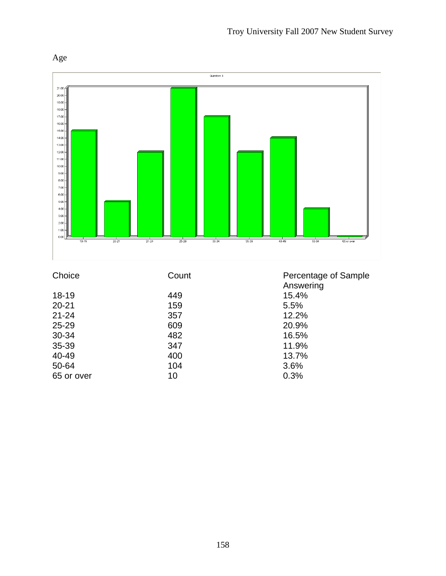

| Choice     | Count | Percentage of Sample<br>Answering |
|------------|-------|-----------------------------------|
| $18 - 19$  | 449   | 15.4%                             |
| $20 - 21$  | 159   | 5.5%                              |
| $21 - 24$  | 357   | 12.2%                             |
| $25 - 29$  | 609   | 20.9%                             |
| 30-34      | 482   | 16.5%                             |
| 35-39      | 347   | 11.9%                             |
| 40-49      | 400   | 13.7%                             |
| 50-64      | 104   | 3.6%                              |
| 65 or over | 10    | 0.3%                              |

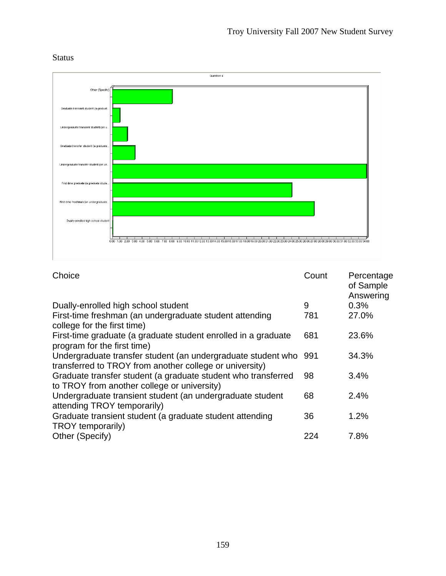

| Choice                                                                                                                  | Count | Percentage<br>of Sample<br>Answering |
|-------------------------------------------------------------------------------------------------------------------------|-------|--------------------------------------|
| Dually-enrolled high school student                                                                                     | 9     | 0.3%                                 |
| First-time freshman (an undergraduate student attending<br>college for the first time)                                  | 781   | 27.0%                                |
| First-time graduate (a graduate student enrolled in a graduate<br>program for the first time)                           | 681   | 23.6%                                |
| Undergraduate transfer student (an undergraduate student who<br>transferred to TROY from another college or university) | 991   | 34.3%                                |
| Graduate transfer student (a graduate student who transferred<br>to TROY from another college or university)            | 98    | 3.4%                                 |
| Undergraduate transient student (an undergraduate student<br>attending TROY temporarily)                                | 68    | 2.4%                                 |
| Graduate transient student (a graduate student attending<br>TROY temporarily)                                           | 36    | $1.2\%$                              |
| Other (Specify)                                                                                                         | 224   | 7.8%                                 |

# Status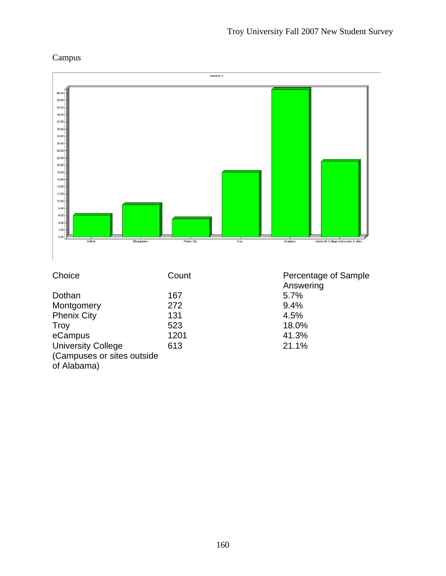# Campus



University College

of Alabama)

(Campuses or sites outside

| <b>Choice</b>      | Count | <b>Perce</b> |
|--------------------|-------|--------------|
|                    |       | Answ         |
| Dothan             | 167   | $5.7\%$      |
| Montgomery         | 272   | $9.4\%$      |
| <b>Phenix City</b> | 131   | 4.5%         |

Count Percentage of Sample Answering<br>5.7% Phenix City **131** 4.5%<br>Troy **131** 4.5% Troy 523 18.0% eCampus 1201 41.3%<br>
University College 613 21.1%

21.1%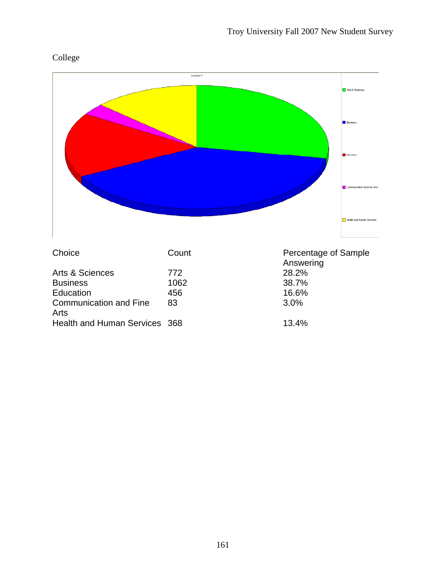

83 3.0%

Health and Human Services 368 13.4%

# College

Communication and Fine

Arts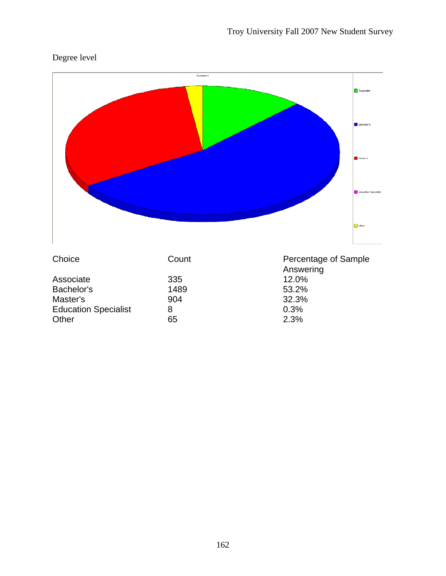# Degree level



|                             |      | Answ    |
|-----------------------------|------|---------|
| Associate                   | 335  | 12.0%   |
| Bachelor's                  | 1489 | 53.2%   |
| Master's                    | 904  | 32.3%   |
| <b>Education Specialist</b> | 8    | $0.3\%$ |
| Other                       | 65   | 2.3%    |

Answering 12.0% 53.2% 32.3%<br>0.3%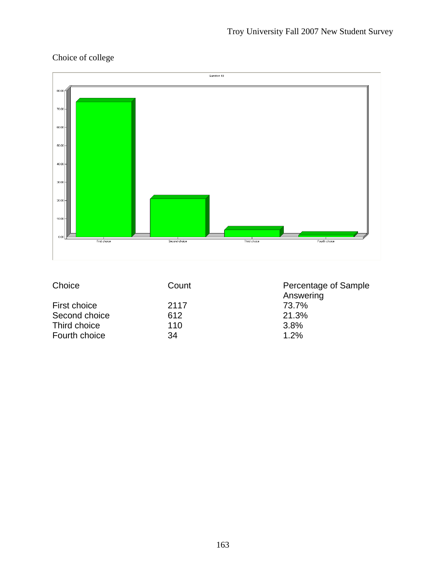# Choice of college



| Choice        | Count | Percentage of Sample<br>Answering |
|---------------|-------|-----------------------------------|
| First choice  | 2117  | 73.7%                             |
| Second choice | 612   | 21.3%                             |
| Third choice  | 110   | 3.8%                              |
| Fourth choice | 34    | 1.2%                              |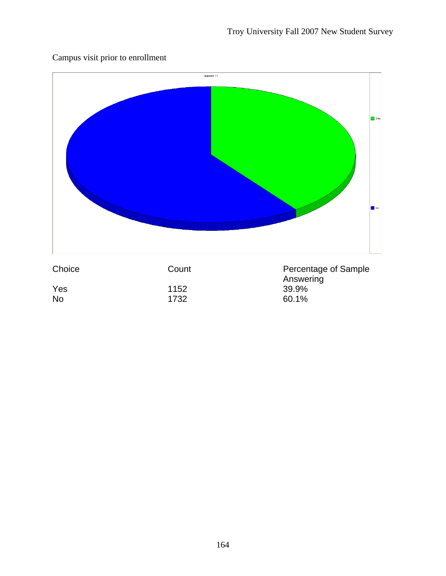

# Campus visit prior to enrollment

| Choice    | Count | Percentage |
|-----------|-------|------------|
|           |       | Answering  |
| Yes       | 1152  | 39.9%      |
| <b>No</b> | 1732  | 60.1%      |

164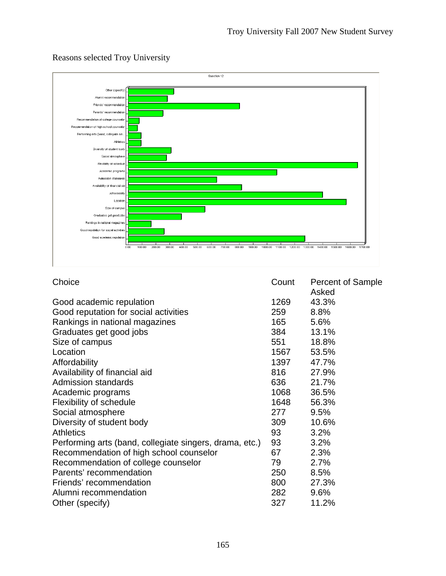

# Reasons selected Troy University

| Choice                                                  | Count | <b>Percent of Sample</b> |
|---------------------------------------------------------|-------|--------------------------|
|                                                         |       | Asked                    |
| Good academic repulation                                | 1269  | 43.3%                    |
| Good reputation for social activities                   | 259   | 8.8%                     |
| Rankings in national magazines                          | 165   | 5.6%                     |
| Graduates get good jobs                                 | 384   | 13.1%                    |
| Size of campus                                          | 551   | 18.8%                    |
| Location                                                | 1567  | 53.5%                    |
| Affordability                                           | 1397  | 47.7%                    |
| Availability of financial aid                           | 816   | 27.9%                    |
| <b>Admission standards</b>                              | 636   | 21.7%                    |
| Academic programs                                       | 1068  | 36.5%                    |
| Flexibility of schedule                                 | 1648  | 56.3%                    |
| Social atmosphere                                       | 277   | 9.5%                     |
| Diversity of student body                               | 309   | 10.6%                    |
| <b>Athletics</b>                                        | 93    | 3.2%                     |
| Performing arts (band, collegiate singers, drama, etc.) | 93    | 3.2%                     |
| Recommendation of high school counselor                 | 67    | 2.3%                     |
| Recommendation of college counselor                     | 79    | 2.7%                     |
| Parents' recommendation                                 | 250   | 8.5%                     |
| Friends' recommendation                                 | 800   | 27.3%                    |
| Alumni recommendation                                   | 282   | 9.6%                     |
| Other (specify)                                         | 327   | 11.2%                    |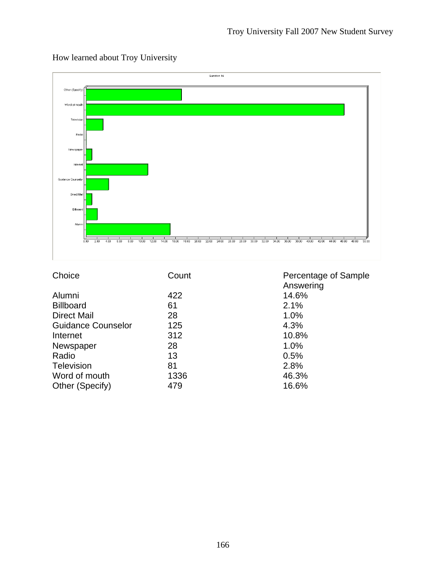

# How learned about Troy University

| Count | Percentage of Sample<br>Answering |
|-------|-----------------------------------|
| 422   | 14.6%                             |
| 61    | 2.1%                              |
| 28    | 1.0%                              |
| 125   | 4.3%                              |
| 312   | 10.8%                             |
| 28    | 1.0%                              |
| 13    | 0.5%                              |
| 81    | 2.8%                              |
| 1336  | 46.3%                             |
| 479   | 16.6%                             |
|       |                                   |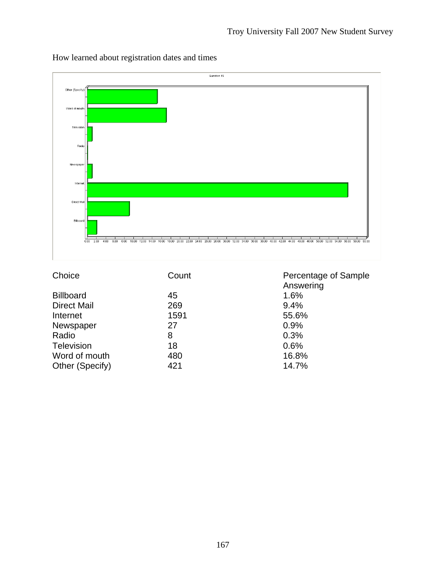

How learned about registration dates and times

| Choice             | Count | Percentage of Sample<br>Answering |
|--------------------|-------|-----------------------------------|
| <b>Billboard</b>   | 45    | 1.6%                              |
| <b>Direct Mail</b> | 269   | 9.4%                              |
| Internet           | 1591  | 55.6%                             |
| Newspaper          | 27    | 0.9%                              |
| Radio              | 8     | 0.3%                              |
| Television         | 18    | 0.6%                              |
| Word of mouth      | 480   | 16.8%                             |
| Other (Specify)    | 421   | 14.7%                             |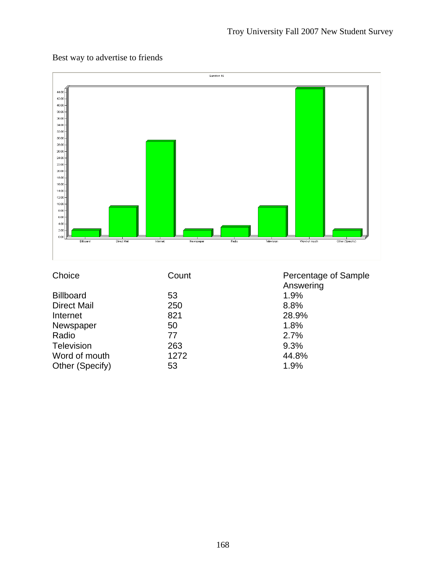Best way to advertise to friends



| Choice             | Count | Percentage of Sample<br>Answering |
|--------------------|-------|-----------------------------------|
| <b>Billboard</b>   | 53    | 1.9%                              |
| <b>Direct Mail</b> | 250   | 8.8%                              |
| Internet           | 821   | 28.9%                             |
| Newspaper          | 50    | 1.8%                              |
| Radio              | 77    | 2.7%                              |
| Television         | 263   | 9.3%                              |
| Word of mouth      | 1272  | 44.8%                             |
| Other (Specify)    | 53    | 1.9%                              |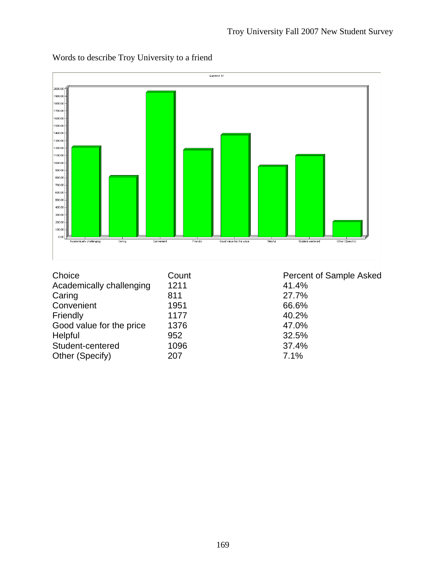

Words to describe Troy University to a friend

| Choice                   | Count | Percent of Sample Asked |
|--------------------------|-------|-------------------------|
| Academically challenging | 1211  | 41.4%                   |
| Caring                   | 811   | 27.7%                   |
| Convenient               | 1951  | 66.6%                   |
| Friendly                 | 1177  | 40.2%                   |
| Good value for the price | 1376  | 47.0%                   |
| Helpful                  | 952   | 32.5%                   |
| Student-centered         | 1096  | 37.4%                   |
| Other (Specify)          | 207   | 7.1%                    |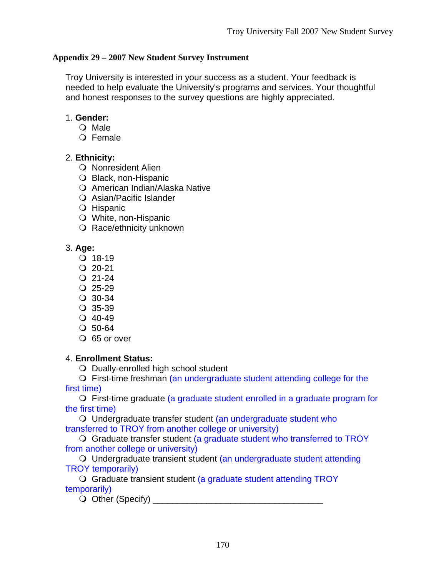## **Appendix 29 – 2007 New Student Survey Instrument**

Troy University is interested in your success as a student. Your feedback is needed to help evaluate the University's programs and services. Your thoughtful and honest responses to the survey questions are highly appreciated.

# 1. **Gender:**

- O Male
- Female

# 2. **Ethnicity:**

- O Nonresident Alien
- O Black, non-Hispanic
- O American Indian/Alaska Native
- Q Asian/Pacific Islander
- O Hispanic
- White, non-Hispanic
- O Race/ethnicity unknown

# 3. **Age:**

- $Q$  18-19
- $Q$  20-21
- $Q$  21-24
- $Q$  25-29
- 30-34
- 35-39
- $Q$  40-49
- 50-64
- $\bigcirc$  65 or over

### 4. **Enrollment Status:**

O Dually-enrolled high school student

 First-time freshman (an undergraduate student attending college for the first time)

 First-time graduate (a graduate student enrolled in a graduate program for the first time)

 Undergraduate transfer student (an undergraduate student who transferred to TROY from another college or university)

 Graduate transfer student (a graduate student who transferred to TROY from another college or university)

O Undergraduate transient student (an undergraduate student attending TROY temporarily)

 Graduate transient student (a graduate student attending TROY temporarily)

Other (Specify) \_\_\_\_\_\_\_\_\_\_\_\_\_\_\_\_\_\_\_\_\_\_\_\_\_\_\_\_\_\_\_\_\_\_\_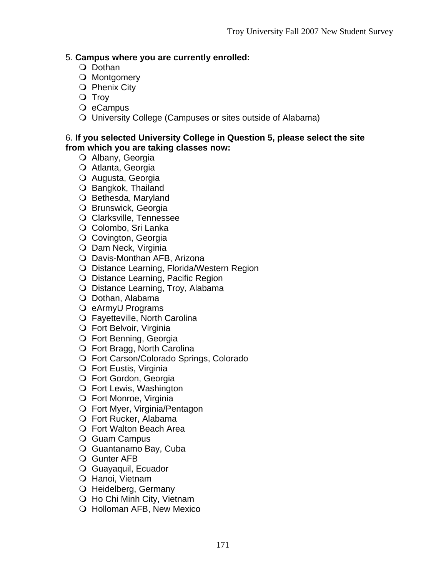# 5. **Campus where you are currently enrolled:**

- O Dothan
- O Montgomery
- O Phenix City
- O Troy
- O eCampus
- University College (Campuses or sites outside of Alabama)

### 6. **If you selected University College in Question 5, please select the site from which you are taking classes now:**

- Albany, Georgia
- O Atlanta, Georgia
- Augusta, Georgia
- O Bangkok, Thailand
- O Bethesda, Maryland
- O Brunswick, Georgia
- Clarksville, Tennessee
- O Colombo, Sri Lanka
- O Covington, Georgia
- O Dam Neck, Virginia
- Davis-Monthan AFB, Arizona
- O Distance Learning, Florida/Western Region
- O Distance Learning, Pacific Region
- O Distance Learning, Troy, Alabama
- O Dothan, Alabama
- O eArmyU Programs
- Fayetteville, North Carolina
- Fort Belvoir, Virginia
- Fort Benning, Georgia
- Fort Bragg, North Carolina
- Fort Carson/Colorado Springs, Colorado
- Fort Eustis, Virginia
- Fort Gordon, Georgia
- Fort Lewis, Washington
- Fort Monroe, Virginia
- Fort Myer, Virginia/Pentagon
- Fort Rucker, Alabama
- Fort Walton Beach Area
- O Guam Campus
- Guantanamo Bay, Cuba
- Gunter AFB
- Guayaquil, Ecuador
- O Hanoi, Vietnam
- O Heidelberg, Germany
- O Ho Chi Minh City, Vietnam
- O Holloman AFB, New Mexico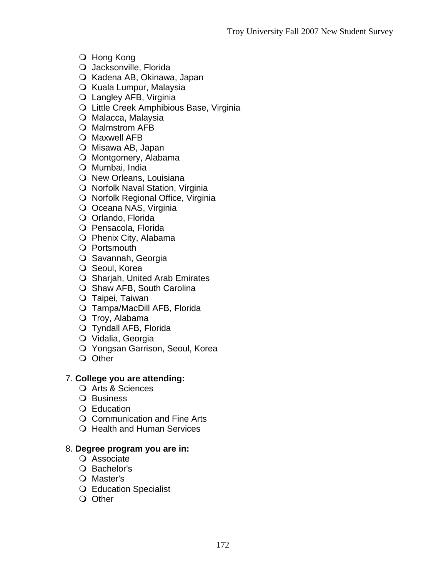- O Hong Kong
- O Jacksonville, Florida
- O Kadena AB, Okinawa, Japan
- O Kuala Lumpur, Malaysia
- Langley AFB, Virginia
- O Little Creek Amphibious Base, Virginia
- O Malacca, Malaysia
- O Malmstrom AFB
- O Maxwell AFB
- O Misawa AB, Japan
- O Montgomery, Alabama
- O Mumbai, India
- O New Orleans, Louisiana
- O Norfolk Naval Station, Virginia
- O Norfolk Regional Office, Virginia
- O Oceana NAS, Virginia
- O Orlando, Florida
- O Pensacola, Florida
- O Phenix City, Alabama
- O Portsmouth
- O Savannah, Georgia
- O Seoul, Korea
- O Sharjah, United Arab Emirates
- O Shaw AFB, South Carolina
- O Taipei, Taiwan
- Tampa/MacDill AFB, Florida
- O Troy, Alabama
- Tyndall AFB, Florida
- Vidalia, Georgia
- Yongsan Garrison, Seoul, Korea
- O Other

### 7. **College you are attending:**

- O Arts & Sciences
- O Business
- Education
- Communication and Fine Arts
- O Health and Human Services

## 8. **Degree program you are in:**

- Associate
- O Bachelor's
- Master's
- Education Specialist
- O Other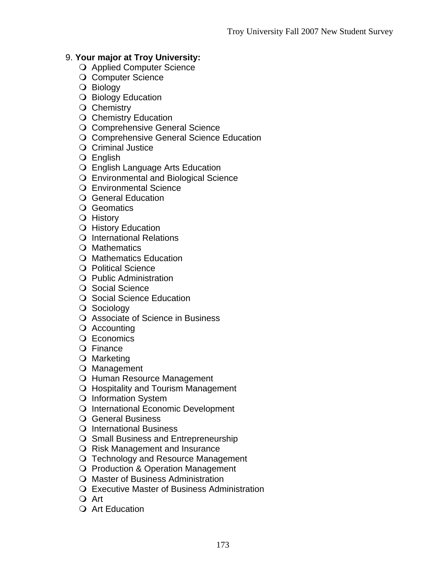## 9. **Your major at Troy University:**

- O Applied Computer Science
- O Computer Science
- O Biology
- O Biology Education
- O Chemistry
- O Chemistry Education
- O Comprehensive General Science
- O Comprehensive General Science Education
- O Criminal Justice
- English
- English Language Arts Education
- Environmental and Biological Science
- Environmental Science
- General Education
- O Geomatics
- O History
- O History Education
- O International Relations
- Q Mathematics
- O Mathematics Education
- O Political Science
- Public Administration
- O Social Science
- O Social Science Education
- O Sociology
- O Associate of Science in Business
- O Accounting
- Economics
- O Finance
- Marketing
- O Management
- O Human Resource Management
- O Hospitality and Tourism Management
- O Information System
- O International Economic Development
- General Business
- O International Business
- O Small Business and Entrepreneurship
- O Risk Management and Insurance
- O Technology and Resource Management
- O Production & Operation Management
- O Master of Business Administration
- Executive Master of Business Administration
- O Art
- O Art Education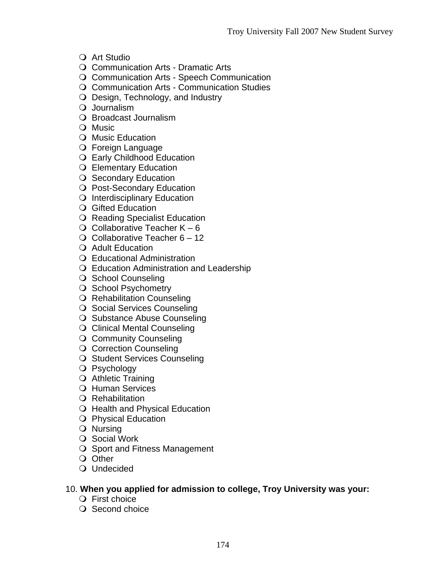- O Art Studio
- Communication Arts Dramatic Arts
- O Communication Arts Speech Communication
- Communication Arts Communication Studies
- Design, Technology, and Industry
- O Journalism
- Broadcast Journalism
- O Music
- O Music Education
- Foreign Language
- O Early Childhood Education
- Elementary Education
- O Secondary Education
- O Post-Secondary Education
- O Interdisciplinary Education
- **O** Gifted Education
- O Reading Specialist Education
- $\overline{O}$  Collaborative Teacher K 6
- $\overline{O}$  Collaborative Teacher 6 12
- Adult Education
- Educational Administration
- Education Administration and Leadership
- O School Counseling
- O School Psychometry
- O Rehabilitation Counseling
- O Social Services Counseling
- O Substance Abuse Counseling
- O Clinical Mental Counseling
- O Community Counseling
- O Correction Counseling
- O Student Services Counseling
- O Psychology
- O Athletic Training
- O Human Services
- $\bigcirc$  Rehabilitation
- O Health and Physical Education
- O Physical Education
- Nursing
- O Social Work
- O Sport and Fitness Management
- O Other
- Undecided

# 10. **When you applied for admission to college, Troy University was your:**

- First choice
- O Second choice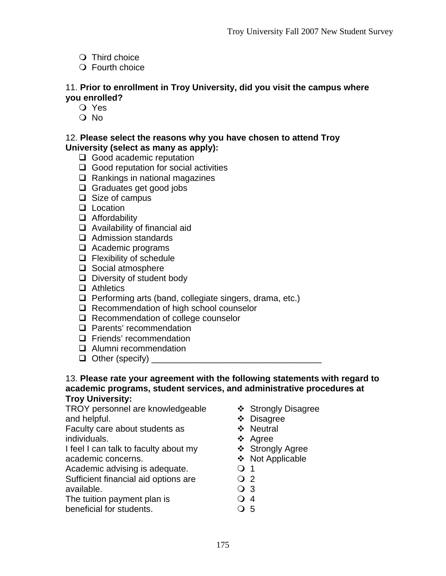- O Third choice
- Fourth choice

### 11. **Prior to enrollment in Troy University, did you visit the campus where you enrolled?**

- Yes
- O No

### 12. **Please select the reasons why you have chosen to attend Troy University (select as many as apply):**

- □ Good academic reputation
- $\Box$  Good reputation for social activities
- $\Box$  Rankings in national magazines
- $\Box$  Graduates get good jobs
- $\Box$  Size of campus
- **L** Location
- $\Box$  Affordability
- $\Box$  Availability of financial aid
- Admission standards
- $\Box$  Academic programs
- $\Box$  Flexibility of schedule
- $\Box$  Social atmosphere
- $\Box$  Diversity of student body
- □ Athletics
- $\Box$  Performing arts (band, collegiate singers, drama, etc.)
- □ Recommendation of high school counselor
- $\Box$  Recommendation of college counselor
- □ Parents' recommendation
- □ Friends' recommendation
- **Q** Alumni recommendation
- $\Box$  Other (specify)  $\_\_$

13. **Please rate your agreement with the following statements with regard to academic programs, student services, and administrative procedures at Troy University:**

TROY personnel are knowledgeable and helpful.

Faculty care about students as individuals.

I feel I can talk to faculty about my academic concerns.

Academic advising is adequate.

- Sufficient financial aid options are available.
- The tuition payment plan is
- beneficial for students.
- ❖ Strongly Disagree
- Disagree
- ❖ Neutral
- ❖ Agree
- Strongly Agree
- ❖ Not Applicable
- $\overline{O}$  1
- $\overline{Q}$  2
- O 3
- $\Omega$  4
- O 5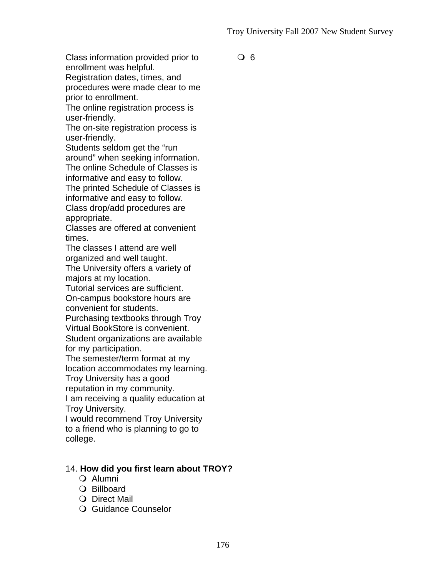$\Omega$  6

Class information provided prior to enrollment was helpful.

Registration dates, times, and procedures were made clear to me prior to enrollment.

The online registration process is user-friendly.

The on-site registration process is user-friendly.

Students seldom get the "run around" when seeking information. The online Schedule of Classes is informative and easy to follow.

The printed Schedule of Classes is informative and easy to follow.

Class drop/add procedures are appropriate.

Classes are offered at convenient times.

The classes I attend are well organized and well taught.

The University offers a variety of majors at my location.

Tutorial services are sufficient. On-campus bookstore hours are convenient for students.

Purchasing textbooks through Troy Virtual BookStore is convenient. Student organizations are available for my participation.

The semester/term format at my location accommodates my learning. Troy University has a good

reputation in my community.

I am receiving a quality education at Troy University.

I would recommend Troy University to a friend who is planning to go to college.

### 14. **How did you first learn about TROY?**

- Alumni
- Billboard
- O Direct Mail
- O Guidance Counselor